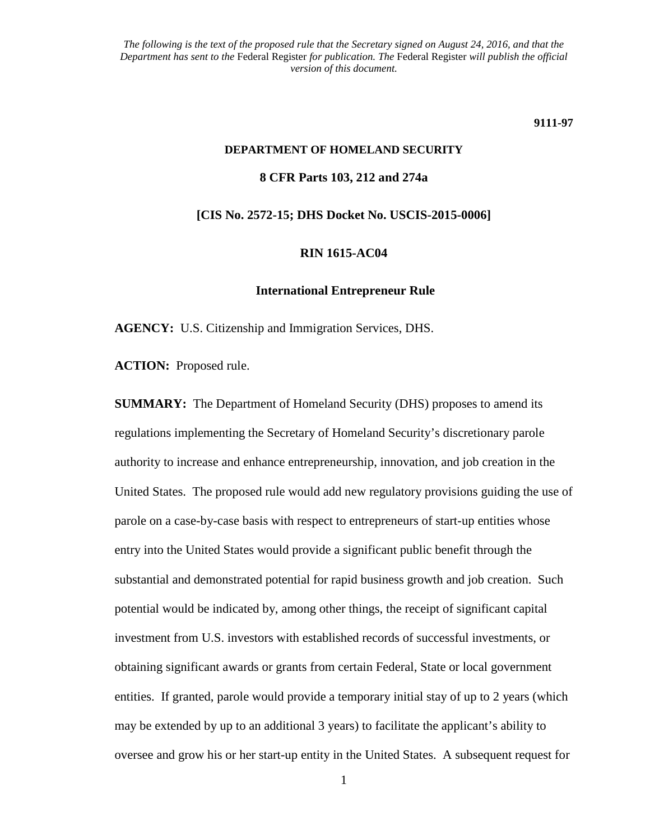#### **9111-97**

# **DEPARTMENT OF HOMELAND SECURITY 8 CFR Parts 103, 212 and 274a**

**[CIS No. 2572-15; DHS Docket No. USCIS-2015-0006]**

#### **RIN 1615-AC04**

#### **International Entrepreneur Rule**

**AGENCY:** U.S. Citizenship and Immigration Services, DHS.

**ACTION:** Proposed rule.

**SUMMARY:** The Department of Homeland Security (DHS) proposes to amend its regulations implementing the Secretary of Homeland Security's discretionary parole authority to increase and enhance entrepreneurship, innovation, and job creation in the United States. The proposed rule would add new regulatory provisions guiding the use of parole on a case-by-case basis with respect to entrepreneurs of start-up entities whose entry into the United States would provide a significant public benefit through the substantial and demonstrated potential for rapid business growth and job creation. Such potential would be indicated by, among other things, the receipt of significant capital investment from U.S. investors with established records of successful investments, or obtaining significant awards or grants from certain Federal, State or local government entities. If granted, parole would provide a temporary initial stay of up to 2 years (which may be extended by up to an additional 3 years) to facilitate the applicant's ability to oversee and grow his or her start-up entity in the United States. A subsequent request for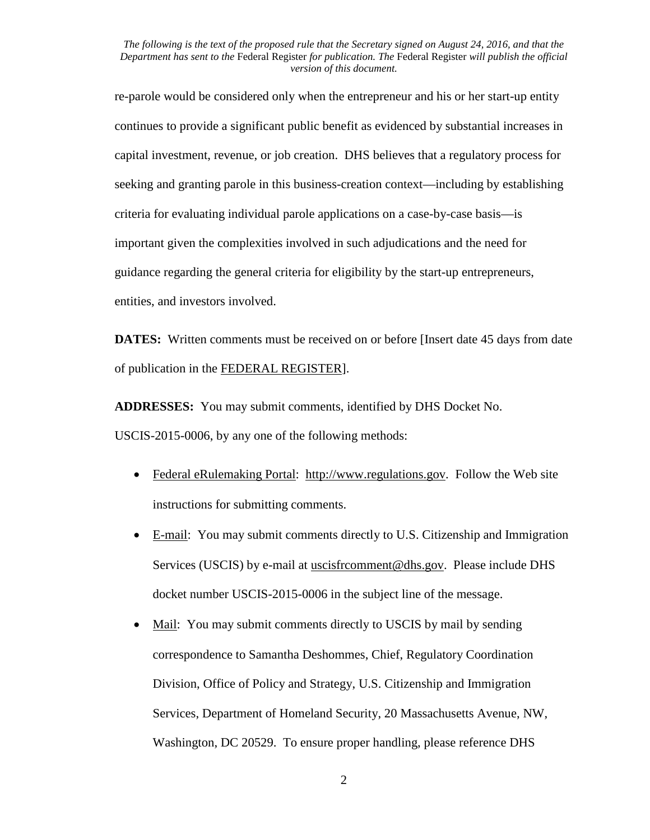re-parole would be considered only when the entrepreneur and his or her start-up entity continues to provide a significant public benefit as evidenced by substantial increases in capital investment, revenue, or job creation. DHS believes that a regulatory process for seeking and granting parole in this business-creation context—including by establishing criteria for evaluating individual parole applications on a case-by-case basis—is important given the complexities involved in such adjudications and the need for guidance regarding the general criteria for eligibility by the start-up entrepreneurs, entities, and investors involved.

**DATES:** Written comments must be received on or before [Insert date 45 days from date of publication in the FEDERAL REGISTER].

**ADDRESSES:** You may submit comments, identified by DHS Docket No.

USCIS-2015-0006, by any one of the following methods:

- Federal eRulemaking Portal: http://www.regulations.gov. Follow the Web site instructions for submitting comments.
- E-mail: You may submit comments directly to U.S. Citizenship and Immigration Services (USCIS) by e-mail at uscisfrcomment@dhs.gov. Please include DHS docket number USCIS-2015-0006 in the subject line of the message.
- Mail: You may submit comments directly to USCIS by mail by sending correspondence to Samantha Deshommes, Chief, Regulatory Coordination Division, Office of Policy and Strategy, U.S. Citizenship and Immigration Services, Department of Homeland Security, 20 Massachusetts Avenue, NW, Washington, DC 20529. To ensure proper handling, please reference DHS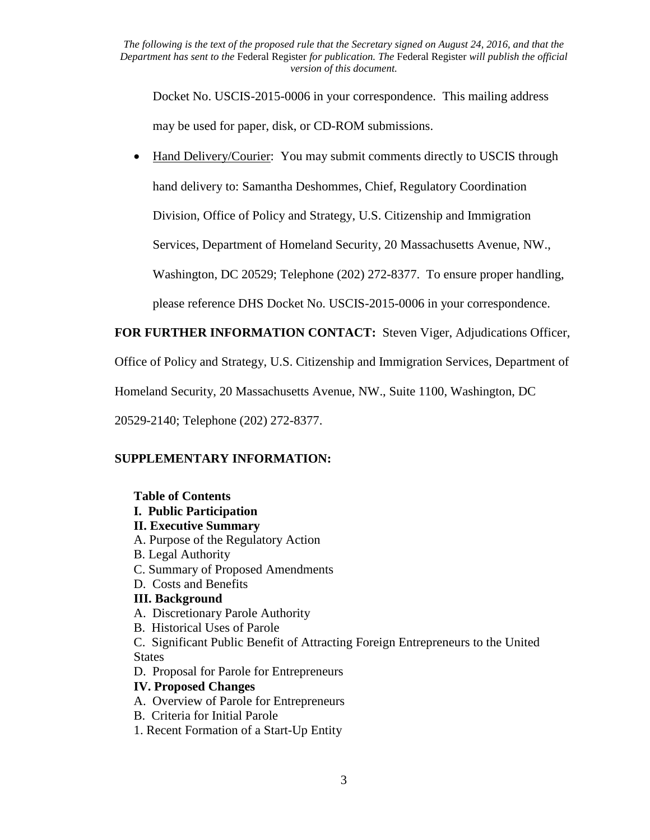Docket No. USCIS-2015-0006 in your correspondence. This mailing address may be used for paper, disk, or CD-ROM submissions.

• Hand Delivery/Courier: You may submit comments directly to USCIS through hand delivery to: Samantha Deshommes, Chief, Regulatory Coordination Division, Office of Policy and Strategy, U.S. Citizenship and Immigration Services, Department of Homeland Security, 20 Massachusetts Avenue, NW.,

Washington, DC 20529; Telephone (202) 272-8377. To ensure proper handling,

please reference DHS Docket No. USCIS-2015-0006 in your correspondence.

## **FOR FURTHER INFORMATION CONTACT:** Steven Viger, Adjudications Officer,

Office of Policy and Strategy, U.S. Citizenship and Immigration Services, Department of

Homeland Security, 20 Massachusetts Avenue, NW., Suite 1100, Washington, DC

20529-2140; Telephone (202) 272-8377.

## **SUPPLEMENTARY INFORMATION:**

## **Table of Contents**

- **I. Public Participation**
- **II. Executive Summary**
- A. Purpose of the Regulatory Action
- B. Legal Authority
- C. Summary of Proposed Amendments
- D. Costs and Benefits
- **III. Background**
- A. Discretionary Parole Authority
- B. Historical Uses of Parole

C. Significant Public Benefit of Attracting Foreign Entrepreneurs to the United **States** 

D. Proposal for Parole for Entrepreneurs

## **IV. Proposed Changes**

- A.Overview of Parole for Entrepreneurs
- B.Criteria for Initial Parole
- 1. Recent Formation of a Start-Up Entity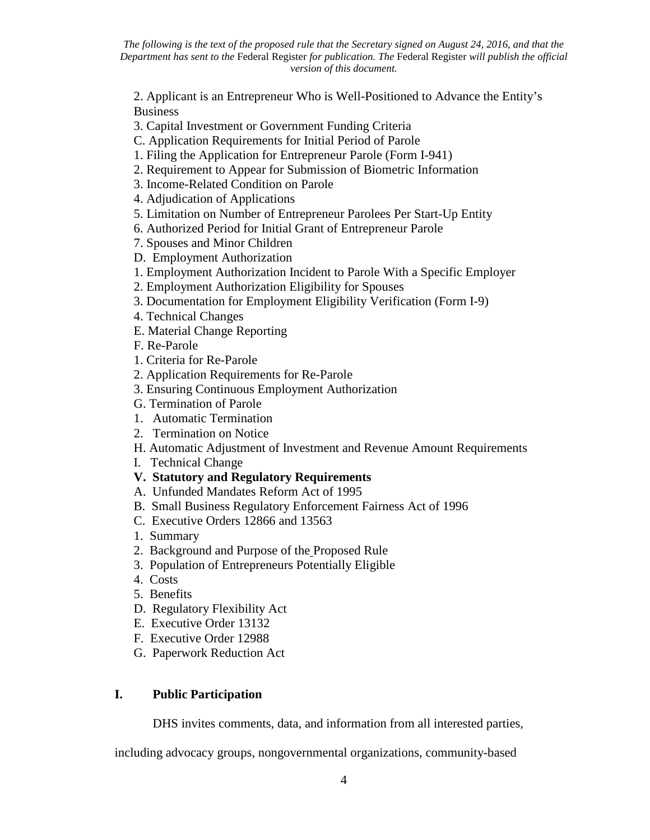2. Applicant is an Entrepreneur Who is Well-Positioned to Advance the Entity's Business

- 3. Capital Investment or Government Funding Criteria
- C. Application Requirements for Initial Period of Parole
- 1. Filing the Application for Entrepreneur Parole (Form I-941)
- 2. Requirement to Appear for Submission of Biometric Information
- 3. Income-Related Condition on Parole
- 4. Adjudication of Applications
- 5. Limitation on Number of Entrepreneur Parolees Per Start-Up Entity
- 6. Authorized Period for Initial Grant of Entrepreneur Parole
- 7. Spouses and Minor Children
- D. Employment Authorization
- 1. Employment Authorization Incident to Parole With a Specific Employer
- 2. Employment Authorization Eligibility for Spouses
- 3. Documentation for Employment Eligibility Verification (Form I-9)
- 4. Technical Changes
- E. Material Change Reporting
- F. Re-Parole
- 1. Criteria for Re-Parole
- 2. Application Requirements for Re-Parole
- 3. Ensuring Continuous Employment Authorization
- G. Termination of Parole
- 1. Automatic Termination
- 2. Termination on Notice
- H. Automatic Adjustment of Investment and Revenue Amount Requirements
- I. Technical Change
- **V. Statutory and Regulatory Requirements**
- A.Unfunded Mandates Reform Act of 1995
- B.Small Business Regulatory Enforcement Fairness Act of 1996
- C.Executive Orders 12866 and 13563
- 1. Summary
- 2. Background and Purpose of the Proposed Rule
- 3. Population of Entrepreneurs Potentially Eligible
- 4. Costs
- 5. Benefits
- D. Regulatory Flexibility Act
- E. Executive Order 13132
- F. Executive Order 12988
- G. Paperwork Reduction Act

## **I. Public Participation**

DHS invites comments, data, and information from all interested parties,

including advocacy groups, nongovernmental organizations, community-based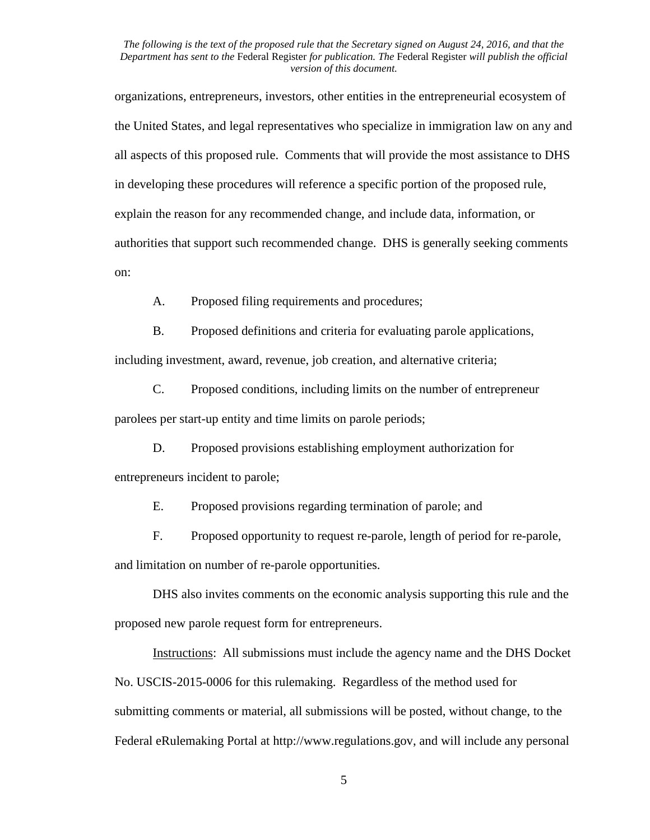organizations, entrepreneurs, investors, other entities in the entrepreneurial ecosystem of the United States, and legal representatives who specialize in immigration law on any and all aspects of this proposed rule. Comments that will provide the most assistance to DHS in developing these procedures will reference a specific portion of the proposed rule, explain the reason for any recommended change, and include data, information, or authorities that support such recommended change. DHS is generally seeking comments on:

A. Proposed filing requirements and procedures;

B. Proposed definitions and criteria for evaluating parole applications,

including investment, award, revenue, job creation, and alternative criteria;

C. Proposed conditions, including limits on the number of entrepreneur

parolees per start-up entity and time limits on parole periods;

D. Proposed provisions establishing employment authorization for entrepreneurs incident to parole;

E. Proposed provisions regarding termination of parole; and

F. Proposed opportunity to request re-parole, length of period for re-parole, and limitation on number of re-parole opportunities.

DHS also invites comments on the economic analysis supporting this rule and the proposed new parole request form for entrepreneurs.

Instructions: All submissions must include the agency name and the DHS Docket No. USCIS-2015-0006 for this rulemaking. Regardless of the method used for submitting comments or material, all submissions will be posted, without change, to the Federal eRulemaking Portal at http://www.regulations.gov, and will include any personal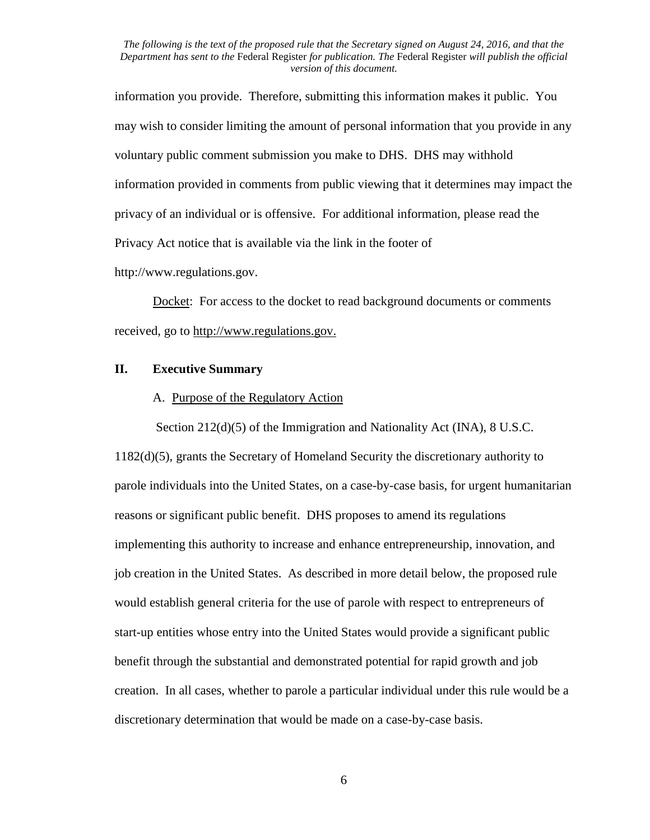information you provide. Therefore, submitting this information makes it public. You may wish to consider limiting the amount of personal information that you provide in any voluntary public comment submission you make to DHS. DHS may withhold information provided in comments from public viewing that it determines may impact the privacy of an individual or is offensive. For additional information, please read the Privacy Act notice that is available via the link in the footer of

http://www.regulations.gov.

Docket: For access to the docket to read background documents or comments received, go to http://www.regulations.gov.

### **II. Executive Summary**

#### A. Purpose of the Regulatory Action

Section 212(d)(5) of the Immigration and Nationality Act (INA), 8 U.S.C.

1182(d)(5), grants the Secretary of Homeland Security the discretionary authority to parole individuals into the United States, on a case-by-case basis, for urgent humanitarian reasons or significant public benefit. DHS proposes to amend its regulations implementing this authority to increase and enhance entrepreneurship, innovation, and job creation in the United States. As described in more detail below, the proposed rule would establish general criteria for the use of parole with respect to entrepreneurs of start-up entities whose entry into the United States would provide a significant public benefit through the substantial and demonstrated potential for rapid growth and job creation. In all cases, whether to parole a particular individual under this rule would be a discretionary determination that would be made on a case-by-case basis.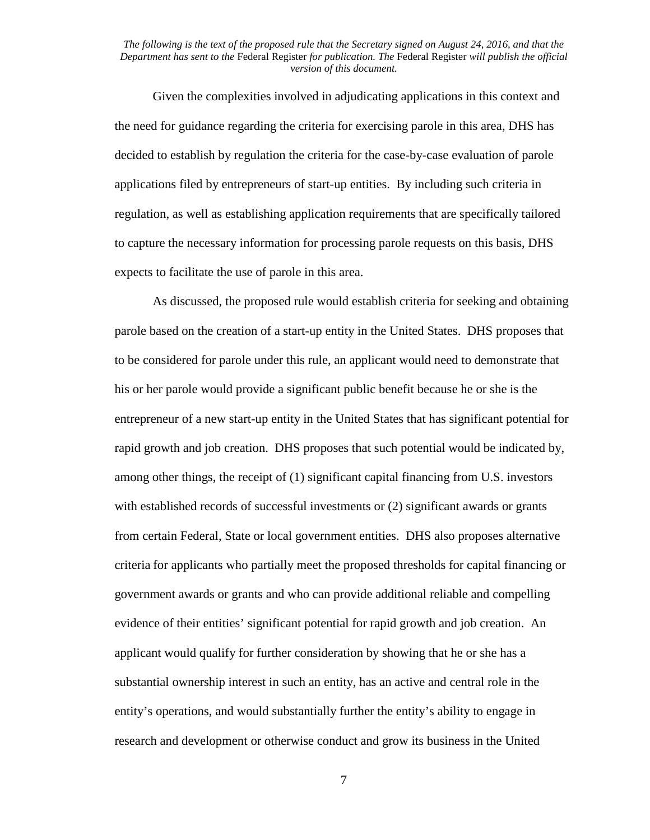Given the complexities involved in adjudicating applications in this context and the need for guidance regarding the criteria for exercising parole in this area, DHS has decided to establish by regulation the criteria for the case-by-case evaluation of parole applications filed by entrepreneurs of start-up entities. By including such criteria in regulation, as well as establishing application requirements that are specifically tailored to capture the necessary information for processing parole requests on this basis, DHS expects to facilitate the use of parole in this area.

As discussed, the proposed rule would establish criteria for seeking and obtaining parole based on the creation of a start-up entity in the United States. DHS proposes that to be considered for parole under this rule, an applicant would need to demonstrate that his or her parole would provide a significant public benefit because he or she is the entrepreneur of a new start-up entity in the United States that has significant potential for rapid growth and job creation. DHS proposes that such potential would be indicated by, among other things, the receipt of (1) significant capital financing from U.S. investors with established records of successful investments or (2) significant awards or grants from certain Federal, State or local government entities. DHS also proposes alternative criteria for applicants who partially meet the proposed thresholds for capital financing or government awards or grants and who can provide additional reliable and compelling evidence of their entities' significant potential for rapid growth and job creation. An applicant would qualify for further consideration by showing that he or she has a substantial ownership interest in such an entity, has an active and central role in the entity's operations, and would substantially further the entity's ability to engage in research and development or otherwise conduct and grow its business in the United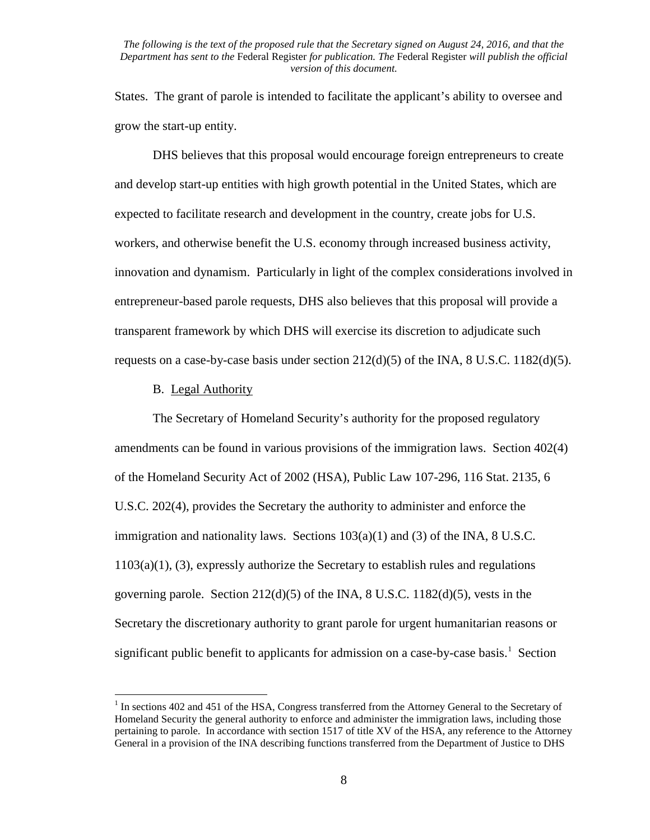States. The grant of parole is intended to facilitate the applicant's ability to oversee and grow the start-up entity.

DHS believes that this proposal would encourage foreign entrepreneurs to create and develop start-up entities with high growth potential in the United States, which are expected to facilitate research and development in the country, create jobs for U.S. workers, and otherwise benefit the U.S. economy through increased business activity, innovation and dynamism. Particularly in light of the complex considerations involved in entrepreneur-based parole requests, DHS also believes that this proposal will provide a transparent framework by which DHS will exercise its discretion to adjudicate such requests on a case-by-case basis under section  $212(d)(5)$  of the INA, 8 U.S.C. 1182(d)(5).

#### B. Legal Authority

The Secretary of Homeland Security's authority for the proposed regulatory amendments can be found in various provisions of the immigration laws. Section 402(4) of the Homeland Security Act of 2002 (HSA), Public Law 107-296, 116 Stat. 2135, 6 U.S.C. 202(4), provides the Secretary the authority to administer and enforce the immigration and nationality laws. Sections  $103(a)(1)$  and (3) of the INA, 8 U.S.C. 1103(a)(1), (3), expressly authorize the Secretary to establish rules and regulations governing parole. Section  $212(d)(5)$  of the INA, 8 U.S.C.  $1182(d)(5)$ , vests in the Secretary the discretionary authority to grant parole for urgent humanitarian reasons or significant public benefit to applicants for admission on a case-by-case basis.<sup>[1](#page-7-0)</sup> Section

<span id="page-7-0"></span><sup>&</sup>lt;sup>1</sup> In sections 402 and 451 of the HSA, Congress transferred from the Attorney General to the Secretary of Homeland Security the general authority to enforce and administer the immigration laws, including those pertaining to parole. In accordance with section 1517 of title XV of the HSA, any reference to the Attorney General in a provision of the INA describing functions transferred from the Department of Justice to DHS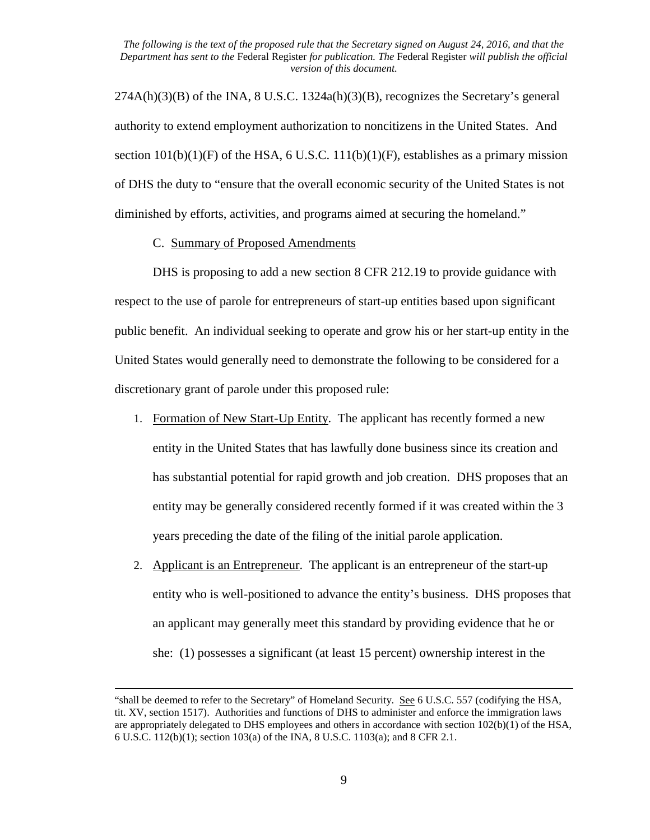$274A(h)(3)(B)$  of the INA, 8 U.S.C. 1324a(h)(3)(B), recognizes the Secretary's general authority to extend employment authorization to noncitizens in the United States. And section  $101(b)(1)(F)$  of the HSA, 6 U.S.C.  $111(b)(1)(F)$ , establishes as a primary mission of DHS the duty to "ensure that the overall economic security of the United States is not diminished by efforts, activities, and programs aimed at securing the homeland."

#### C.Summary of Proposed Amendments

l

DHS is proposing to add a new section 8 CFR 212.19 to provide guidance with respect to the use of parole for entrepreneurs of start-up entities based upon significant public benefit. An individual seeking to operate and grow his or her start-up entity in the United States would generally need to demonstrate the following to be considered for a discretionary grant of parole under this proposed rule:

- 1. Formation of New Start-Up Entity. The applicant has recently formed a new entity in the United States that has lawfully done business since its creation and has substantial potential for rapid growth and job creation. DHS proposes that an entity may be generally considered recently formed if it was created within the 3 years preceding the date of the filing of the initial parole application.
- 2. Applicant is an Entrepreneur. The applicant is an entrepreneur of the start-up entity who is well-positioned to advance the entity's business. DHS proposes that an applicant may generally meet this standard by providing evidence that he or she: (1) possesses a significant (at least 15 percent) ownership interest in the

<sup>&</sup>quot;shall be deemed to refer to the Secretary" of Homeland Security. See 6 U.S.C. 557 (codifying the HSA, tit. XV, section 1517). Authorities and functions of DHS to administer and enforce the immigration laws are appropriately delegated to DHS employees and others in accordance with section 102(b)(1) of the HSA, 6 U.S.C. 112(b)(1); section 103(a) of the INA, 8 U.S.C. 1103(a); and 8 CFR 2.1.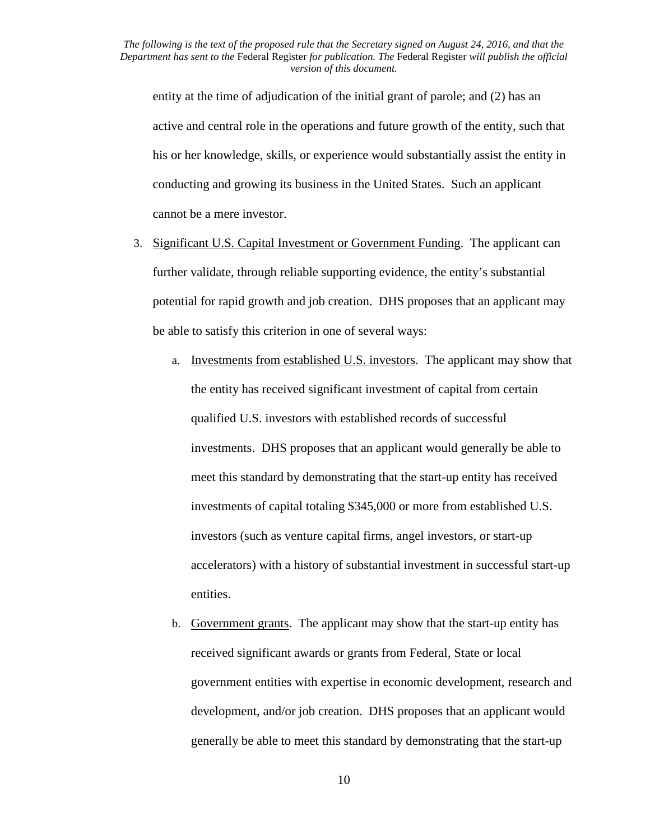entity at the time of adjudication of the initial grant of parole; and (2) has an active and central role in the operations and future growth of the entity, such that his or her knowledge, skills, or experience would substantially assist the entity in conducting and growing its business in the United States. Such an applicant cannot be a mere investor.

- 3. Significant U.S. Capital Investment or Government Funding. The applicant can further validate, through reliable supporting evidence, the entity's substantial potential for rapid growth and job creation. DHS proposes that an applicant may be able to satisfy this criterion in one of several ways:
	- a. Investments from established U.S. investors. The applicant may show that the entity has received significant investment of capital from certain qualified U.S. investors with established records of successful investments. DHS proposes that an applicant would generally be able to meet this standard by demonstrating that the start-up entity has received investments of capital totaling \$345,000 or more from established U.S. investors (such as venture capital firms, angel investors, or start-up accelerators) with a history of substantial investment in successful start-up entities.
	- b. Government grants. The applicant may show that the start-up entity has received significant awards or grants from Federal, State or local government entities with expertise in economic development, research and development, and/or job creation. DHS proposes that an applicant would generally be able to meet this standard by demonstrating that the start-up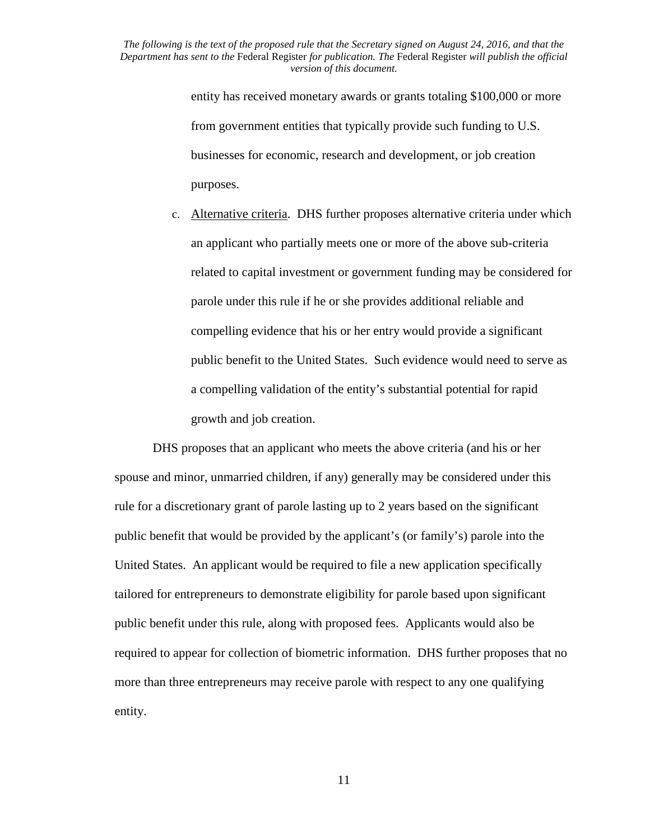> entity has received monetary awards or grants totaling \$100,000 or more from government entities that typically provide such funding to U.S. businesses for economic, research and development, or job creation purposes.

c. Alternative criteria. DHS further proposes alternative criteria under which an applicant who partially meets one or more of the above sub-criteria related to capital investment or government funding may be considered for parole under this rule if he or she provides additional reliable and compelling evidence that his or her entry would provide a significant public benefit to the United States. Such evidence would need to serve as a compelling validation of the entity's substantial potential for rapid growth and job creation.

DHS proposes that an applicant who meets the above criteria (and his or her spouse and minor, unmarried children, if any) generally may be considered under this rule for a discretionary grant of parole lasting up to 2 years based on the significant public benefit that would be provided by the applicant's (or family's) parole into the United States. An applicant would be required to file a new application specifically tailored for entrepreneurs to demonstrate eligibility for parole based upon significant public benefit under this rule, along with proposed fees. Applicants would also be required to appear for collection of biometric information. DHS further proposes that no more than three entrepreneurs may receive parole with respect to any one qualifying entity.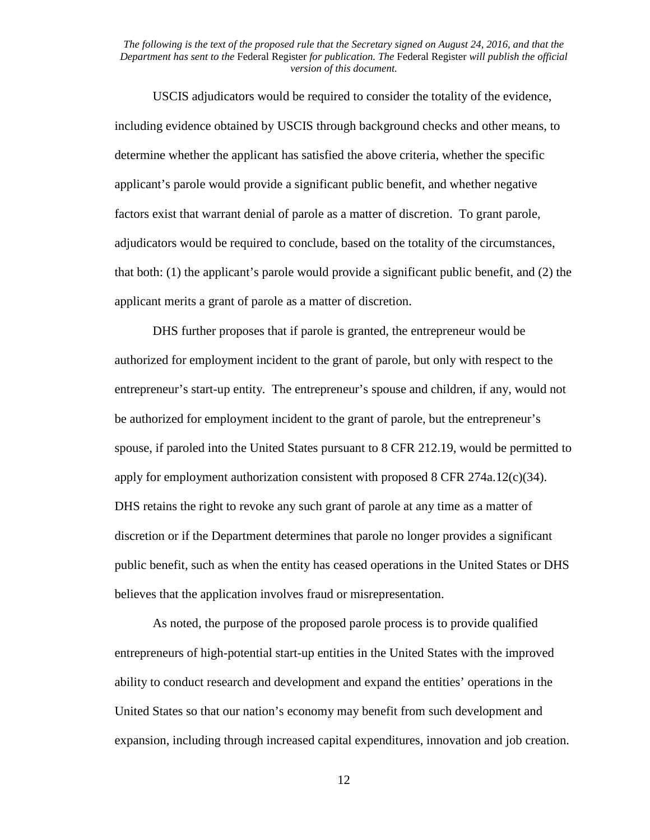USCIS adjudicators would be required to consider the totality of the evidence, including evidence obtained by USCIS through background checks and other means, to determine whether the applicant has satisfied the above criteria, whether the specific applicant's parole would provide a significant public benefit, and whether negative factors exist that warrant denial of parole as a matter of discretion. To grant parole, adjudicators would be required to conclude, based on the totality of the circumstances, that both: (1) the applicant's parole would provide a significant public benefit, and (2) the applicant merits a grant of parole as a matter of discretion.

DHS further proposes that if parole is granted, the entrepreneur would be authorized for employment incident to the grant of parole, but only with respect to the entrepreneur's start-up entity. The entrepreneur's spouse and children, if any, would not be authorized for employment incident to the grant of parole, but the entrepreneur's spouse, if paroled into the United States pursuant to 8 CFR 212.19, would be permitted to apply for employment authorization consistent with proposed  $8$  CFR 274a.12(c)(34). DHS retains the right to revoke any such grant of parole at any time as a matter of discretion or if the Department determines that parole no longer provides a significant public benefit, such as when the entity has ceased operations in the United States or DHS believes that the application involves fraud or misrepresentation.

As noted, the purpose of the proposed parole process is to provide qualified entrepreneurs of high-potential start-up entities in the United States with the improved ability to conduct research and development and expand the entities' operations in the United States so that our nation's economy may benefit from such development and expansion, including through increased capital expenditures, innovation and job creation.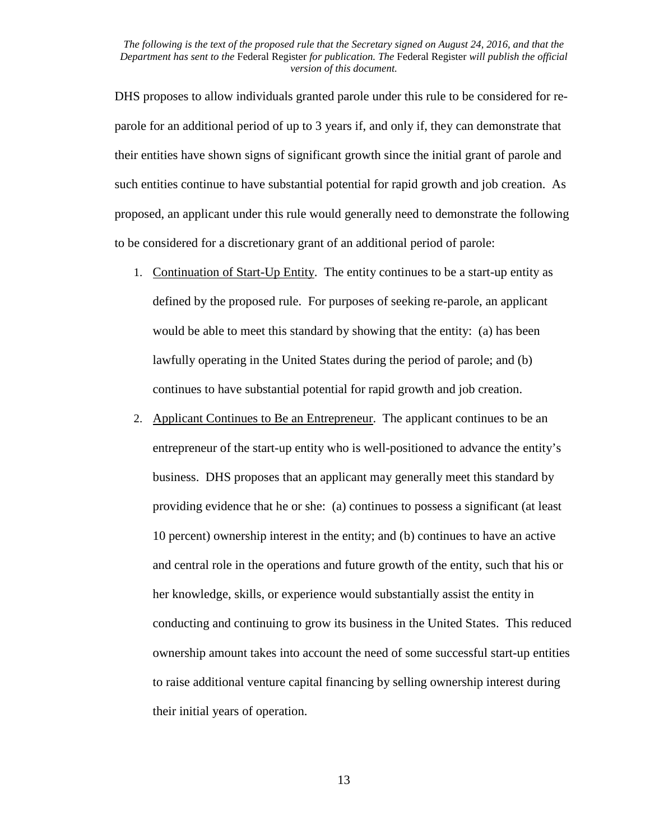DHS proposes to allow individuals granted parole under this rule to be considered for reparole for an additional period of up to 3 years if, and only if, they can demonstrate that their entities have shown signs of significant growth since the initial grant of parole and such entities continue to have substantial potential for rapid growth and job creation. As proposed, an applicant under this rule would generally need to demonstrate the following to be considered for a discretionary grant of an additional period of parole:

- 1. Continuation of Start-Up Entity. The entity continues to be a start-up entity as defined by the proposed rule. For purposes of seeking re-parole, an applicant would be able to meet this standard by showing that the entity: (a) has been lawfully operating in the United States during the period of parole; and (b) continues to have substantial potential for rapid growth and job creation.
- 2. Applicant Continues to Be an Entrepreneur. The applicant continues to be an entrepreneur of the start-up entity who is well-positioned to advance the entity's business. DHS proposes that an applicant may generally meet this standard by providing evidence that he or she: (a) continues to possess a significant (at least 10 percent) ownership interest in the entity; and (b) continues to have an active and central role in the operations and future growth of the entity, such that his or her knowledge, skills, or experience would substantially assist the entity in conducting and continuing to grow its business in the United States. This reduced ownership amount takes into account the need of some successful start-up entities to raise additional venture capital financing by selling ownership interest during their initial years of operation.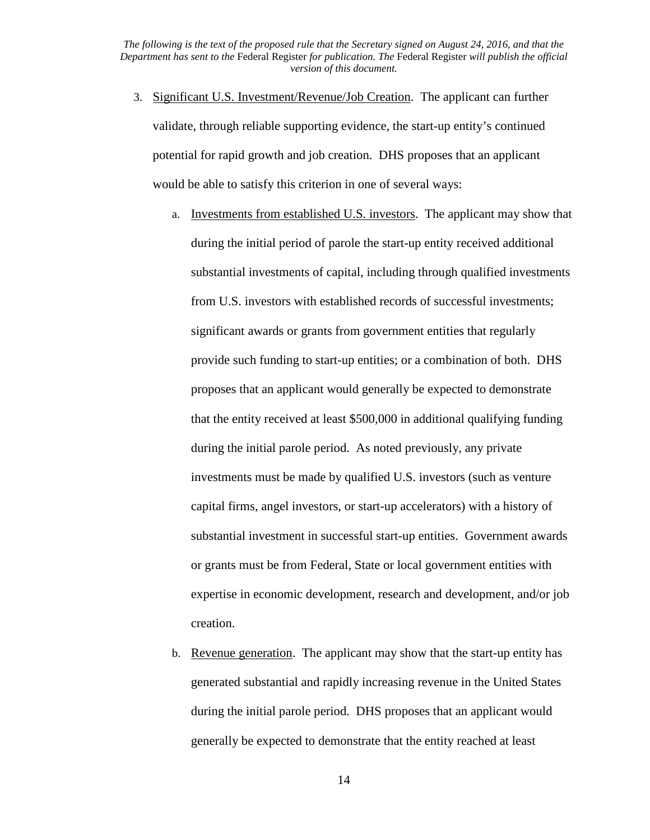- 3. Significant U.S. Investment/Revenue/Job Creation. The applicant can further validate, through reliable supporting evidence, the start-up entity's continued potential for rapid growth and job creation. DHS proposes that an applicant would be able to satisfy this criterion in one of several ways:
	- a. Investments from established U.S. investors. The applicant may show that during the initial period of parole the start-up entity received additional substantial investments of capital, including through qualified investments from U.S. investors with established records of successful investments; significant awards or grants from government entities that regularly provide such funding to start-up entities; or a combination of both. DHS proposes that an applicant would generally be expected to demonstrate that the entity received at least \$500,000 in additional qualifying funding during the initial parole period. As noted previously, any private investments must be made by qualified U.S. investors (such as venture capital firms, angel investors, or start-up accelerators) with a history of substantial investment in successful start-up entities. Government awards or grants must be from Federal, State or local government entities with expertise in economic development, research and development, and/or job creation.
	- b. Revenue generation. The applicant may show that the start-up entity has generated substantial and rapidly increasing revenue in the United States during the initial parole period. DHS proposes that an applicant would generally be expected to demonstrate that the entity reached at least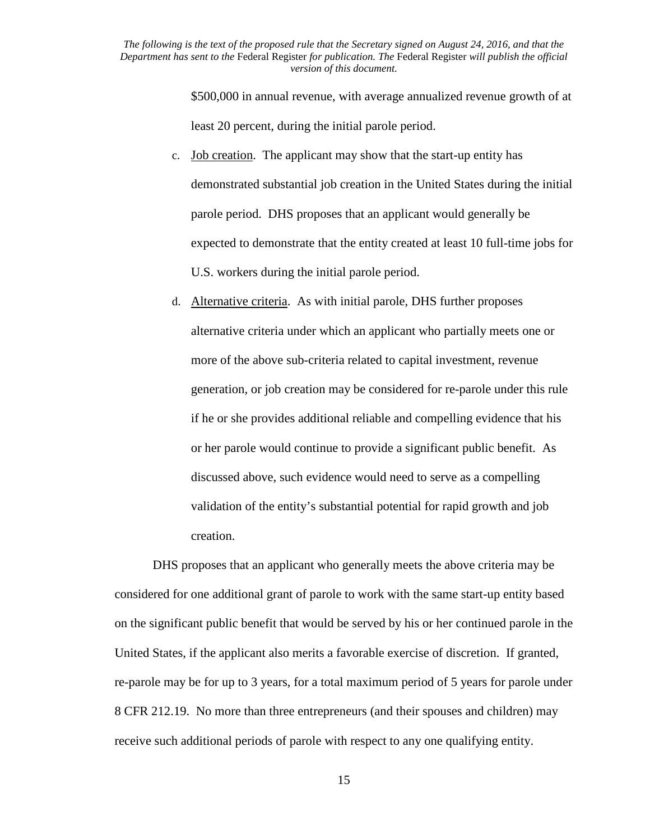> \$500,000 in annual revenue, with average annualized revenue growth of at least 20 percent, during the initial parole period.

- c. Job creation. The applicant may show that the start-up entity has demonstrated substantial job creation in the United States during the initial parole period. DHS proposes that an applicant would generally be expected to demonstrate that the entity created at least 10 full-time jobs for U.S. workers during the initial parole period.
- d. Alternative criteria. As with initial parole, DHS further proposes alternative criteria under which an applicant who partially meets one or more of the above sub-criteria related to capital investment, revenue generation, or job creation may be considered for re-parole under this rule if he or she provides additional reliable and compelling evidence that his or her parole would continue to provide a significant public benefit. As discussed above, such evidence would need to serve as a compelling validation of the entity's substantial potential for rapid growth and job creation.

DHS proposes that an applicant who generally meets the above criteria may be considered for one additional grant of parole to work with the same start-up entity based on the significant public benefit that would be served by his or her continued parole in the United States, if the applicant also merits a favorable exercise of discretion. If granted, re-parole may be for up to 3 years, for a total maximum period of 5 years for parole under 8 CFR 212.19. No more than three entrepreneurs (and their spouses and children) may receive such additional periods of parole with respect to any one qualifying entity.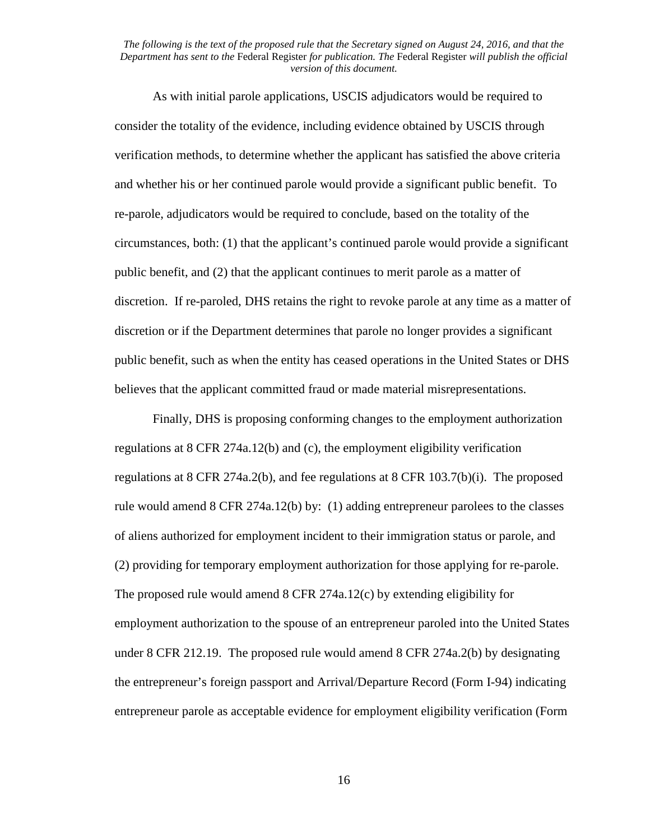As with initial parole applications, USCIS adjudicators would be required to consider the totality of the evidence, including evidence obtained by USCIS through verification methods, to determine whether the applicant has satisfied the above criteria and whether his or her continued parole would provide a significant public benefit. To re-parole, adjudicators would be required to conclude, based on the totality of the circumstances, both: (1) that the applicant's continued parole would provide a significant public benefit, and (2) that the applicant continues to merit parole as a matter of discretion. If re-paroled, DHS retains the right to revoke parole at any time as a matter of discretion or if the Department determines that parole no longer provides a significant public benefit, such as when the entity has ceased operations in the United States or DHS believes that the applicant committed fraud or made material misrepresentations.

Finally, DHS is proposing conforming changes to the employment authorization regulations at 8 CFR 274a.12(b) and (c), the employment eligibility verification regulations at 8 CFR 274a.2(b), and fee regulations at 8 CFR 103.7(b)(i). The proposed rule would amend 8 CFR 274a.12(b) by: (1) adding entrepreneur parolees to the classes of aliens authorized for employment incident to their immigration status or parole, and (2) providing for temporary employment authorization for those applying for re-parole. The proposed rule would amend 8 CFR 274a.12(c) by extending eligibility for employment authorization to the spouse of an entrepreneur paroled into the United States under 8 CFR 212.19. The proposed rule would amend 8 CFR 274a.2(b) by designating the entrepreneur's foreign passport and Arrival/Departure Record (Form I-94) indicating entrepreneur parole as acceptable evidence for employment eligibility verification (Form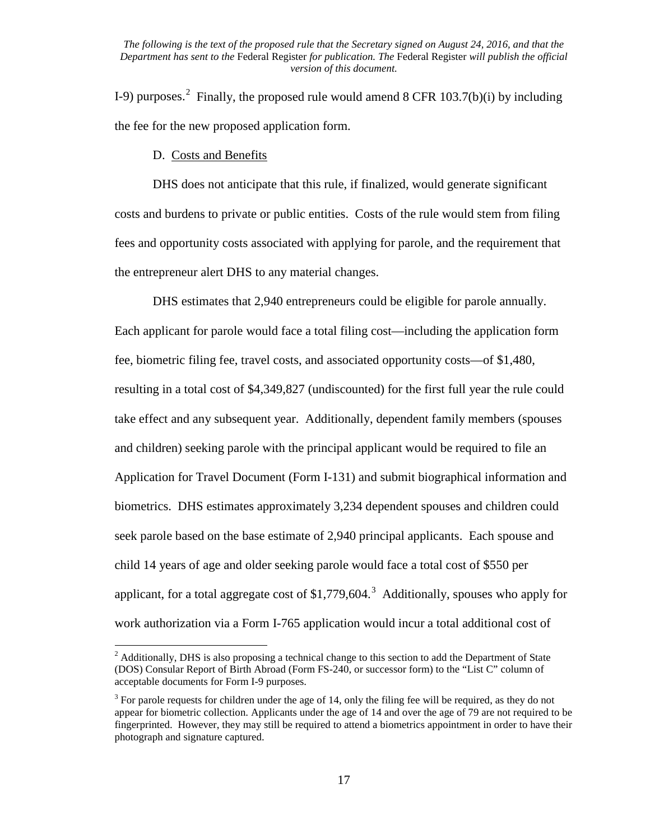I-9) purposes.<sup>[2](#page-16-0)</sup> Finally, the proposed rule would amend 8 CFR 103.7(b)(i) by including the fee for the new proposed application form.

D. Costs and Benefits

DHS does not anticipate that this rule, if finalized, would generate significant costs and burdens to private or public entities. Costs of the rule would stem from filing fees and opportunity costs associated with applying for parole, and the requirement that the entrepreneur alert DHS to any material changes.

DHS estimates that 2,940 entrepreneurs could be eligible for parole annually. Each applicant for parole would face a total filing cost—including the application form fee, biometric filing fee, travel costs, and associated opportunity costs—of \$1,480, resulting in a total cost of \$4,349,827 (undiscounted) for the first full year the rule could take effect and any subsequent year. Additionally, dependent family members (spouses and children) seeking parole with the principal applicant would be required to file an Application for Travel Document (Form I-131) and submit biographical information and biometrics. DHS estimates approximately 3,234 dependent spouses and children could seek parole based on the base estimate of 2,940 principal applicants. Each spouse and child 14 years of age and older seeking parole would face a total cost of \$550 per applicant, for a total aggregate cost of \$1,779,604.<sup>[3](#page-16-1)</sup> Additionally, spouses who apply for work authorization via a Form I-765 application would incur a total additional cost of

<span id="page-16-0"></span><sup>&</sup>lt;sup>2</sup> Additionally, DHS is also proposing a technical change to this section to add the Department of State (DOS) Consular Report of Birth Abroad (Form FS-240, or successor form) to the "List C" column of acceptable documents for Form I-9 purposes.

<span id="page-16-1"></span> $3$  For parole requests for children under the age of 14, only the filing fee will be required, as they do not appear for biometric collection. Applicants under the age of 14 and over the age of 79 are not required to be fingerprinted. However, they may still be required to attend a biometrics appointment in order to have their photograph and signature captured.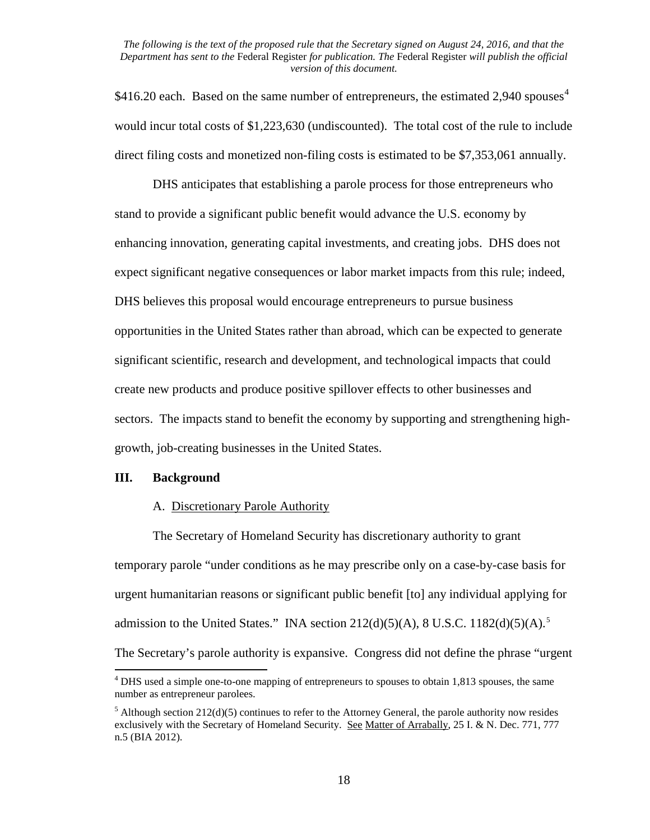\$[4](#page-17-0)16.20 each. Based on the same number of entrepreneurs, the estimated 2,940 spouses<sup>4</sup> would incur total costs of \$1,223,630 (undiscounted). The total cost of the rule to include direct filing costs and monetized non-filing costs is estimated to be \$7,353,061 annually.

DHS anticipates that establishing a parole process for those entrepreneurs who stand to provide a significant public benefit would advance the U.S. economy by enhancing innovation, generating capital investments, and creating jobs. DHS does not expect significant negative consequences or labor market impacts from this rule; indeed, DHS believes this proposal would encourage entrepreneurs to pursue business opportunities in the United States rather than abroad, which can be expected to generate significant scientific, research and development, and technological impacts that could create new products and produce positive spillover effects to other businesses and sectors. The impacts stand to benefit the economy by supporting and strengthening highgrowth, job-creating businesses in the United States.

#### **III. Background**

#### A. Discretionary Parole Authority

The Secretary of Homeland Security has discretionary authority to grant temporary parole "under conditions as he may prescribe only on a case-by-case basis for urgent humanitarian reasons or significant public benefit [to] any individual applying for admission to the United States." INA section  $212(d)(5)(A)$  $212(d)(5)(A)$  $212(d)(5)(A)$ , 8 U.S.C.  $1182(d)(5)(A)$ .<sup>5</sup> The Secretary's parole authority is expansive. Congress did not define the phrase "urgent

<span id="page-17-0"></span> $<sup>4</sup>$  DHS used a simple one-to-one mapping of entrepreneurs to spouses to obtain 1,813 spouses, the same</sup> number as entrepreneur parolees.

<span id="page-17-1"></span> $5$  Although section 212(d)(5) continues to refer to the Attorney General, the parole authority now resides exclusively with the Secretary of Homeland Security. See Matter of Arrabally, 25 I. & N. Dec. 771, 777 n.5 (BIA 2012).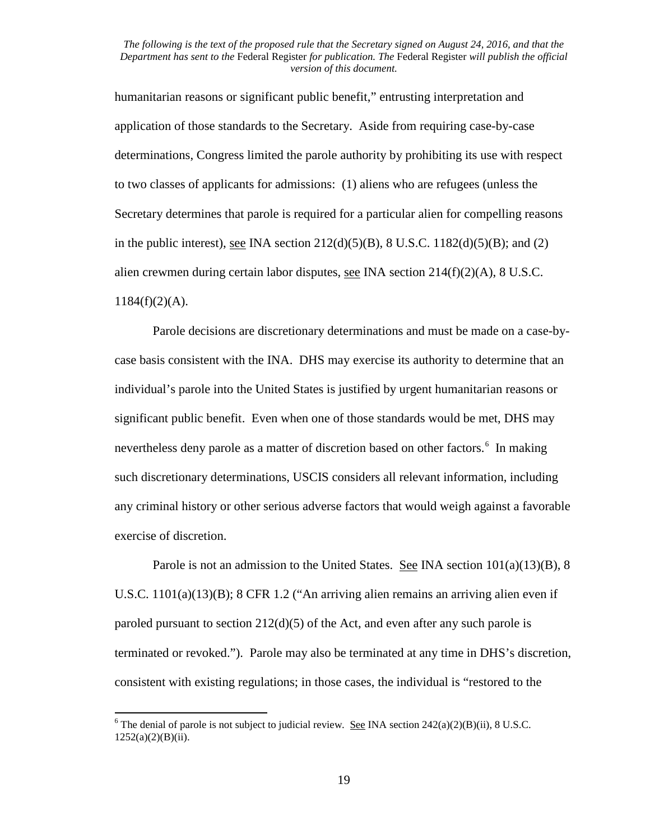humanitarian reasons or significant public benefit," entrusting interpretation and application of those standards to the Secretary. Aside from requiring case-by-case determinations, Congress limited the parole authority by prohibiting its use with respect to two classes of applicants for admissions: (1) aliens who are refugees (unless the Secretary determines that parole is required for a particular alien for compelling reasons in the public interest), <u>see</u> INA section  $212(d)(5)(B)$ , 8 U.S.C.  $1182(d)(5)(B)$ ; and (2) alien crewmen during certain labor disputes, <u>see</u> INA section  $214(f)(2)(A)$ , 8 U.S.C.  $1184(f)(2)(A)$ .

Parole decisions are discretionary determinations and must be made on a case-bycase basis consistent with the INA. DHS may exercise its authority to determine that an individual's parole into the United States is justified by urgent humanitarian reasons or significant public benefit. Even when one of those standards would be met, DHS may nevertheless deny parole as a matter of discretion based on other factors.<sup>[6](#page-18-0)</sup> In making such discretionary determinations, USCIS considers all relevant information, including any criminal history or other serious adverse factors that would weigh against a favorable exercise of discretion.

Parole is not an admission to the United States. See INA section  $101(a)(13)(B)$ , 8 U.S.C. 1101(a)(13)(B); 8 CFR 1.2 ("An arriving alien remains an arriving alien even if paroled pursuant to section 212(d)(5) of the Act, and even after any such parole is terminated or revoked."). Parole may also be terminated at any time in DHS's discretion, consistent with existing regulations; in those cases, the individual is "restored to the

<span id="page-18-0"></span><sup>&</sup>lt;sup>6</sup> The denial of parole is not subject to judicial review. See INA section  $242(a)(2)(B)(ii)$ , 8 U.S.C. 1252(a)(2)(B)(ii).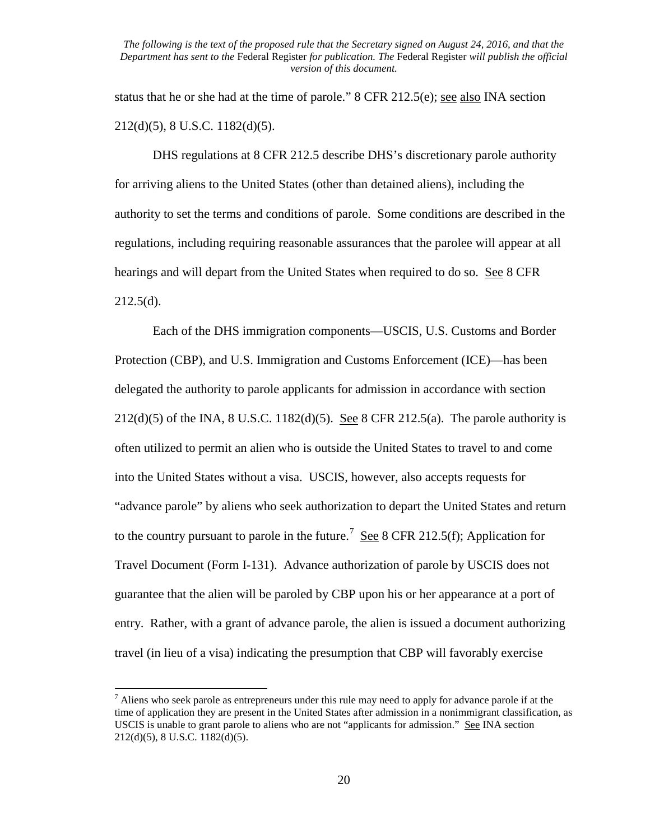status that he or she had at the time of parole." 8 CFR 212.5(e); <u>see also</u> INA section 212(d)(5), 8 U.S.C. 1182(d)(5).

DHS regulations at 8 CFR 212.5 describe DHS's discretionary parole authority for arriving aliens to the United States (other than detained aliens), including the authority to set the terms and conditions of parole. Some conditions are described in the regulations, including requiring reasonable assurances that the parolee will appear at all hearings and will depart from the United States when required to do so. See 8 CFR  $212.5(d)$ .

Each of the DHS immigration components—USCIS, U.S. Customs and Border Protection (CBP), and U.S. Immigration and Customs Enforcement (ICE)—has been delegated the authority to parole applicants for admission in accordance with section 212(d)(5) of the INA, 8 U.S.C. 1182(d)(5). See 8 CFR 212.5(a). The parole authority is often utilized to permit an alien who is outside the United States to travel to and come into the United States without a visa. USCIS, however, also accepts requests for "advance parole" by aliens who seek authorization to depart the United States and return to the country pursuant to parole in the future.<sup>[7](#page-19-0)</sup> See 8 CFR 212.5(f); Application for Travel Document (Form I-131). Advance authorization of parole by USCIS does not guarantee that the alien will be paroled by CBP upon his or her appearance at a port of entry. Rather, with a grant of advance parole, the alien is issued a document authorizing travel (in lieu of a visa) indicating the presumption that CBP will favorably exercise

<span id="page-19-0"></span> $<sup>7</sup>$  Aliens who seek parole as entrepreneurs under this rule may need to apply for advance parole if at the</sup> time of application they are present in the United States after admission in a nonimmigrant classification, as USCIS is unable to grant parole to aliens who are not "applicants for admission." See INA section 212(d)(5), 8 U.S.C. 1182(d)(5).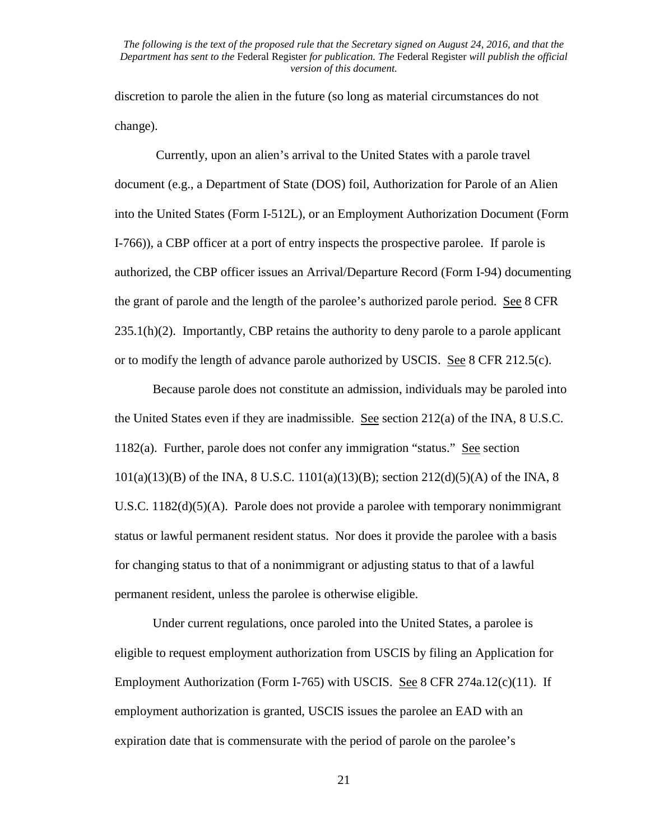discretion to parole the alien in the future (so long as material circumstances do not change).

Currently, upon an alien's arrival to the United States with a parole travel document (e.g., a Department of State (DOS) foil, Authorization for Parole of an Alien into the United States (Form I-512L), or an Employment Authorization Document (Form I-766)), a CBP officer at a port of entry inspects the prospective parolee. If parole is authorized, the CBP officer issues an Arrival/Departure Record (Form I-94) documenting the grant of parole and the length of the parolee's authorized parole period. See 8 CFR  $235.1(h)(2)$ . Importantly, CBP retains the authority to deny parole to a parole applicant or to modify the length of advance parole authorized by USCIS. See 8 CFR 212.5(c).

Because parole does not constitute an admission, individuals may be paroled into the United States even if they are inadmissible. See section 212(a) of the INA, 8 U.S.C. 1182(a). Further, parole does not confer any immigration "status." See section 101(a)(13)(B) of the INA, 8 U.S.C. 1101(a)(13)(B); section 212(d)(5)(A) of the INA, 8 U.S.C. 1182(d)(5)(A). Parole does not provide a parolee with temporary nonimmigrant status or lawful permanent resident status. Nor does it provide the parolee with a basis for changing status to that of a nonimmigrant or adjusting status to that of a lawful permanent resident, unless the parolee is otherwise eligible.

Under current regulations, once paroled into the United States, a parolee is eligible to request employment authorization from USCIS by filing an Application for Employment Authorization (Form I-765) with USCIS. See 8 CFR 274a.12(c)(11). If employment authorization is granted, USCIS issues the parolee an EAD with an expiration date that is commensurate with the period of parole on the parolee's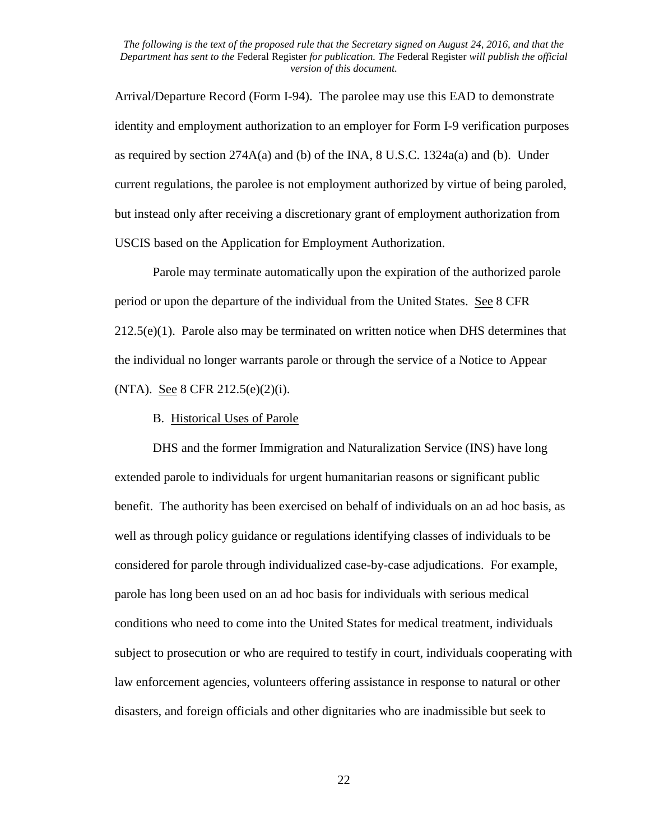Arrival/Departure Record (Form I-94). The parolee may use this EAD to demonstrate identity and employment authorization to an employer for Form I-9 verification purposes as required by section  $274A(a)$  and (b) of the INA, 8 U.S.C. 1324a(a) and (b). Under current regulations, the parolee is not employment authorized by virtue of being paroled, but instead only after receiving a discretionary grant of employment authorization from USCIS based on the Application for Employment Authorization.

Parole may terminate automatically upon the expiration of the authorized parole period or upon the departure of the individual from the United States. See 8 CFR  $212.5(e)(1)$ . Parole also may be terminated on written notice when DHS determines that the individual no longer warrants parole or through the service of a Notice to Appear (NTA). <u>See</u> 8 CFR 212.5(e)(2)(i).

#### B. Historical Uses of Parole

DHS and the former Immigration and Naturalization Service (INS) have long extended parole to individuals for urgent humanitarian reasons or significant public benefit. The authority has been exercised on behalf of individuals on an ad hoc basis, as well as through policy guidance or regulations identifying classes of individuals to be considered for parole through individualized case-by-case adjudications. For example, parole has long been used on an ad hoc basis for individuals with serious medical conditions who need to come into the United States for medical treatment, individuals subject to prosecution or who are required to testify in court, individuals cooperating with law enforcement agencies, volunteers offering assistance in response to natural or other disasters, and foreign officials and other dignitaries who are inadmissible but seek to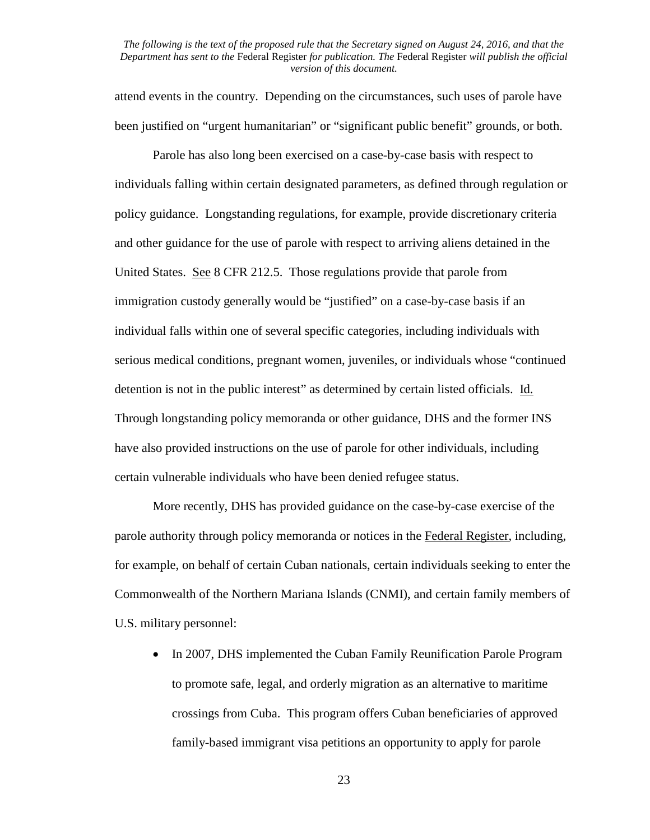attend events in the country. Depending on the circumstances, such uses of parole have been justified on "urgent humanitarian" or "significant public benefit" grounds, or both.

Parole has also long been exercised on a case-by-case basis with respect to individuals falling within certain designated parameters, as defined through regulation or policy guidance. Longstanding regulations, for example, provide discretionary criteria and other guidance for the use of parole with respect to arriving aliens detained in the United States. See 8 CFR 212.5. Those regulations provide that parole from immigration custody generally would be "justified" on a case-by-case basis if an individual falls within one of several specific categories, including individuals with serious medical conditions, pregnant women, juveniles, or individuals whose "continued detention is not in the public interest" as determined by certain listed officials. Id. Through longstanding policy memoranda or other guidance, DHS and the former INS have also provided instructions on the use of parole for other individuals, including certain vulnerable individuals who have been denied refugee status.

More recently, DHS has provided guidance on the case-by-case exercise of the parole authority through policy memoranda or notices in the Federal Register, including, for example, on behalf of certain Cuban nationals, certain individuals seeking to enter the Commonwealth of the Northern Mariana Islands (CNMI), and certain family members of U.S. military personnel:

• In 2007, DHS implemented the Cuban Family Reunification Parole Program to promote safe, legal, and orderly migration as an alternative to maritime crossings from Cuba. This program offers Cuban beneficiaries of approved family-based immigrant visa petitions an opportunity to apply for parole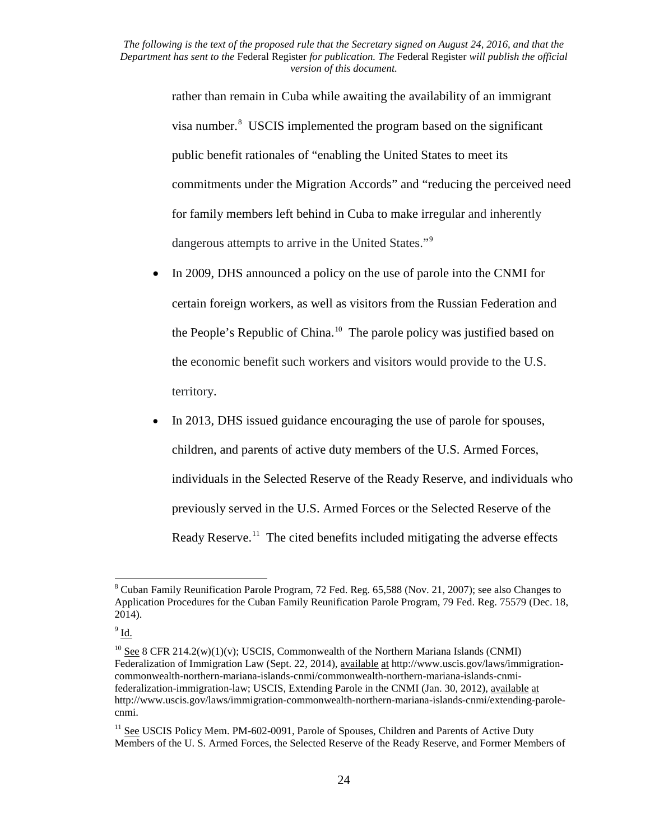> rather than remain in Cuba while awaiting the availability of an immigrant visa number.<sup>[8](#page-23-0)</sup> USCIS implemented the program based on the significant public benefit rationales of "enabling the United States to meet its commitments under the Migration Accords" and "reducing the perceived need for family members left behind in Cuba to make irregular and inherently dangerous attempts to arrive in the United States."[9](#page-23-1)

- In 2009, DHS announced a policy on the use of parole into the CNMI for certain foreign workers, as well as visitors from the Russian Federation and the People's Republic of China.[10](#page-23-2) The parole policy was justified based on the economic benefit such workers and visitors would provide to the U.S. territory.
- In 2013, DHS issued guidance encouraging the use of parole for spouses, children, and parents of active duty members of the U.S. Armed Forces, individuals in the Selected Reserve of the Ready Reserve, and individuals who previously served in the U.S. Armed Forces or the Selected Reserve of the Ready Reserve.<sup>11</sup> The cited benefits included mitigating the adverse effects

<span id="page-23-0"></span><sup>8</sup> Cuban Family Reunification Parole Program, 72 Fed. Reg. 65,588 (Nov. 21, 2007); see also Changes to Application Procedures for the Cuban Family Reunification Parole Program, 79 Fed. Reg. 75579 (Dec. 18, 2014).

<span id="page-23-1"></span> $9$  Id.

<span id="page-23-2"></span> $10$  See 8 CFR 214.2(w)(1)(v); USCIS, Commonwealth of the Northern Mariana Islands (CNMI) Federalization of Immigration Law (Sept. 22, 2014), available at http://www.uscis.gov/laws/immigrationcommonwealth-northern-mariana-islands-cnmi/commonwealth-northern-mariana-islands-cnmifederalization-immigration-law; USCIS, Extending Parole in the CNMI (Jan. 30, 2012), available at http://www.uscis.gov/laws/immigration-commonwealth-northern-mariana-islands-cnmi/extending-parolecnmi.

<span id="page-23-3"></span><sup>&</sup>lt;sup>11</sup> See USCIS Policy Mem. PM-602-0091, Parole of Spouses, Children and Parents of Active Duty Members of the U. S. Armed Forces, the Selected Reserve of the Ready Reserve, and Former Members of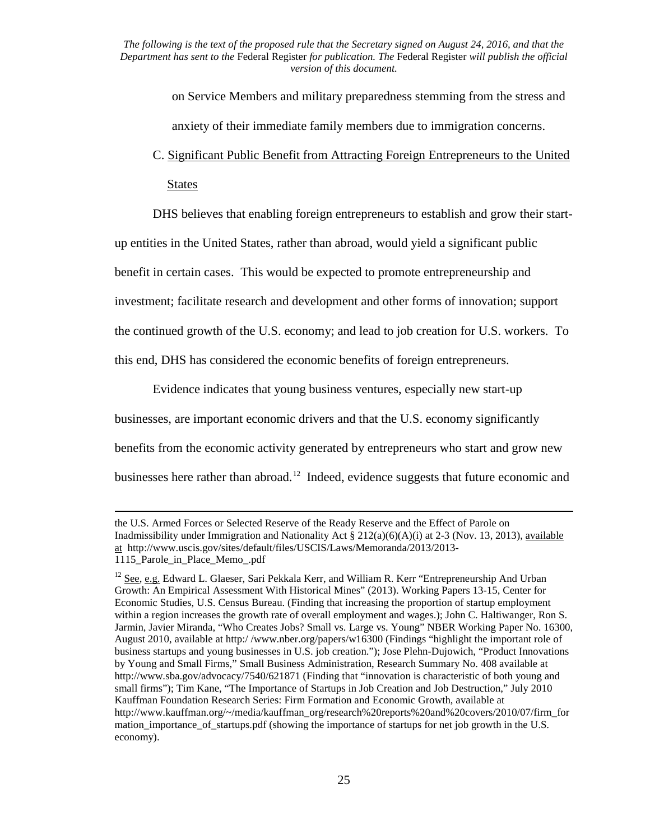> on Service Members and military preparedness stemming from the stress and anxiety of their immediate family members due to immigration concerns.

## C. Significant Public Benefit from Attracting Foreign Entrepreneurs to the United States

DHS believes that enabling foreign entrepreneurs to establish and grow their start-

up entities in the United States, rather than abroad, would yield a significant public

benefit in certain cases. This would be expected to promote entrepreneurship and

investment; facilitate research and development and other forms of innovation; support

the continued growth of the U.S. economy; and lead to job creation for U.S. workers. To

this end, DHS has considered the economic benefits of foreign entrepreneurs.

 $\overline{\phantom{a}}$ 

Evidence indicates that young business ventures, especially new start-up

businesses, are important economic drivers and that the U.S. economy significantly

benefits from the economic activity generated by entrepreneurs who start and grow new

businesses here rather than abroad.<sup>[12](#page-24-0)</sup> Indeed, evidence suggests that future economic and

the U.S. Armed Forces or Selected Reserve of the Ready Reserve and the Effect of Parole on Inadmissibility under Immigration and Nationality Act §  $212(a)(6)(A)(i)$  at 2-3 (Nov. 13, 2013), available at http://www.uscis.gov/sites/default/files/USCIS/Laws/Memoranda/2013/2013- 1115 Parole in Place Memo .pdf

<span id="page-24-0"></span><sup>&</sup>lt;sup>12</sup> See, e.g. Edward L. Glaeser, Sari Pekkala Kerr, and William R. Kerr "Entrepreneurship And Urban Growth: An Empirical Assessment With Historical Mines" (2013). Working Papers 13-15, Center for Economic Studies, U.S. Census Bureau. (Finding that increasing the proportion of startup employment within a region increases the growth rate of overall employment and wages.); John C. Haltiwanger, Ron S. Jarmin, Javier Miranda, "Who Creates Jobs? Small vs. Large vs. Young" NBER Working Paper No. 16300, August 2010, available at http:/ /www.nber.org/papers/w16300 (Findings "highlight the important role of business startups and young businesses in U.S. job creation."); Jose Plehn-Dujowich, "Product Innovations by Young and Small Firms," Small Business Administration, Research Summary No. 408 available at http://www.sba.gov/advocacy/7540/621871 (Finding that "innovation is characteristic of both young and small firms"); Tim Kane, "The Importance of Startups in Job Creation and Job Destruction," July 2010 Kauffman Foundation Research Series: Firm Formation and Economic Growth, available at http://www.kauffman.org/~/media/kauffman\_org/research%20reports%20and%20covers/2010/07/firm\_for mation importance of startups.pdf (showing the importance of startups for net job growth in the U.S. economy).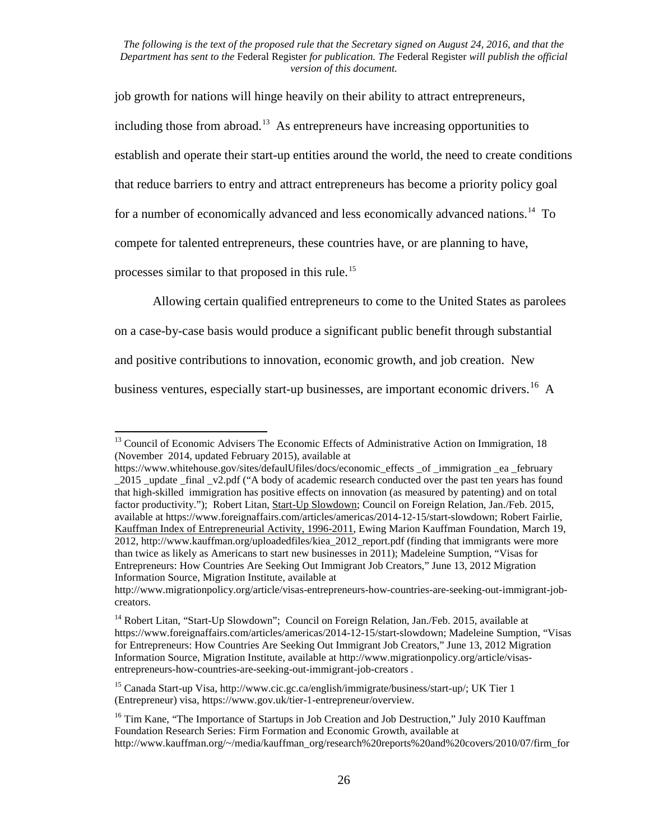job growth for nations will hinge heavily on their ability to attract entrepreneurs, including those from abroad.<sup>[13](#page-25-0)</sup> As entrepreneurs have increasing opportunities to establish and operate their start-up entities around the world, the need to create conditions that reduce barriers to entry and attract entrepreneurs has become a priority policy goal for a number of economically advanced and less economically advanced nations.<sup>[14](#page-25-1)</sup> To compete for talented entrepreneurs, these countries have, or are planning to have, processes similar to that proposed in this rule.<sup>[15](#page-25-2)</sup>

Allowing certain qualified entrepreneurs to come to the United States as parolees

on a case-by-case basis would produce a significant public benefit through substantial and positive contributions to innovation, economic growth, and job creation. New business ventures, especially start-up businesses, are important economic drivers.<sup>16</sup> A

<span id="page-25-0"></span><sup>&</sup>lt;sup>13</sup> Council of Economic Advisers The Economic Effects of Administrative Action on Immigration, 18 (November 2014, updated February 2015), available at

https://www.whitehouse.gov/sites/defaulUfiles/docs/economic effects of immigration ea february 2015 update final v2.pdf ("A body of academic research conducted over the past ten years has found that high-skilled immigration has positive effects on innovation (as measured by patenting) and on total factor productivity."); Robert Litan, Start-Up Slowdown; Council on Foreign Relation, Jan./Feb. 2015, available at https://www.foreignaffairs.com/articles/americas/2014-12-15/start-slowdown; Robert Fairlie, Kauffman Index of Entrepreneurial Activity, 1996-2011, Ewing Marion Kauffman Foundation, March 19, 2012, http://www.kauffman.org/uploadedfiles/kiea\_2012\_report.pdf (finding that immigrants were more than twice as likely as Americans to start new businesses in 2011); Madeleine Sumption, "Visas for Entrepreneurs: How Countries Are Seeking Out Immigrant Job Creators," June 13, 2012 Migration Information Source, Migration Institute, available at

http://www.migrationpolicy.org/article/visas-entrepreneurs-how-countries-are-seeking-out-immigrant-jobcreators.

<span id="page-25-1"></span><sup>&</sup>lt;sup>14</sup> Robert Litan, "Start-Up Slowdown"; Council on Foreign Relation, Jan./Feb. 2015, available at https://www.foreignaffairs.com/articles/americas/2014-12-15/start-slowdown; Madeleine Sumption, "Visas for Entrepreneurs: How Countries Are Seeking Out Immigrant Job Creators," June 13, 2012 Migration Information Source, Migration Institute, available at http://www.migrationpolicy.org/article/visasentrepreneurs-how-countries-are-seeking-out-immigrant-job-creators .

<span id="page-25-2"></span><sup>&</sup>lt;sup>15</sup> Canada Start-up Visa, http://www.cic.gc.ca/english/immigrate/business/start-up/; UK Tier 1 (Entrepreneur) visa, https://www.gov.uk/tier-1-entrepreneur/overview.

<span id="page-25-3"></span><sup>&</sup>lt;sup>16</sup> Tim Kane, "The Importance of Startups in Job Creation and Job Destruction," July 2010 Kauffman Foundation Research Series: Firm Formation and Economic Growth, available at http://www.kauffman.org/~/media/kauffman\_org/research%20reports%20and%20covers/2010/07/firm\_for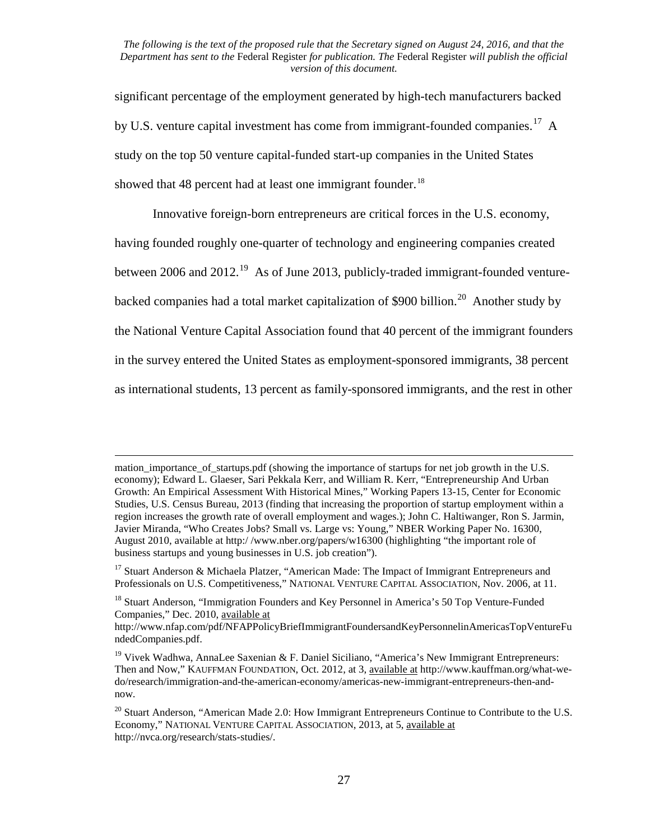significant percentage of the employment generated by high-tech manufacturers backed by U.S. venture capital investment has come from immigrant-founded companies.<sup>17</sup> A study on the top 50 venture capital-funded start-up companies in the United States showed that 48 percent had at least one immigrant founder.<sup>[18](#page-26-1)</sup>

Innovative foreign-born entrepreneurs are critical forces in the U.S. economy,

having founded roughly one-quarter of technology and engineering companies created

between 2006 and  $2012<sup>19</sup>$  $2012<sup>19</sup>$  $2012<sup>19</sup>$  As of June 2013, publicly-traded immigrant-founded venture-

backed companies had a total market capitalization of \$900 billion.<sup>[20](#page-26-3)</sup> Another study by

the National Venture Capital Association found that 40 percent of the immigrant founders

in the survey entered the United States as employment-sponsored immigrants, 38 percent

as international students, 13 percent as family-sponsored immigrants, and the rest in other

l

mation importance of startups.pdf (showing the importance of startups for net job growth in the U.S. economy); Edward L. Glaeser, Sari Pekkala Kerr, and William R. Kerr, "Entrepreneurship And Urban Growth: An Empirical Assessment With Historical Mines," Working Papers 13-15, Center for Economic Studies, U.S. Census Bureau, 2013 (finding that increasing the proportion of startup employment within a region increases the growth rate of overall employment and wages.); John C. Haltiwanger, Ron S. Jarmin, Javier Miranda, "Who Creates Jobs? Small vs. Large vs: Young," NBER Working Paper No. 16300, August 2010, available at http:/ /www.nber.org/papers/w16300 (highlighting "the important role of business startups and young businesses in U.S. job creation").

<span id="page-26-0"></span><sup>&</sup>lt;sup>17</sup> Stuart Anderson & Michaela Platzer, "American Made: The Impact of Immigrant Entrepreneurs and Professionals on U.S. Competitiveness," NATIONAL VENTURE CAPITAL ASSOCIATION, Nov. 2006, at 11.

<span id="page-26-1"></span><sup>&</sup>lt;sup>18</sup> Stuart Anderson, "Immigration Founders and Key Personnel in America's 50 Top Venture-Funded Companies," Dec. 2010, available at

http://www.nfap.com/pdf/NFAPPolicyBriefImmigrantFoundersandKeyPersonnelinAmericasTopVentureFu ndedCompanies.pdf.

<span id="page-26-2"></span><sup>&</sup>lt;sup>19</sup> Vivek Wadhwa, AnnaLee Saxenian & F. Daniel Siciliano, "America's New Immigrant Entrepreneurs: Then and Now," KAUFFMAN FOUNDATION, Oct. 2012, at 3, available at http://www.kauffman.org/what-wedo/research/immigration-and-the-american-economy/americas-new-immigrant-entrepreneurs-then-andnow.

<span id="page-26-3"></span> $20$  Stuart Anderson, "American Made 2.0: How Immigrant Entrepreneurs Continue to Contribute to the U.S. Economy," NATIONAL VENTURE CAPITAL ASSOCIATION, 2013, at 5, available at http://nvca.org/research/stats-studies/.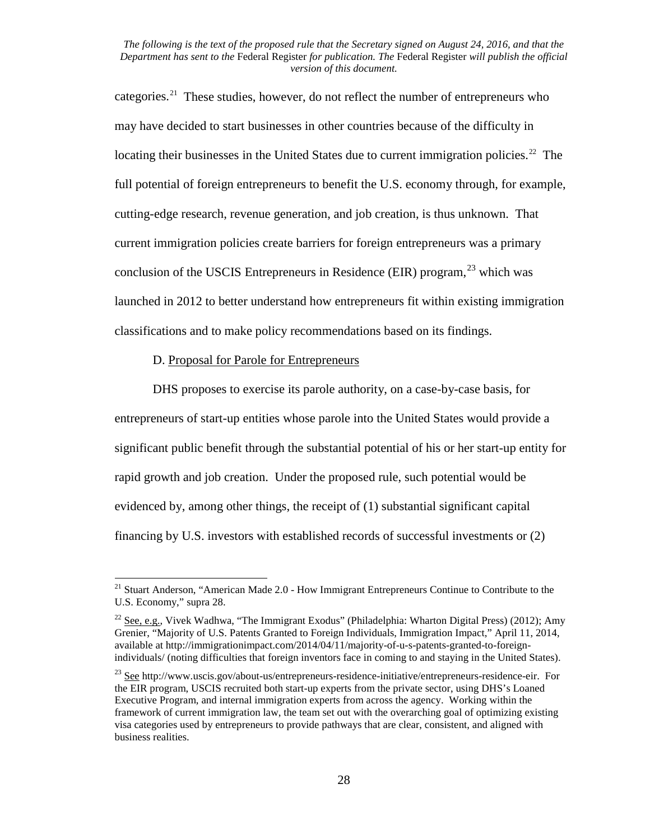categories.<sup>[21](#page-27-0)</sup> These studies, however, do not reflect the number of entrepreneurs who may have decided to start businesses in other countries because of the difficulty in locating their businesses in the United States due to current immigration policies.<sup>22</sup> The full potential of foreign entrepreneurs to benefit the U.S. economy through, for example, cutting-edge research, revenue generation, and job creation, is thus unknown. That current immigration policies create barriers for foreign entrepreneurs was a primary conclusion of the USCIS Entrepreneurs in Residence (EIR) program,  $^{23}$  $^{23}$  $^{23}$  which was launched in 2012 to better understand how entrepreneurs fit within existing immigration classifications and to make policy recommendations based on its findings.

#### D. Proposal for Parole for Entrepreneurs

DHS proposes to exercise its parole authority, on a case-by-case basis, for entrepreneurs of start-up entities whose parole into the United States would provide a significant public benefit through the substantial potential of his or her start-up entity for rapid growth and job creation. Under the proposed rule, such potential would be evidenced by, among other things, the receipt of (1) substantial significant capital financing by U.S. investors with established records of successful investments or (2)

<span id="page-27-0"></span><sup>&</sup>lt;sup>21</sup> Stuart Anderson, "American Made 2.0 - How Immigrant Entrepreneurs Continue to Contribute to the U.S. Economy," supra 28.

<span id="page-27-1"></span><sup>&</sup>lt;sup>22</sup> See, e.g., Vivek Wadhwa, "The Immigrant Exodus" (Philadelphia: Wharton Digital Press) (2012); Amy Grenier, "Majority of U.S. Patents Granted to Foreign Individuals, Immigration Impact," April 11, 2014, available at http://immigrationimpact.com/2014/04/11/majority-of-u-s-patents-granted-to-foreignindividuals/ (noting difficulties that foreign inventors face in coming to and staying in the United States).

<span id="page-27-2"></span><sup>23</sup> See http://www.uscis.gov/about-us/entrepreneurs-residence-initiative/entrepreneurs-residence-eir. For the EIR program, USCIS recruited both start-up experts from the private sector, using DHS's Loaned Executive Program, and internal immigration experts from across the agency. Working within the framework of current immigration law, the team set out with the overarching goal of optimizing existing visa categories used by entrepreneurs to provide pathways that are clear, consistent, and aligned with business realities.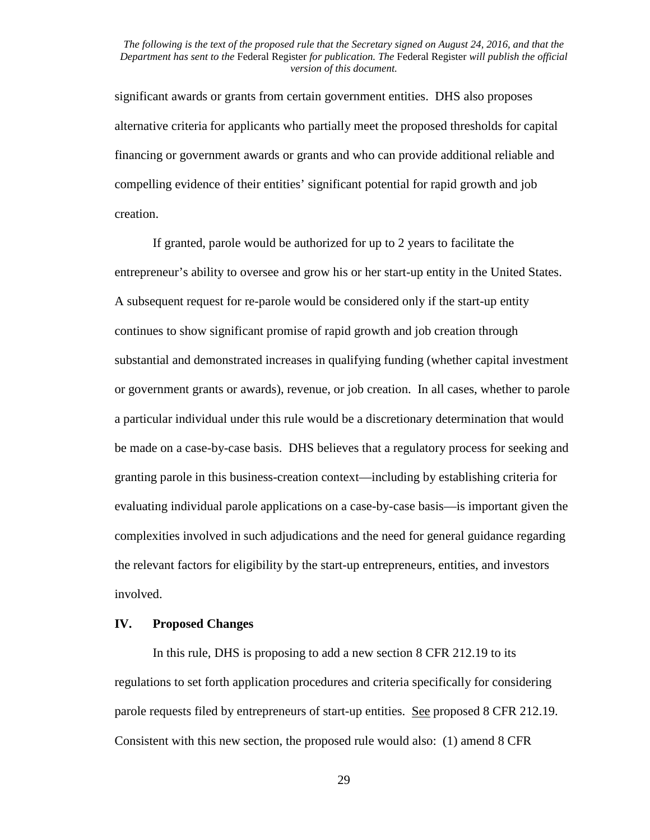significant awards or grants from certain government entities. DHS also proposes alternative criteria for applicants who partially meet the proposed thresholds for capital financing or government awards or grants and who can provide additional reliable and compelling evidence of their entities' significant potential for rapid growth and job creation.

If granted, parole would be authorized for up to 2 years to facilitate the entrepreneur's ability to oversee and grow his or her start-up entity in the United States. A subsequent request for re-parole would be considered only if the start-up entity continues to show significant promise of rapid growth and job creation through substantial and demonstrated increases in qualifying funding (whether capital investment or government grants or awards), revenue, or job creation. In all cases, whether to parole a particular individual under this rule would be a discretionary determination that would be made on a case-by-case basis. DHS believes that a regulatory process for seeking and granting parole in this business-creation context—including by establishing criteria for evaluating individual parole applications on a case-by-case basis—is important given the complexities involved in such adjudications and the need for general guidance regarding the relevant factors for eligibility by the start-up entrepreneurs, entities, and investors involved.

#### **IV. Proposed Changes**

In this rule, DHS is proposing to add a new section 8 CFR 212.19 to its regulations to set forth application procedures and criteria specifically for considering parole requests filed by entrepreneurs of start-up entities. See proposed 8 CFR 212.19. Consistent with this new section, the proposed rule would also: (1) amend 8 CFR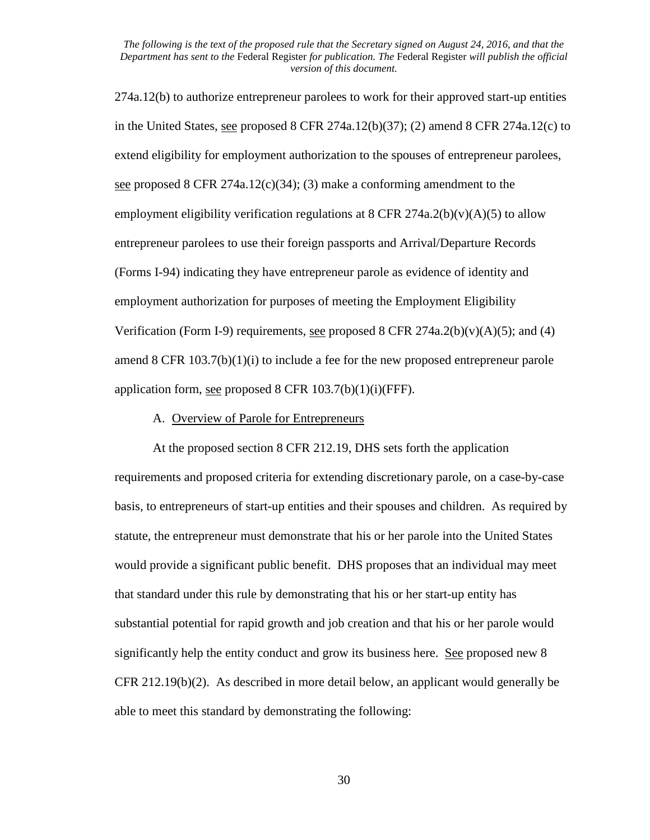274a.12(b) to authorize entrepreneur parolees to work for their approved start-up entities in the United States, see proposed 8 CFR 274a.12(b)(37); (2) amend 8 CFR 274a.12(c) to extend eligibility for employment authorization to the spouses of entrepreneur parolees, see proposed 8 CFR 274a.12(c)(34); (3) make a conforming amendment to the employment eligibility verification regulations at 8 CFR 274a.2(b) $(v)(A)(5)$  to allow entrepreneur parolees to use their foreign passports and Arrival/Departure Records (Forms I-94) indicating they have entrepreneur parole as evidence of identity and employment authorization for purposes of meeting the Employment Eligibility Verification (Form I-9) requirements, see proposed 8 CFR 274a.2(b)(v)(A)(5); and (4) amend 8 CFR 103.7(b)(1)(i) to include a fee for the new proposed entrepreneur parole application form, <u>see</u> proposed  $8$  CFR  $103.7(b)(1)(i)$ (FFF).

#### A. Overview of Parole for Entrepreneurs

At the proposed section 8 CFR 212.19, DHS sets forth the application requirements and proposed criteria for extending discretionary parole, on a case-by-case basis, to entrepreneurs of start-up entities and their spouses and children. As required by statute, the entrepreneur must demonstrate that his or her parole into the United States would provide a significant public benefit. DHS proposes that an individual may meet that standard under this rule by demonstrating that his or her start-up entity has substantial potential for rapid growth and job creation and that his or her parole would significantly help the entity conduct and grow its business here. See proposed new 8 CFR 212.19(b)(2). As described in more detail below, an applicant would generally be able to meet this standard by demonstrating the following: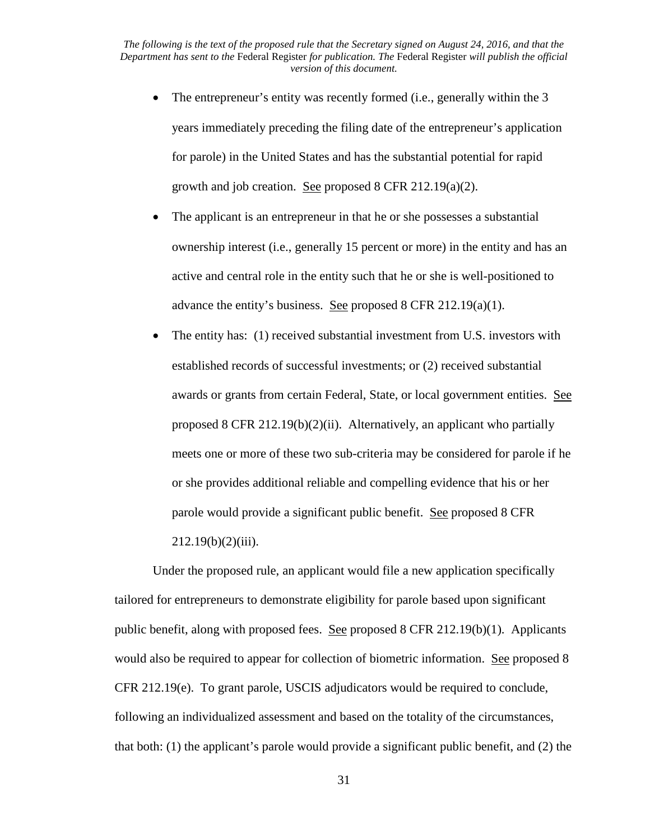- The entrepreneur's entity was recently formed (i.e., generally within the 3 years immediately preceding the filing date of the entrepreneur's application for parole) in the United States and has the substantial potential for rapid growth and job creation. See proposed 8 CFR 212.19(a)(2).
- The applicant is an entrepreneur in that he or she possesses a substantial ownership interest (i.e., generally 15 percent or more) in the entity and has an active and central role in the entity such that he or she is well-positioned to advance the entity's business. See proposed 8 CFR 212.19(a)(1).
- The entity has: (1) received substantial investment from U.S. investors with established records of successful investments; or (2) received substantial awards or grants from certain Federal, State, or local government entities. See proposed 8 CFR 212.19(b)(2)(ii). Alternatively, an applicant who partially meets one or more of these two sub-criteria may be considered for parole if he or she provides additional reliable and compelling evidence that his or her parole would provide a significant public benefit. See proposed 8 CFR  $212.19(b)(2)(iii)$ .

Under the proposed rule, an applicant would file a new application specifically tailored for entrepreneurs to demonstrate eligibility for parole based upon significant public benefit, along with proposed fees. See proposed 8 CFR 212.19(b)(1). Applicants would also be required to appear for collection of biometric information. See proposed 8 CFR 212.19(e). To grant parole, USCIS adjudicators would be required to conclude, following an individualized assessment and based on the totality of the circumstances, that both: (1) the applicant's parole would provide a significant public benefit, and (2) the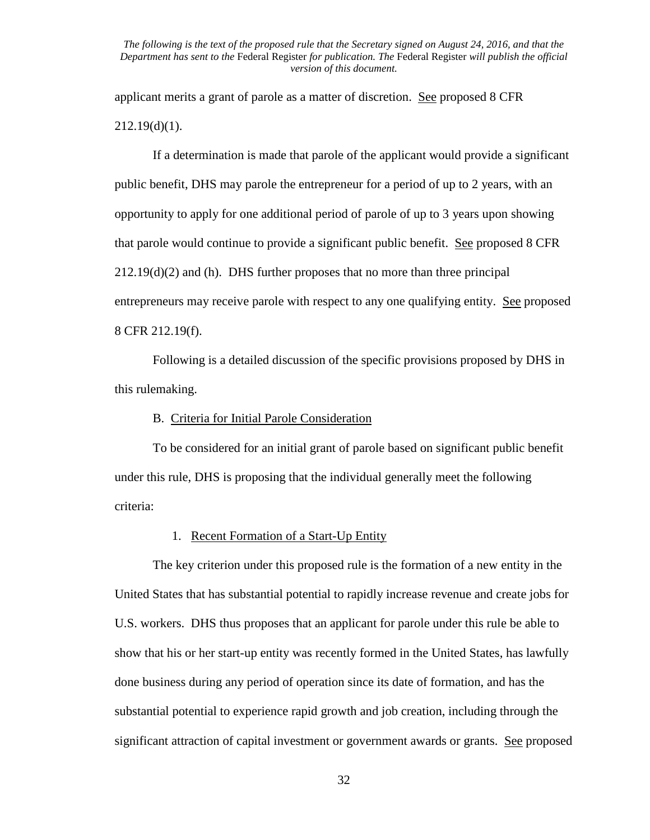applicant merits a grant of parole as a matter of discretion. See proposed 8 CFR  $212.19(d)(1)$ .

If a determination is made that parole of the applicant would provide a significant public benefit, DHS may parole the entrepreneur for a period of up to 2 years, with an opportunity to apply for one additional period of parole of up to 3 years upon showing that parole would continue to provide a significant public benefit. See proposed 8 CFR  $212.19(d)(2)$  and (h). DHS further proposes that no more than three principal entrepreneurs may receive parole with respect to any one qualifying entity. See proposed 8 CFR 212.19(f).

Following is a detailed discussion of the specific provisions proposed by DHS in this rulemaking.

#### B. Criteria for Initial Parole Consideration

To be considered for an initial grant of parole based on significant public benefit under this rule, DHS is proposing that the individual generally meet the following criteria:

#### 1. Recent Formation of a Start-Up Entity

The key criterion under this proposed rule is the formation of a new entity in the United States that has substantial potential to rapidly increase revenue and create jobs for U.S. workers. DHS thus proposes that an applicant for parole under this rule be able to show that his or her start-up entity was recently formed in the United States, has lawfully done business during any period of operation since its date of formation, and has the substantial potential to experience rapid growth and job creation, including through the significant attraction of capital investment or government awards or grants. See proposed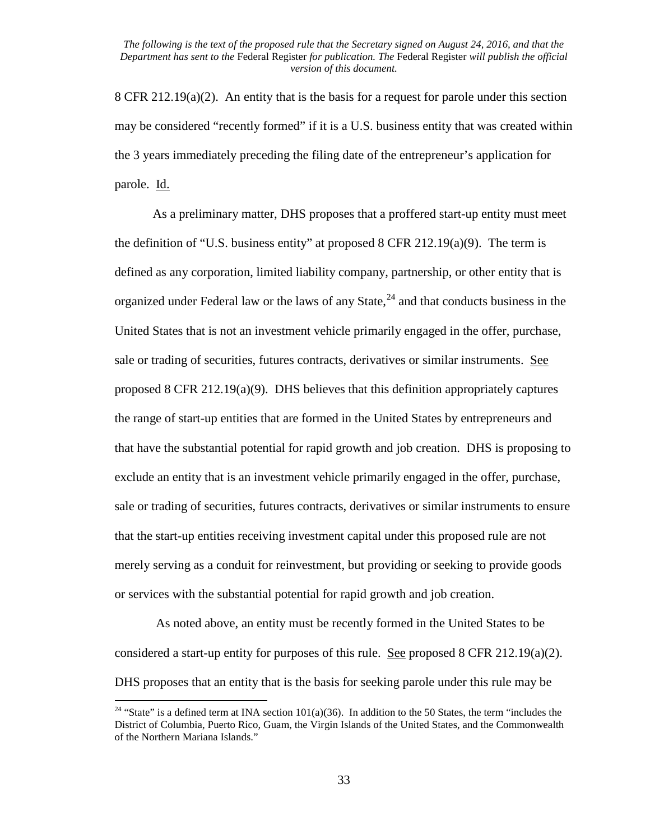8 CFR 212.19(a)(2). An entity that is the basis for a request for parole under this section may be considered "recently formed" if it is a U.S. business entity that was created within the 3 years immediately preceding the filing date of the entrepreneur's application for parole. Id.

As a preliminary matter, DHS proposes that a proffered start-up entity must meet the definition of "U.S. business entity" at proposed 8 CFR 212.19(a)(9). The term is defined as any corporation, limited liability company, partnership, or other entity that is organized under Federal law or the laws of any State,<sup>[24](#page-32-0)</sup> and that conducts business in the United States that is not an investment vehicle primarily engaged in the offer, purchase, sale or trading of securities, futures contracts, derivatives or similar instruments. See proposed 8 CFR 212.19(a)(9). DHS believes that this definition appropriately captures the range of start-up entities that are formed in the United States by entrepreneurs and that have the substantial potential for rapid growth and job creation. DHS is proposing to exclude an entity that is an investment vehicle primarily engaged in the offer, purchase, sale or trading of securities, futures contracts, derivatives or similar instruments to ensure that the start-up entities receiving investment capital under this proposed rule are not merely serving as a conduit for reinvestment, but providing or seeking to provide goods or services with the substantial potential for rapid growth and job creation.

As noted above, an entity must be recently formed in the United States to be considered a start-up entity for purposes of this rule. See proposed 8 CFR 212.19(a)(2). DHS proposes that an entity that is the basis for seeking parole under this rule may be

<span id="page-32-0"></span><sup>&</sup>lt;sup>24</sup> "State" is a defined term at INA section  $101(a)(36)$ . In addition to the 50 States, the term "includes the District of Columbia, Puerto Rico, Guam, the Virgin Islands of the United States, and the Commonwealth of the Northern Mariana Islands."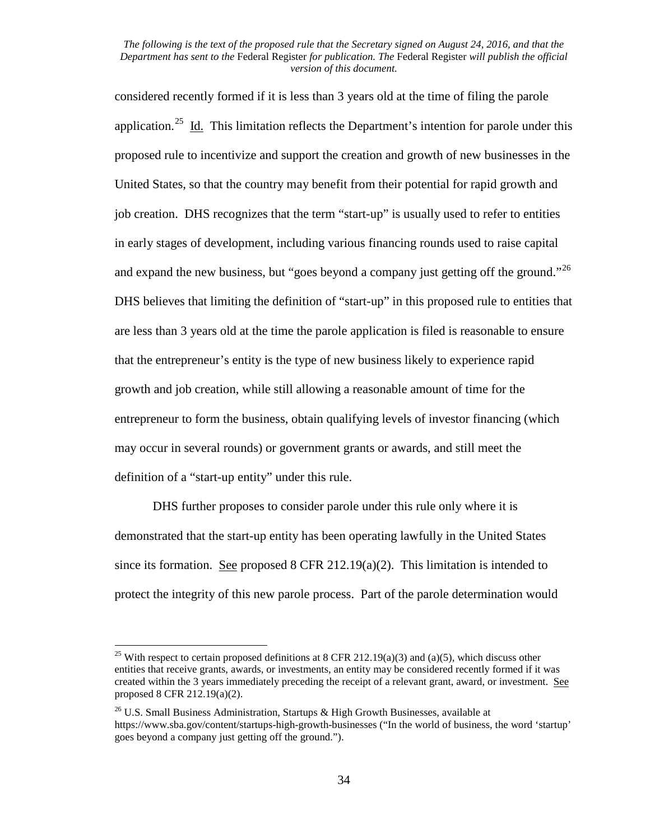considered recently formed if it is less than 3 years old at the time of filing the parole application.<sup>[25](#page-33-0)</sup> Id. This limitation reflects the Department's intention for parole under this proposed rule to incentivize and support the creation and growth of new businesses in the United States, so that the country may benefit from their potential for rapid growth and job creation. DHS recognizes that the term "start-up" is usually used to refer to entities in early stages of development, including various financing rounds used to raise capital and expand the new business, but "goes beyond a company just getting off the ground."<sup>26</sup> DHS believes that limiting the definition of "start-up" in this proposed rule to entities that are less than 3 years old at the time the parole application is filed is reasonable to ensure that the entrepreneur's entity is the type of new business likely to experience rapid growth and job creation, while still allowing a reasonable amount of time for the entrepreneur to form the business, obtain qualifying levels of investor financing (which may occur in several rounds) or government grants or awards, and still meet the definition of a "start-up entity" under this rule.

DHS further proposes to consider parole under this rule only where it is demonstrated that the start-up entity has been operating lawfully in the United States since its formation. See proposed  $8$  CFR 212.19(a)(2). This limitation is intended to protect the integrity of this new parole process. Part of the parole determination would

<span id="page-33-0"></span><sup>&</sup>lt;sup>25</sup> With respect to certain proposed definitions at 8 CFR 212.19(a)(3) and (a)(5), which discuss other entities that receive grants, awards, or investments, an entity may be considered recently formed if it was created within the 3 years immediately preceding the receipt of a relevant grant, award, or investment. See proposed 8 CFR 212.19(a)(2).

<span id="page-33-1"></span> $26$  U.S. Small Business Administration, Startups & High Growth Businesses, available at https://www.sba.gov/content/startups-high-growth-businesses ("In the world of business, the word 'startup' goes beyond a company just getting off the ground.").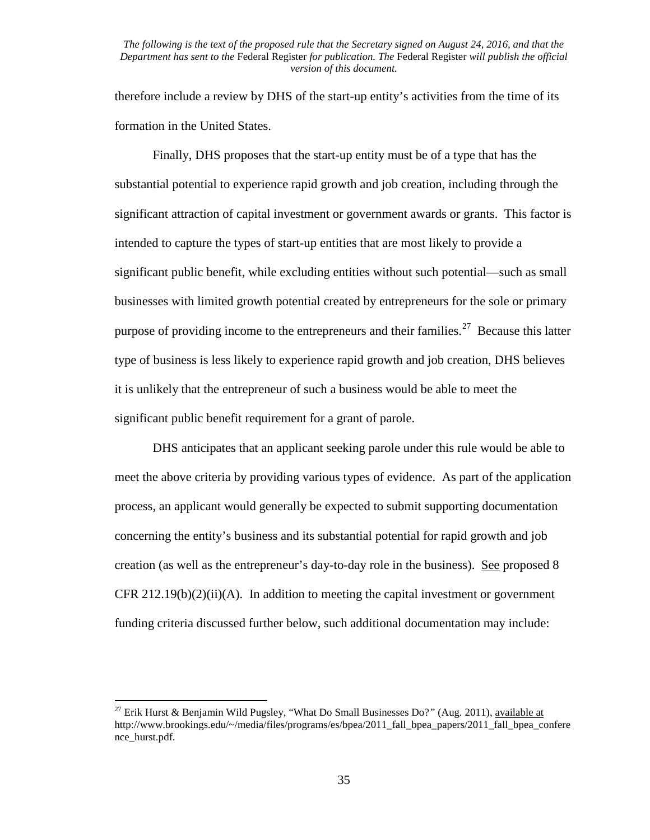therefore include a review by DHS of the start-up entity's activities from the time of its formation in the United States.

Finally, DHS proposes that the start-up entity must be of a type that has the substantial potential to experience rapid growth and job creation, including through the significant attraction of capital investment or government awards or grants. This factor is intended to capture the types of start-up entities that are most likely to provide a significant public benefit, while excluding entities without such potential—such as small businesses with limited growth potential created by entrepreneurs for the sole or primary purpose of providing income to the entrepreneurs and their families.<sup>27</sup> Because this latter type of business is less likely to experience rapid growth and job creation, DHS believes it is unlikely that the entrepreneur of such a business would be able to meet the significant public benefit requirement for a grant of parole.

DHS anticipates that an applicant seeking parole under this rule would be able to meet the above criteria by providing various types of evidence. As part of the application process, an applicant would generally be expected to submit supporting documentation concerning the entity's business and its substantial potential for rapid growth and job creation (as well as the entrepreneur's day-to-day role in the business). See proposed 8 CFR 212.19(b)(2)(ii)(A). In addition to meeting the capital investment or government funding criteria discussed further below, such additional documentation may include:

<span id="page-34-0"></span><sup>27</sup> Erik Hurst & Benjamin Wild Pugsley, "What Do Small Businesses Do?*"* (Aug. 2011), available at http://www.brookings.edu/~/media/files/programs/es/bpea/2011\_fall\_bpea\_papers/2011\_fall\_bpea\_confere nce\_hurst.pdf.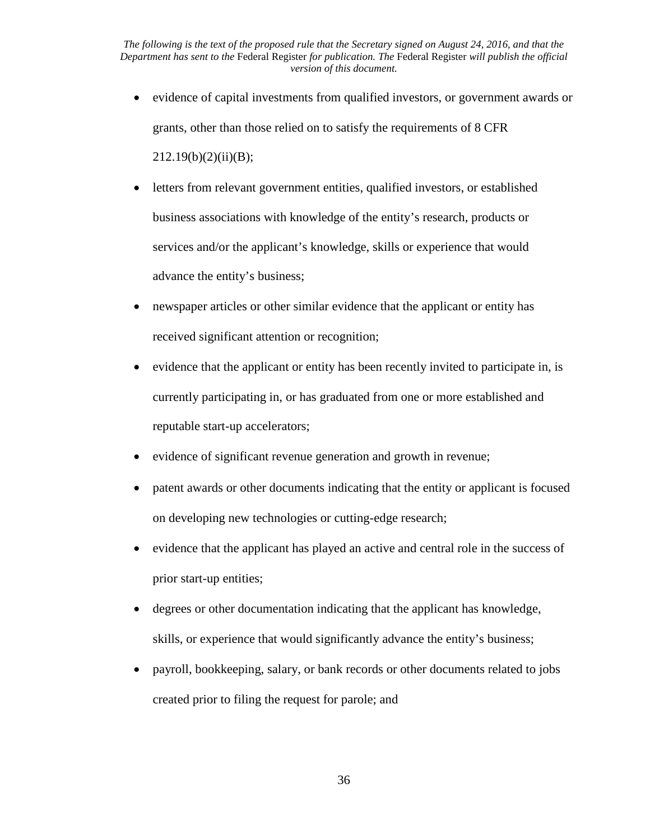- evidence of capital investments from qualified investors, or government awards or grants, other than those relied on to satisfy the requirements of 8 CFR  $212.19(b)(2)(ii)(B);$
- letters from relevant government entities, qualified investors, or established business associations with knowledge of the entity's research, products or services and/or the applicant's knowledge, skills or experience that would advance the entity's business;
- newspaper articles or other similar evidence that the applicant or entity has received significant attention or recognition;
- evidence that the applicant or entity has been recently invited to participate in, is currently participating in, or has graduated from one or more established and reputable start-up accelerators;
- evidence of significant revenue generation and growth in revenue;
- patent awards or other documents indicating that the entity or applicant is focused on developing new technologies or cutting-edge research;
- evidence that the applicant has played an active and central role in the success of prior start-up entities;
- degrees or other documentation indicating that the applicant has knowledge, skills, or experience that would significantly advance the entity's business;
- payroll, bookkeeping, salary, or bank records or other documents related to jobs created prior to filing the request for parole; and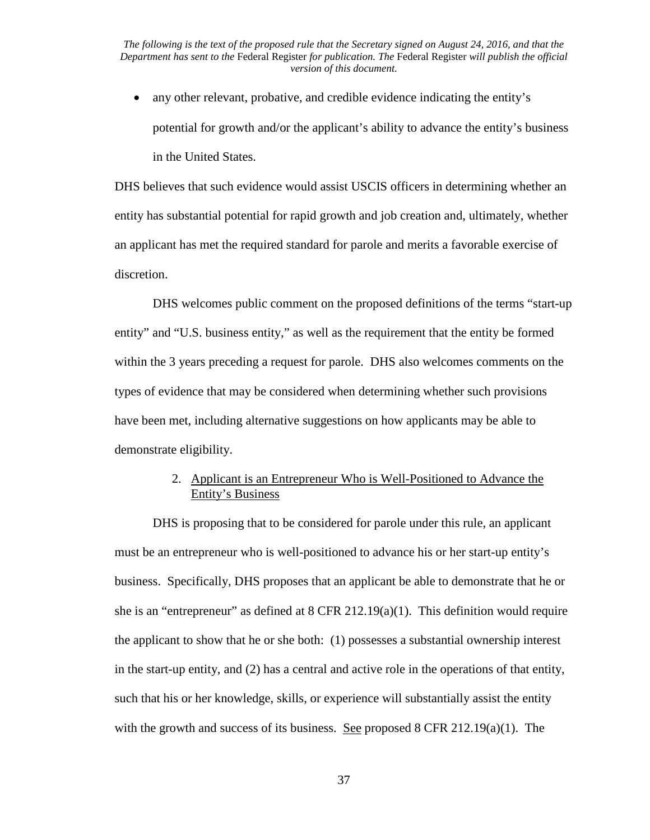• any other relevant, probative, and credible evidence indicating the entity's potential for growth and/or the applicant's ability to advance the entity's business in the United States.

DHS believes that such evidence would assist USCIS officers in determining whether an entity has substantial potential for rapid growth and job creation and, ultimately, whether an applicant has met the required standard for parole and merits a favorable exercise of discretion.

DHS welcomes public comment on the proposed definitions of the terms "start-up entity" and "U.S. business entity," as well as the requirement that the entity be formed within the 3 years preceding a request for parole. DHS also welcomes comments on the types of evidence that may be considered when determining whether such provisions have been met, including alternative suggestions on how applicants may be able to demonstrate eligibility.

# 2. Applicant is an Entrepreneur Who is Well-Positioned to Advance the Entity's Business

DHS is proposing that to be considered for parole under this rule, an applicant must be an entrepreneur who is well-positioned to advance his or her start-up entity's business. Specifically, DHS proposes that an applicant be able to demonstrate that he or she is an "entrepreneur" as defined at  $8$  CFR 212.19(a)(1). This definition would require the applicant to show that he or she both: (1) possesses a substantial ownership interest in the start-up entity, and (2) has a central and active role in the operations of that entity, such that his or her knowledge, skills, or experience will substantially assist the entity with the growth and success of its business. See proposed 8 CFR  $212.19(a)(1)$ . The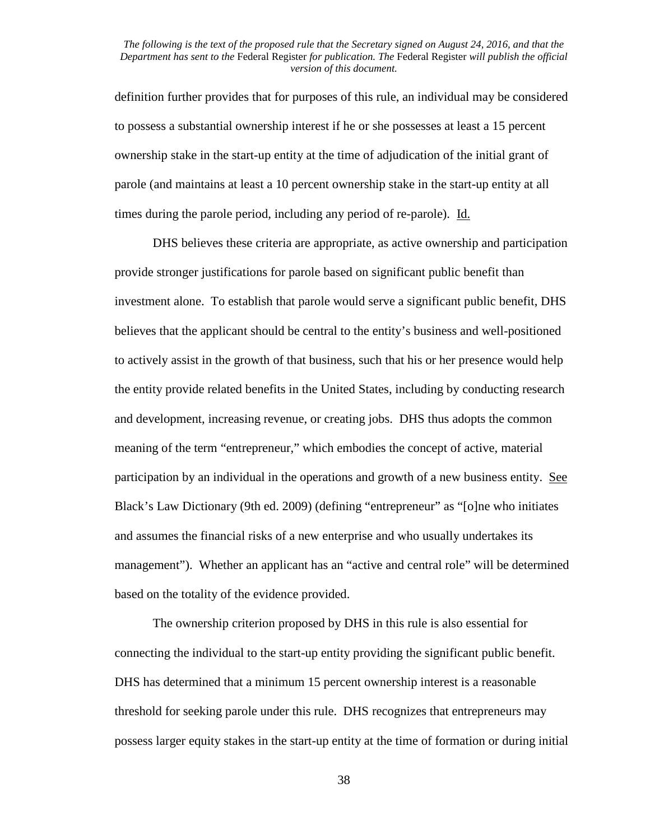definition further provides that for purposes of this rule, an individual may be considered to possess a substantial ownership interest if he or she possesses at least a 15 percent ownership stake in the start-up entity at the time of adjudication of the initial grant of parole (and maintains at least a 10 percent ownership stake in the start-up entity at all times during the parole period, including any period of re-parole). Id.

DHS believes these criteria are appropriate, as active ownership and participation provide stronger justifications for parole based on significant public benefit than investment alone. To establish that parole would serve a significant public benefit, DHS believes that the applicant should be central to the entity's business and well-positioned to actively assist in the growth of that business, such that his or her presence would help the entity provide related benefits in the United States, including by conducting research and development, increasing revenue, or creating jobs. DHS thus adopts the common meaning of the term "entrepreneur," which embodies the concept of active, material participation by an individual in the operations and growth of a new business entity. See Black's Law Dictionary (9th ed. 2009) (defining "entrepreneur" as "[o]ne who initiates and assumes the financial risks of a new enterprise and who usually undertakes its management"). Whether an applicant has an "active and central role" will be determined based on the totality of the evidence provided.

The ownership criterion proposed by DHS in this rule is also essential for connecting the individual to the start-up entity providing the significant public benefit. DHS has determined that a minimum 15 percent ownership interest is a reasonable threshold for seeking parole under this rule. DHS recognizes that entrepreneurs may possess larger equity stakes in the start-up entity at the time of formation or during initial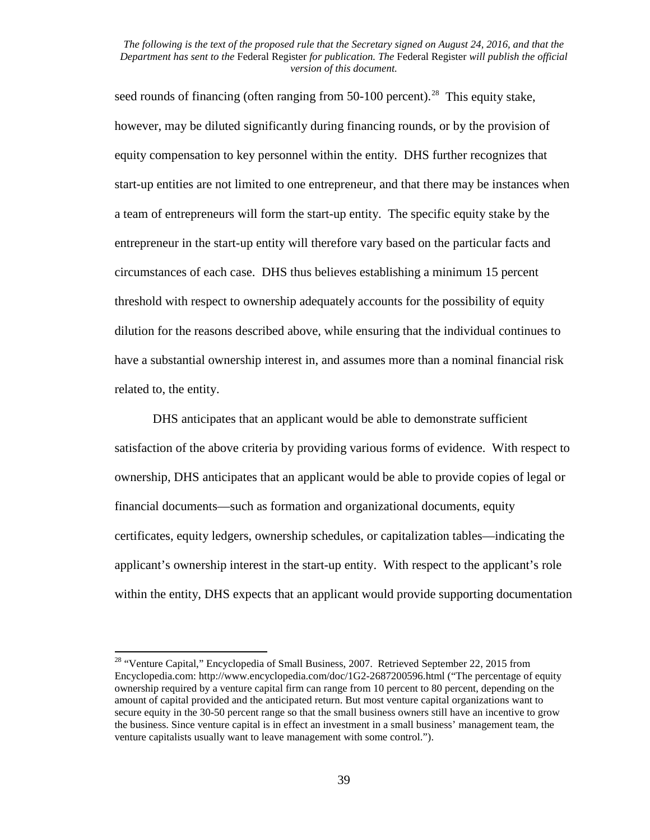seed rounds of financing (often ranging from  $50-100$  percent).<sup>28</sup> This equity stake, however, may be diluted significantly during financing rounds, or by the provision of equity compensation to key personnel within the entity. DHS further recognizes that start-up entities are not limited to one entrepreneur, and that there may be instances when a team of entrepreneurs will form the start-up entity. The specific equity stake by the entrepreneur in the start-up entity will therefore vary based on the particular facts and circumstances of each case. DHS thus believes establishing a minimum 15 percent threshold with respect to ownership adequately accounts for the possibility of equity dilution for the reasons described above, while ensuring that the individual continues to have a substantial ownership interest in, and assumes more than a nominal financial risk related to, the entity.

DHS anticipates that an applicant would be able to demonstrate sufficient satisfaction of the above criteria by providing various forms of evidence. With respect to ownership, DHS anticipates that an applicant would be able to provide copies of legal or financial documents—such as formation and organizational documents, equity certificates, equity ledgers, ownership schedules, or capitalization tables—indicating the applicant's ownership interest in the start-up entity. With respect to the applicant's role within the entity, DHS expects that an applicant would provide supporting documentation

<span id="page-38-0"></span><sup>&</sup>lt;sup>28</sup> "Venture Capital," Encyclopedia of Small Business, 2007. Retrieved September 22, 2015 from Encyclopedia.com: http://www.encyclopedia.com/doc/1G2-2687200596.html ("The percentage of equity ownership required by a venture capital firm can range from 10 percent to 80 percent, depending on the amount of capital provided and the anticipated return. But most venture capital organizations want to secure equity in the 30-50 percent range so that the small business owners still have an incentive to grow the business. Since venture capital is in effect an investment in a small business' management team, the venture capitalists usually want to leave management with some control.").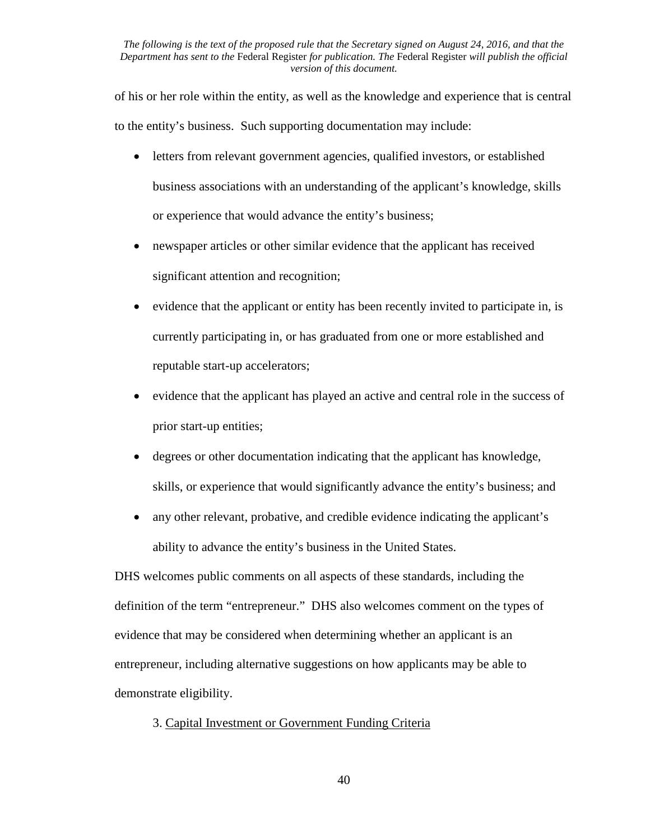of his or her role within the entity, as well as the knowledge and experience that is central to the entity's business. Such supporting documentation may include:

- letters from relevant government agencies, qualified investors, or established business associations with an understanding of the applicant's knowledge, skills or experience that would advance the entity's business;
- newspaper articles or other similar evidence that the applicant has received significant attention and recognition;
- evidence that the applicant or entity has been recently invited to participate in, is currently participating in, or has graduated from one or more established and reputable start-up accelerators;
- evidence that the applicant has played an active and central role in the success of prior start-up entities;
- degrees or other documentation indicating that the applicant has knowledge, skills, or experience that would significantly advance the entity's business; and
- any other relevant, probative, and credible evidence indicating the applicant's ability to advance the entity's business in the United States.

DHS welcomes public comments on all aspects of these standards, including the definition of the term "entrepreneur." DHS also welcomes comment on the types of evidence that may be considered when determining whether an applicant is an entrepreneur, including alternative suggestions on how applicants may be able to demonstrate eligibility.

# 3. Capital Investment or Government Funding Criteria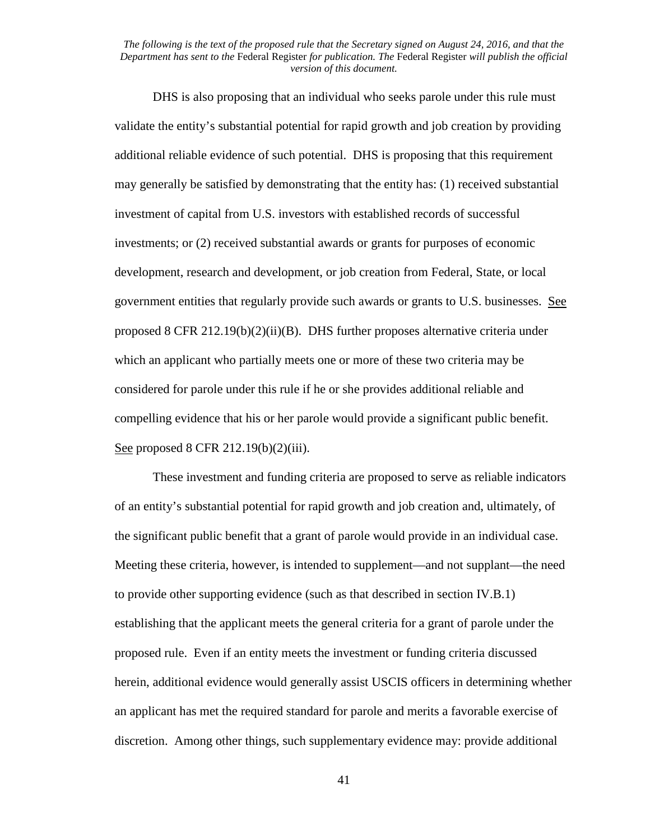DHS is also proposing that an individual who seeks parole under this rule must validate the entity's substantial potential for rapid growth and job creation by providing additional reliable evidence of such potential. DHS is proposing that this requirement may generally be satisfied by demonstrating that the entity has: (1) received substantial investment of capital from U.S. investors with established records of successful investments; or (2) received substantial awards or grants for purposes of economic development, research and development, or job creation from Federal, State, or local government entities that regularly provide such awards or grants to U.S. businesses. See proposed 8 CFR 212.19(b)(2)(ii)(B). DHS further proposes alternative criteria under which an applicant who partially meets one or more of these two criteria may be considered for parole under this rule if he or she provides additional reliable and compelling evidence that his or her parole would provide a significant public benefit. See proposed 8 CFR 212.19(b)(2)(iii).

These investment and funding criteria are proposed to serve as reliable indicators of an entity's substantial potential for rapid growth and job creation and, ultimately, of the significant public benefit that a grant of parole would provide in an individual case. Meeting these criteria, however, is intended to supplement—and not supplant—the need to provide other supporting evidence (such as that described in section IV.B.1) establishing that the applicant meets the general criteria for a grant of parole under the proposed rule. Even if an entity meets the investment or funding criteria discussed herein, additional evidence would generally assist USCIS officers in determining whether an applicant has met the required standard for parole and merits a favorable exercise of discretion. Among other things, such supplementary evidence may: provide additional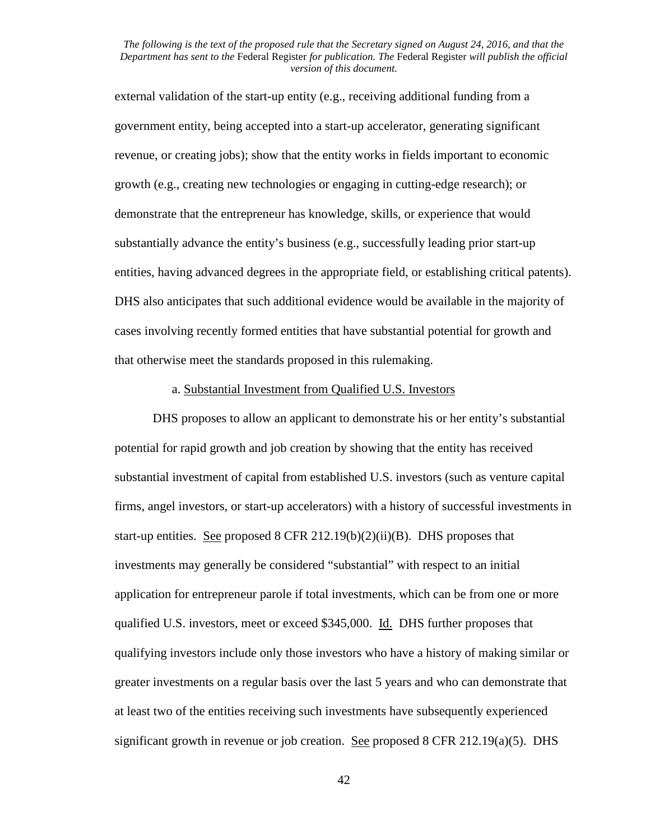external validation of the start-up entity (e.g., receiving additional funding from a government entity, being accepted into a start-up accelerator, generating significant revenue, or creating jobs); show that the entity works in fields important to economic growth (e.g., creating new technologies or engaging in cutting-edge research); or demonstrate that the entrepreneur has knowledge, skills, or experience that would substantially advance the entity's business (e.g., successfully leading prior start-up entities, having advanced degrees in the appropriate field, or establishing critical patents). DHS also anticipates that such additional evidence would be available in the majority of cases involving recently formed entities that have substantial potential for growth and that otherwise meet the standards proposed in this rulemaking.

#### a. Substantial Investment from Qualified U.S. Investors

DHS proposes to allow an applicant to demonstrate his or her entity's substantial potential for rapid growth and job creation by showing that the entity has received substantial investment of capital from established U.S. investors (such as venture capital firms, angel investors, or start-up accelerators) with a history of successful investments in start-up entities. See proposed 8 CFR 212.19 $(b)(2)(ii)(B)$ . DHS proposes that investments may generally be considered "substantial" with respect to an initial application for entrepreneur parole if total investments, which can be from one or more qualified U.S. investors, meet or exceed \$345,000. Id. DHS further proposes that qualifying investors include only those investors who have a history of making similar or greater investments on a regular basis over the last 5 years and who can demonstrate that at least two of the entities receiving such investments have subsequently experienced significant growth in revenue or job creation. See proposed 8 CFR 212.19(a)(5). DHS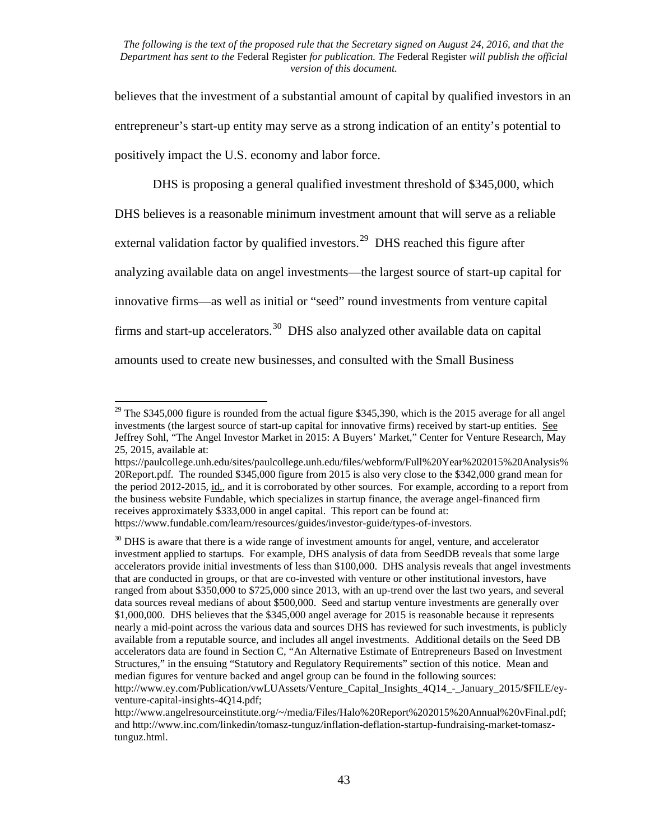believes that the investment of a substantial amount of capital by qualified investors in an entrepreneur's start-up entity may serve as a strong indication of an entity's potential to positively impact the U.S. economy and labor force.

DHS is proposing a general qualified investment threshold of \$345,000, which DHS believes is a reasonable minimum investment amount that will serve as a reliable external validation factor by qualified investors.<sup>[29](#page-42-0)</sup> DHS reached this figure after analyzing available data on angel investments—the largest source of start-up capital for innovative firms—as well as initial or "seed" round investments from venture capital firms and start-up accelerators.<sup>[30](#page-42-1)</sup> DHS also analyzed other available data on capital amounts used to create new businesses, and consulted with the Small Business

<span id="page-42-0"></span><sup>&</sup>lt;sup>29</sup> The \$345,000 figure is rounded from the actual figure \$345,390, which is the 2015 average for all angel investments (the largest source of start-up capital for innovative firms) received by start-up entities. See Jeffrey Sohl, "The Angel Investor Market in 2015: A Buyers' Market," Center for Venture Research, May 25, 2015, available at:

https://paulcollege.unh.edu/sites/paulcollege.unh.edu/files/webform/Full%20Year%202015%20Analysis% 20Report.pdf. The rounded \$345,000 figure from 2015 is also very close to the \$342,000 grand mean for the period 2012-2015, id., and it is corroborated by other sources. For example, according to a report from the business website Fundable, which specializes in startup finance, the average angel-financed firm receives approximately \$333,000 in angel capital. This report can be found at: https://www.fundable.com/learn/resources/guides/investor-guide/types-of-investors.

<span id="page-42-1"></span> $30$  DHS is aware that there is a wide range of investment amounts for angel, venture, and accelerator investment applied to startups. For example, DHS analysis of data from SeedDB reveals that some large accelerators provide initial investments of less than \$100,000. DHS analysis reveals that angel investments that are conducted in groups, or that are co-invested with venture or other institutional investors, have ranged from about \$350,000 to \$725,000 since 2013, with an up-trend over the last two years, and several data sources reveal medians of about \$500,000. Seed and startup venture investments are generally over \$1,000,000. DHS believes that the \$345,000 angel average for 2015 is reasonable because it represents nearly a mid-point across the various data and sources DHS has reviewed for such investments, is publicly available from a reputable source, and includes all angel investments. Additional details on the Seed DB accelerators data are found in Section C, "An Alternative Estimate of Entrepreneurs Based on Investment Structures," in the ensuing "Statutory and Regulatory Requirements" section of this notice. Mean and median figures for venture backed and angel group can be found in the following sources:

http://www.ey.com/Publication/vwLUAssets/Venture\_Capital\_Insights\_4Q14\_-\_January\_2015/\$FILE/eyventure-capital-insights-4Q14.pdf;

http://www.angelresourceinstitute.org/~/media/Files/Halo%20Report%202015%20Annual%20vFinal.pdf; and http://www.inc.com/linkedin/tomasz-tunguz/inflation-deflation-startup-fundraising-market-tomasztunguz.html.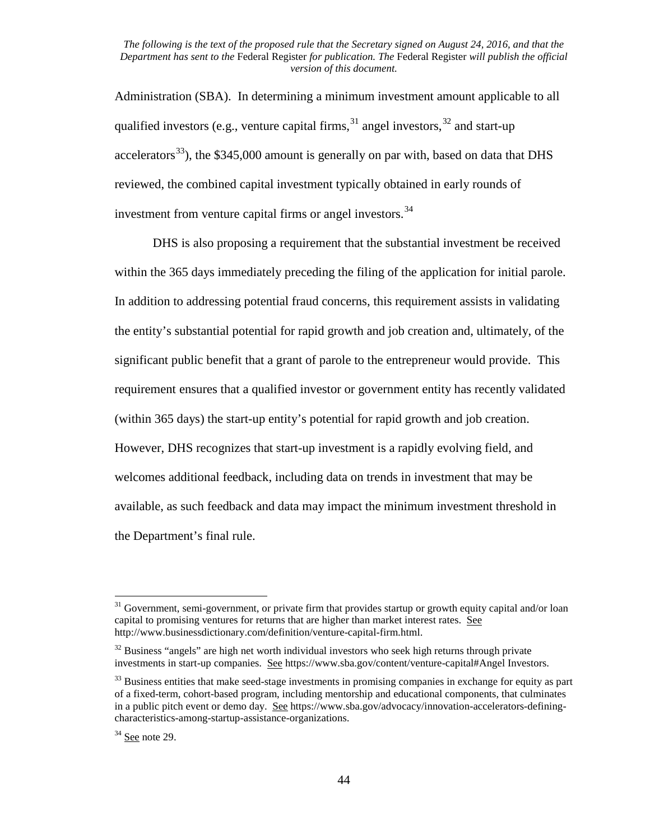Administration (SBA). In determining a minimum investment amount applicable to all qualified investors (e.g., venture capital firms,  $31$  angel investors,  $32$  and start-up accelerators<sup>[33](#page-43-2)</sup>), the \$345,000 amount is generally on par with, based on data that DHS reviewed, the combined capital investment typically obtained in early rounds of investment from venture capital firms or angel investors.<sup>[34](#page-43-3)</sup>

DHS is also proposing a requirement that the substantial investment be received within the 365 days immediately preceding the filing of the application for initial parole. In addition to addressing potential fraud concerns, this requirement assists in validating the entity's substantial potential for rapid growth and job creation and, ultimately, of the significant public benefit that a grant of parole to the entrepreneur would provide. This requirement ensures that a qualified investor or government entity has recently validated (within 365 days) the start-up entity's potential for rapid growth and job creation. However, DHS recognizes that start-up investment is a rapidly evolving field, and welcomes additional feedback, including data on trends in investment that may be available, as such feedback and data may impact the minimum investment threshold in the Department's final rule.

<span id="page-43-0"></span> $31$  Government, semi-government, or private firm that provides startup or growth equity capital and/or loan capital to promising ventures for returns that are higher than market interest rates. See http://www.businessdictionary.com/definition/venture-capital-firm.html.

<span id="page-43-1"></span> $32$  Business "angels" are high net worth individual investors who seek high returns through private investments in start-up companies. See https://www.sba.gov/content/venture-capital#Angel Investors.

<span id="page-43-2"></span><sup>&</sup>lt;sup>33</sup> Business entities that make seed-stage investments in promising companies in exchange for equity as part of a fixed-term, cohort-based program, including mentorship and educational components, that culminates in a public pitch event or demo day. See https://www.sba.gov/advocacy/innovation-accelerators-definingcharacteristics-among-startup-assistance-organizations.

<span id="page-43-3"></span> $34$  See note 29.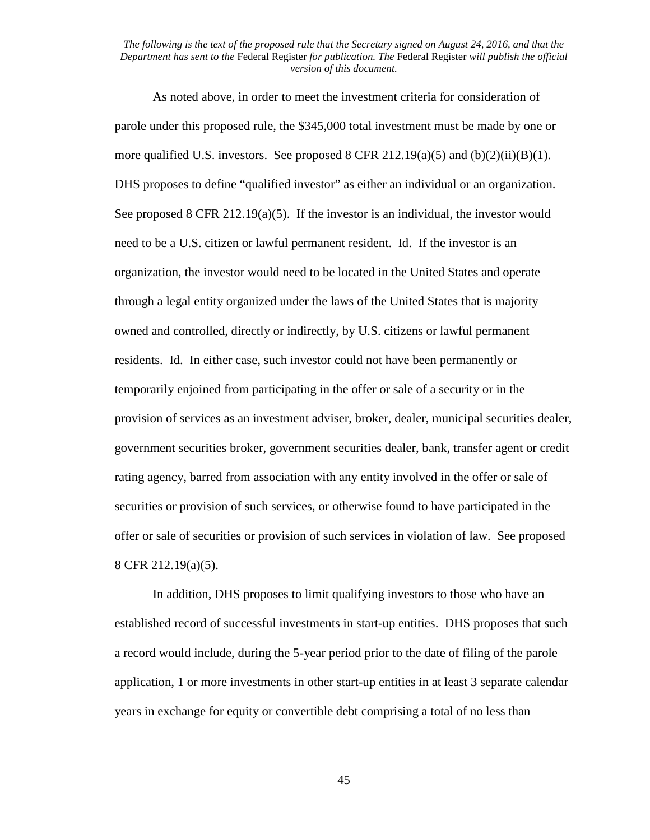As noted above, in order to meet the investment criteria for consideration of parole under this proposed rule, the \$345,000 total investment must be made by one or more qualified U.S. investors. See proposed 8 CFR 212.19(a)(5) and (b)(2)(ii)(B)(1). DHS proposes to define "qualified investor" as either an individual or an organization. See proposed 8 CFR 212.19(a)(5). If the investor is an individual, the investor would need to be a U.S. citizen or lawful permanent resident. Id. If the investor is an organization, the investor would need to be located in the United States and operate through a legal entity organized under the laws of the United States that is majority owned and controlled, directly or indirectly, by U.S. citizens or lawful permanent residents. Id. In either case, such investor could not have been permanently or temporarily enjoined from participating in the offer or sale of a security or in the provision of services as an investment adviser, broker, dealer, municipal securities dealer, government securities broker, government securities dealer, bank, transfer agent or credit rating agency, barred from association with any entity involved in the offer or sale of securities or provision of such services, or otherwise found to have participated in the offer or sale of securities or provision of such services in violation of law. See proposed 8 CFR 212.19(a)(5).

In addition, DHS proposes to limit qualifying investors to those who have an established record of successful investments in start-up entities. DHS proposes that such a record would include, during the 5-year period prior to the date of filing of the parole application, 1 or more investments in other start-up entities in at least 3 separate calendar years in exchange for equity or convertible debt comprising a total of no less than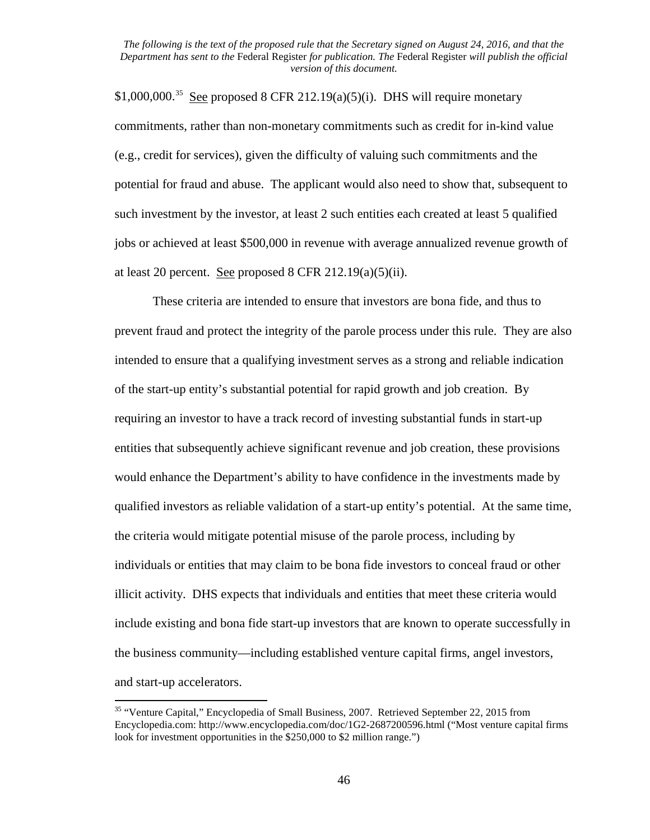\$1,000,000.<sup>[35](#page-45-0)</sup> See proposed 8 CFR 212.19(a)(5)(i). DHS will require monetary commitments, rather than non-monetary commitments such as credit for in-kind value (e.g., credit for services), given the difficulty of valuing such commitments and the potential for fraud and abuse. The applicant would also need to show that, subsequent to such investment by the investor, at least 2 such entities each created at least 5 qualified jobs or achieved at least \$500,000 in revenue with average annualized revenue growth of at least 20 percent. See proposed 8 CFR 212.19 $(a)(5)(ii)$ .

These criteria are intended to ensure that investors are bona fide, and thus to prevent fraud and protect the integrity of the parole process under this rule. They are also intended to ensure that a qualifying investment serves as a strong and reliable indication of the start-up entity's substantial potential for rapid growth and job creation. By requiring an investor to have a track record of investing substantial funds in start-up entities that subsequently achieve significant revenue and job creation, these provisions would enhance the Department's ability to have confidence in the investments made by qualified investors as reliable validation of a start-up entity's potential. At the same time, the criteria would mitigate potential misuse of the parole process, including by individuals or entities that may claim to be bona fide investors to conceal fraud or other illicit activity. DHS expects that individuals and entities that meet these criteria would include existing and bona fide start-up investors that are known to operate successfully in the business community—including established venture capital firms, angel investors, and start-up accelerators.

<span id="page-45-0"></span><sup>&</sup>lt;sup>35</sup> "Venture Capital," Encyclopedia of Small Business, 2007. Retrieved September 22, 2015 from Encyclopedia.com: http://www.encyclopedia.com/doc/1G2-2687200596.html ("Most venture capital firms look for investment opportunities in the \$250,000 to \$2 million range.")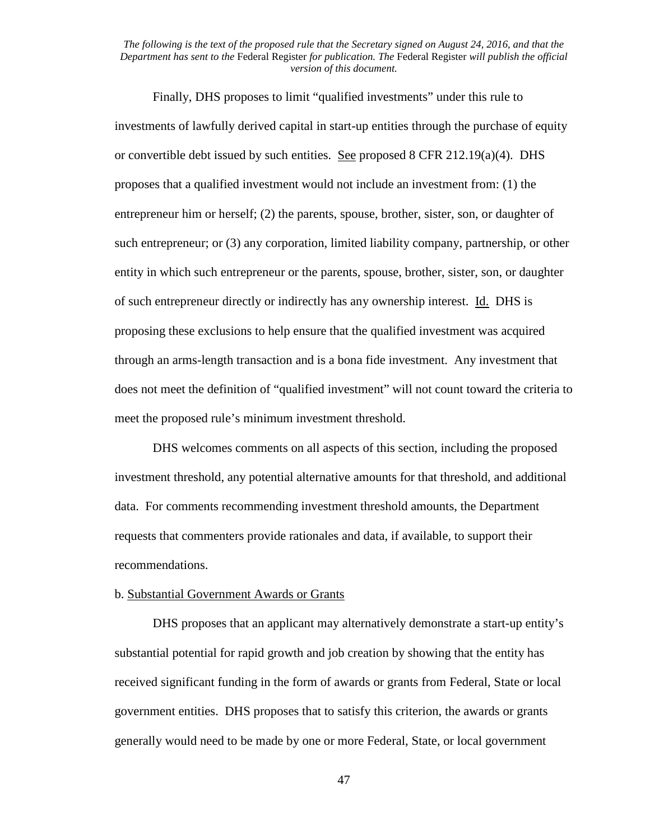Finally, DHS proposes to limit "qualified investments" under this rule to investments of lawfully derived capital in start-up entities through the purchase of equity or convertible debt issued by such entities. See proposed 8 CFR 212.19(a)(4). DHS proposes that a qualified investment would not include an investment from: (1) the entrepreneur him or herself; (2) the parents, spouse, brother, sister, son, or daughter of such entrepreneur; or (3) any corporation, limited liability company, partnership, or other entity in which such entrepreneur or the parents, spouse, brother, sister, son, or daughter of such entrepreneur directly or indirectly has any ownership interest. Id. DHS is proposing these exclusions to help ensure that the qualified investment was acquired through an arms-length transaction and is a bona fide investment. Any investment that does not meet the definition of "qualified investment" will not count toward the criteria to meet the proposed rule's minimum investment threshold.

DHS welcomes comments on all aspects of this section, including the proposed investment threshold, any potential alternative amounts for that threshold, and additional data. For comments recommending investment threshold amounts, the Department requests that commenters provide rationales and data, if available, to support their recommendations.

### b. Substantial Government Awards or Grants

DHS proposes that an applicant may alternatively demonstrate a start-up entity's substantial potential for rapid growth and job creation by showing that the entity has received significant funding in the form of awards or grants from Federal, State or local government entities. DHS proposes that to satisfy this criterion, the awards or grants generally would need to be made by one or more Federal, State, or local government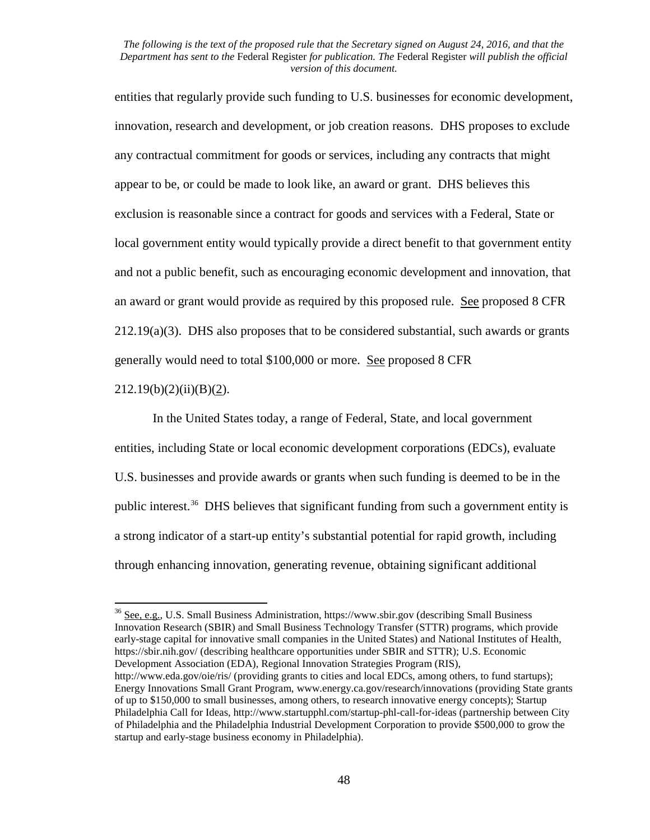entities that regularly provide such funding to U.S. businesses for economic development, innovation, research and development, or job creation reasons. DHS proposes to exclude any contractual commitment for goods or services, including any contracts that might appear to be, or could be made to look like, an award or grant. DHS believes this exclusion is reasonable since a contract for goods and services with a Federal, State or local government entity would typically provide a direct benefit to that government entity and not a public benefit, such as encouraging economic development and innovation, that an award or grant would provide as required by this proposed rule. See proposed 8 CFR  $212.19(a)(3)$ . DHS also proposes that to be considered substantial, such awards or grants generally would need to total \$100,000 or more. See proposed 8 CFR

### $212.19(b)(2)(ii)(B)(2)$ .

In the United States today, a range of Federal, State, and local government entities, including State or local economic development corporations (EDCs), evaluate U.S. businesses and provide awards or grants when such funding is deemed to be in the public interest.[36](#page-47-0) DHS believes that significant funding from such a government entity is a strong indicator of a start-up entity's substantial potential for rapid growth, including through enhancing innovation, generating revenue, obtaining significant additional

<span id="page-47-0"></span><sup>36</sup> See, e.g., U.S. Small Business Administration, https://www.sbir.gov (describing Small Business Innovation Research (SBIR) and Small Business Technology Transfer (STTR) programs, which provide early-stage capital for innovative small companies in the United States) and National Institutes of Health, https://sbir.nih.gov/ (describing healthcare opportunities under SBIR and STTR); U.S. Economic Development Association (EDA), Regional Innovation Strategies Program (RIS), http://www.eda.gov/oie/ris/ (providing grants to cities and local EDCs, among others, to fund startups); Energy Innovations Small Grant Program, www.energy.ca.gov/research/innovations (providing State grants of up to \$150,000 to small businesses, among others, to research innovative energy concepts); Startup Philadelphia Call for Ideas, http://www.startupphl.com/startup-phl-call-for-ideas (partnership between City of Philadelphia and the Philadelphia Industrial Development Corporation to provide \$500,000 to grow the startup and early-stage business economy in Philadelphia).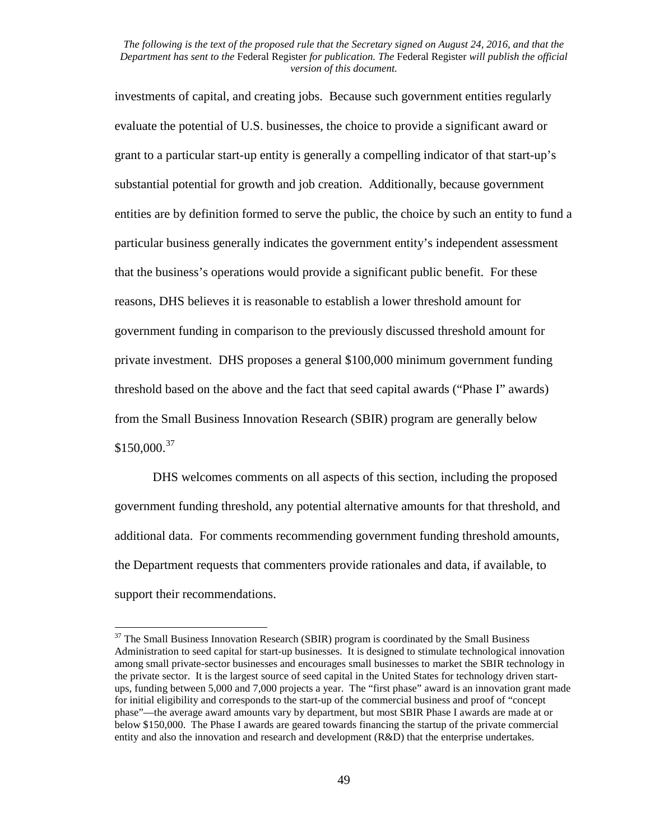investments of capital, and creating jobs. Because such government entities regularly evaluate the potential of U.S. businesses, the choice to provide a significant award or grant to a particular start-up entity is generally a compelling indicator of that start-up's substantial potential for growth and job creation. Additionally, because government entities are by definition formed to serve the public, the choice by such an entity to fund a particular business generally indicates the government entity's independent assessment that the business's operations would provide a significant public benefit. For these reasons, DHS believes it is reasonable to establish a lower threshold amount for government funding in comparison to the previously discussed threshold amount for private investment. DHS proposes a general \$100,000 minimum government funding threshold based on the above and the fact that seed capital awards ("Phase I" awards) from the Small Business Innovation Research (SBIR) program are generally below  $$150,000.<sup>37</sup>$  $$150,000.<sup>37</sup>$  $$150,000.<sup>37</sup>$ 

DHS welcomes comments on all aspects of this section, including the proposed government funding threshold, any potential alternative amounts for that threshold, and additional data. For comments recommending government funding threshold amounts, the Department requests that commenters provide rationales and data, if available, to support their recommendations.

<span id="page-48-0"></span> $37$  The Small Business Innovation Research (SBIR) program is coordinated by the Small Business Administration to seed capital for start-up businesses. It is designed to stimulate technological innovation among small private-sector businesses and encourages small businesses to market the SBIR technology in the private sector. It is the largest source of seed capital in the United States for technology driven startups, funding between 5,000 and 7,000 projects a year. The "first phase" award is an innovation grant made for initial eligibility and corresponds to the start-up of the commercial business and proof of "concept phase"—the average award amounts vary by department, but most SBIR Phase I awards are made at or below \$150,000. The Phase I awards are geared towards financing the startup of the private commercial entity and also the innovation and research and development (R&D) that the enterprise undertakes.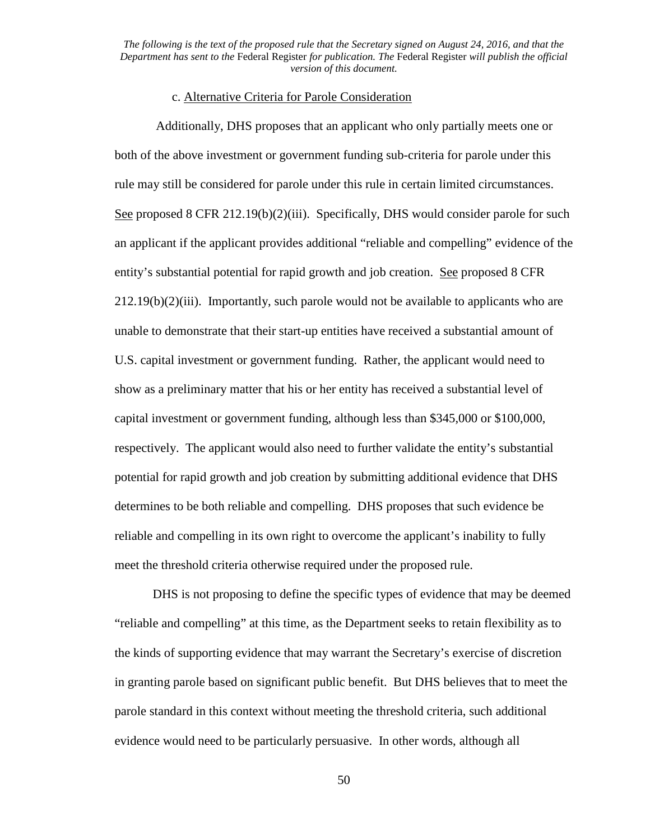### c. Alternative Criteria for Parole Consideration

Additionally, DHS proposes that an applicant who only partially meets one or both of the above investment or government funding sub-criteria for parole under this rule may still be considered for parole under this rule in certain limited circumstances. See proposed 8 CFR 212.19(b)(2)(iii). Specifically, DHS would consider parole for such an applicant if the applicant provides additional "reliable and compelling" evidence of the entity's substantial potential for rapid growth and job creation. See proposed 8 CFR  $212.19(b)(2)(iii)$ . Importantly, such parole would not be available to applicants who are unable to demonstrate that their start-up entities have received a substantial amount of U.S. capital investment or government funding. Rather, the applicant would need to show as a preliminary matter that his or her entity has received a substantial level of capital investment or government funding, although less than \$345,000 or \$100,000, respectively. The applicant would also need to further validate the entity's substantial potential for rapid growth and job creation by submitting additional evidence that DHS determines to be both reliable and compelling. DHS proposes that such evidence be reliable and compelling in its own right to overcome the applicant's inability to fully meet the threshold criteria otherwise required under the proposed rule.

DHS is not proposing to define the specific types of evidence that may be deemed "reliable and compelling" at this time, as the Department seeks to retain flexibility as to the kinds of supporting evidence that may warrant the Secretary's exercise of discretion in granting parole based on significant public benefit. But DHS believes that to meet the parole standard in this context without meeting the threshold criteria, such additional evidence would need to be particularly persuasive. In other words, although all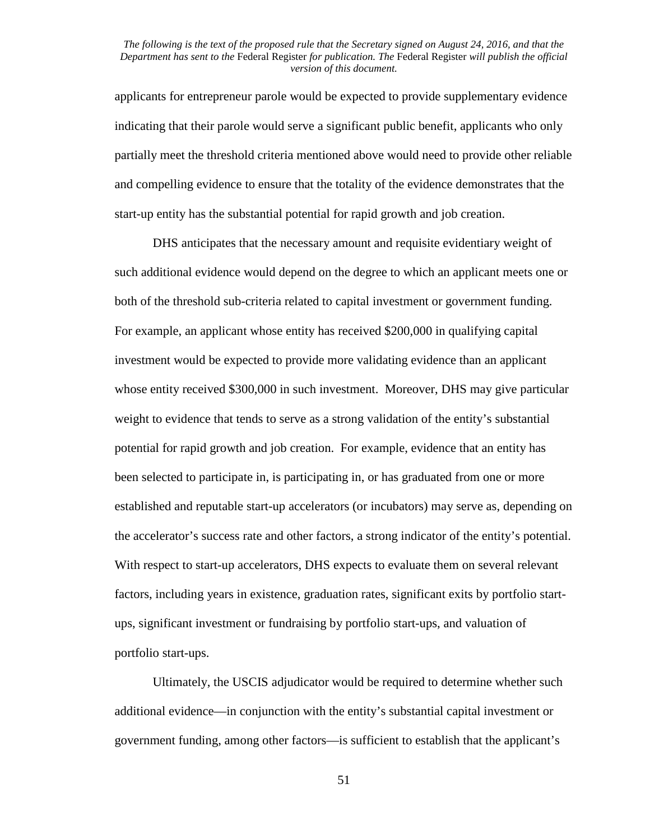applicants for entrepreneur parole would be expected to provide supplementary evidence indicating that their parole would serve a significant public benefit, applicants who only partially meet the threshold criteria mentioned above would need to provide other reliable and compelling evidence to ensure that the totality of the evidence demonstrates that the start-up entity has the substantial potential for rapid growth and job creation.

DHS anticipates that the necessary amount and requisite evidentiary weight of such additional evidence would depend on the degree to which an applicant meets one or both of the threshold sub-criteria related to capital investment or government funding. For example, an applicant whose entity has received \$200,000 in qualifying capital investment would be expected to provide more validating evidence than an applicant whose entity received \$300,000 in such investment. Moreover, DHS may give particular weight to evidence that tends to serve as a strong validation of the entity's substantial potential for rapid growth and job creation. For example, evidence that an entity has been selected to participate in, is participating in, or has graduated from one or more established and reputable start-up accelerators (or incubators) may serve as, depending on the accelerator's success rate and other factors, a strong indicator of the entity's potential. With respect to start-up accelerators, DHS expects to evaluate them on several relevant factors, including years in existence, graduation rates, significant exits by portfolio startups, significant investment or fundraising by portfolio start-ups, and valuation of portfolio start-ups.

Ultimately, the USCIS adjudicator would be required to determine whether such additional evidence—in conjunction with the entity's substantial capital investment or government funding, among other factors—is sufficient to establish that the applicant's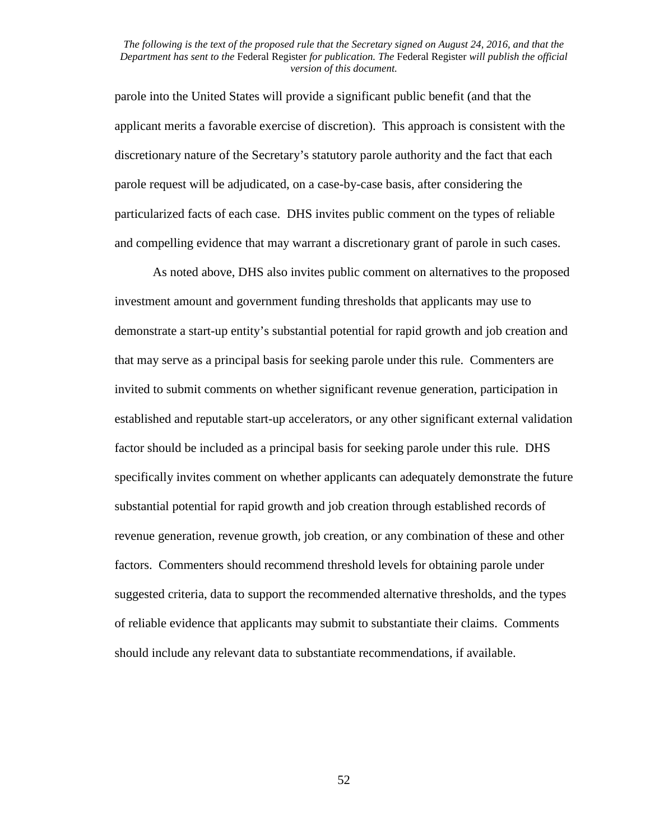parole into the United States will provide a significant public benefit (and that the applicant merits a favorable exercise of discretion). This approach is consistent with the discretionary nature of the Secretary's statutory parole authority and the fact that each parole request will be adjudicated, on a case-by-case basis, after considering the particularized facts of each case. DHS invites public comment on the types of reliable and compelling evidence that may warrant a discretionary grant of parole in such cases.

As noted above, DHS also invites public comment on alternatives to the proposed investment amount and government funding thresholds that applicants may use to demonstrate a start-up entity's substantial potential for rapid growth and job creation and that may serve as a principal basis for seeking parole under this rule. Commenters are invited to submit comments on whether significant revenue generation, participation in established and reputable start-up accelerators, or any other significant external validation factor should be included as a principal basis for seeking parole under this rule. DHS specifically invites comment on whether applicants can adequately demonstrate the future substantial potential for rapid growth and job creation through established records of revenue generation, revenue growth, job creation, or any combination of these and other factors. Commenters should recommend threshold levels for obtaining parole under suggested criteria, data to support the recommended alternative thresholds, and the types of reliable evidence that applicants may submit to substantiate their claims. Comments should include any relevant data to substantiate recommendations, if available.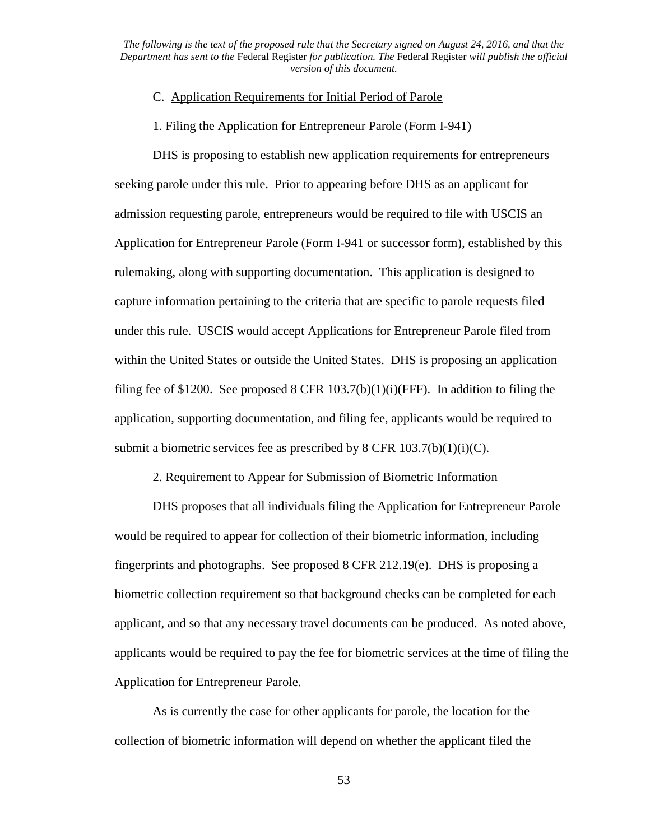## C. Application Requirements for Initial Period of Parole

### 1. Filing the Application for Entrepreneur Parole (Form I-941)

DHS is proposing to establish new application requirements for entrepreneurs seeking parole under this rule. Prior to appearing before DHS as an applicant for admission requesting parole, entrepreneurs would be required to file with USCIS an Application for Entrepreneur Parole (Form I-941 or successor form), established by this rulemaking, along with supporting documentation. This application is designed to capture information pertaining to the criteria that are specific to parole requests filed under this rule. USCIS would accept Applications for Entrepreneur Parole filed from within the United States or outside the United States. DHS is proposing an application filing fee of \$1200. See proposed 8 CFR  $103.7(b)(1)(i)(FFF)$ . In addition to filing the application, supporting documentation, and filing fee, applicants would be required to submit a biometric services fee as prescribed by 8 CFR  $103.7(b)(1)(i)(C)$ .

# 2. Requirement to Appear for Submission of Biometric Information

DHS proposes that all individuals filing the Application for Entrepreneur Parole would be required to appear for collection of their biometric information, including fingerprints and photographs. See proposed 8 CFR 212.19(e). DHS is proposing a biometric collection requirement so that background checks can be completed for each applicant, and so that any necessary travel documents can be produced. As noted above, applicants would be required to pay the fee for biometric services at the time of filing the Application for Entrepreneur Parole.

As is currently the case for other applicants for parole, the location for the collection of biometric information will depend on whether the applicant filed the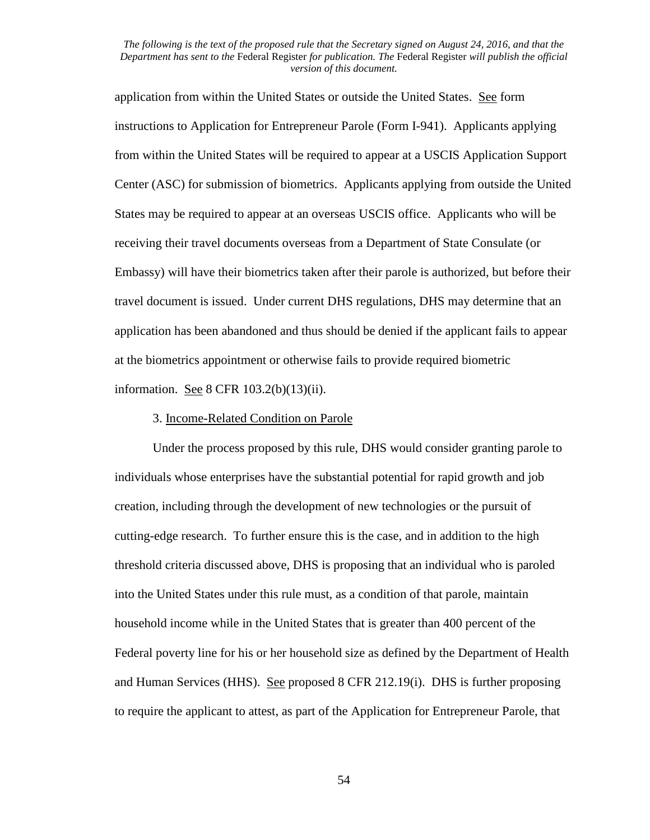application from within the United States or outside the United States. See form instructions to Application for Entrepreneur Parole (Form I-941). Applicants applying from within the United States will be required to appear at a USCIS Application Support Center (ASC) for submission of biometrics. Applicants applying from outside the United States may be required to appear at an overseas USCIS office. Applicants who will be receiving their travel documents overseas from a Department of State Consulate (or Embassy) will have their biometrics taken after their parole is authorized, but before their travel document is issued. Under current DHS regulations, DHS may determine that an application has been abandoned and thus should be denied if the applicant fails to appear at the biometrics appointment or otherwise fails to provide required biometric information. See 8 CFR 103.2(b)(13)(ii).

### 3. Income-Related Condition on Parole

Under the process proposed by this rule, DHS would consider granting parole to individuals whose enterprises have the substantial potential for rapid growth and job creation, including through the development of new technologies or the pursuit of cutting-edge research. To further ensure this is the case, and in addition to the high threshold criteria discussed above, DHS is proposing that an individual who is paroled into the United States under this rule must, as a condition of that parole, maintain household income while in the United States that is greater than 400 percent of the Federal poverty line for his or her household size as defined by the Department of Health and Human Services (HHS). See proposed 8 CFR 212.19(i). DHS is further proposing to require the applicant to attest, as part of the Application for Entrepreneur Parole, that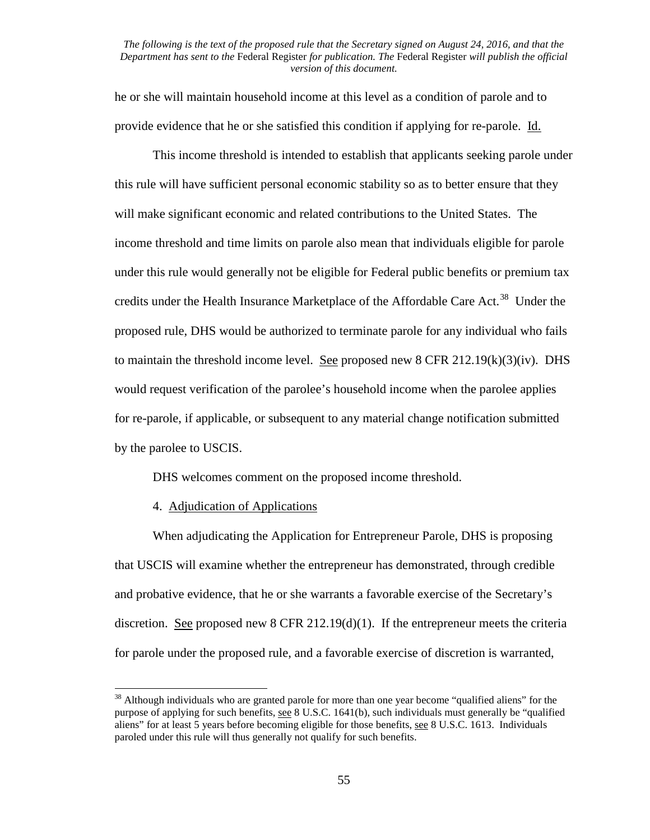he or she will maintain household income at this level as a condition of parole and to provide evidence that he or she satisfied this condition if applying for re-parole. Id.

This income threshold is intended to establish that applicants seeking parole under this rule will have sufficient personal economic stability so as to better ensure that they will make significant economic and related contributions to the United States. The income threshold and time limits on parole also mean that individuals eligible for parole under this rule would generally not be eligible for Federal public benefits or premium tax credits under the Health Insurance Marketplace of the Affordable Care Act.<sup>[38](#page-54-0)</sup> Under the proposed rule, DHS would be authorized to terminate parole for any individual who fails to maintain the threshold income level. See proposed new  $8$  CFR 212.19(k)(3)(iv). DHS would request verification of the parolee's household income when the parolee applies for re-parole, if applicable, or subsequent to any material change notification submitted by the parolee to USCIS.

DHS welcomes comment on the proposed income threshold.

# 4. Adjudication of Applications

When adjudicating the Application for Entrepreneur Parole, DHS is proposing that USCIS will examine whether the entrepreneur has demonstrated, through credible and probative evidence, that he or she warrants a favorable exercise of the Secretary's discretion. See proposed new 8 CFR 212.19(d)(1). If the entrepreneur meets the criteria for parole under the proposed rule, and a favorable exercise of discretion is warranted,

<span id="page-54-0"></span><sup>&</sup>lt;sup>38</sup> Although individuals who are granted parole for more than one year become "qualified aliens" for the purpose of applying for such benefits, see 8 U.S.C. 1641(b), such individuals must generally be "qualified aliens" for at least 5 years before becoming eligible for those benefits, see 8 U.S.C. 1613. Individuals paroled under this rule will thus generally not qualify for such benefits.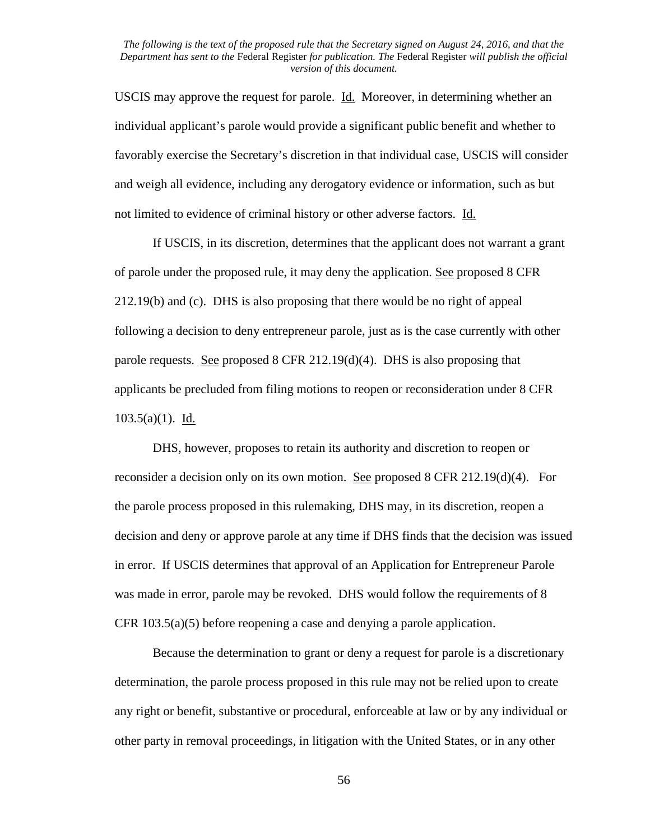USCIS may approve the request for parole. Id. Moreover, in determining whether an individual applicant's parole would provide a significant public benefit and whether to favorably exercise the Secretary's discretion in that individual case, USCIS will consider and weigh all evidence, including any derogatory evidence or information, such as but not limited to evidence of criminal history or other adverse factors. Id.

If USCIS, in its discretion, determines that the applicant does not warrant a grant of parole under the proposed rule, it may deny the application. See proposed 8 CFR 212.19(b) and (c). DHS is also proposing that there would be no right of appeal following a decision to deny entrepreneur parole, just as is the case currently with other parole requests. See proposed 8 CFR 212.19(d)(4). DHS is also proposing that applicants be precluded from filing motions to reopen or reconsideration under 8 CFR 103.5(a)(1).  $\underline{Id.}$ 

DHS, however, proposes to retain its authority and discretion to reopen or reconsider a decision only on its own motion. See proposed 8 CFR 212.19(d)(4). For the parole process proposed in this rulemaking, DHS may, in its discretion, reopen a decision and deny or approve parole at any time if DHS finds that the decision was issued in error. If USCIS determines that approval of an Application for Entrepreneur Parole was made in error, parole may be revoked. DHS would follow the requirements of 8 CFR 103.5(a)(5) before reopening a case and denying a parole application.

Because the determination to grant or deny a request for parole is a discretionary determination, the parole process proposed in this rule may not be relied upon to create any right or benefit, substantive or procedural, enforceable at law or by any individual or other party in removal proceedings, in litigation with the United States, or in any other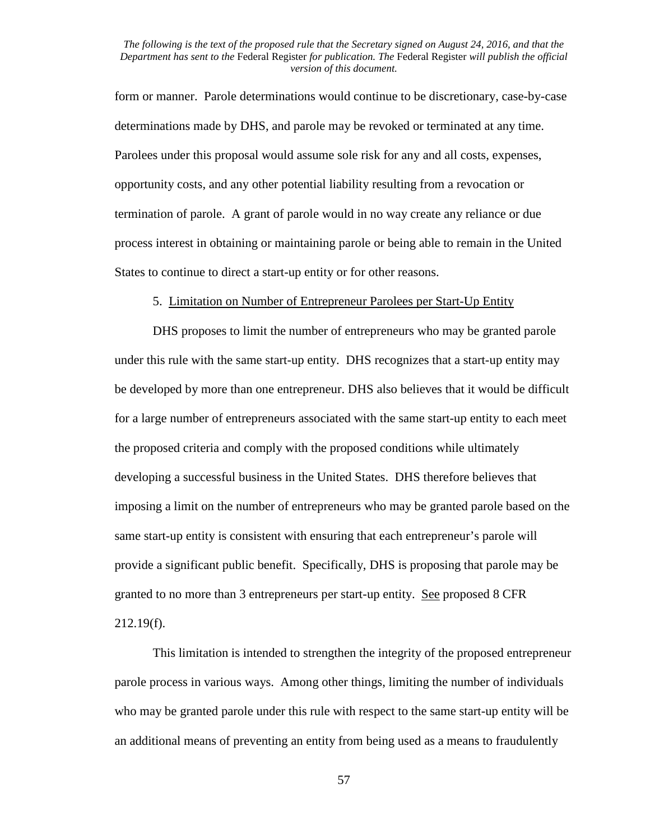form or manner. Parole determinations would continue to be discretionary, case-by-case determinations made by DHS, and parole may be revoked or terminated at any time. Parolees under this proposal would assume sole risk for any and all costs, expenses, opportunity costs, and any other potential liability resulting from a revocation or termination of parole. A grant of parole would in no way create any reliance or due process interest in obtaining or maintaining parole or being able to remain in the United States to continue to direct a start-up entity or for other reasons.

### 5. Limitation on Number of Entrepreneur Parolees per Start-Up Entity

DHS proposes to limit the number of entrepreneurs who may be granted parole under this rule with the same start-up entity. DHS recognizes that a start-up entity may be developed by more than one entrepreneur. DHS also believes that it would be difficult for a large number of entrepreneurs associated with the same start-up entity to each meet the proposed criteria and comply with the proposed conditions while ultimately developing a successful business in the United States. DHS therefore believes that imposing a limit on the number of entrepreneurs who may be granted parole based on the same start-up entity is consistent with ensuring that each entrepreneur's parole will provide a significant public benefit. Specifically, DHS is proposing that parole may be granted to no more than 3 entrepreneurs per start-up entity. See proposed 8 CFR 212.19(f).

This limitation is intended to strengthen the integrity of the proposed entrepreneur parole process in various ways. Among other things, limiting the number of individuals who may be granted parole under this rule with respect to the same start-up entity will be an additional means of preventing an entity from being used as a means to fraudulently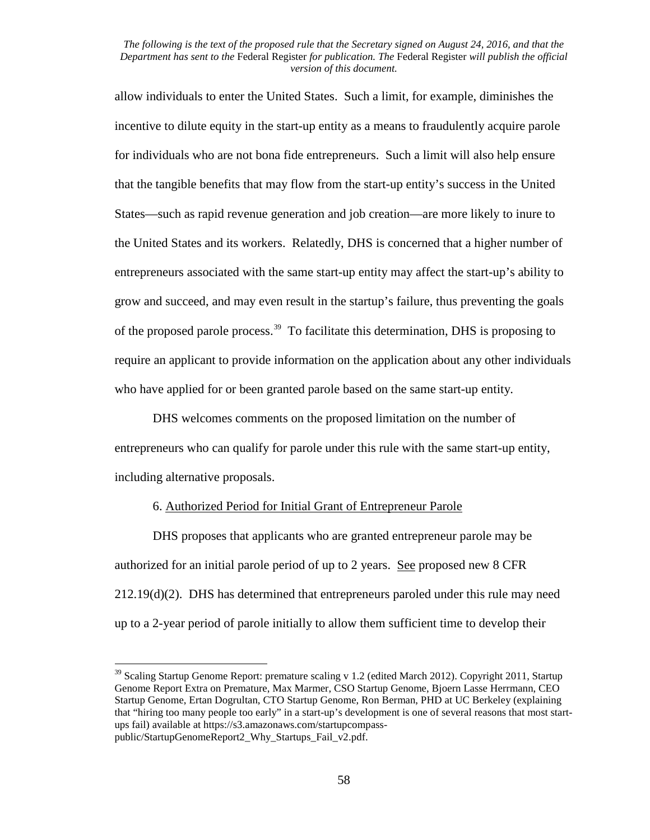allow individuals to enter the United States. Such a limit, for example, diminishes the incentive to dilute equity in the start-up entity as a means to fraudulently acquire parole for individuals who are not bona fide entrepreneurs. Such a limit will also help ensure that the tangible benefits that may flow from the start-up entity's success in the United States—such as rapid revenue generation and job creation—are more likely to inure to the United States and its workers. Relatedly, DHS is concerned that a higher number of entrepreneurs associated with the same start-up entity may affect the start-up's ability to grow and succeed, and may even result in the startup's failure, thus preventing the goals of the proposed parole process.<sup>[39](#page-57-0)</sup> To facilitate this determination, DHS is proposing to require an applicant to provide information on the application about any other individuals who have applied for or been granted parole based on the same start-up entity.

DHS welcomes comments on the proposed limitation on the number of entrepreneurs who can qualify for parole under this rule with the same start-up entity, including alternative proposals.

# 6. Authorized Period for Initial Grant of Entrepreneur Parole

DHS proposes that applicants who are granted entrepreneur parole may be authorized for an initial parole period of up to 2 years. See proposed new 8 CFR 212.19(d)(2). DHS has determined that entrepreneurs paroled under this rule may need up to a 2-year period of parole initially to allow them sufficient time to develop their

<span id="page-57-0"></span> $39$  Scaling Startup Genome Report: premature scaling v 1.2 (edited March 2012). Copyright 2011, Startup Genome Report Extra on Premature, Max Marmer, CSO Startup Genome, Bjoern Lasse Herrmann, CEO Startup Genome, Ertan Dogrultan, CTO Startup Genome, Ron Berman, PHD at UC Berkeley (explaining that "hiring too many people too early" in a start-up's development is one of several reasons that most startups fail) available at https://s3.amazonaws.com/startupcompasspublic/StartupGenomeReport2\_Why\_Startups\_Fail\_v2.pdf.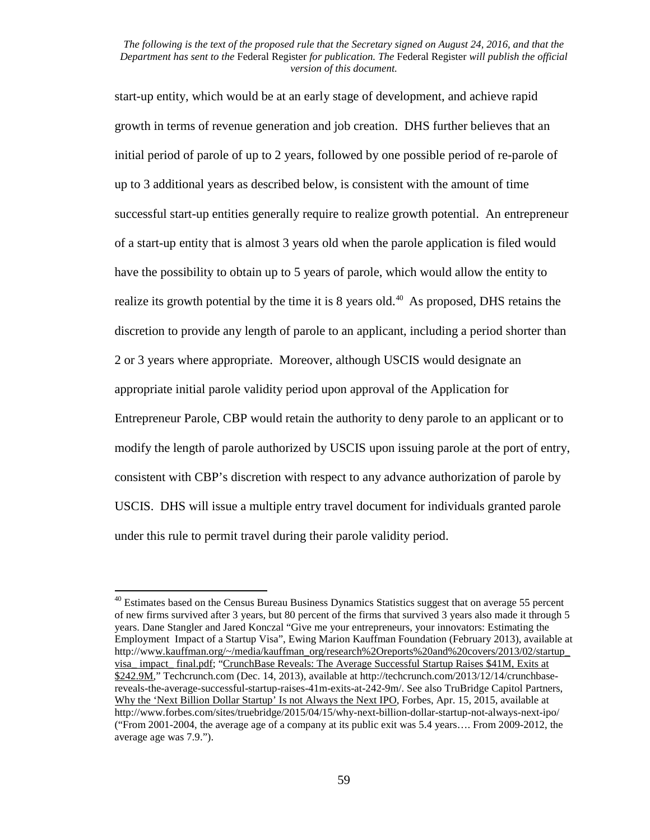start-up entity, which would be at an early stage of development, and achieve rapid growth in terms of revenue generation and job creation. DHS further believes that an initial period of parole of up to 2 years, followed by one possible period of re-parole of up to 3 additional years as described below, is consistent with the amount of time successful start-up entities generally require to realize growth potential. An entrepreneur of a start-up entity that is almost 3 years old when the parole application is filed would have the possibility to obtain up to 5 years of parole, which would allow the entity to realize its growth potential by the time it is  $8$  years old.<sup>[40](#page-58-0)</sup> As proposed, DHS retains the discretion to provide any length of parole to an applicant, including a period shorter than 2 or 3 years where appropriate. Moreover, although USCIS would designate an appropriate initial parole validity period upon approval of the Application for Entrepreneur Parole, CBP would retain the authority to deny parole to an applicant or to modify the length of parole authorized by USCIS upon issuing parole at the port of entry, consistent with CBP's discretion with respect to any advance authorization of parole by USCIS. DHS will issue a multiple entry travel document for individuals granted parole under this rule to permit travel during their parole validity period.

<span id="page-58-0"></span> $40$  Estimates based on the Census Bureau Business Dynamics Statistics suggest that on average 55 percent of new firms survived after 3 years, but 80 percent of the firms that survived 3 years also made it through 5 years. Dane Stangler and Jared Konczal "Give me your entrepreneurs, your innovators: Estimating the Employment Impact of a Startup Visa", Ewing Marion Kauffman Foundation (February 2013), available at http://www.kauffman.org/~/media/kauffman\_org/research%2Oreports%20and%20covers/2013/02/startup\_ visa\_ impact\_ final.pdf; "CrunchBase Reveals: The Average Successful Startup Raises \$41M, Exits at \$242.9M," Techcrunch.com (Dec. 14, 2013), available at http://techcrunch.com/2013/12/14/crunchbasereveals-the-average-successful-startup-raises-41m-exits-at-242-9m/. See also TruBridge Capitol Partners, Why the 'Next Billion Dollar Startup' Is not Always the Next IPO, Forbes, Apr. 15, 2015, available at http://www.forbes.com/sites/truebridge/2015/04/15/why-next-billion-dollar-startup-not-always-next-ipo/ ("From 2001-2004, the average age of a company at its public exit was 5.4 years…. From 2009-2012, the average age was 7.9.").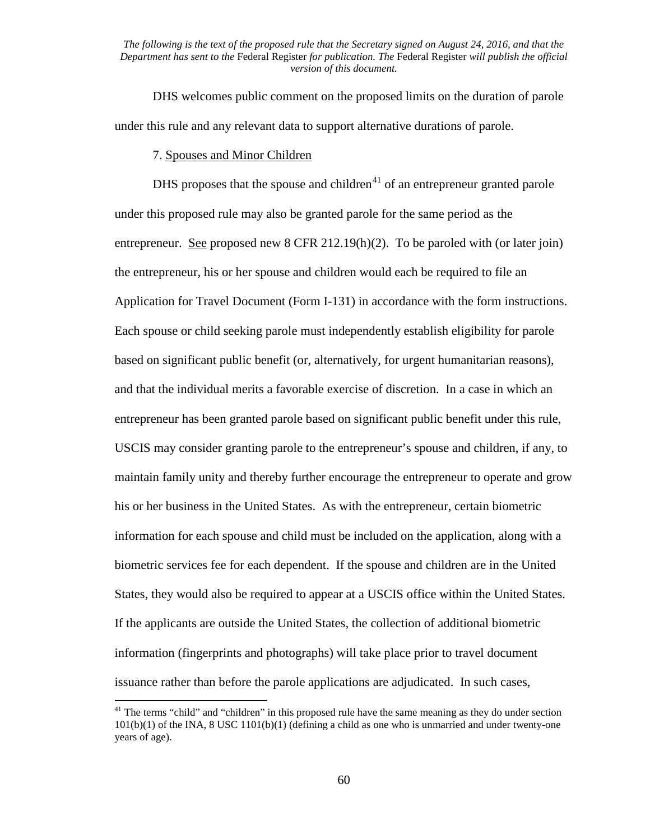DHS welcomes public comment on the proposed limits on the duration of parole under this rule and any relevant data to support alternative durations of parole.

7. Spouses and Minor Children

DHS proposes that the spouse and children<sup>[41](#page-59-0)</sup> of an entrepreneur granted parole under this proposed rule may also be granted parole for the same period as the entrepreneur. See proposed new 8 CFR 212.19(h)(2). To be paroled with (or later join) the entrepreneur, his or her spouse and children would each be required to file an Application for Travel Document (Form I-131) in accordance with the form instructions. Each spouse or child seeking parole must independently establish eligibility for parole based on significant public benefit (or, alternatively, for urgent humanitarian reasons), and that the individual merits a favorable exercise of discretion. In a case in which an entrepreneur has been granted parole based on significant public benefit under this rule, USCIS may consider granting parole to the entrepreneur's spouse and children, if any, to maintain family unity and thereby further encourage the entrepreneur to operate and grow his or her business in the United States. As with the entrepreneur, certain biometric information for each spouse and child must be included on the application, along with a biometric services fee for each dependent. If the spouse and children are in the United States, they would also be required to appear at a USCIS office within the United States. If the applicants are outside the United States, the collection of additional biometric information (fingerprints and photographs) will take place prior to travel document issuance rather than before the parole applications are adjudicated. In such cases,

<span id="page-59-0"></span><sup>&</sup>lt;sup>41</sup> The terms "child" and "children" in this proposed rule have the same meaning as they do under section 101(b)(1) of the INA, 8 USC 1101(b)(1) (defining a child as one who is unmarried and under twenty-one years of age).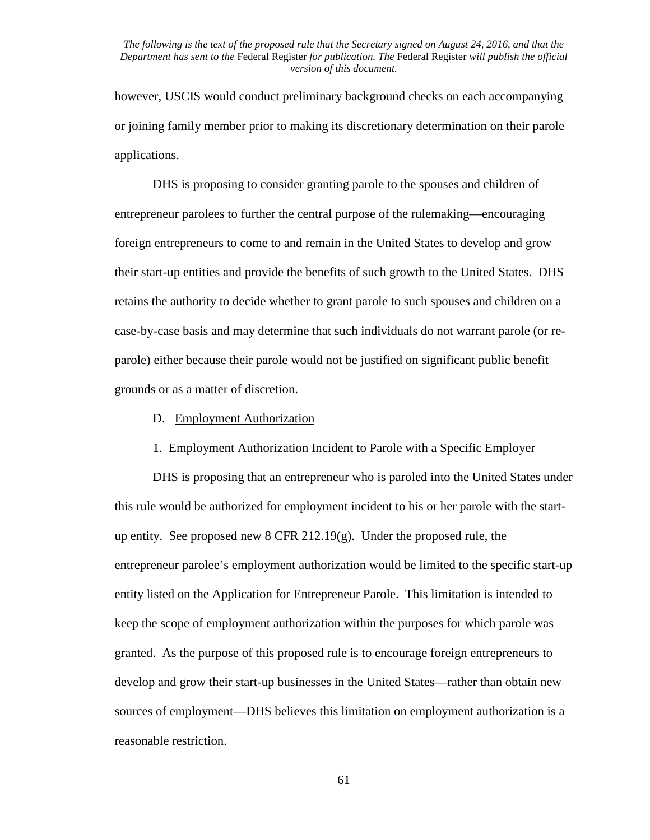however, USCIS would conduct preliminary background checks on each accompanying or joining family member prior to making its discretionary determination on their parole applications.

DHS is proposing to consider granting parole to the spouses and children of entrepreneur parolees to further the central purpose of the rulemaking—encouraging foreign entrepreneurs to come to and remain in the United States to develop and grow their start-up entities and provide the benefits of such growth to the United States. DHS retains the authority to decide whether to grant parole to such spouses and children on a case-by-case basis and may determine that such individuals do not warrant parole (or reparole) either because their parole would not be justified on significant public benefit grounds or as a matter of discretion.

D. Employment Authorization

#### 1. Employment Authorization Incident to Parole with a Specific Employer

DHS is proposing that an entrepreneur who is paroled into the United States under this rule would be authorized for employment incident to his or her parole with the startup entity. See proposed new  $8$  CFR 212.19 $(g)$ . Under the proposed rule, the entrepreneur parolee's employment authorization would be limited to the specific start-up entity listed on the Application for Entrepreneur Parole. This limitation is intended to keep the scope of employment authorization within the purposes for which parole was granted. As the purpose of this proposed rule is to encourage foreign entrepreneurs to develop and grow their start-up businesses in the United States—rather than obtain new sources of employment—DHS believes this limitation on employment authorization is a reasonable restriction.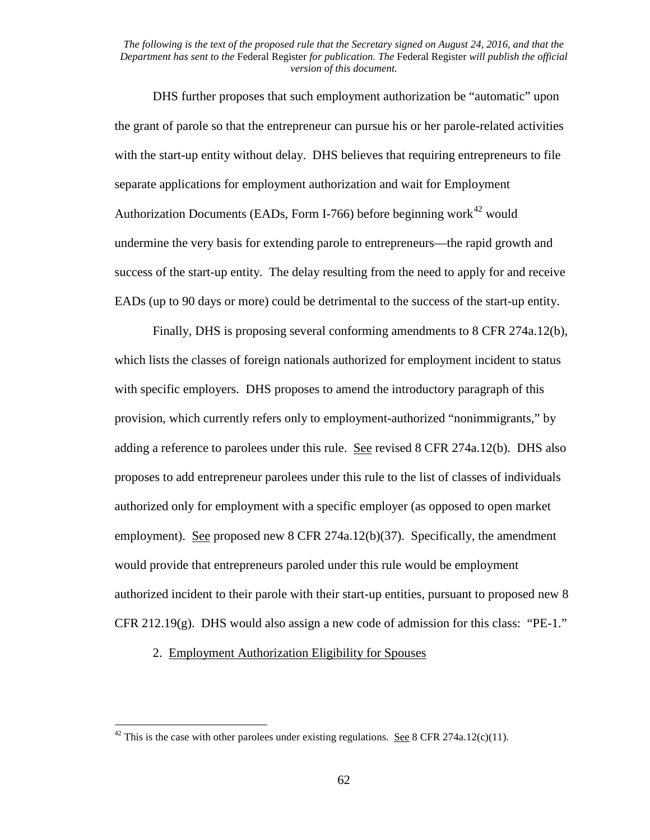DHS further proposes that such employment authorization be "automatic" upon the grant of parole so that the entrepreneur can pursue his or her parole-related activities with the start-up entity without delay. DHS believes that requiring entrepreneurs to file separate applications for employment authorization and wait for Employment Authorization Documents (EADs, Form I-766) before beginning work<sup>[42](#page-61-0)</sup> would undermine the very basis for extending parole to entrepreneurs—the rapid growth and success of the start-up entity. The delay resulting from the need to apply for and receive EADs (up to 90 days or more) could be detrimental to the success of the start-up entity.

Finally, DHS is proposing several conforming amendments to 8 CFR 274a.12(b), which lists the classes of foreign nationals authorized for employment incident to status with specific employers. DHS proposes to amend the introductory paragraph of this provision, which currently refers only to employment-authorized "nonimmigrants," by adding a reference to parolees under this rule. See revised 8 CFR 274a.12(b). DHS also proposes to add entrepreneur parolees under this rule to the list of classes of individuals authorized only for employment with a specific employer (as opposed to open market employment). See proposed new 8 CFR 274a.12(b)(37). Specifically, the amendment would provide that entrepreneurs paroled under this rule would be employment authorized incident to their parole with their start-up entities, pursuant to proposed new 8 CFR 212.19(g). DHS would also assign a new code of admission for this class: "PE-1."

2. Employment Authorization Eligibility for Spouses

<span id="page-61-0"></span><sup>&</sup>lt;sup>42</sup> This is the case with other parolees under existing regulations. <u>See</u> 8 CFR 274a.12(c)(11).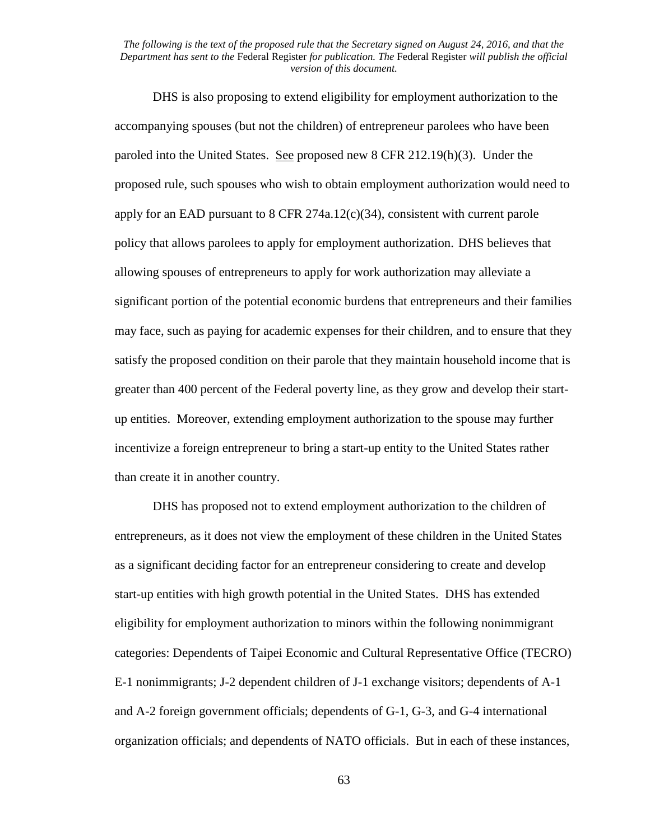DHS is also proposing to extend eligibility for employment authorization to the accompanying spouses (but not the children) of entrepreneur parolees who have been paroled into the United States. See proposed new 8 CFR 212.19(h)(3). Under the proposed rule, such spouses who wish to obtain employment authorization would need to apply for an EAD pursuant to 8 CFR 274a.12(c)(34), consistent with current parole policy that allows parolees to apply for employment authorization. DHS believes that allowing spouses of entrepreneurs to apply for work authorization may alleviate a significant portion of the potential economic burdens that entrepreneurs and their families may face, such as paying for academic expenses for their children, and to ensure that they satisfy the proposed condition on their parole that they maintain household income that is greater than 400 percent of the Federal poverty line, as they grow and develop their startup entities. Moreover, extending employment authorization to the spouse may further incentivize a foreign entrepreneur to bring a start-up entity to the United States rather than create it in another country.

DHS has proposed not to extend employment authorization to the children of entrepreneurs, as it does not view the employment of these children in the United States as a significant deciding factor for an entrepreneur considering to create and develop start-up entities with high growth potential in the United States. DHS has extended eligibility for employment authorization to minors within the following nonimmigrant categories: Dependents of Taipei Economic and Cultural Representative Office (TECRO) E-1 nonimmigrants; J-2 dependent children of J-1 exchange visitors; dependents of A-1 and A-2 foreign government officials; dependents of G-1, G-3, and G-4 international organization officials; and dependents of NATO officials. But in each of these instances,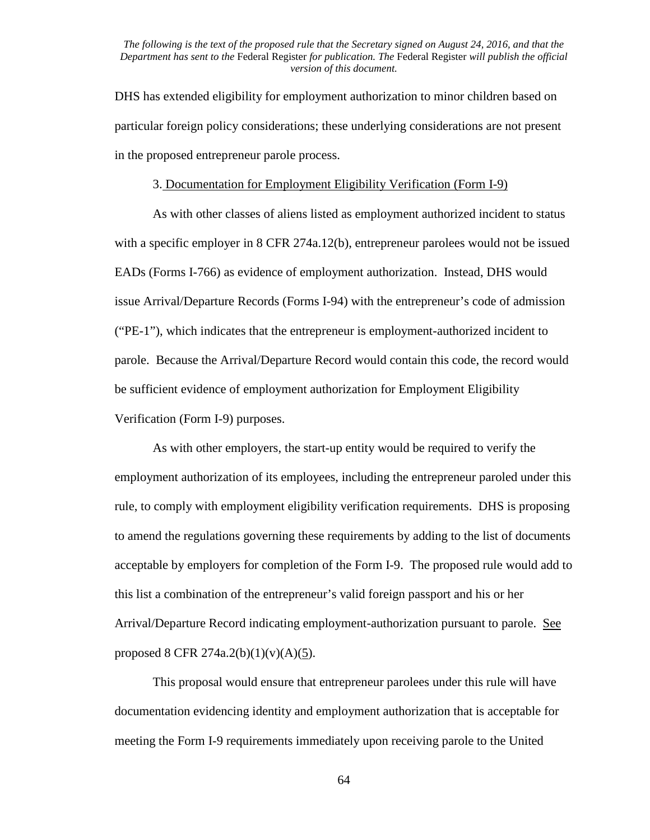DHS has extended eligibility for employment authorization to minor children based on particular foreign policy considerations; these underlying considerations are not present in the proposed entrepreneur parole process.

#### 3. Documentation for Employment Eligibility Verification (Form I-9)

As with other classes of aliens listed as employment authorized incident to status with a specific employer in 8 CFR 274a.12(b), entrepreneur parolees would not be issued EADs (Forms I-766) as evidence of employment authorization. Instead, DHS would issue Arrival/Departure Records (Forms I-94) with the entrepreneur's code of admission ("PE-1"), which indicates that the entrepreneur is employment-authorized incident to parole. Because the Arrival/Departure Record would contain this code, the record would be sufficient evidence of employment authorization for Employment Eligibility Verification (Form I-9) purposes.

As with other employers, the start-up entity would be required to verify the employment authorization of its employees, including the entrepreneur paroled under this rule, to comply with employment eligibility verification requirements. DHS is proposing to amend the regulations governing these requirements by adding to the list of documents acceptable by employers for completion of the Form I-9. The proposed rule would add to this list a combination of the entrepreneur's valid foreign passport and his or her Arrival/Departure Record indicating employment-authorization pursuant to parole. See proposed 8 CFR 274a.2(b)(1)(v)(A)(5).

This proposal would ensure that entrepreneur parolees under this rule will have documentation evidencing identity and employment authorization that is acceptable for meeting the Form I-9 requirements immediately upon receiving parole to the United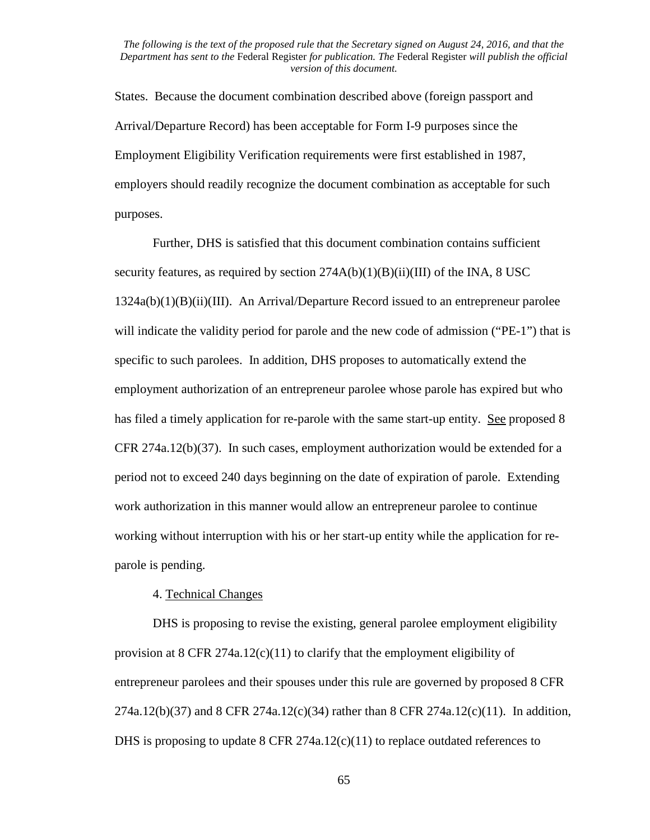States. Because the document combination described above (foreign passport and Arrival/Departure Record) has been acceptable for Form I-9 purposes since the Employment Eligibility Verification requirements were first established in 1987, employers should readily recognize the document combination as acceptable for such purposes.

Further, DHS is satisfied that this document combination contains sufficient security features, as required by section  $274A(b)(1)(B)(ii)(III)$  of the INA, 8 USC  $1324a(b)(1)(B)(ii)(III)$ . An Arrival/Departure Record issued to an entrepreneur parolee will indicate the validity period for parole and the new code of admission ("PE-1") that is specific to such parolees. In addition, DHS proposes to automatically extend the employment authorization of an entrepreneur parolee whose parole has expired but who has filed a timely application for re-parole with the same start-up entity. See proposed 8 CFR 274a.12(b)(37). In such cases, employment authorization would be extended for a period not to exceed 240 days beginning on the date of expiration of parole. Extending work authorization in this manner would allow an entrepreneur parolee to continue working without interruption with his or her start-up entity while the application for reparole is pending.

# 4. Technical Changes

DHS is proposing to revise the existing, general parolee employment eligibility provision at 8 CFR 274a.12(c)(11) to clarify that the employment eligibility of entrepreneur parolees and their spouses under this rule are governed by proposed 8 CFR 274a.12(b)(37) and 8 CFR 274a.12(c)(34) rather than 8 CFR 274a.12(c)(11). In addition, DHS is proposing to update 8 CFR 274a.12(c)(11) to replace outdated references to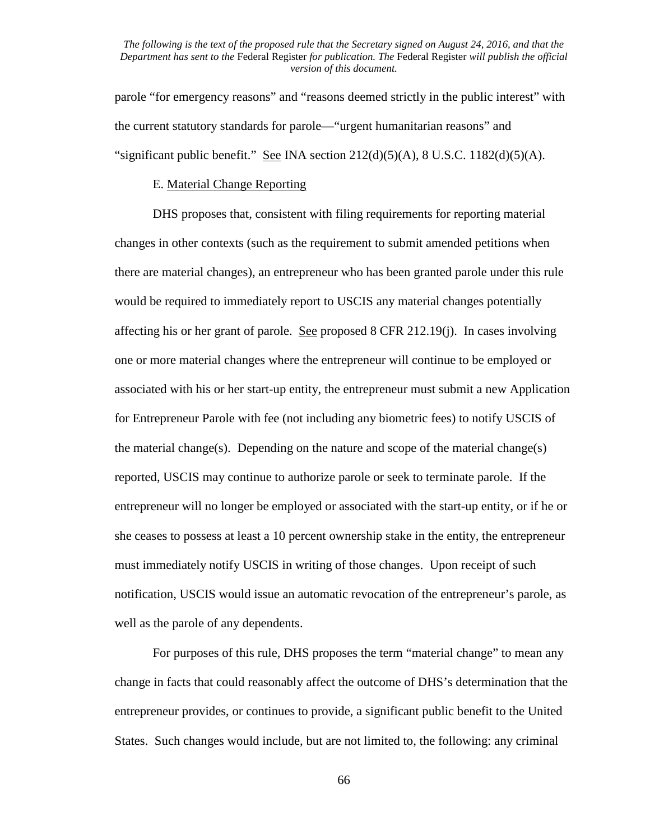parole "for emergency reasons" and "reasons deemed strictly in the public interest" with the current statutory standards for parole—"urgent humanitarian reasons" and "significant public benefit." See INA section  $212(d)(5)(A)$ , 8 U.S.C.  $1182(d)(5)(A)$ .

#### E. Material Change Reporting

DHS proposes that, consistent with filing requirements for reporting material changes in other contexts (such as the requirement to submit amended petitions when there are material changes), an entrepreneur who has been granted parole under this rule would be required to immediately report to USCIS any material changes potentially affecting his or her grant of parole. See proposed 8 CFR 212.19(j). In cases involving one or more material changes where the entrepreneur will continue to be employed or associated with his or her start-up entity, the entrepreneur must submit a new Application for Entrepreneur Parole with fee (not including any biometric fees) to notify USCIS of the material change(s). Depending on the nature and scope of the material change(s) reported, USCIS may continue to authorize parole or seek to terminate parole. If the entrepreneur will no longer be employed or associated with the start-up entity, or if he or she ceases to possess at least a 10 percent ownership stake in the entity, the entrepreneur must immediately notify USCIS in writing of those changes. Upon receipt of such notification, USCIS would issue an automatic revocation of the entrepreneur's parole, as well as the parole of any dependents.

For purposes of this rule, DHS proposes the term "material change" to mean any change in facts that could reasonably affect the outcome of DHS's determination that the entrepreneur provides, or continues to provide, a significant public benefit to the United States. Such changes would include, but are not limited to, the following: any criminal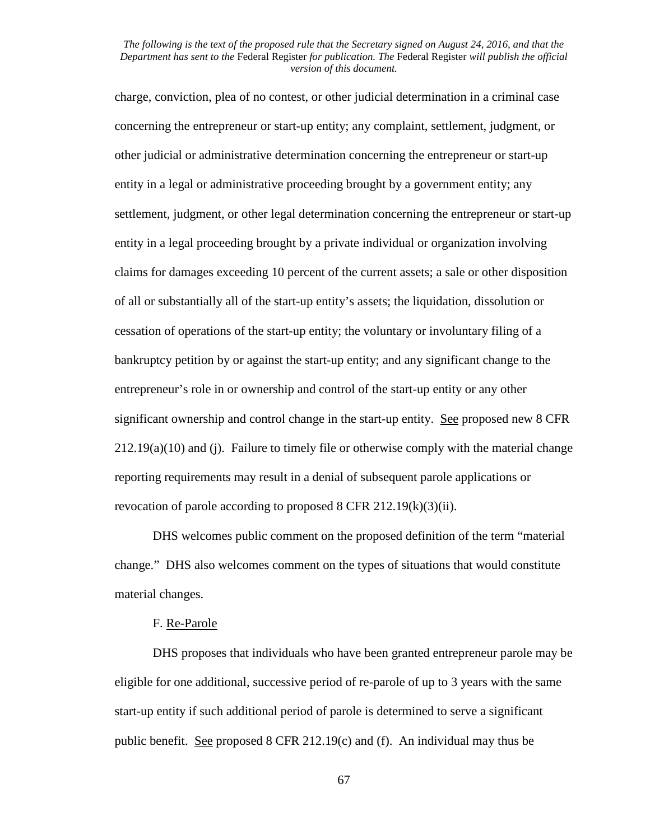charge, conviction, plea of no contest, or other judicial determination in a criminal case concerning the entrepreneur or start-up entity; any complaint, settlement, judgment, or other judicial or administrative determination concerning the entrepreneur or start-up entity in a legal or administrative proceeding brought by a government entity; any settlement, judgment, or other legal determination concerning the entrepreneur or start-up entity in a legal proceeding brought by a private individual or organization involving claims for damages exceeding 10 percent of the current assets; a sale or other disposition of all or substantially all of the start-up entity's assets; the liquidation, dissolution or cessation of operations of the start-up entity; the voluntary or involuntary filing of a bankruptcy petition by or against the start-up entity; and any significant change to the entrepreneur's role in or ownership and control of the start-up entity or any other significant ownership and control change in the start-up entity. See proposed new 8 CFR  $212.19(a)(10)$  and (j). Failure to timely file or otherwise comply with the material change reporting requirements may result in a denial of subsequent parole applications or revocation of parole according to proposed 8 CFR 212.19(k)(3)(ii).

DHS welcomes public comment on the proposed definition of the term "material change." DHS also welcomes comment on the types of situations that would constitute material changes.

# F. Re-Parole

DHS proposes that individuals who have been granted entrepreneur parole may be eligible for one additional, successive period of re-parole of up to 3 years with the same start-up entity if such additional period of parole is determined to serve a significant public benefit. See proposed 8 CFR 212.19(c) and (f). An individual may thus be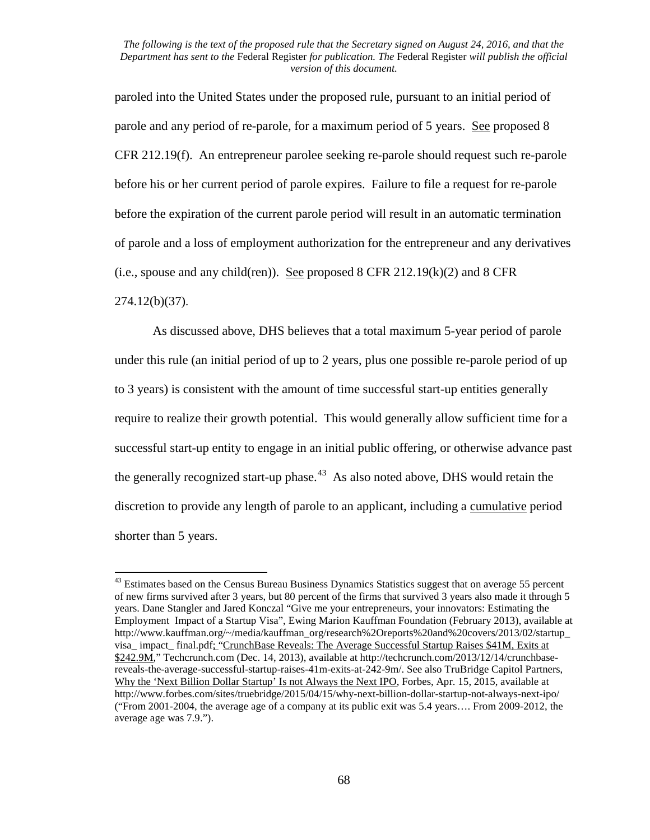paroled into the United States under the proposed rule, pursuant to an initial period of parole and any period of re-parole, for a maximum period of 5 years. See proposed 8 CFR 212.19(f). An entrepreneur parolee seeking re-parole should request such re-parole before his or her current period of parole expires. Failure to file a request for re-parole before the expiration of the current parole period will result in an automatic termination of parole and a loss of employment authorization for the entrepreneur and any derivatives (i.e., spouse and any child(ren)). See proposed 8 CFR 212.19 $(k)(2)$  and 8 CFR 274.12(b)(37).

As discussed above, DHS believes that a total maximum 5-year period of parole under this rule (an initial period of up to 2 years, plus one possible re-parole period of up to 3 years) is consistent with the amount of time successful start-up entities generally require to realize their growth potential. This would generally allow sufficient time for a successful start-up entity to engage in an initial public offering, or otherwise advance past the generally recognized start-up phase.<sup>43</sup> As also noted above, DHS would retain the discretion to provide any length of parole to an applicant, including a cumulative period shorter than 5 years.

<span id="page-67-0"></span><sup>&</sup>lt;sup>43</sup> Estimates based on the Census Bureau Business Dynamics Statistics suggest that on average 55 percent of new firms survived after 3 years, but 80 percent of the firms that survived 3 years also made it through 5 years. Dane Stangler and Jared Konczal "Give me your entrepreneurs, your innovators: Estimating the Employment Impact of a Startup Visa", Ewing Marion Kauffman Foundation (February 2013), available at http://www.kauffman.org/~/media/kauffman\_org/research%2Oreports%20and%20covers/2013/02/startup visa\_ impact\_ final.pdf; "CrunchBase Reveals: The Average Successful Startup Raises \$41M, Exits at \$242.9M," Techcrunch.com (Dec. 14, 2013), available at http://techcrunch.com/2013/12/14/crunchbasereveals-the-average-successful-startup-raises-41m-exits-at-242-9m/. See also TruBridge Capitol Partners, Why the 'Next Billion Dollar Startup' Is not Always the Next IPO, Forbes, Apr. 15, 2015, available at http://www.forbes.com/sites/truebridge/2015/04/15/why-next-billion-dollar-startup-not-always-next-ipo/ ("From 2001-2004, the average age of a company at its public exit was 5.4 years…. From 2009-2012, the average age was 7.9.").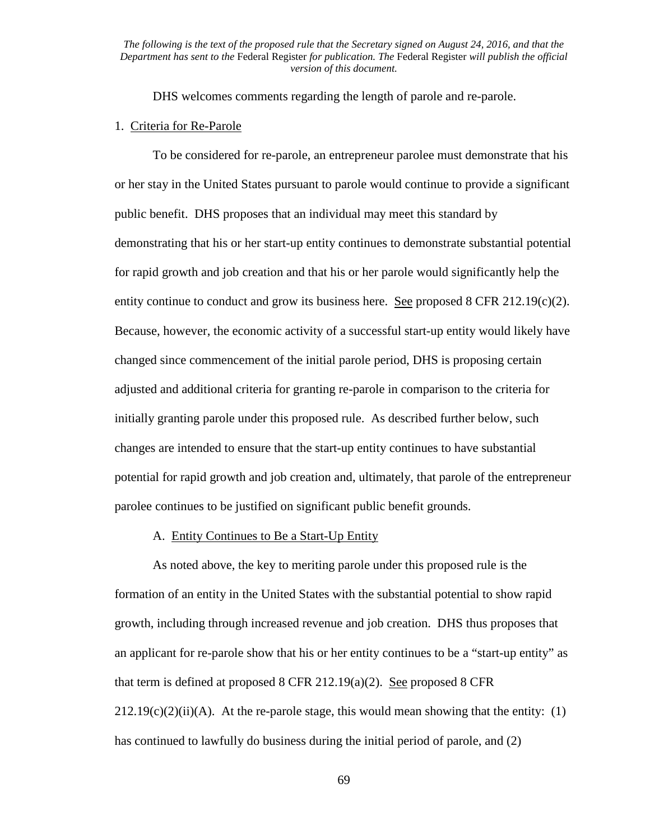DHS welcomes comments regarding the length of parole and re-parole.

### 1. Criteria for Re-Parole

To be considered for re-parole, an entrepreneur parolee must demonstrate that his or her stay in the United States pursuant to parole would continue to provide a significant public benefit. DHS proposes that an individual may meet this standard by demonstrating that his or her start-up entity continues to demonstrate substantial potential for rapid growth and job creation and that his or her parole would significantly help the entity continue to conduct and grow its business here. See proposed  $8$  CFR 212.19(c)(2). Because, however, the economic activity of a successful start-up entity would likely have changed since commencement of the initial parole period, DHS is proposing certain adjusted and additional criteria for granting re-parole in comparison to the criteria for initially granting parole under this proposed rule. As described further below, such changes are intended to ensure that the start-up entity continues to have substantial potential for rapid growth and job creation and, ultimately, that parole of the entrepreneur parolee continues to be justified on significant public benefit grounds.

## A. Entity Continues to Be a Start-Up Entity

As noted above, the key to meriting parole under this proposed rule is the formation of an entity in the United States with the substantial potential to show rapid growth, including through increased revenue and job creation. DHS thus proposes that an applicant for re-parole show that his or her entity continues to be a "start-up entity" as that term is defined at proposed 8 CFR 212.19(a)(2). See proposed 8 CFR  $212.19(c)(2)(ii)(A)$ . At the re-parole stage, this would mean showing that the entity: (1) has continued to lawfully do business during the initial period of parole, and (2)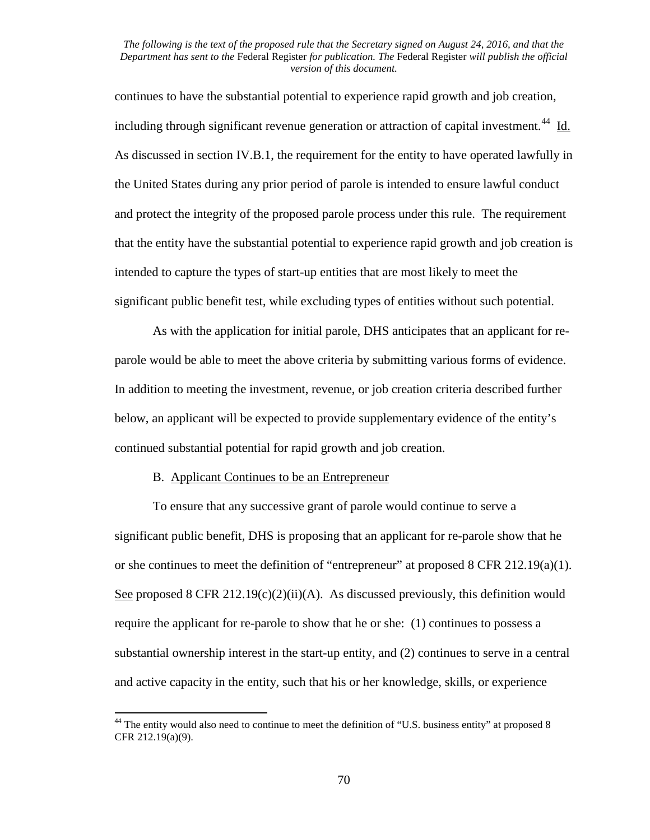continues to have the substantial potential to experience rapid growth and job creation, including through significant revenue generation or attraction of capital investment.<sup>44</sup> Id. As discussed in section IV.B.1, the requirement for the entity to have operated lawfully in the United States during any prior period of parole is intended to ensure lawful conduct and protect the integrity of the proposed parole process under this rule. The requirement that the entity have the substantial potential to experience rapid growth and job creation is intended to capture the types of start-up entities that are most likely to meet the significant public benefit test, while excluding types of entities without such potential.

As with the application for initial parole, DHS anticipates that an applicant for reparole would be able to meet the above criteria by submitting various forms of evidence. In addition to meeting the investment, revenue, or job creation criteria described further below, an applicant will be expected to provide supplementary evidence of the entity's continued substantial potential for rapid growth and job creation.

# B. Applicant Continues to be an Entrepreneur

To ensure that any successive grant of parole would continue to serve a significant public benefit, DHS is proposing that an applicant for re-parole show that he or she continues to meet the definition of "entrepreneur" at proposed 8 CFR 212.19(a)(1). See proposed 8 CFR 212.19(c)(2)(ii)(A). As discussed previously, this definition would require the applicant for re-parole to show that he or she: (1) continues to possess a substantial ownership interest in the start-up entity, and (2) continues to serve in a central and active capacity in the entity, such that his or her knowledge, skills, or experience

<span id="page-69-0"></span><sup>&</sup>lt;sup>44</sup> The entity would also need to continue to meet the definition of "U.S. business entity" at proposed 8 CFR 212.19(a)(9).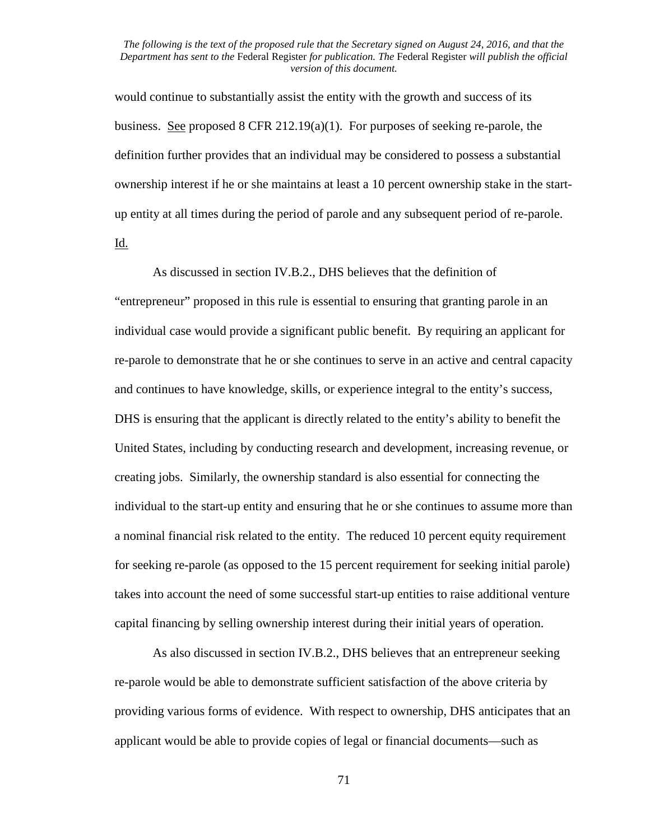would continue to substantially assist the entity with the growth and success of its business. See proposed 8 CFR 212.19(a)(1). For purposes of seeking re-parole, the definition further provides that an individual may be considered to possess a substantial ownership interest if he or she maintains at least a 10 percent ownership stake in the startup entity at all times during the period of parole and any subsequent period of re-parole.

Id.

As discussed in section IV.B.2., DHS believes that the definition of "entrepreneur" proposed in this rule is essential to ensuring that granting parole in an individual case would provide a significant public benefit. By requiring an applicant for re-parole to demonstrate that he or she continues to serve in an active and central capacity and continues to have knowledge, skills, or experience integral to the entity's success, DHS is ensuring that the applicant is directly related to the entity's ability to benefit the United States, including by conducting research and development, increasing revenue, or creating jobs. Similarly, the ownership standard is also essential for connecting the individual to the start-up entity and ensuring that he or she continues to assume more than a nominal financial risk related to the entity. The reduced 10 percent equity requirement for seeking re-parole (as opposed to the 15 percent requirement for seeking initial parole) takes into account the need of some successful start-up entities to raise additional venture capital financing by selling ownership interest during their initial years of operation.

As also discussed in section IV.B.2., DHS believes that an entrepreneur seeking re-parole would be able to demonstrate sufficient satisfaction of the above criteria by providing various forms of evidence. With respect to ownership, DHS anticipates that an applicant would be able to provide copies of legal or financial documents—such as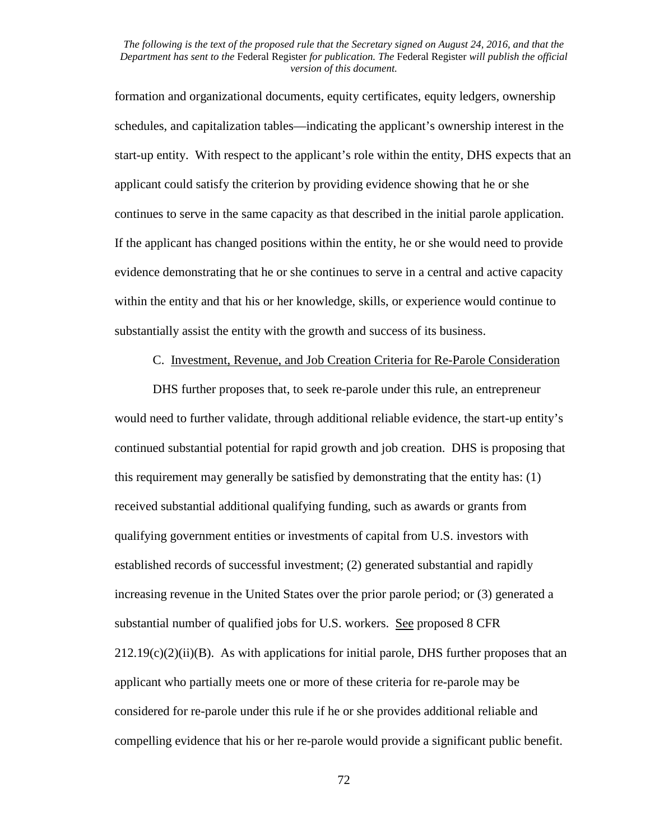formation and organizational documents, equity certificates, equity ledgers, ownership schedules, and capitalization tables—indicating the applicant's ownership interest in the start-up entity. With respect to the applicant's role within the entity, DHS expects that an applicant could satisfy the criterion by providing evidence showing that he or she continues to serve in the same capacity as that described in the initial parole application. If the applicant has changed positions within the entity, he or she would need to provide evidence demonstrating that he or she continues to serve in a central and active capacity within the entity and that his or her knowledge, skills, or experience would continue to substantially assist the entity with the growth and success of its business.

C. Investment, Revenue, and Job Creation Criteria for Re-Parole Consideration

DHS further proposes that, to seek re-parole under this rule, an entrepreneur would need to further validate, through additional reliable evidence, the start-up entity's continued substantial potential for rapid growth and job creation. DHS is proposing that this requirement may generally be satisfied by demonstrating that the entity has: (1) received substantial additional qualifying funding, such as awards or grants from qualifying government entities or investments of capital from U.S. investors with established records of successful investment; (2) generated substantial and rapidly increasing revenue in the United States over the prior parole period; or (3) generated a substantial number of qualified jobs for U.S. workers. See proposed 8 CFR  $212.19(c)(2)(ii)(B)$ . As with applications for initial parole, DHS further proposes that an applicant who partially meets one or more of these criteria for re-parole may be considered for re-parole under this rule if he or she provides additional reliable and compelling evidence that his or her re-parole would provide a significant public benefit.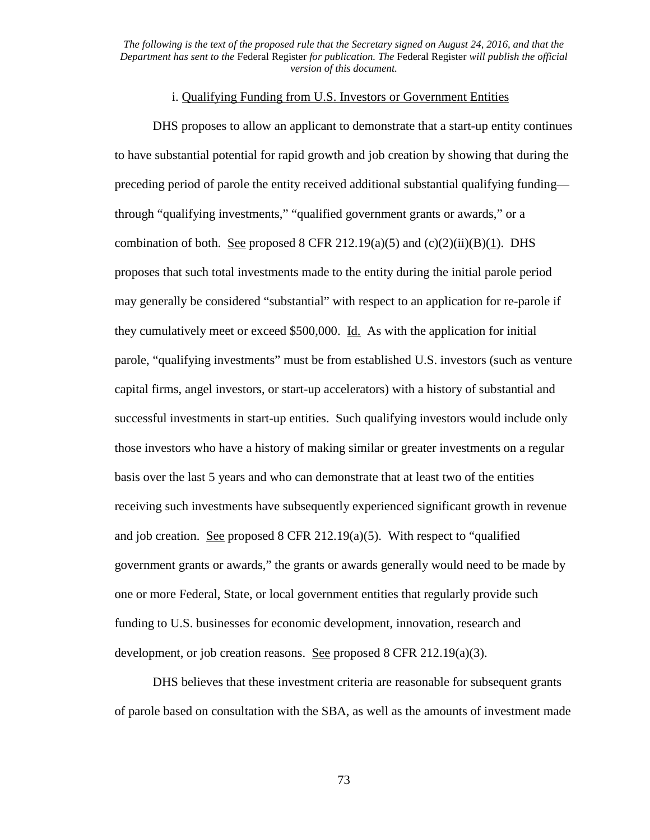## i. Qualifying Funding from U.S. Investors or Government Entities

DHS proposes to allow an applicant to demonstrate that a start-up entity continues to have substantial potential for rapid growth and job creation by showing that during the preceding period of parole the entity received additional substantial qualifying funding through "qualifying investments," "qualified government grants or awards," or a combination of both. See proposed 8 CFR 212.19(a)(5) and  $(c)(2)(ii)(B)(1)$ . DHS proposes that such total investments made to the entity during the initial parole period may generally be considered "substantial" with respect to an application for re-parole if they cumulatively meet or exceed \$500,000. Id. As with the application for initial parole, "qualifying investments" must be from established U.S. investors (such as venture capital firms, angel investors, or start-up accelerators) with a history of substantial and successful investments in start-up entities. Such qualifying investors would include only those investors who have a history of making similar or greater investments on a regular basis over the last 5 years and who can demonstrate that at least two of the entities receiving such investments have subsequently experienced significant growth in revenue and job creation. See proposed 8 CFR 212.19(a)(5). With respect to "qualified government grants or awards," the grants or awards generally would need to be made by one or more Federal, State, or local government entities that regularly provide such funding to U.S. businesses for economic development, innovation, research and development, or job creation reasons. See proposed 8 CFR 212.19(a)(3).

DHS believes that these investment criteria are reasonable for subsequent grants of parole based on consultation with the SBA, as well as the amounts of investment made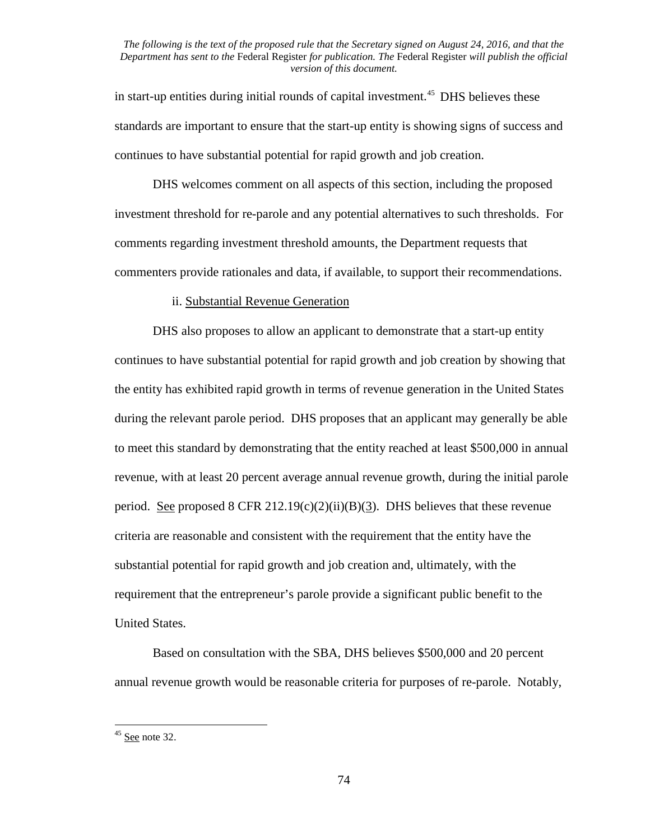in start-up entities during initial rounds of capital investment.<sup>[45](#page-73-0)</sup> DHS believes these standards are important to ensure that the start-up entity is showing signs of success and continues to have substantial potential for rapid growth and job creation.

DHS welcomes comment on all aspects of this section, including the proposed investment threshold for re-parole and any potential alternatives to such thresholds. For comments regarding investment threshold amounts, the Department requests that commenters provide rationales and data, if available, to support their recommendations.

## ii. Substantial Revenue Generation

DHS also proposes to allow an applicant to demonstrate that a start-up entity continues to have substantial potential for rapid growth and job creation by showing that the entity has exhibited rapid growth in terms of revenue generation in the United States during the relevant parole period. DHS proposes that an applicant may generally be able to meet this standard by demonstrating that the entity reached at least \$500,000 in annual revenue, with at least 20 percent average annual revenue growth, during the initial parole period. See proposed 8 CFR 212.19(c)(2)(ii)(B)(3). DHS believes that these revenue criteria are reasonable and consistent with the requirement that the entity have the substantial potential for rapid growth and job creation and, ultimately, with the requirement that the entrepreneur's parole provide a significant public benefit to the United States.

Based on consultation with the SBA, DHS believes \$500,000 and 20 percent annual revenue growth would be reasonable criteria for purposes of re-parole. Notably,

<span id="page-73-0"></span> $45$  See note 32.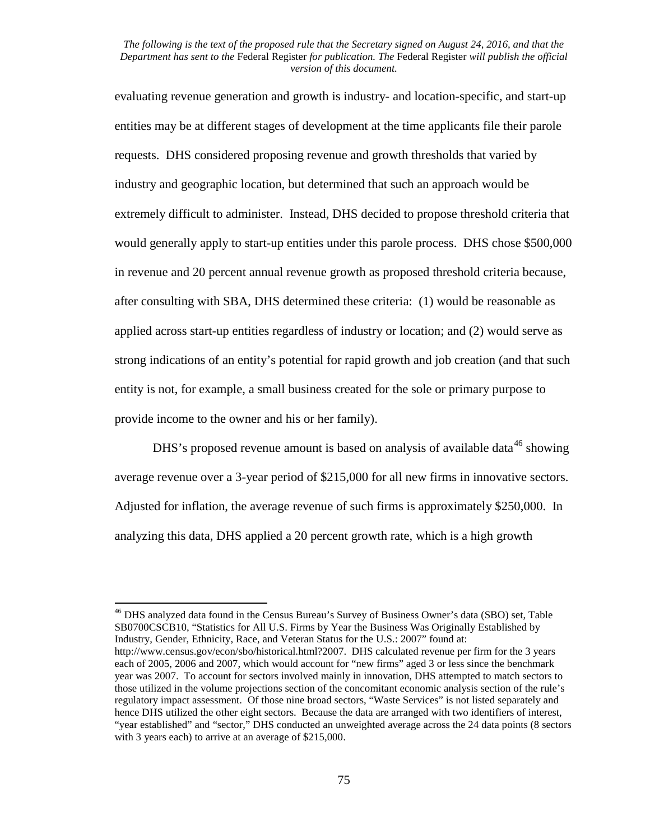evaluating revenue generation and growth is industry- and location-specific, and start-up entities may be at different stages of development at the time applicants file their parole requests. DHS considered proposing revenue and growth thresholds that varied by industry and geographic location, but determined that such an approach would be extremely difficult to administer. Instead, DHS decided to propose threshold criteria that would generally apply to start-up entities under this parole process. DHS chose \$500,000 in revenue and 20 percent annual revenue growth as proposed threshold criteria because, after consulting with SBA, DHS determined these criteria: (1) would be reasonable as applied across start-up entities regardless of industry or location; and (2) would serve as strong indications of an entity's potential for rapid growth and job creation (and that such entity is not, for example, a small business created for the sole or primary purpose to provide income to the owner and his or her family).

DHS's proposed revenue amount is based on analysis of available data<sup>[46](#page-74-0)</sup> showing average revenue over a 3-year period of \$215,000 for all new firms in innovative sectors. Adjusted for inflation, the average revenue of such firms is approximately \$250,000. In analyzing this data, DHS applied a 20 percent growth rate, which is a high growth

<span id="page-74-0"></span><sup>46</sup> DHS analyzed data found in the Census Bureau's Survey of Business Owner's data (SBO) set, Table SB0700CSCB10, "Statistics for All U.S. Firms by Year the Business Was Originally Established by Industry, Gender, Ethnicity, Race, and Veteran Status for the U.S.: 2007" found at: http://www.census.gov/econ/sbo/historical.html?2007. DHS calculated revenue per firm for the 3 years each of 2005, 2006 and 2007, which would account for "new firms" aged 3 or less since the benchmark year was 2007. To account for sectors involved mainly in innovation, DHS attempted to match sectors to those utilized in the volume projections section of the concomitant economic analysis section of the rule's regulatory impact assessment. Of those nine broad sectors, "Waste Services" is not listed separately and hence DHS utilized the other eight sectors. Because the data are arranged with two identifiers of interest, "year established" and "sector," DHS conducted an unweighted average across the 24 data points (8 sectors with 3 years each) to arrive at an average of \$215,000.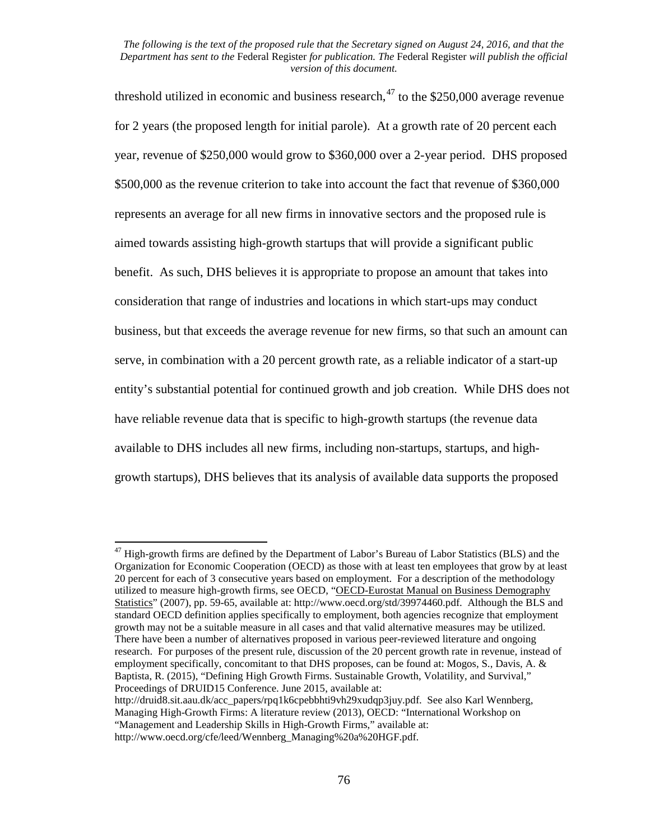threshold utilized in economic and business research,<sup>[47](#page-75-0)</sup> to the \$250,000 average revenue for 2 years (the proposed length for initial parole). At a growth rate of 20 percent each year, revenue of \$250,000 would grow to \$360,000 over a 2-year period. DHS proposed \$500,000 as the revenue criterion to take into account the fact that revenue of \$360,000 represents an average for all new firms in innovative sectors and the proposed rule is aimed towards assisting high-growth startups that will provide a significant public benefit. As such, DHS believes it is appropriate to propose an amount that takes into consideration that range of industries and locations in which start-ups may conduct business, but that exceeds the average revenue for new firms, so that such an amount can serve, in combination with a 20 percent growth rate, as a reliable indicator of a start-up entity's substantial potential for continued growth and job creation. While DHS does not have reliable revenue data that is specific to high-growth startups (the revenue data available to DHS includes all new firms, including non-startups, startups, and highgrowth startups), DHS believes that its analysis of available data supports the proposed

<span id="page-75-0"></span> $47$  High-growth firms are defined by the Department of Labor's Bureau of Labor Statistics (BLS) and the Organization for Economic Cooperation (OECD) as those with at least ten employees that grow by at least 20 percent for each of 3 consecutive years based on employment. For a description of the methodology utilized to measure high-growth firms, see OECD, "OECD-Eurostat Manual on Business Demography Statistics" (2007), pp. 59-65, available at: http://www.oecd.org/std/39974460.pdf. Although the BLS and standard OECD definition applies specifically to employment, both agencies recognize that employment growth may not be a suitable measure in all cases and that valid alternative measures may be utilized. There have been a number of alternatives proposed in various peer-reviewed literature and ongoing research. For purposes of the present rule, discussion of the 20 percent growth rate in revenue, instead of employment specifically, concomitant to that DHS proposes, can be found at: Mogos, S., Davis, A. & Baptista, R. (2015), "Defining High Growth Firms. Sustainable Growth, Volatility, and Survival," Proceedings of DRUID15 Conference. June 2015, available at:

http://druid8.sit.aau.dk/acc\_papers/rpq1k6cpebbhti9vh29xudqp3juy.pdf. See also Karl Wennberg, Managing High-Growth Firms: A literature review (2013), OECD: "International Workshop on "Management and Leadership Skills in High-Growth Firms," available at:

http://www.oecd.org/cfe/leed/Wennberg\_Managing%20a%20HGF.pdf.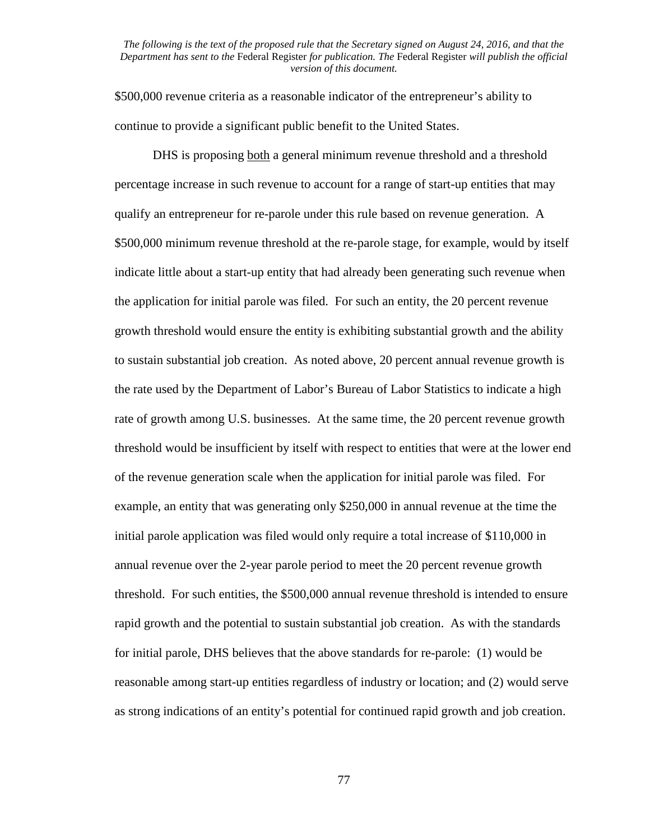\$500,000 revenue criteria as a reasonable indicator of the entrepreneur's ability to continue to provide a significant public benefit to the United States.

DHS is proposing both a general minimum revenue threshold and a threshold percentage increase in such revenue to account for a range of start-up entities that may qualify an entrepreneur for re-parole under this rule based on revenue generation. A \$500,000 minimum revenue threshold at the re-parole stage, for example, would by itself indicate little about a start-up entity that had already been generating such revenue when the application for initial parole was filed. For such an entity, the 20 percent revenue growth threshold would ensure the entity is exhibiting substantial growth and the ability to sustain substantial job creation. As noted above, 20 percent annual revenue growth is the rate used by the Department of Labor's Bureau of Labor Statistics to indicate a high rate of growth among U.S. businesses. At the same time, the 20 percent revenue growth threshold would be insufficient by itself with respect to entities that were at the lower end of the revenue generation scale when the application for initial parole was filed. For example, an entity that was generating only \$250,000 in annual revenue at the time the initial parole application was filed would only require a total increase of \$110,000 in annual revenue over the 2-year parole period to meet the 20 percent revenue growth threshold. For such entities, the \$500,000 annual revenue threshold is intended to ensure rapid growth and the potential to sustain substantial job creation. As with the standards for initial parole, DHS believes that the above standards for re-parole: (1) would be reasonable among start-up entities regardless of industry or location; and (2) would serve as strong indications of an entity's potential for continued rapid growth and job creation.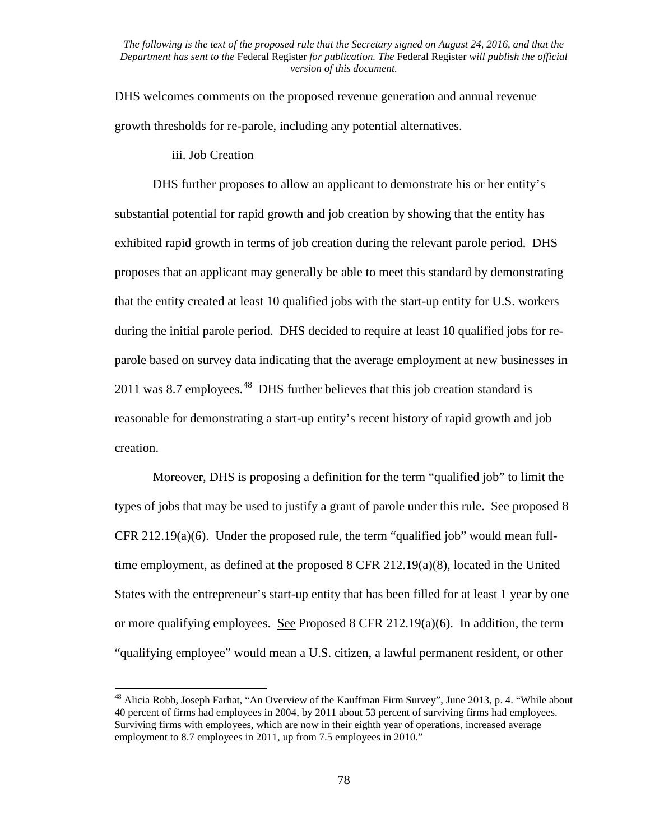DHS welcomes comments on the proposed revenue generation and annual revenue growth thresholds for re-parole, including any potential alternatives.

# iii. Job Creation

DHS further proposes to allow an applicant to demonstrate his or her entity's substantial potential for rapid growth and job creation by showing that the entity has exhibited rapid growth in terms of job creation during the relevant parole period. DHS proposes that an applicant may generally be able to meet this standard by demonstrating that the entity created at least 10 qualified jobs with the start-up entity for U.S. workers during the initial parole period. DHS decided to require at least 10 qualified jobs for reparole based on survey data indicating that the average employment at new businesses in 2011 was 8.7 employees.<sup>[48](#page-77-0)</sup> DHS further believes that this job creation standard is reasonable for demonstrating a start-up entity's recent history of rapid growth and job creation.

Moreover, DHS is proposing a definition for the term "qualified job" to limit the types of jobs that may be used to justify a grant of parole under this rule. See proposed 8 CFR 212.19(a)(6). Under the proposed rule, the term "qualified job" would mean fulltime employment, as defined at the proposed 8 CFR 212.19(a)(8), located in the United States with the entrepreneur's start-up entity that has been filled for at least 1 year by one or more qualifying employees. See Proposed 8 CFR 212.19(a)(6). In addition, the term "qualifying employee" would mean a U.S. citizen, a lawful permanent resident, or other

<span id="page-77-0"></span><sup>&</sup>lt;sup>48</sup> Alicia Robb, Joseph Farhat, "An Overview of the Kauffman Firm Survey", June 2013, p. 4. "While about 40 percent of firms had employees in 2004, by 2011 about 53 percent of surviving firms had employees. Surviving firms with employees, which are now in their eighth year of operations, increased average employment to 8.7 employees in 2011, up from 7.5 employees in 2010."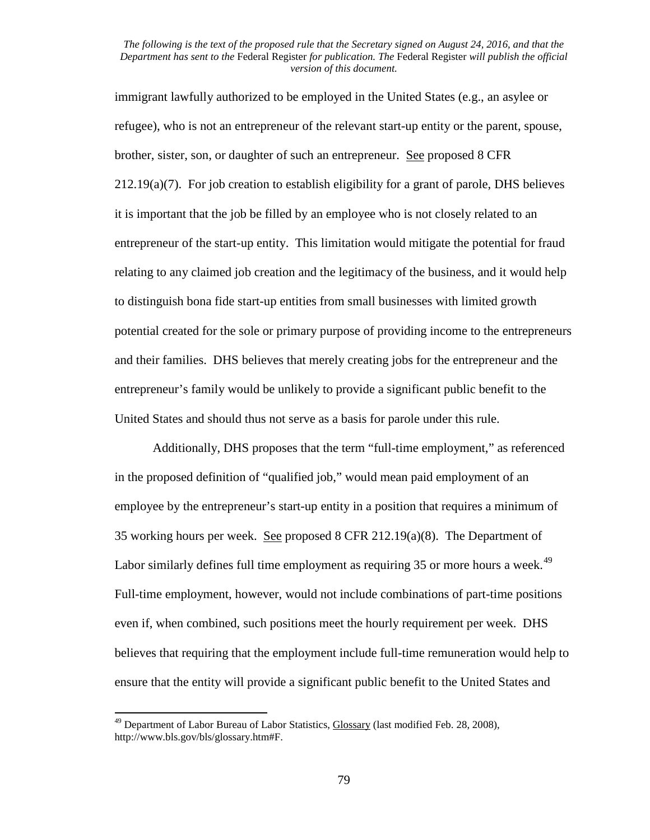immigrant lawfully authorized to be employed in the United States (e.g., an asylee or refugee), who is not an entrepreneur of the relevant start-up entity or the parent, spouse, brother, sister, son, or daughter of such an entrepreneur. See proposed 8 CFR 212.19(a)(7). For job creation to establish eligibility for a grant of parole, DHS believes it is important that the job be filled by an employee who is not closely related to an entrepreneur of the start-up entity. This limitation would mitigate the potential for fraud relating to any claimed job creation and the legitimacy of the business, and it would help to distinguish bona fide start-up entities from small businesses with limited growth potential created for the sole or primary purpose of providing income to the entrepreneurs and their families. DHS believes that merely creating jobs for the entrepreneur and the entrepreneur's family would be unlikely to provide a significant public benefit to the United States and should thus not serve as a basis for parole under this rule.

Additionally, DHS proposes that the term "full-time employment," as referenced in the proposed definition of "qualified job," would mean paid employment of an employee by the entrepreneur's start-up entity in a position that requires a minimum of 35 working hours per week. See proposed 8 CFR 212.19(a)(8). The Department of Labor similarly defines full time employment as requiring 35 or more hours a week.<sup>49</sup> Full-time employment, however, would not include combinations of part-time positions even if, when combined, such positions meet the hourly requirement per week. DHS believes that requiring that the employment include full-time remuneration would help to ensure that the entity will provide a significant public benefit to the United States and

<span id="page-78-0"></span><sup>&</sup>lt;sup>49</sup> Department of Labor Bureau of Labor Statistics, Glossary (last modified Feb. 28, 2008), http://www.bls.gov/bls/glossary.htm#F.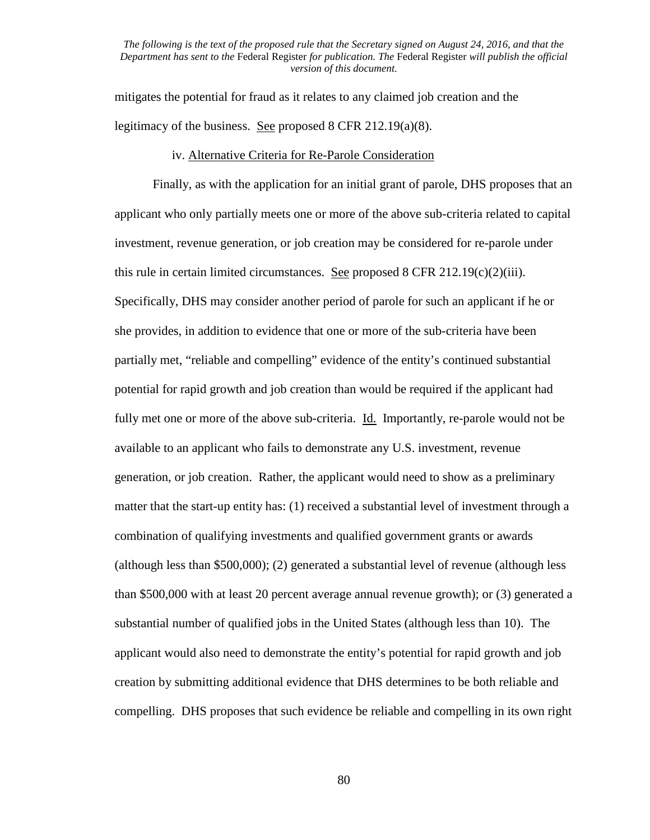mitigates the potential for fraud as it relates to any claimed job creation and the legitimacy of the business. See proposed 8 CFR 212.19(a)(8).

### iv. Alternative Criteria for Re-Parole Consideration

Finally, as with the application for an initial grant of parole, DHS proposes that an applicant who only partially meets one or more of the above sub-criteria related to capital investment, revenue generation, or job creation may be considered for re-parole under this rule in certain limited circumstances. See proposed  $8$  CFR 212.19(c)(2)(iii). Specifically, DHS may consider another period of parole for such an applicant if he or she provides, in addition to evidence that one or more of the sub-criteria have been partially met, "reliable and compelling" evidence of the entity's continued substantial potential for rapid growth and job creation than would be required if the applicant had fully met one or more of the above sub-criteria. Id. Importantly, re-parole would not be available to an applicant who fails to demonstrate any U.S. investment, revenue generation, or job creation. Rather, the applicant would need to show as a preliminary matter that the start-up entity has: (1) received a substantial level of investment through a combination of qualifying investments and qualified government grants or awards (although less than \$500,000); (2) generated a substantial level of revenue (although less than \$500,000 with at least 20 percent average annual revenue growth); or (3) generated a substantial number of qualified jobs in the United States (although less than 10). The applicant would also need to demonstrate the entity's potential for rapid growth and job creation by submitting additional evidence that DHS determines to be both reliable and compelling. DHS proposes that such evidence be reliable and compelling in its own right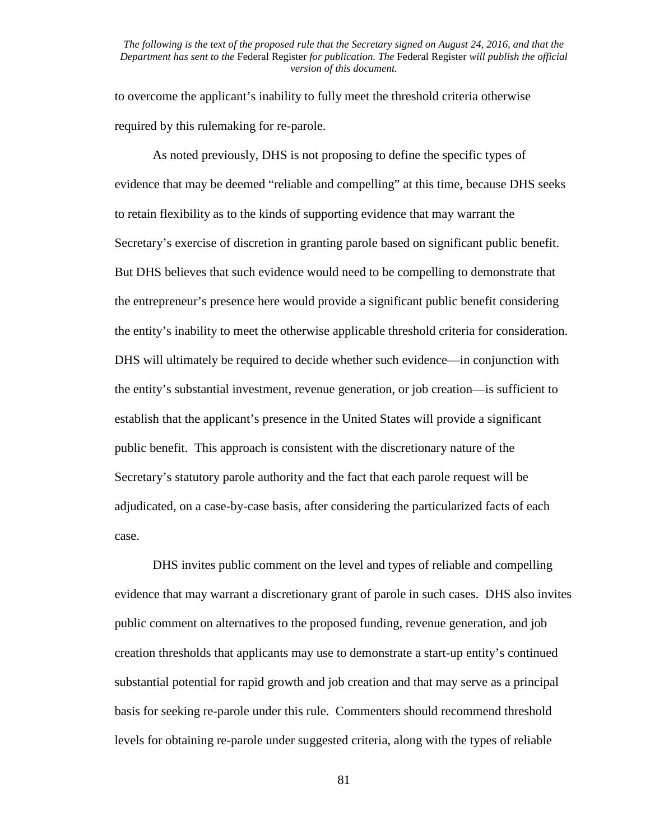to overcome the applicant's inability to fully meet the threshold criteria otherwise required by this rulemaking for re-parole.

As noted previously, DHS is not proposing to define the specific types of evidence that may be deemed "reliable and compelling" at this time, because DHS seeks to retain flexibility as to the kinds of supporting evidence that may warrant the Secretary's exercise of discretion in granting parole based on significant public benefit. But DHS believes that such evidence would need to be compelling to demonstrate that the entrepreneur's presence here would provide a significant public benefit considering the entity's inability to meet the otherwise applicable threshold criteria for consideration. DHS will ultimately be required to decide whether such evidence—in conjunction with the entity's substantial investment, revenue generation, or job creation—is sufficient to establish that the applicant's presence in the United States will provide a significant public benefit. This approach is consistent with the discretionary nature of the Secretary's statutory parole authority and the fact that each parole request will be adjudicated, on a case-by-case basis, after considering the particularized facts of each case.

DHS invites public comment on the level and types of reliable and compelling evidence that may warrant a discretionary grant of parole in such cases. DHS also invites public comment on alternatives to the proposed funding, revenue generation, and job creation thresholds that applicants may use to demonstrate a start-up entity's continued substantial potential for rapid growth and job creation and that may serve as a principal basis for seeking re-parole under this rule. Commenters should recommend threshold levels for obtaining re-parole under suggested criteria, along with the types of reliable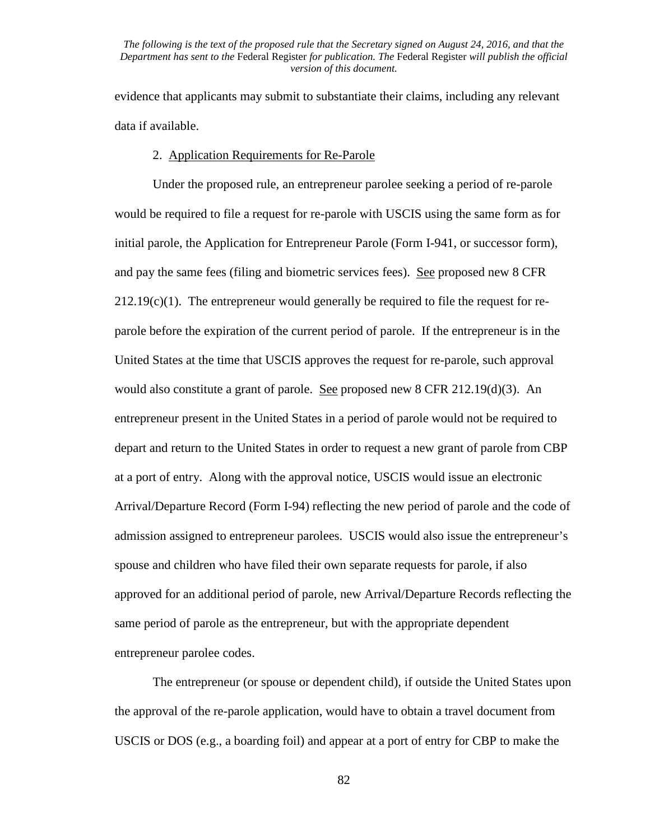evidence that applicants may submit to substantiate their claims, including any relevant data if available.

# 2. Application Requirements for Re-Parole

Under the proposed rule, an entrepreneur parolee seeking a period of re-parole would be required to file a request for re-parole with USCIS using the same form as for initial parole, the Application for Entrepreneur Parole (Form I-941, or successor form), and pay the same fees (filing and biometric services fees). See proposed new 8 CFR  $212.19(c)(1)$ . The entrepreneur would generally be required to file the request for reparole before the expiration of the current period of parole. If the entrepreneur is in the United States at the time that USCIS approves the request for re-parole, such approval would also constitute a grant of parole. See proposed new 8 CFR  $212.19(d)(3)$ . An entrepreneur present in the United States in a period of parole would not be required to depart and return to the United States in order to request a new grant of parole from CBP at a port of entry. Along with the approval notice, USCIS would issue an electronic Arrival/Departure Record (Form I-94) reflecting the new period of parole and the code of admission assigned to entrepreneur parolees. USCIS would also issue the entrepreneur's spouse and children who have filed their own separate requests for parole, if also approved for an additional period of parole, new Arrival/Departure Records reflecting the same period of parole as the entrepreneur, but with the appropriate dependent entrepreneur parolee codes.

The entrepreneur (or spouse or dependent child), if outside the United States upon the approval of the re-parole application, would have to obtain a travel document from USCIS or DOS (e.g., a boarding foil) and appear at a port of entry for CBP to make the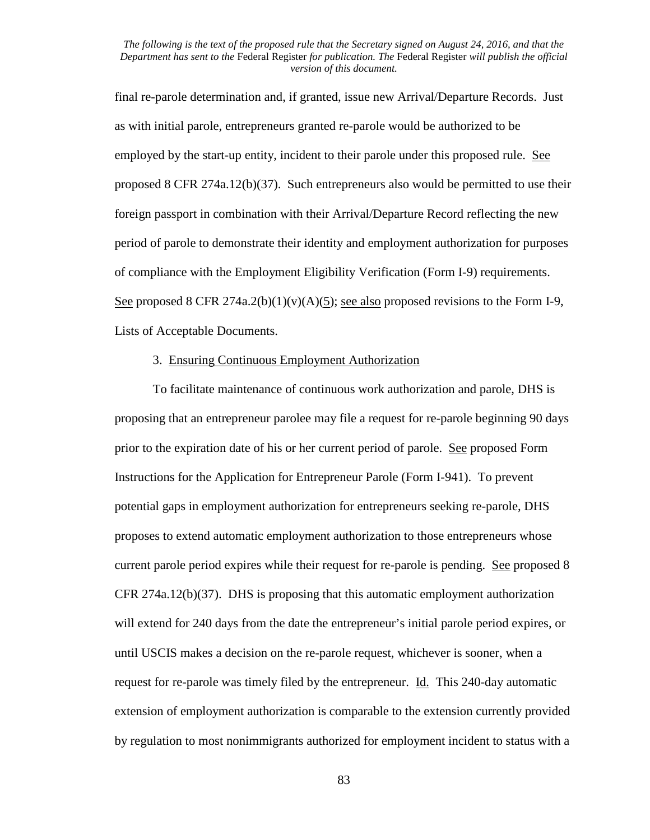final re-parole determination and, if granted, issue new Arrival/Departure Records. Just as with initial parole, entrepreneurs granted re-parole would be authorized to be employed by the start-up entity, incident to their parole under this proposed rule. See proposed 8 CFR 274a.12(b)(37). Such entrepreneurs also would be permitted to use their foreign passport in combination with their Arrival/Departure Record reflecting the new period of parole to demonstrate their identity and employment authorization for purposes of compliance with the Employment Eligibility Verification (Form I-9) requirements. See proposed 8 CFR 274a.2(b)(1)(v)(A)(5); see also proposed revisions to the Form I-9, Lists of Acceptable Documents.

## 3. Ensuring Continuous Employment Authorization

To facilitate maintenance of continuous work authorization and parole, DHS is proposing that an entrepreneur parolee may file a request for re-parole beginning 90 days prior to the expiration date of his or her current period of parole. See proposed Form Instructions for the Application for Entrepreneur Parole (Form I-941). To prevent potential gaps in employment authorization for entrepreneurs seeking re-parole, DHS proposes to extend automatic employment authorization to those entrepreneurs whose current parole period expires while their request for re-parole is pending. See proposed 8 CFR 274a.12(b)(37). DHS is proposing that this automatic employment authorization will extend for 240 days from the date the entrepreneur's initial parole period expires, or until USCIS makes a decision on the re-parole request, whichever is sooner, when a request for re-parole was timely filed by the entrepreneur. Id. This 240-day automatic extension of employment authorization is comparable to the extension currently provided by regulation to most nonimmigrants authorized for employment incident to status with a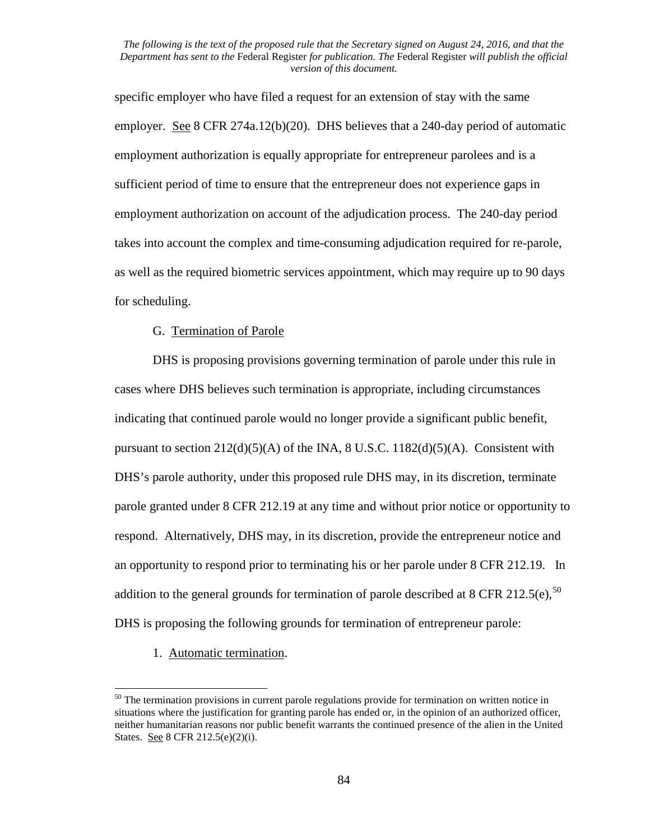specific employer who have filed a request for an extension of stay with the same employer. See 8 CFR 274a.12(b)(20). DHS believes that a 240-day period of automatic employment authorization is equally appropriate for entrepreneur parolees and is a sufficient period of time to ensure that the entrepreneur does not experience gaps in employment authorization on account of the adjudication process. The 240-day period takes into account the complex and time-consuming adjudication required for re-parole, as well as the required biometric services appointment, which may require up to 90 days for scheduling.

# G. Termination of Parole

DHS is proposing provisions governing termination of parole under this rule in cases where DHS believes such termination is appropriate, including circumstances indicating that continued parole would no longer provide a significant public benefit, pursuant to section  $212(d)(5)(A)$  of the INA, 8 U.S.C.  $1182(d)(5)(A)$ . Consistent with DHS's parole authority, under this proposed rule DHS may, in its discretion, terminate parole granted under 8 CFR 212.19 at any time and without prior notice or opportunity to respond. Alternatively, DHS may, in its discretion, provide the entrepreneur notice and an opportunity to respond prior to terminating his or her parole under 8 CFR 212.19. In addition to the general grounds for termination of parole described at 8 CFR 212.5(e),  $^{50}$  $^{50}$  $^{50}$ DHS is proposing the following grounds for termination of entrepreneur parole:

1. Automatic termination.

<span id="page-83-0"></span> $50$  The termination provisions in current parole regulations provide for termination on written notice in situations where the justification for granting parole has ended or, in the opinion of an authorized officer, neither humanitarian reasons nor public benefit warrants the continued presence of the alien in the United States. See 8 CFR 212.5(e)(2)(i).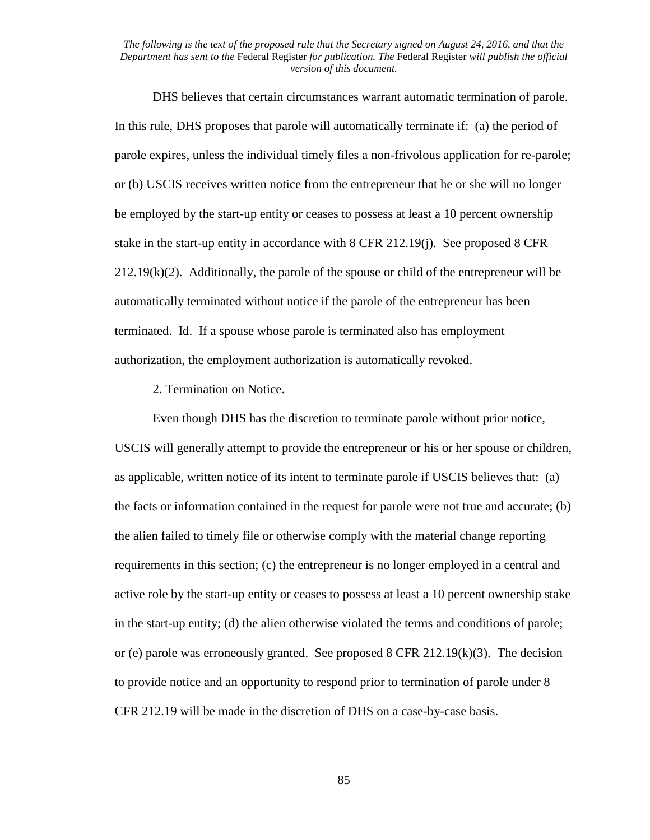DHS believes that certain circumstances warrant automatic termination of parole. In this rule, DHS proposes that parole will automatically terminate if: (a) the period of parole expires, unless the individual timely files a non-frivolous application for re-parole; or (b) USCIS receives written notice from the entrepreneur that he or she will no longer be employed by the start-up entity or ceases to possess at least a 10 percent ownership stake in the start-up entity in accordance with 8 CFR 212.19(j). See proposed 8 CFR  $212.19(k)(2)$ . Additionally, the parole of the spouse or child of the entrepreneur will be automatically terminated without notice if the parole of the entrepreneur has been terminated. Id. If a spouse whose parole is terminated also has employment authorization, the employment authorization is automatically revoked.

## 2. Termination on Notice.

Even though DHS has the discretion to terminate parole without prior notice, USCIS will generally attempt to provide the entrepreneur or his or her spouse or children, as applicable, written notice of its intent to terminate parole if USCIS believes that: (a) the facts or information contained in the request for parole were not true and accurate; (b) the alien failed to timely file or otherwise comply with the material change reporting requirements in this section; (c) the entrepreneur is no longer employed in a central and active role by the start-up entity or ceases to possess at least a 10 percent ownership stake in the start-up entity; (d) the alien otherwise violated the terms and conditions of parole; or (e) parole was erroneously granted. See proposed 8 CFR 212.19(k)(3). The decision to provide notice and an opportunity to respond prior to termination of parole under 8 CFR 212.19 will be made in the discretion of DHS on a case-by-case basis.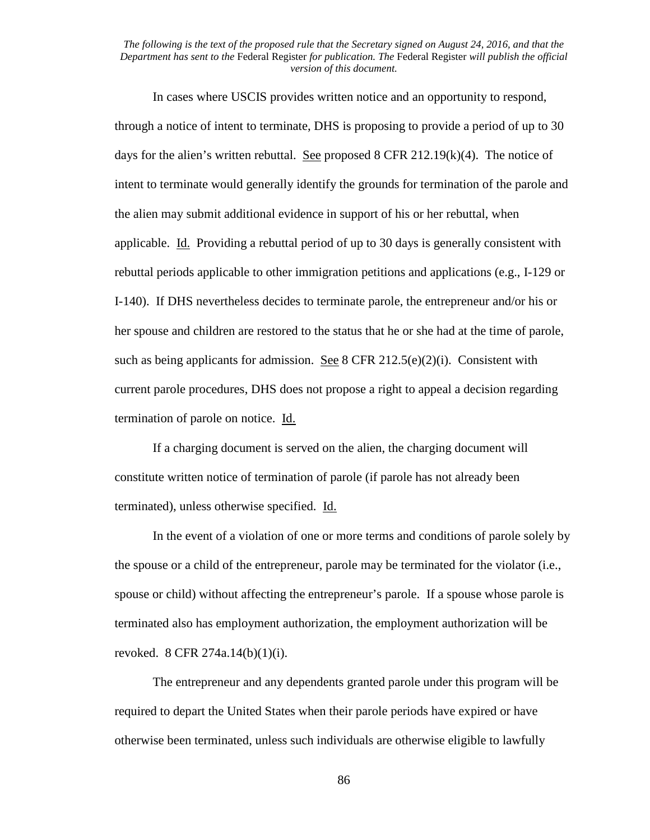In cases where USCIS provides written notice and an opportunity to respond, through a notice of intent to terminate, DHS is proposing to provide a period of up to 30 days for the alien's written rebuttal. See proposed  $8$  CFR 212.19(k)(4). The notice of intent to terminate would generally identify the grounds for termination of the parole and the alien may submit additional evidence in support of his or her rebuttal, when applicable. Id. Providing a rebuttal period of up to 30 days is generally consistent with rebuttal periods applicable to other immigration petitions and applications (e.g., I-129 or I-140). If DHS nevertheless decides to terminate parole, the entrepreneur and/or his or her spouse and children are restored to the status that he or she had at the time of parole, such as being applicants for admission. See 8 CFR 212.5(e)(2)(i). Consistent with current parole procedures, DHS does not propose a right to appeal a decision regarding termination of parole on notice. Id.

If a charging document is served on the alien, the charging document will constitute written notice of termination of parole (if parole has not already been terminated), unless otherwise specified. Id.

In the event of a violation of one or more terms and conditions of parole solely by the spouse or a child of the entrepreneur, parole may be terminated for the violator (i.e., spouse or child) without affecting the entrepreneur's parole. If a spouse whose parole is terminated also has employment authorization, the employment authorization will be revoked. 8 CFR 274a.14(b)(1)(i).

The entrepreneur and any dependents granted parole under this program will be required to depart the United States when their parole periods have expired or have otherwise been terminated, unless such individuals are otherwise eligible to lawfully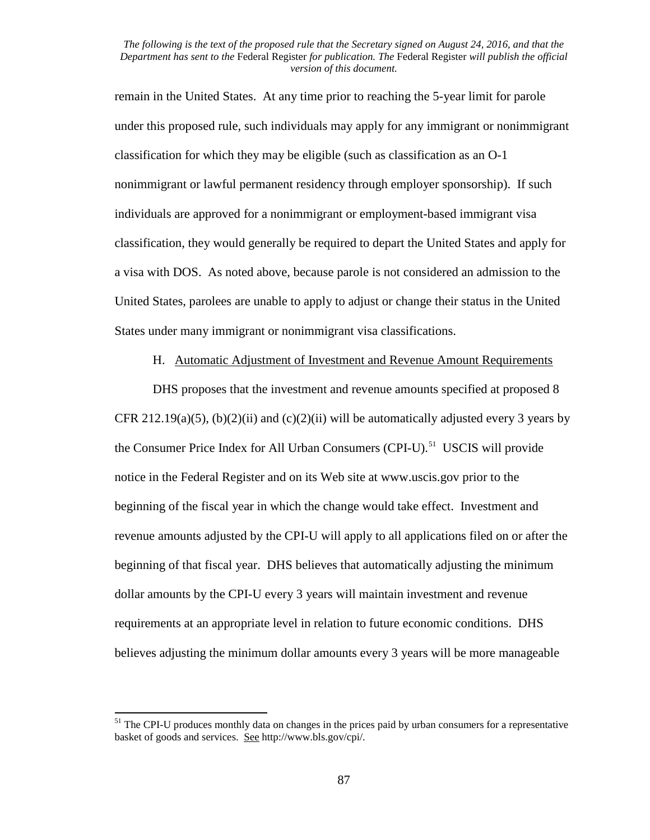remain in the United States. At any time prior to reaching the 5-year limit for parole under this proposed rule, such individuals may apply for any immigrant or nonimmigrant classification for which they may be eligible (such as classification as an O-1 nonimmigrant or lawful permanent residency through employer sponsorship). If such individuals are approved for a nonimmigrant or employment-based immigrant visa classification, they would generally be required to depart the United States and apply for a visa with DOS. As noted above, because parole is not considered an admission to the United States, parolees are unable to apply to adjust or change their status in the United States under many immigrant or nonimmigrant visa classifications.

H. Automatic Adjustment of Investment and Revenue Amount Requirements

DHS proposes that the investment and revenue amounts specified at proposed 8 CFR 212.19(a)(5), (b)(2)(ii) and (c)(2)(ii) will be automatically adjusted every 3 years by the Consumer Price Index for All Urban Consumers (CPI-U).<sup>[51](#page-86-0)</sup> USCIS will provide notice in the Federal Register and on its Web site at www.uscis.gov prior to the beginning of the fiscal year in which the change would take effect. Investment and revenue amounts adjusted by the CPI-U will apply to all applications filed on or after the beginning of that fiscal year. DHS believes that automatically adjusting the minimum dollar amounts by the CPI-U every 3 years will maintain investment and revenue requirements at an appropriate level in relation to future economic conditions. DHS believes adjusting the minimum dollar amounts every 3 years will be more manageable

<span id="page-86-0"></span> $<sup>51</sup>$  The CPI-U produces monthly data on changes in the prices paid by urban consumers for a representative</sup> basket of goods and services. See http://www.bls.gov/cpi/.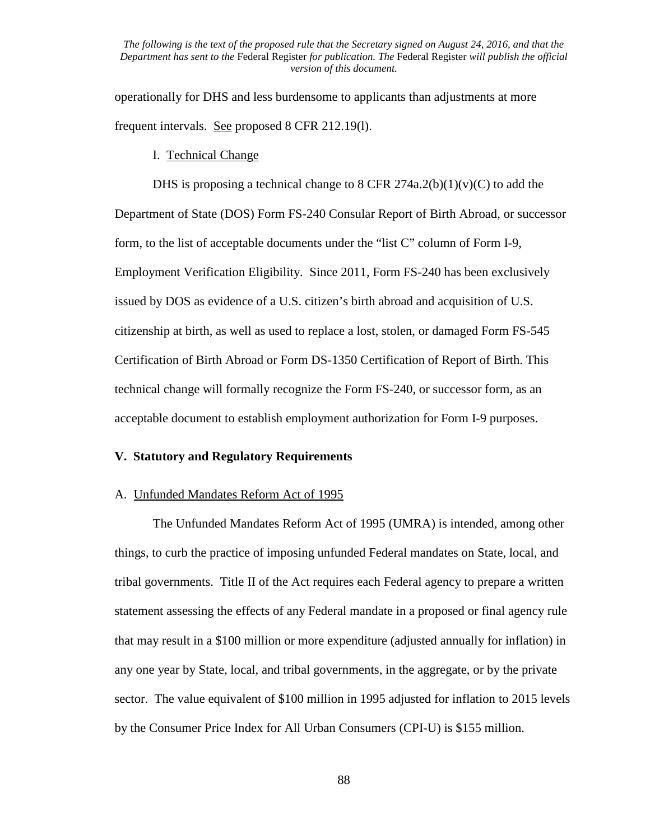operationally for DHS and less burdensome to applicants than adjustments at more frequent intervals. See proposed 8 CFR 212.19(l).

## I. Technical Change

DHS is proposing a technical change to 8 CFR 274a.2(b)(1)(v)(C) to add the Department of State (DOS) Form FS-240 Consular Report of Birth Abroad, or successor form, to the list of acceptable documents under the "list C" column of Form I-9, Employment Verification Eligibility. Since 2011, Form FS-240 has been exclusively issued by DOS as evidence of a U.S. citizen's birth abroad and acquisition of U.S. citizenship at birth, as well as used to replace a lost, stolen, or damaged Form FS-545 Certification of Birth Abroad or Form DS-1350 Certification of Report of Birth. This technical change will formally recognize the Form FS-240, or successor form, as an acceptable document to establish employment authorization for Form I-9 purposes.

# **V. Statutory and Regulatory Requirements**

## A. Unfunded Mandates Reform Act of 1995

The Unfunded Mandates Reform Act of 1995 (UMRA) is intended, among other things, to curb the practice of imposing unfunded Federal mandates on State, local, and tribal governments. Title II of the Act requires each Federal agency to prepare a written statement assessing the effects of any Federal mandate in a proposed or final agency rule that may result in a \$100 million or more expenditure (adjusted annually for inflation) in any one year by State, local, and tribal governments, in the aggregate, or by the private sector. The value equivalent of \$100 million in 1995 adjusted for inflation to 2015 levels by the Consumer Price Index for All Urban Consumers (CPI-U) is \$155 million.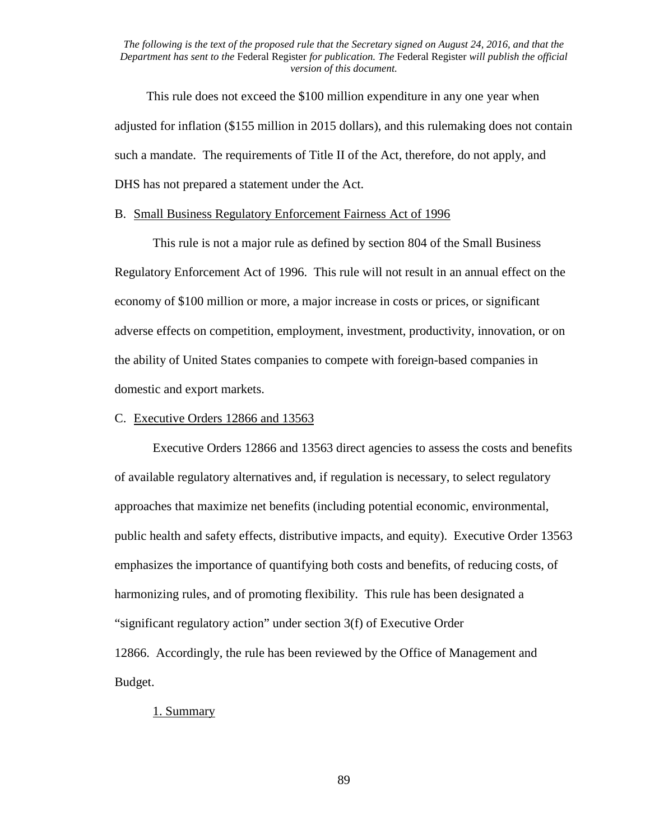This rule does not exceed the \$100 million expenditure in any one year when adjusted for inflation (\$155 million in 2015 dollars), and this rulemaking does not contain such a mandate. The requirements of Title II of the Act, therefore, do not apply, and DHS has not prepared a statement under the Act.

## B. Small Business Regulatory Enforcement Fairness Act of 1996

This rule is not a major rule as defined by section 804 of the Small Business Regulatory Enforcement Act of 1996. This rule will not result in an annual effect on the economy of \$100 million or more, a major increase in costs or prices, or significant adverse effects on competition, employment, investment, productivity, innovation, or on the ability of United States companies to compete with foreign-based companies in domestic and export markets.

## C. Executive Orders 12866 and 13563

Executive Orders 12866 and 13563 direct agencies to assess the costs and benefits of available regulatory alternatives and, if regulation is necessary, to select regulatory approaches that maximize net benefits (including potential economic, environmental, public health and safety effects, distributive impacts, and equity). Executive Order 13563 emphasizes the importance of quantifying both costs and benefits, of reducing costs, of harmonizing rules, and of promoting flexibility. This rule has been designated a "significant regulatory action" under section 3(f) of Executive Order 12866. Accordingly, the rule has been reviewed by the Office of Management and Budget.

# 1. Summary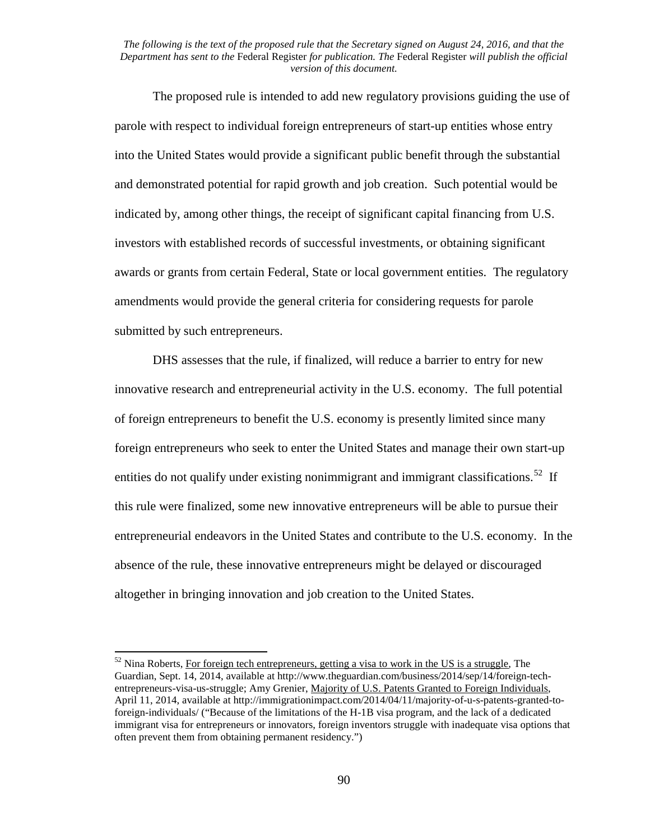The proposed rule is intended to add new regulatory provisions guiding the use of parole with respect to individual foreign entrepreneurs of start-up entities whose entry into the United States would provide a significant public benefit through the substantial and demonstrated potential for rapid growth and job creation. Such potential would be indicated by, among other things, the receipt of significant capital financing from U.S. investors with established records of successful investments, or obtaining significant awards or grants from certain Federal, State or local government entities. The regulatory amendments would provide the general criteria for considering requests for parole submitted by such entrepreneurs.

DHS assesses that the rule, if finalized, will reduce a barrier to entry for new innovative research and entrepreneurial activity in the U.S. economy. The full potential of foreign entrepreneurs to benefit the U.S. economy is presently limited since many foreign entrepreneurs who seek to enter the United States and manage their own start-up entities do not qualify under existing nonimmigrant and immigrant classifications.<sup>[52](#page-89-0)</sup> If this rule were finalized, some new innovative entrepreneurs will be able to pursue their entrepreneurial endeavors in the United States and contribute to the U.S. economy. In the absence of the rule, these innovative entrepreneurs might be delayed or discouraged altogether in bringing innovation and job creation to the United States.

<span id="page-89-0"></span> $52$  Nina Roberts, For foreign tech entrepreneurs, getting a visa to work in the US is a struggle, The Guardian, Sept. 14, 2014, available at http://www.theguardian.com/business/2014/sep/14/foreign-techentrepreneurs-visa-us-struggle; Amy Grenier, Majority of U.S. Patents Granted to Foreign Individuals, April 11, 2014, available at http://immigrationimpact.com/2014/04/11/majority-of-u-s-patents-granted-toforeign-individuals/ ("Because of the limitations of the H-1B visa program, and the lack of a dedicated immigrant visa for entrepreneurs or innovators, foreign inventors struggle with inadequate visa options that often prevent them from obtaining permanent residency.")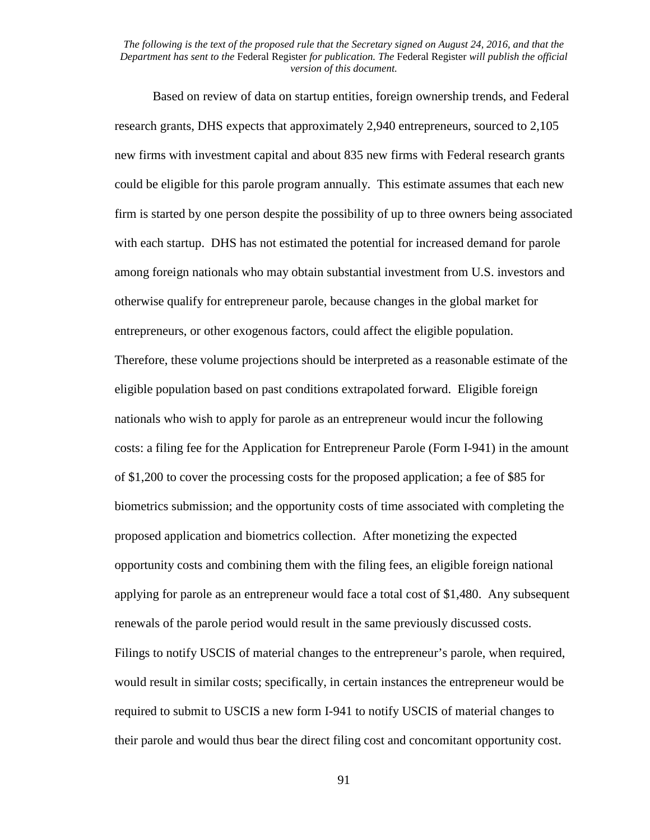Based on review of data on startup entities, foreign ownership trends, and Federal research grants, DHS expects that approximately 2,940 entrepreneurs, sourced to 2,105 new firms with investment capital and about 835 new firms with Federal research grants could be eligible for this parole program annually. This estimate assumes that each new firm is started by one person despite the possibility of up to three owners being associated with each startup. DHS has not estimated the potential for increased demand for parole among foreign nationals who may obtain substantial investment from U.S. investors and otherwise qualify for entrepreneur parole, because changes in the global market for entrepreneurs, or other exogenous factors, could affect the eligible population. Therefore, these volume projections should be interpreted as a reasonable estimate of the eligible population based on past conditions extrapolated forward. Eligible foreign nationals who wish to apply for parole as an entrepreneur would incur the following costs: a filing fee for the Application for Entrepreneur Parole (Form I-941) in the amount of \$1,200 to cover the processing costs for the proposed application; a fee of \$85 for biometrics submission; and the opportunity costs of time associated with completing the proposed application and biometrics collection. After monetizing the expected opportunity costs and combining them with the filing fees, an eligible foreign national applying for parole as an entrepreneur would face a total cost of \$1,480. Any subsequent renewals of the parole period would result in the same previously discussed costs. Filings to notify USCIS of material changes to the entrepreneur's parole, when required, would result in similar costs; specifically, in certain instances the entrepreneur would be required to submit to USCIS a new form I-941 to notify USCIS of material changes to their parole and would thus bear the direct filing cost and concomitant opportunity cost.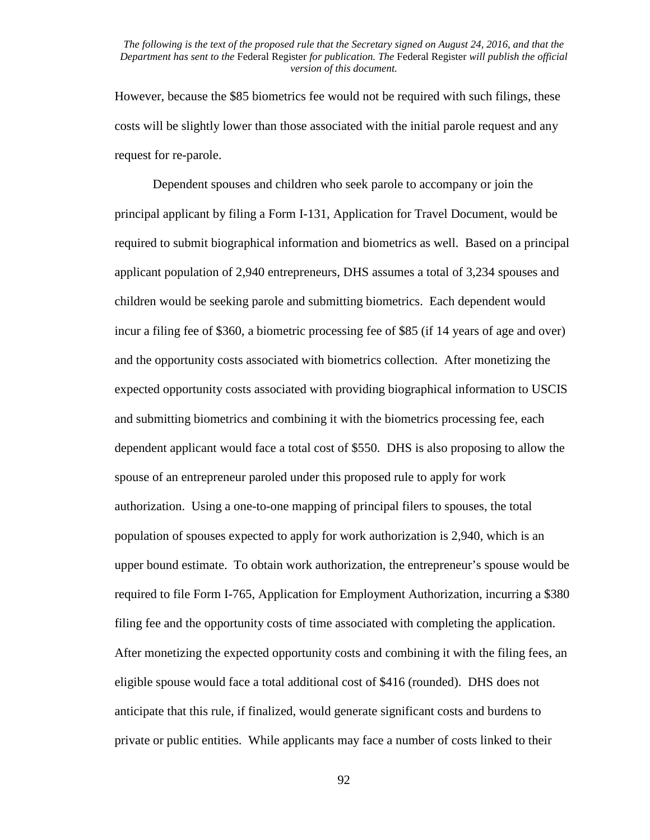However, because the \$85 biometrics fee would not be required with such filings, these costs will be slightly lower than those associated with the initial parole request and any request for re-parole.

Dependent spouses and children who seek parole to accompany or join the principal applicant by filing a Form I-131, Application for Travel Document, would be required to submit biographical information and biometrics as well. Based on a principal applicant population of 2,940 entrepreneurs, DHS assumes a total of 3,234 spouses and children would be seeking parole and submitting biometrics. Each dependent would incur a filing fee of \$360, a biometric processing fee of \$85 (if 14 years of age and over) and the opportunity costs associated with biometrics collection. After monetizing the expected opportunity costs associated with providing biographical information to USCIS and submitting biometrics and combining it with the biometrics processing fee, each dependent applicant would face a total cost of \$550. DHS is also proposing to allow the spouse of an entrepreneur paroled under this proposed rule to apply for work authorization. Using a one-to-one mapping of principal filers to spouses, the total population of spouses expected to apply for work authorization is 2,940, which is an upper bound estimate. To obtain work authorization, the entrepreneur's spouse would be required to file Form I-765, Application for Employment Authorization, incurring a \$380 filing fee and the opportunity costs of time associated with completing the application. After monetizing the expected opportunity costs and combining it with the filing fees, an eligible spouse would face a total additional cost of \$416 (rounded). DHS does not anticipate that this rule, if finalized, would generate significant costs and burdens to private or public entities. While applicants may face a number of costs linked to their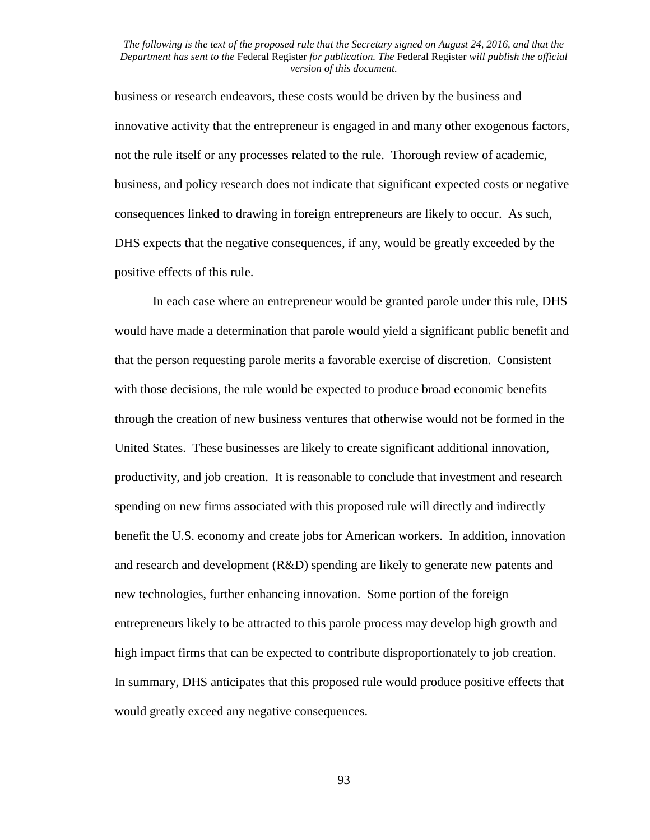business or research endeavors, these costs would be driven by the business and innovative activity that the entrepreneur is engaged in and many other exogenous factors, not the rule itself or any processes related to the rule. Thorough review of academic, business, and policy research does not indicate that significant expected costs or negative consequences linked to drawing in foreign entrepreneurs are likely to occur. As such, DHS expects that the negative consequences, if any, would be greatly exceeded by the positive effects of this rule.

In each case where an entrepreneur would be granted parole under this rule, DHS would have made a determination that parole would yield a significant public benefit and that the person requesting parole merits a favorable exercise of discretion. Consistent with those decisions, the rule would be expected to produce broad economic benefits through the creation of new business ventures that otherwise would not be formed in the United States. These businesses are likely to create significant additional innovation, productivity, and job creation. It is reasonable to conclude that investment and research spending on new firms associated with this proposed rule will directly and indirectly benefit the U.S. economy and create jobs for American workers. In addition, innovation and research and development (R&D) spending are likely to generate new patents and new technologies, further enhancing innovation. Some portion of the foreign entrepreneurs likely to be attracted to this parole process may develop high growth and high impact firms that can be expected to contribute disproportionately to job creation. In summary, DHS anticipates that this proposed rule would produce positive effects that would greatly exceed any negative consequences.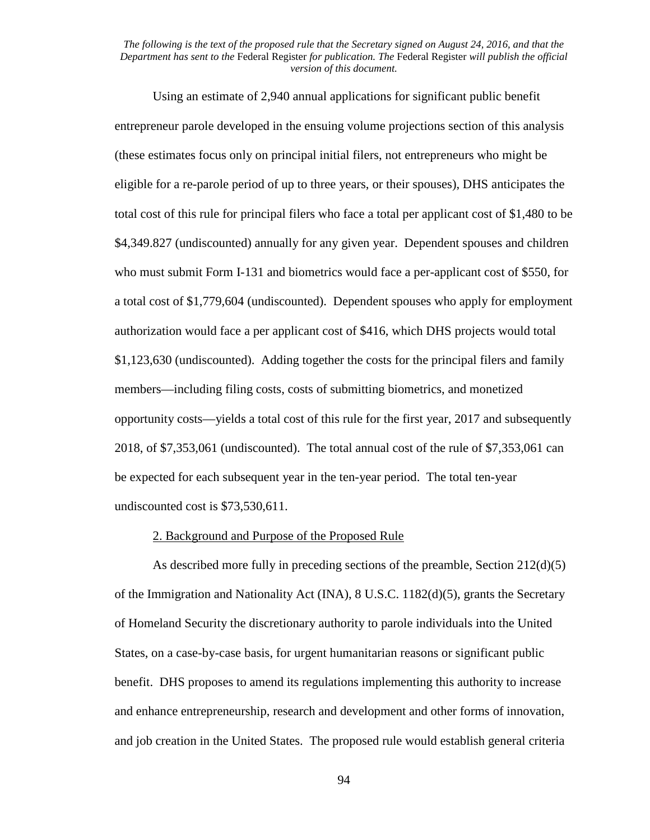Using an estimate of 2,940 annual applications for significant public benefit entrepreneur parole developed in the ensuing volume projections section of this analysis (these estimates focus only on principal initial filers, not entrepreneurs who might be eligible for a re-parole period of up to three years, or their spouses), DHS anticipates the total cost of this rule for principal filers who face a total per applicant cost of \$1,480 to be \$4,349.827 (undiscounted) annually for any given year. Dependent spouses and children who must submit Form I-131 and biometrics would face a per-applicant cost of \$550, for a total cost of \$1,779,604 (undiscounted). Dependent spouses who apply for employment authorization would face a per applicant cost of \$416, which DHS projects would total \$1,123,630 (undiscounted). Adding together the costs for the principal filers and family members—including filing costs, costs of submitting biometrics, and monetized opportunity costs—yields a total cost of this rule for the first year, 2017 and subsequently 2018, of \$7,353,061 (undiscounted). The total annual cost of the rule of \$7,353,061 can be expected for each subsequent year in the ten-year period. The total ten-year undiscounted cost is \$73,530,611.

## 2. Background and Purpose of the Proposed Rule

As described more fully in preceding sections of the preamble, Section 212(d)(5) of the Immigration and Nationality Act (INA), 8 U.S.C. 1182(d)(5), grants the Secretary of Homeland Security the discretionary authority to parole individuals into the United States, on a case-by-case basis, for urgent humanitarian reasons or significant public benefit. DHS proposes to amend its regulations implementing this authority to increase and enhance entrepreneurship, research and development and other forms of innovation, and job creation in the United States. The proposed rule would establish general criteria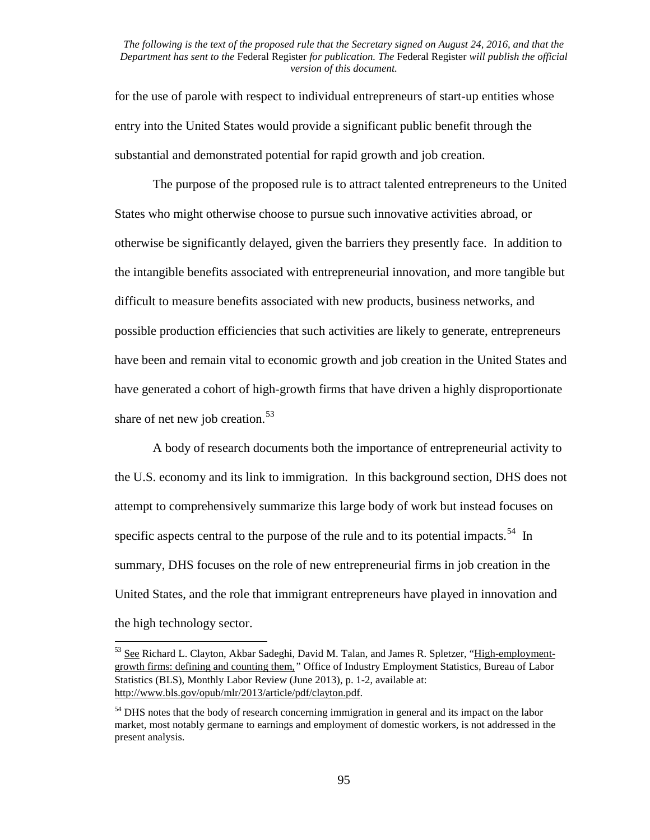for the use of parole with respect to individual entrepreneurs of start-up entities whose entry into the United States would provide a significant public benefit through the substantial and demonstrated potential for rapid growth and job creation.

The purpose of the proposed rule is to attract talented entrepreneurs to the United States who might otherwise choose to pursue such innovative activities abroad, or otherwise be significantly delayed, given the barriers they presently face. In addition to the intangible benefits associated with entrepreneurial innovation, and more tangible but difficult to measure benefits associated with new products, business networks, and possible production efficiencies that such activities are likely to generate, entrepreneurs have been and remain vital to economic growth and job creation in the United States and have generated a cohort of high-growth firms that have driven a highly disproportionate share of net new job creation. $53$ 

A body of research documents both the importance of entrepreneurial activity to the U.S. economy and its link to immigration. In this background section, DHS does not attempt to comprehensively summarize this large body of work but instead focuses on specific aspects central to the purpose of the rule and to its potential impacts.<sup>[54](#page-94-1)</sup> In summary, DHS focuses on the role of new entrepreneurial firms in job creation in the United States, and the role that immigrant entrepreneurs have played in innovation and the high technology sector.

<span id="page-94-0"></span><sup>53</sup> See Richard L. Clayton, Akbar Sadeghi, David M. Talan, and James R. Spletzer, "High-employmentgrowth firms: defining and counting them*,"* Office of Industry Employment Statistics, Bureau of Labor Statistics (BLS), Monthly Labor Review (June 2013), p. 1-2, available at: http://www.bls.gov/opub/mlr/2013/article/pdf/clayton.pdf.

<span id="page-94-1"></span><sup>&</sup>lt;sup>54</sup> DHS notes that the body of research concerning immigration in general and its impact on the labor market, most notably germane to earnings and employment of domestic workers, is not addressed in the present analysis.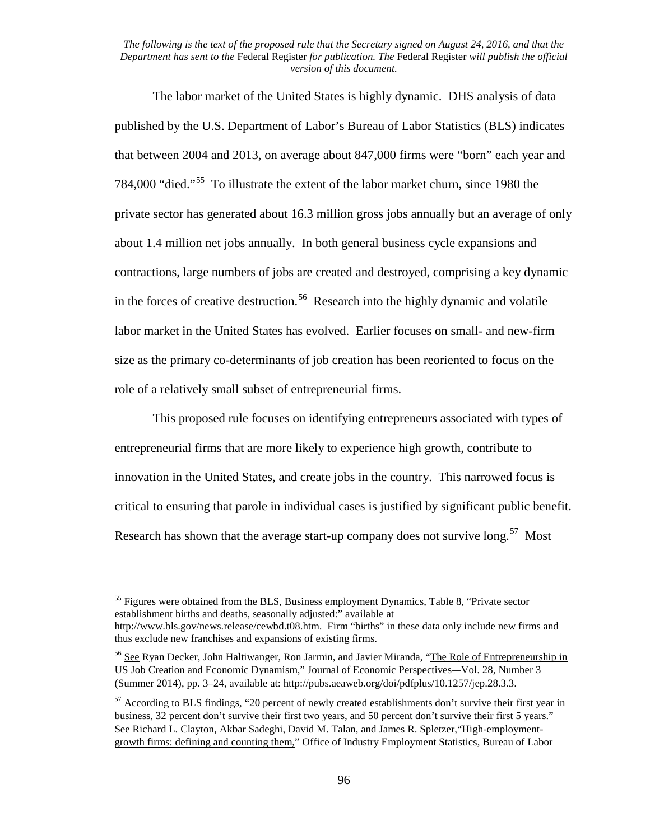The labor market of the United States is highly dynamic. DHS analysis of data published by the U.S. Department of Labor's Bureau of Labor Statistics (BLS) indicates that between 2004 and 2013, on average about 847,000 firms were "born" each year and 784,000 "died."[55](#page-95-0) To illustrate the extent of the labor market churn, since 1980 the private sector has generated about 16.3 million gross jobs annually but an average of only about 1.4 million net jobs annually. In both general business cycle expansions and contractions, large numbers of jobs are created and destroyed, comprising a key dynamic in the forces of creative destruction.<sup>[56](#page-95-1)</sup> Research into the highly dynamic and volatile labor market in the United States has evolved. Earlier focuses on small- and new-firm size as the primary co-determinants of job creation has been reoriented to focus on the role of a relatively small subset of entrepreneurial firms.

This proposed rule focuses on identifying entrepreneurs associated with types of entrepreneurial firms that are more likely to experience high growth, contribute to innovation in the United States, and create jobs in the country. This narrowed focus is critical to ensuring that parole in individual cases is justified by significant public benefit. Research has shown that the average start-up company does not survive long.<sup>57</sup> Most

<span id="page-95-0"></span><sup>&</sup>lt;sup>55</sup> Figures were obtained from the BLS, Business employment Dynamics, Table 8, "Private sector" establishment births and deaths, seasonally adjusted:" available at http://www.bls.gov/news.release/cewbd.t08.htm. Firm "births" in these data only include new firms and thus exclude new franchises and expansions of existing firms.

<span id="page-95-1"></span><sup>&</sup>lt;sup>56</sup> See Ryan Decker, John Haltiwanger, Ron Jarmin, and Javier Miranda, "The Role of Entrepreneurship in US Job Creation and Economic Dynamism," Journal of Economic Perspectives*—*Vol. 28, Number 3 (Summer 2014), pp. 3–24, available at: http://pubs.aeaweb.org/doi/pdfplus/10.1257/jep.28.3.3.

<span id="page-95-2"></span><sup>&</sup>lt;sup>57</sup> According to BLS findings, "20 percent of newly created establishments don't survive their first year in business, 32 percent don't survive their first two years, and 50 percent don't survive their first 5 years." See Richard L. Clayton, Akbar Sadeghi, David M. Talan, and James R. Spletzer, "High-employmentgrowth firms: defining and counting them*,*" Office of Industry Employment Statistics, Bureau of Labor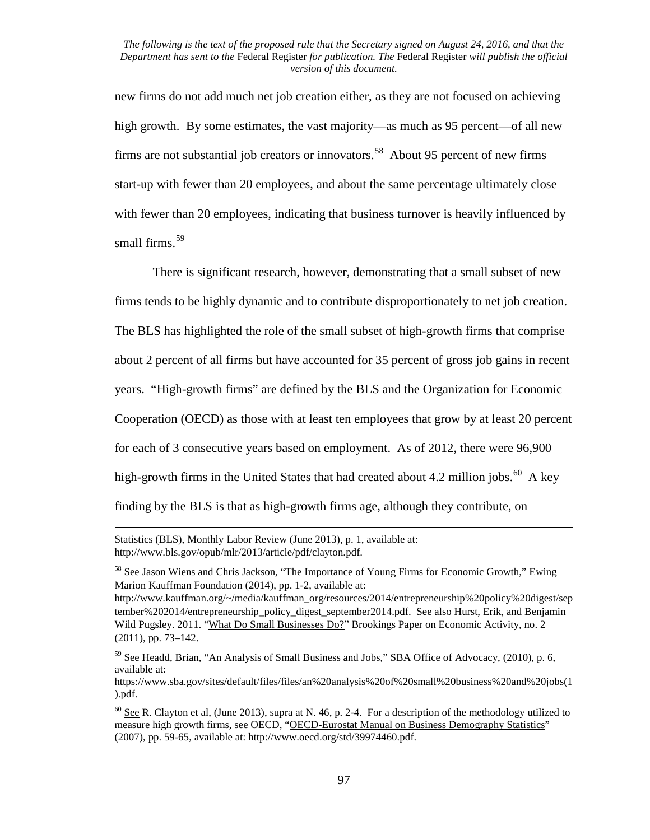new firms do not add much net job creation either, as they are not focused on achieving high growth. By some estimates, the vast majority—as much as 95 percent—of all new firms are not substantial job creators or innovators.<sup>[58](#page-96-0)</sup> About 95 percent of new firms start-up with fewer than 20 employees, and about the same percentage ultimately close with fewer than 20 employees, indicating that business turnover is heavily influenced by small firms. [59](#page-96-1)

There is significant research, however, demonstrating that a small subset of new firms tends to be highly dynamic and to contribute disproportionately to net job creation. The BLS has highlighted the role of the small subset of high-growth firms that comprise about 2 percent of all firms but have accounted for 35 percent of gross job gains in recent years. "High-growth firms" are defined by the BLS and the Organization for Economic Cooperation (OECD) as those with at least ten employees that grow by at least 20 percent for each of 3 consecutive years based on employment. As of 2012, there were 96,900 high-growth firms in the United States that had created about 4.2 million jobs.<sup>60</sup> A key finding by the BLS is that as high-growth firms age, although they contribute, on

 $\overline{\phantom{a}}$ 

Statistics (BLS), Monthly Labor Review (June 2013), p. 1, available at: http://www.bls.gov/opub/mlr/2013/article/pdf/clayton.pdf.

<span id="page-96-0"></span><sup>&</sup>lt;sup>58</sup> See Jason Wiens and Chris Jackson, "The Importance of Young Firms for Economic Growth," Ewing Marion Kauffman Foundation (2014), pp. 1-2, available at:

http://www.kauffman.org/~/media/kauffman\_org/resources/2014/entrepreneurship%20policy%20digest/sep tember%202014/entrepreneurship\_policy\_digest\_september2014.pdf. See also Hurst, Erik, and Benjamin Wild Pugsley. 2011. "What Do Small Businesses Do?" Brookings Paper on Economic Activity*,* no. 2 (2011), pp. 73–142.

<span id="page-96-1"></span> $59$  See Headd, Brian, "An Analysis of Small Business and Jobs," SBA Office of Advocacy, (2010), p. 6, available at:

https://www.sba.gov/sites/default/files/files/an%20analysis%20of%20small%20business%20and%20jobs(1 ).pdf.

<span id="page-96-2"></span> $60$  See R. Clayton et al, (June 2013), supra at N. 46, p. 2-4. For a description of the methodology utilized to measure high growth firms, see OECD, "OECD-Eurostat Manual on Business Demography Statistics" (2007), pp. 59-65, available at: http://www.oecd.org/std/39974460.pdf.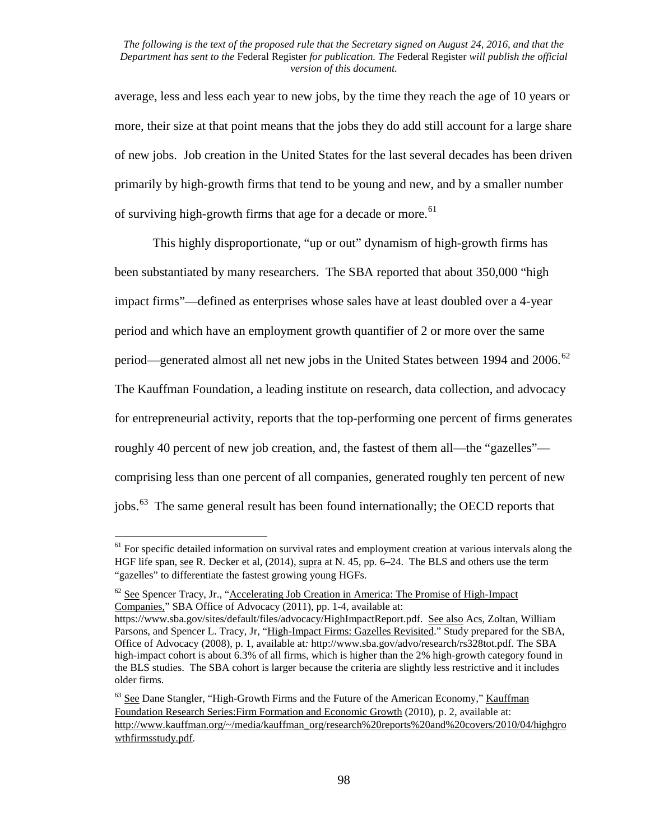average, less and less each year to new jobs, by the time they reach the age of 10 years or more, their size at that point means that the jobs they do add still account for a large share of new jobs. Job creation in the United States for the last several decades has been driven primarily by high-growth firms that tend to be young and new, and by a smaller number of surviving high-growth firms that age for a decade or more.<sup>61</sup>

This highly disproportionate, "up or out" dynamism of high-growth firms has been substantiated by many researchers. The SBA reported that about 350,000 "high impact firms"—defined as enterprises whose sales have at least doubled over a 4-year period and which have an employment growth quantifier of 2 or more over the same period—generated almost all net new jobs in the United States between 1994 and 2006.<sup>[62](#page-97-1)</sup> The Kauffman Foundation, a leading institute on research, data collection, and advocacy for entrepreneurial activity, reports that the top-performing one percent of firms generates roughly 40 percent of new job creation, and, the fastest of them all—the "gazelles" comprising less than one percent of all companies, generated roughly ten percent of new jobs.[63](#page-97-2) The same general result has been found internationally; the OECD reports that

<span id="page-97-0"></span><sup>&</sup>lt;sup>61</sup> For specific detailed information on survival rates and employment creation at various intervals along the HGF life span, see R. Decker et al, (2014), supra at N. 45, pp. 6–24. The BLS and others use the term "gazelles" to differentiate the fastest growing young HGFs.

<span id="page-97-1"></span> $62$  See Spencer Tracy, Jr., "Accelerating Job Creation in America: The Promise of High-Impact Companies," SBA Office of Advocacy (2011), pp. 1-4, available at:

https://www.sba.gov/sites/default/files/advocacy/HighImpactReport.pdf. See also Acs, Zoltan, William Parsons, and Spencer L. Tracy, Jr, "High-Impact Firms: Gazelles Revisited." Study prepared for the SBA, Office of Advocacy (2008), p. 1*,* available at*:* http://www.sba.gov/advo/research/rs328tot.pdf. The SBA high-impact cohort is about 6.3% of all firms, which is higher than the 2% high-growth category found in the BLS studies. The SBA cohort is larger because the criteria are slightly less restrictive and it includes older firms.

<span id="page-97-2"></span><sup>63</sup> See Dane Stangler, "High-Growth Firms and the Future of the American Economy*,*" Kauffman Foundation Research Series:Firm Formation and Economic Growth (2010), p. 2, available at: http://www.kauffman.org/~/media/kauffman\_org/research%20reports%20and%20covers/2010/04/highgro wthfirmsstudy.pdf.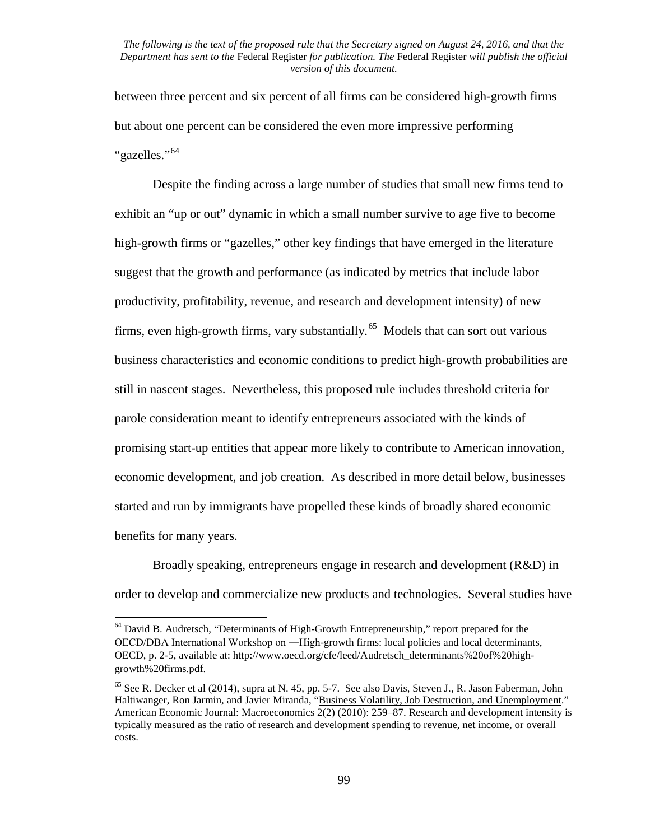between three percent and six percent of all firms can be considered high-growth firms but about one percent can be considered the even more impressive performing "gazelles."<sup>64</sup>

Despite the finding across a large number of studies that small new firms tend to exhibit an "up or out" dynamic in which a small number survive to age five to become high-growth firms or "gazelles," other key findings that have emerged in the literature suggest that the growth and performance (as indicated by metrics that include labor productivity, profitability, revenue, and research and development intensity) of new firms, even high-growth firms, vary substantially.<sup>[65](#page-98-1)</sup> Models that can sort out various business characteristics and economic conditions to predict high-growth probabilities are still in nascent stages. Nevertheless, this proposed rule includes threshold criteria for parole consideration meant to identify entrepreneurs associated with the kinds of promising start-up entities that appear more likely to contribute to American innovation, economic development, and job creation. As described in more detail below, businesses started and run by immigrants have propelled these kinds of broadly shared economic benefits for many years.

Broadly speaking, entrepreneurs engage in research and development (R&D) in order to develop and commercialize new products and technologies. Several studies have

<span id="page-98-0"></span><sup>&</sup>lt;sup>64</sup> David B. Audretsch, "Determinants of High-Growth Entrepreneurship," report prepared for the OECD/DBA International Workshop on ―High-growth firms: local policies and local determinants, OECD, p. 2-5, available at: http://www.oecd.org/cfe/leed/Audretsch\_determinants%20of%20highgrowth%20firms.pdf.

<span id="page-98-1"></span> $^{65}$  See R. Decker et al (2014), supra at N. 45, pp. 5-7. See also Davis, Steven J., R. Jason Faberman, John Haltiwanger, Ron Jarmin, and Javier Miranda, "Business Volatility, Job Destruction, and Unemployment." American Economic Journal: Macroeconomics 2(2) (2010): 259–87. Research and development intensity is typically measured as the ratio of research and development spending to revenue, net income, or overall costs.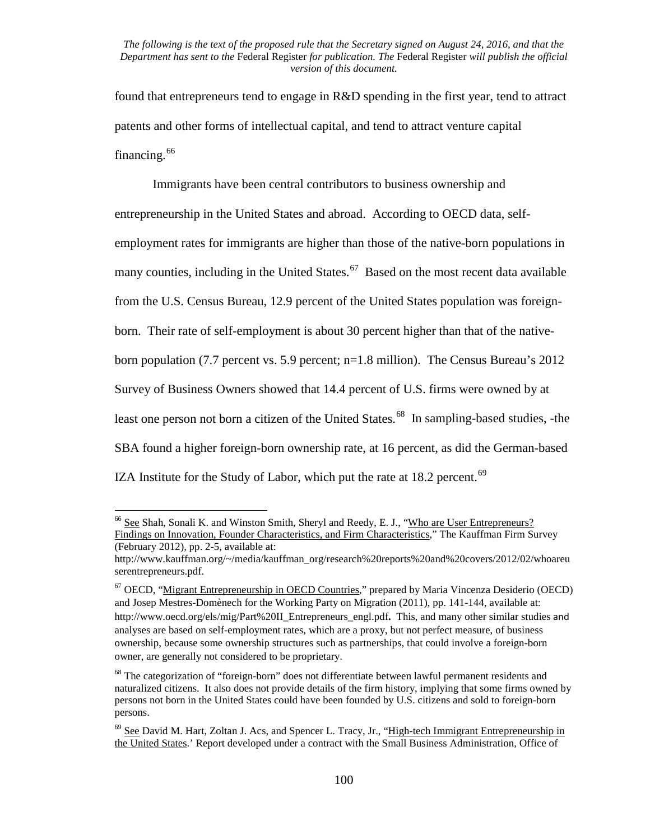found that entrepreneurs tend to engage in R&D spending in the first year, tend to attract patents and other forms of intellectual capital, and tend to attract venture capital financing.<sup>[66](#page-99-0)</sup>

Immigrants have been central contributors to business ownership and entrepreneurship in the United States and abroad. According to OECD data, selfemployment rates for immigrants are higher than those of the native-born populations in many counties, including in the United States.<sup>67</sup> Based on the most recent data available from the U.S. Census Bureau, 12.9 percent of the United States population was foreignborn. Their rate of self-employment is about 30 percent higher than that of the nativeborn population (7.7 percent vs. 5.9 percent; n=1.8 million). The Census Bureau's 2012 Survey of Business Owners showed that 14.4 percent of U.S. firms were owned by at least one person not born a citizen of the United States.<sup>68</sup> In sampling-based studies, -the SBA found a higher foreign-born ownership rate, at 16 percent, as did the German-based IZA Institute for the Study of Labor, which put the rate at  $18.2$  percent.<sup>69</sup>

<span id="page-99-0"></span><sup>66</sup> See Shah, Sonali K. and Winston Smith, Sheryl and Reedy, E. J., "Who are User Entrepreneurs? Findings on Innovation, Founder Characteristics, and Firm Characteristics," The Kauffman Firm Survey (February 2012), pp. 2-5, available at:

http://www.kauffman.org/~/media/kauffman\_org/research%20reports%20and%20covers/2012/02/whoareu serentrepreneurs.pdf.

<span id="page-99-1"></span> $67$  OECD, "Migrant Entrepreneurship in OECD Countries," prepared by Maria Vincenza Desiderio (OECD) and Josep Mestres-Domènech for the Working Party on Migration (2011), pp. 141-144, available at: http://www.oecd.org/els/mig/Part%20II\_Entrepreneurs\_engl.pdf**.** This, and many other similar studies and analyses are based on self-employment rates, which are a proxy, but not perfect measure, of business ownership, because some ownership structures such as partnerships, that could involve a foreign-born owner, are generally not considered to be proprietary.

<span id="page-99-2"></span><sup>&</sup>lt;sup>68</sup> The categorization of "foreign-born" does not differentiate between lawful permanent residents and naturalized citizens. It also does not provide details of the firm history, implying that some firms owned by persons not born in the United States could have been founded by U.S. citizens and sold to foreign-born persons.

<span id="page-99-3"></span> $^{69}$  See David M. Hart, Zoltan J. Acs, and Spencer L. Tracy, Jr., "High-tech Immigrant Entrepreneurship in the United States.' Report developed under a contract with the Small Business Administration, Office of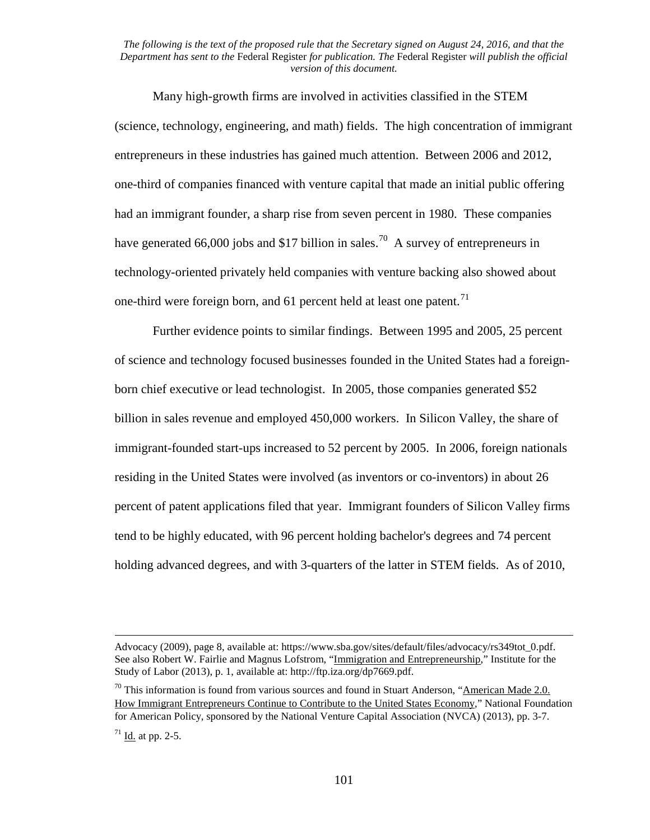Many high-growth firms are involved in activities classified in the STEM (science, technology, engineering, and math) fields. The high concentration of immigrant entrepreneurs in these industries has gained much attention. Between 2006 and 2012, one-third of companies financed with venture capital that made an initial public offering had an immigrant founder, a sharp rise from seven percent in 1980. These companies have generated 66,000 jobs and \$17 billion in sales.<sup>[70](#page-100-0)</sup> A survey of entrepreneurs in technology-oriented privately held companies with venture backing also showed about one-third were foreign born, and 61 percent held at least one patent.<sup>[71](#page-100-1)</sup>

Further evidence points to similar findings. Between 1995 and 2005, 25 percent of science and technology focused businesses founded in the United States had a foreignborn chief executive or lead technologist. In 2005, those companies generated \$52 billion in sales revenue and employed 450,000 workers. In Silicon Valley, the share of immigrant-founded start-ups increased to 52 percent by 2005. In 2006, foreign nationals residing in the United States were involved (as inventors or co-inventors) in about 26 percent of patent applications filed that year. Immigrant founders of Silicon Valley firms tend to be highly educated, with 96 percent holding bachelor's degrees and 74 percent holding advanced degrees, and with 3-quarters of the latter in STEM fields. As of 2010,

 $\overline{\phantom{a}}$ 

Advocacy (2009), page 8, available at: https://www.sba.gov/sites/default/files/advocacy/rs349tot\_0.pdf. See also Robert W. Fairlie and Magnus Lofstrom, "Immigration and Entrepreneurship," Institute for the Study of Labor (2013), p. 1, available at: http://ftp.iza.org/dp7669.pdf.

<span id="page-100-0"></span> $70$  This information is found from various sources and found in Stuart Anderson, "American Made 2.0. How Immigrant Entrepreneurs Continue to Contribute to the United States Economy," National Foundation for American Policy, sponsored by the National Venture Capital Association (NVCA) (2013), pp. 3-7.

<span id="page-100-1"></span> $71$  Id. at pp. 2-5.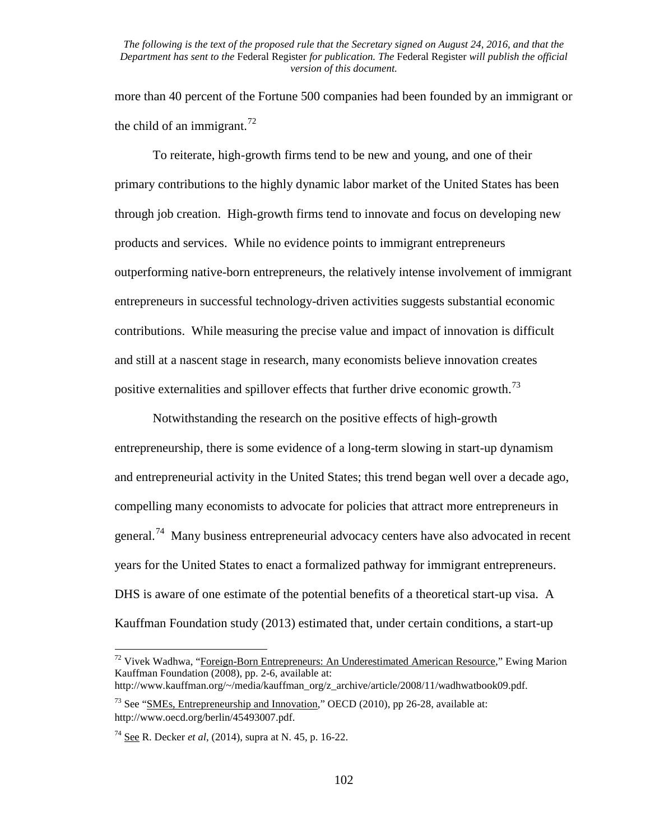more than 40 percent of the Fortune 500 companies had been founded by an immigrant or the child of an immigrant.<sup>[72](#page-101-0)</sup>

To reiterate, high-growth firms tend to be new and young, and one of their primary contributions to the highly dynamic labor market of the United States has been through job creation. High-growth firms tend to innovate and focus on developing new products and services. While no evidence points to immigrant entrepreneurs outperforming native-born entrepreneurs, the relatively intense involvement of immigrant entrepreneurs in successful technology-driven activities suggests substantial economic contributions. While measuring the precise value and impact of innovation is difficult and still at a nascent stage in research, many economists believe innovation creates positive externalities and spillover effects that further drive economic growth.<sup>[73](#page-101-1)</sup>

Notwithstanding the research on the positive effects of high-growth entrepreneurship, there is some evidence of a long-term slowing in start-up dynamism and entrepreneurial activity in the United States; this trend began well over a decade ago, compelling many economists to advocate for policies that attract more entrepreneurs in general.[74](#page-101-2) Many business entrepreneurial advocacy centers have also advocated in recent years for the United States to enact a formalized pathway for immigrant entrepreneurs. DHS is aware of one estimate of the potential benefits of a theoretical start-up visa. A Kauffman Foundation study (2013) estimated that, under certain conditions, a start-up

<span id="page-101-0"></span> $72$  Vivek Wadhwa, "Foreign-Born Entrepreneurs: An Underestimated American Resource," Ewing Marion Kauffman Foundation (2008), pp. 2-6, available at: http://www.kauffman.org/~/media/kauffman\_org/z\_archive/article/2008/11/wadhwatbook09.pdf.

<span id="page-101-1"></span><sup>&</sup>lt;sup>73</sup> See "SMEs, Entrepreneurship and Innovation," OECD (2010), pp 26-28, available at:

http://www.oecd.org/berlin/45493007.pdf.

<span id="page-101-2"></span><sup>74</sup> See R. Decker *et al*, (2014), supra at N. 45, p. 16-22.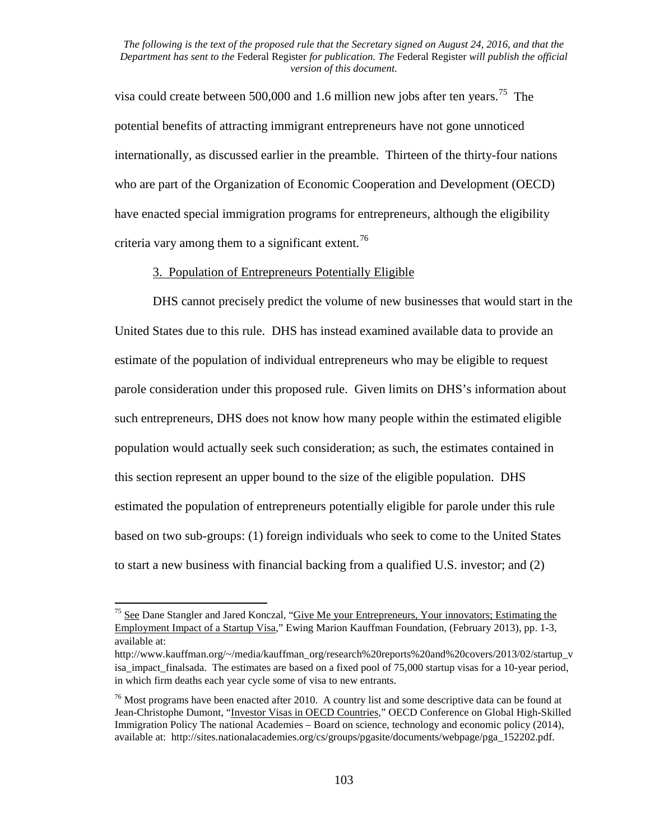visa could create between 500,000 and 1.6 million new jobs after ten years.<sup>[75](#page-102-0)</sup> The potential benefits of attracting immigrant entrepreneurs have not gone unnoticed internationally, as discussed earlier in the preamble. Thirteen of the thirty-four nations who are part of the Organization of Economic Cooperation and Development (OECD) have enacted special immigration programs for entrepreneurs, although the eligibility criteria vary among them to a significant extent.<sup>[76](#page-102-1)</sup>

## 3. Population of Entrepreneurs Potentially Eligible

DHS cannot precisely predict the volume of new businesses that would start in the United States due to this rule. DHS has instead examined available data to provide an estimate of the population of individual entrepreneurs who may be eligible to request parole consideration under this proposed rule. Given limits on DHS's information about such entrepreneurs, DHS does not know how many people within the estimated eligible population would actually seek such consideration; as such, the estimates contained in this section represent an upper bound to the size of the eligible population. DHS estimated the population of entrepreneurs potentially eligible for parole under this rule based on two sub-groups: (1) foreign individuals who seek to come to the United States to start a new business with financial backing from a qualified U.S. investor; and (2)

<span id="page-102-0"></span><sup>&</sup>lt;sup>75</sup> See Dane Stangler and Jared Konczal, "Give Me your Entrepreneurs, Your innovators; Estimating the Employment Impact of a Startup Visa," Ewing Marion Kauffman Foundation, (February 2013), pp. 1-3, available at:

http://www.kauffman.org/~/media/kauffman\_org/research%20reports%20and%20covers/2013/02/startup\_v isa\_impact\_finalsada. The estimates are based on a fixed pool of 75,000 startup visas for a 10-year period, in which firm deaths each year cycle some of visa to new entrants.

<span id="page-102-1"></span> $76$  Most programs have been enacted after 2010. A country list and some descriptive data can be found at Jean-Christophe Dumont, "Investor Visas in OECD Countries," OECD Conference on Global High-Skilled Immigration Policy The national Academies – Board on science, technology and economic policy (2014), available at: http://sites.nationalacademies.org/cs/groups/pgasite/documents/webpage/pga\_152202.pdf.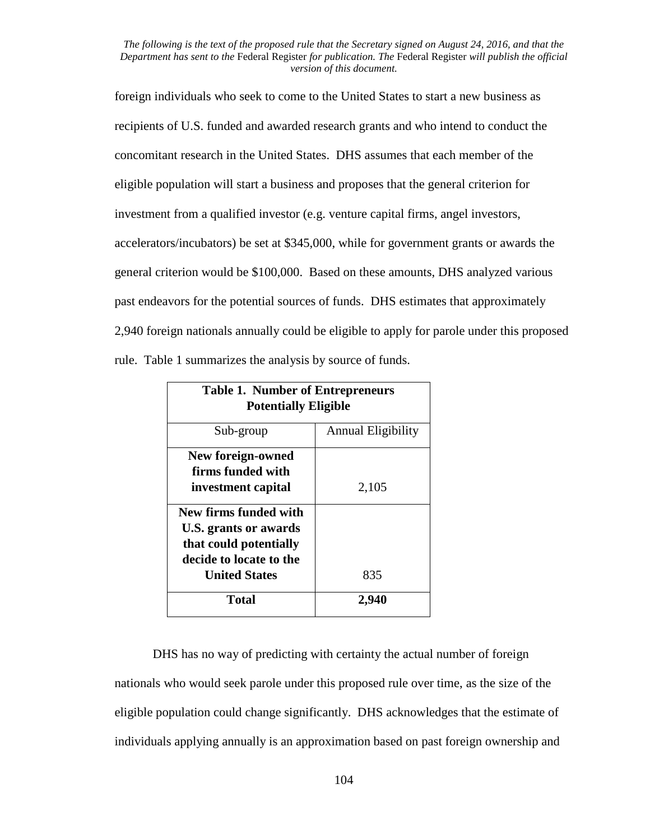foreign individuals who seek to come to the United States to start a new business as recipients of U.S. funded and awarded research grants and who intend to conduct the concomitant research in the United States. DHS assumes that each member of the eligible population will start a business and proposes that the general criterion for investment from a qualified investor (e.g. venture capital firms, angel investors, accelerators/incubators) be set at \$345,000, while for government grants or awards the general criterion would be \$100,000. Based on these amounts, DHS analyzed various past endeavors for the potential sources of funds. DHS estimates that approximately 2,940 foreign nationals annually could be eligible to apply for parole under this proposed rule. Table 1 summarizes the analysis by source of funds.

| <b>Table 1. Number of Entrepreneurs</b><br><b>Potentially Eligible</b>                                                      |                           |
|-----------------------------------------------------------------------------------------------------------------------------|---------------------------|
| Sub-group                                                                                                                   | <b>Annual Eligibility</b> |
| New foreign-owned<br>firms funded with<br>investment capital                                                                | 2,105                     |
| New firms funded with<br>U.S. grants or awards<br>that could potentially<br>decide to locate to the<br><b>United States</b> | 835                       |
| <b>Total</b>                                                                                                                | 2.940                     |

DHS has no way of predicting with certainty the actual number of foreign nationals who would seek parole under this proposed rule over time, as the size of the eligible population could change significantly. DHS acknowledges that the estimate of individuals applying annually is an approximation based on past foreign ownership and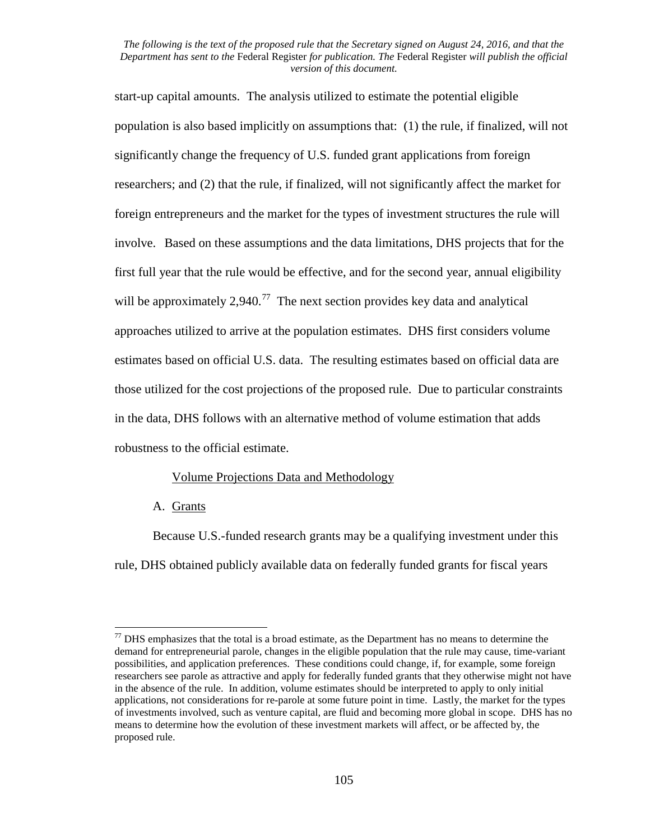start-up capital amounts. The analysis utilized to estimate the potential eligible population is also based implicitly on assumptions that: (1) the rule, if finalized, will not significantly change the frequency of U.S. funded grant applications from foreign researchers; and (2) that the rule, if finalized, will not significantly affect the market for foreign entrepreneurs and the market for the types of investment structures the rule will involve. Based on these assumptions and the data limitations, DHS projects that for the first full year that the rule would be effective, and for the second year, annual eligibility will be approximately 2,940.<sup>[77](#page-104-0)</sup> The next section provides key data and analytical approaches utilized to arrive at the population estimates. DHS first considers volume estimates based on official U.S. data. The resulting estimates based on official data are those utilized for the cost projections of the proposed rule. Due to particular constraints in the data, DHS follows with an alternative method of volume estimation that adds robustness to the official estimate.

## Volume Projections Data and Methodology

## A. Grants

Because U.S.-funded research grants may be a qualifying investment under this rule, DHS obtained publicly available data on federally funded grants for fiscal years

<span id="page-104-0"></span> $77$  DHS emphasizes that the total is a broad estimate, as the Department has no means to determine the demand for entrepreneurial parole, changes in the eligible population that the rule may cause, time-variant possibilities, and application preferences. These conditions could change, if, for example, some foreign researchers see parole as attractive and apply for federally funded grants that they otherwise might not have in the absence of the rule. In addition, volume estimates should be interpreted to apply to only initial applications, not considerations for re-parole at some future point in time. Lastly, the market for the types of investments involved, such as venture capital, are fluid and becoming more global in scope. DHS has no means to determine how the evolution of these investment markets will affect, or be affected by, the proposed rule.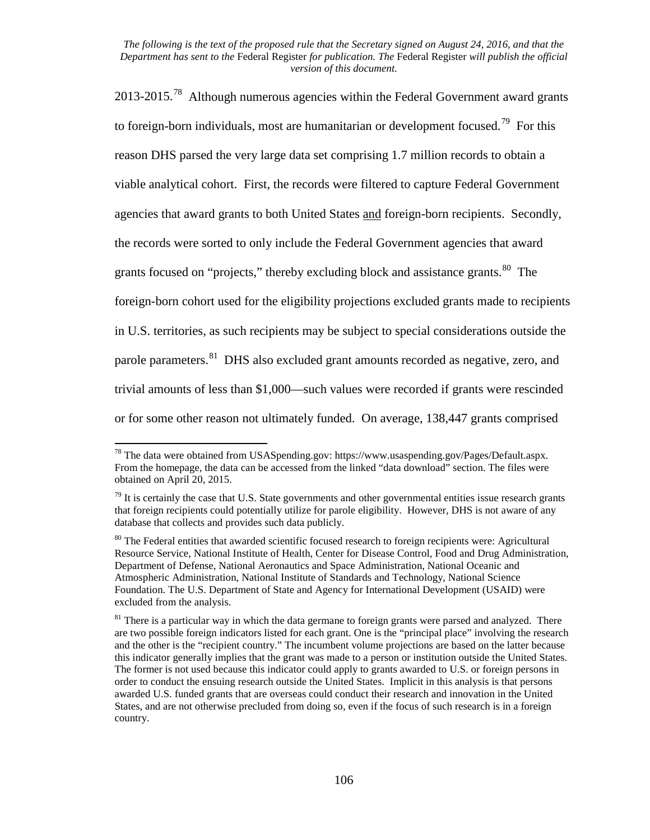2013-2015.<sup>78</sup> Although numerous agencies within the Federal Government award grants to foreign-born individuals, most are humanitarian or development focused.<sup>79</sup> For this reason DHS parsed the very large data set comprising 1.7 million records to obtain a viable analytical cohort. First, the records were filtered to capture Federal Government agencies that award grants to both United States and foreign-born recipients. Secondly, the records were sorted to only include the Federal Government agencies that award grants focused on "projects," thereby excluding block and assistance grants. $80$  The foreign-born cohort used for the eligibility projections excluded grants made to recipients in U.S. territories, as such recipients may be subject to special considerations outside the parole parameters.<sup>[81](#page-105-3)</sup> DHS also excluded grant amounts recorded as negative, zero, and trivial amounts of less than \$1,000—such values were recorded if grants were rescinded or for some other reason not ultimately funded. On average, 138,447 grants comprised

<span id="page-105-0"></span> $^{78}$  The data were obtained from USAS pending.gov: https://www.usaspending.gov/Pages/Default.aspx. From the homepage, the data can be accessed from the linked "data download" section. The files were obtained on April 20, 2015.

<span id="page-105-1"></span> $^{79}$  It is certainly the case that U.S. State governments and other governmental entities issue research grants that foreign recipients could potentially utilize for parole eligibility. However, DHS is not aware of any database that collects and provides such data publicly.

<span id="page-105-2"></span><sup>&</sup>lt;sup>80</sup> The Federal entities that awarded scientific focused research to foreign recipients were: Agricultural Resource Service, National Institute of Health, Center for Disease Control, Food and Drug Administration, Department of Defense, National Aeronautics and Space Administration, National Oceanic and Atmospheric Administration, National Institute of Standards and Technology, National Science Foundation. The U.S. Department of State and Agency for International Development (USAID) were excluded from the analysis.

<span id="page-105-3"></span><sup>&</sup>lt;sup>81</sup> There is a particular way in which the data germane to foreign grants were parsed and analyzed. There are two possible foreign indicators listed for each grant. One is the "principal place" involving the research and the other is the "recipient country." The incumbent volume projections are based on the latter because this indicator generally implies that the grant was made to a person or institution outside the United States. The former is not used because this indicator could apply to grants awarded to U.S. or foreign persons in order to conduct the ensuing research outside the United States. Implicit in this analysis is that persons awarded U.S. funded grants that are overseas could conduct their research and innovation in the United States, and are not otherwise precluded from doing so, even if the focus of such research is in a foreign country.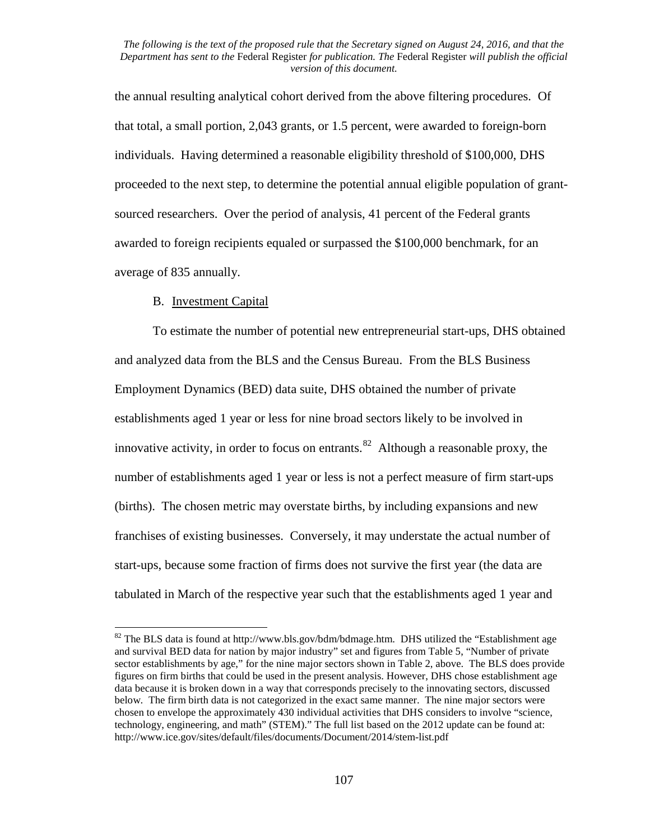the annual resulting analytical cohort derived from the above filtering procedures. Of that total, a small portion, 2,043 grants, or 1.5 percent, were awarded to foreign-born individuals. Having determined a reasonable eligibility threshold of \$100,000, DHS proceeded to the next step, to determine the potential annual eligible population of grantsourced researchers. Over the period of analysis, 41 percent of the Federal grants awarded to foreign recipients equaled or surpassed the \$100,000 benchmark, for an average of 835 annually.

## B. Investment Capital

To estimate the number of potential new entrepreneurial start-ups, DHS obtained and analyzed data from the BLS and the Census Bureau. From the BLS Business Employment Dynamics (BED) data suite, DHS obtained the number of private establishments aged 1 year or less for nine broad sectors likely to be involved in innovative activity, in order to focus on entrants.<sup>[82](#page-106-0)</sup> Although a reasonable proxy, the number of establishments aged 1 year or less is not a perfect measure of firm start-ups (births). The chosen metric may overstate births, by including expansions and new franchises of existing businesses. Conversely, it may understate the actual number of start-ups, because some fraction of firms does not survive the first year (the data are tabulated in March of the respective year such that the establishments aged 1 year and

<span id="page-106-0"></span> $82$  The BLS data is found at http://www.bls.gov/bdm/bdmage.htm. DHS utilized the "Establishment age and survival BED data for nation by major industry" set and figures from Table 5, "Number of private sector establishments by age," for the nine major sectors shown in Table 2, above. The BLS does provide figures on firm births that could be used in the present analysis. However, DHS chose establishment age data because it is broken down in a way that corresponds precisely to the innovating sectors, discussed below. The firm birth data is not categorized in the exact same manner. The nine major sectors were chosen to envelope the approximately 430 individual activities that DHS considers to involve "science, technology, engineering, and math" (STEM)." The full list based on the 2012 update can be found at: http://www.ice.gov/sites/default/files/documents/Document/2014/stem-list.pdf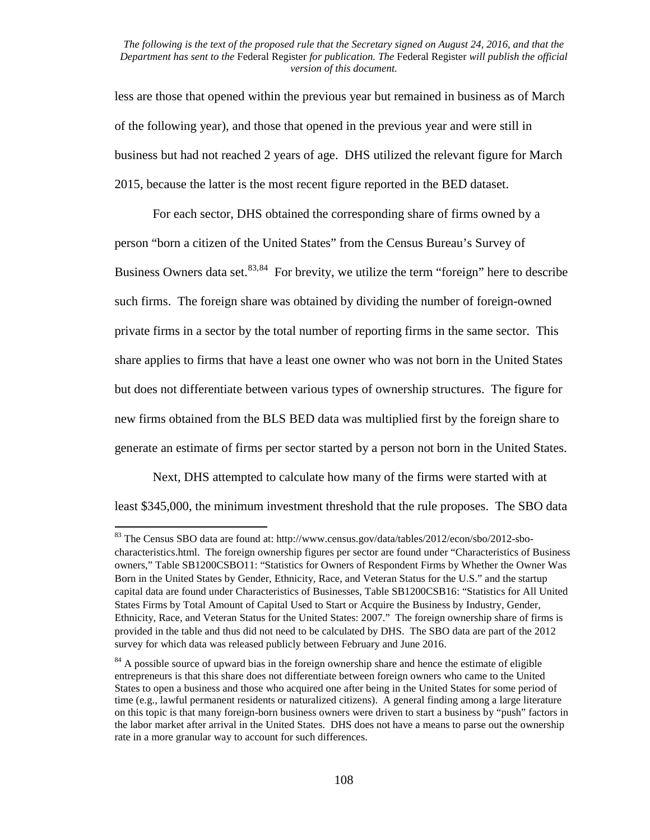less are those that opened within the previous year but remained in business as of March of the following year), and those that opened in the previous year and were still in business but had not reached 2 years of age. DHS utilized the relevant figure for March 2015, because the latter is the most recent figure reported in the BED dataset.

For each sector, DHS obtained the corresponding share of firms owned by a person "born a citizen of the United States" from the Census Bureau's Survey of Business Owners data set.  $83,84$  $83,84$  For brevity, we utilize the term "foreign" here to describe such firms. The foreign share was obtained by dividing the number of foreign-owned private firms in a sector by the total number of reporting firms in the same sector. This share applies to firms that have a least one owner who was not born in the United States but does not differentiate between various types of ownership structures. The figure for new firms obtained from the BLS BED data was multiplied first by the foreign share to generate an estimate of firms per sector started by a person not born in the United States.

Next, DHS attempted to calculate how many of the firms were started with at least \$345,000, the minimum investment threshold that the rule proposes. The SBO data

<span id="page-107-0"></span><sup>83</sup> The Census SBO data are found at: http://www.census.gov/data/tables/2012/econ/sbo/2012-sbocharacteristics.html. The foreign ownership figures per sector are found under "Characteristics of Business owners," Table SB1200CSBO11: "Statistics for Owners of Respondent Firms by Whether the Owner Was Born in the United States by Gender, Ethnicity, Race, and Veteran Status for the U.S." and the startup capital data are found under Characteristics of Businesses, Table SB1200CSB16: "Statistics for All United States Firms by Total Amount of Capital Used to Start or Acquire the Business by Industry, Gender, Ethnicity, Race, and Veteran Status for the United States: 2007." The foreign ownership share of firms is provided in the table and thus did not need to be calculated by DHS. The SBO data are part of the 2012 survey for which data was released publicly between February and June 2016.

<span id="page-107-1"></span><sup>&</sup>lt;sup>84</sup> A possible source of upward bias in the foreign ownership share and hence the estimate of eligible entrepreneurs is that this share does not differentiate between foreign owners who came to the United States to open a business and those who acquired one after being in the United States for some period of time (e.g., lawful permanent residents or naturalized citizens). A general finding among a large literature on this topic is that many foreign-born business owners were driven to start a business by "push" factors in the labor market after arrival in the United States. DHS does not have a means to parse out the ownership rate in a more granular way to account for such differences.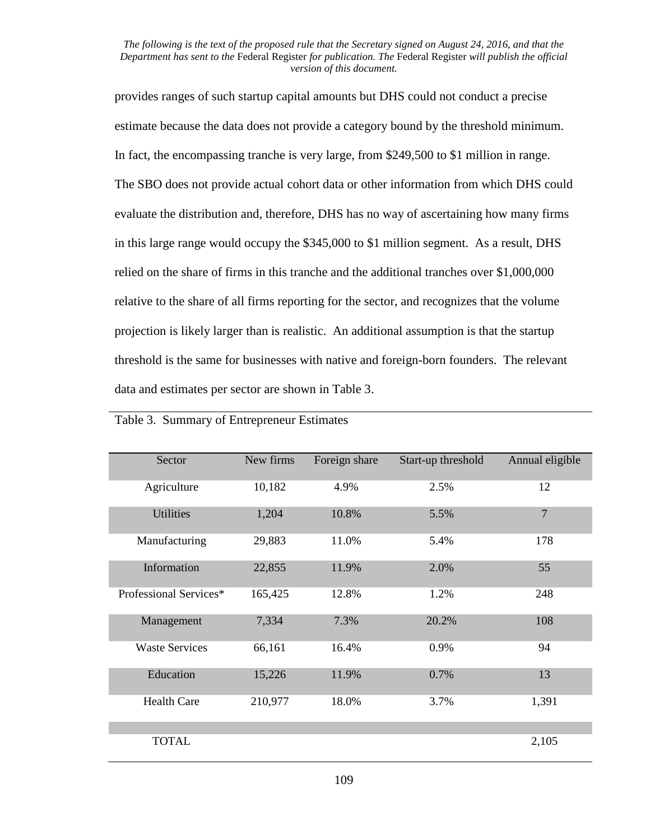provides ranges of such startup capital amounts but DHS could not conduct a precise estimate because the data does not provide a category bound by the threshold minimum. In fact, the encompassing tranche is very large, from \$249,500 to \$1 million in range. The SBO does not provide actual cohort data or other information from which DHS could evaluate the distribution and, therefore, DHS has no way of ascertaining how many firms in this large range would occupy the \$345,000 to \$1 million segment. As a result, DHS relied on the share of firms in this tranche and the additional tranches over \$1,000,000 relative to the share of all firms reporting for the sector, and recognizes that the volume projection is likely larger than is realistic. An additional assumption is that the startup threshold is the same for businesses with native and foreign-born founders. The relevant data and estimates per sector are shown in Table 3.

| Sector                 | New firms | Foreign share | Start-up threshold | Annual eligible |
|------------------------|-----------|---------------|--------------------|-----------------|
| Agriculture            | 10,182    | 4.9%          | 2.5%               | 12              |
| <b>Utilities</b>       | 1,204     | 10.8%         | 5.5%               | $\overline{7}$  |
| Manufacturing          | 29,883    | 11.0%         | 5.4%               | 178             |
| Information            | 22,855    | 11.9%         | 2.0%               | 55              |
| Professional Services* | 165,425   | 12.8%         | 1.2%               | 248             |
| Management             | 7,334     | 7.3%          | 20.2%              | 108             |
| <b>Waste Services</b>  | 66,161    | 16.4%         | 0.9%               | 94              |
| Education              | 15,226    | 11.9%         | 0.7%               | 13              |
| <b>Health Care</b>     | 210,977   | 18.0%         | 3.7%               | 1,391           |
|                        |           |               |                    |                 |
| <b>TOTAL</b>           |           |               |                    | 2,105           |

Table 3. Summary of Entrepreneur Estimates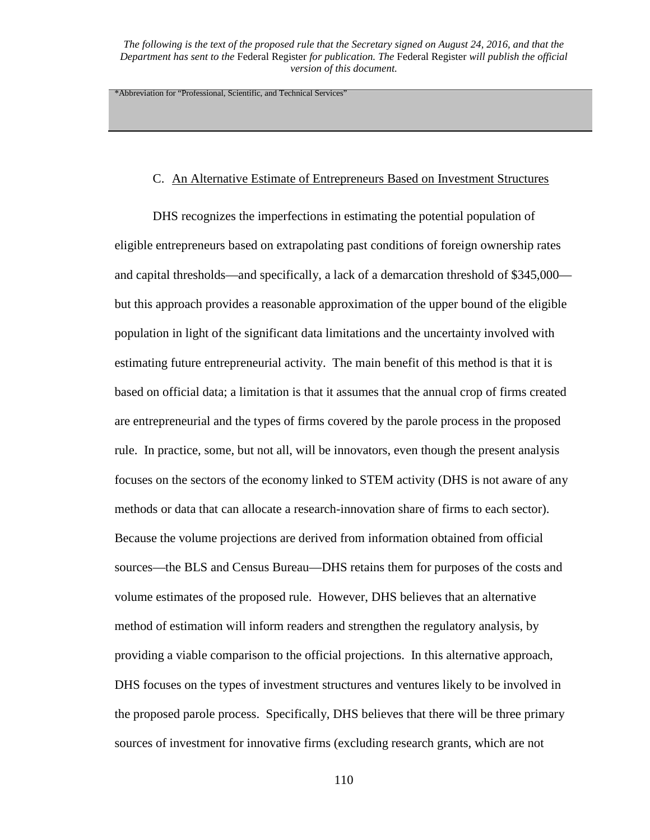\*Abbreviation for "Professional, Scientific, and Technical Services"

## C. An Alternative Estimate of Entrepreneurs Based on Investment Structures

DHS recognizes the imperfections in estimating the potential population of eligible entrepreneurs based on extrapolating past conditions of foreign ownership rates and capital thresholds—and specifically, a lack of a demarcation threshold of \$345,000 but this approach provides a reasonable approximation of the upper bound of the eligible population in light of the significant data limitations and the uncertainty involved with estimating future entrepreneurial activity. The main benefit of this method is that it is based on official data; a limitation is that it assumes that the annual crop of firms created are entrepreneurial and the types of firms covered by the parole process in the proposed rule. In practice, some, but not all, will be innovators, even though the present analysis focuses on the sectors of the economy linked to STEM activity (DHS is not aware of any methods or data that can allocate a research-innovation share of firms to each sector). Because the volume projections are derived from information obtained from official sources—the BLS and Census Bureau—DHS retains them for purposes of the costs and volume estimates of the proposed rule. However, DHS believes that an alternative method of estimation will inform readers and strengthen the regulatory analysis, by providing a viable comparison to the official projections. In this alternative approach, DHS focuses on the types of investment structures and ventures likely to be involved in the proposed parole process. Specifically, DHS believes that there will be three primary sources of investment for innovative firms (excluding research grants, which are not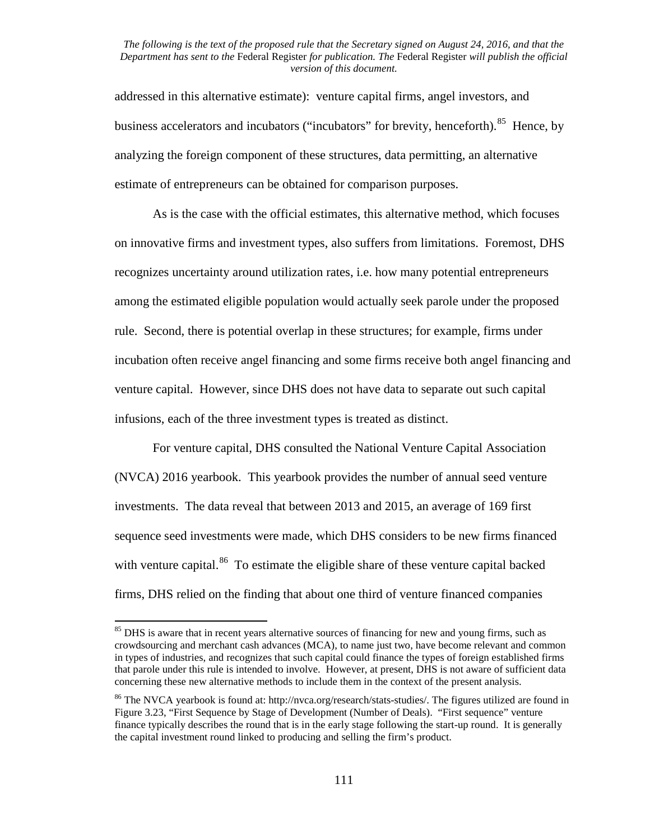addressed in this alternative estimate): venture capital firms, angel investors, and business accelerators and incubators ("incubators" for brevity, henceforth).<sup>85</sup> Hence, by analyzing the foreign component of these structures, data permitting, an alternative estimate of entrepreneurs can be obtained for comparison purposes.

As is the case with the official estimates, this alternative method, which focuses on innovative firms and investment types, also suffers from limitations. Foremost, DHS recognizes uncertainty around utilization rates, i.e. how many potential entrepreneurs among the estimated eligible population would actually seek parole under the proposed rule. Second, there is potential overlap in these structures; for example, firms under incubation often receive angel financing and some firms receive both angel financing and venture capital. However, since DHS does not have data to separate out such capital infusions, each of the three investment types is treated as distinct.

For venture capital, DHS consulted the National Venture Capital Association (NVCA) 2016 yearbook. This yearbook provides the number of annual seed venture investments. The data reveal that between 2013 and 2015, an average of 169 first sequence seed investments were made, which DHS considers to be new firms financed with venture capital.<sup>86</sup> To estimate the eligible share of these venture capital backed firms, DHS relied on the finding that about one third of venture financed companies

<span id="page-110-0"></span><sup>&</sup>lt;sup>85</sup> DHS is aware that in recent years alternative sources of financing for new and young firms, such as crowdsourcing and merchant cash advances (MCA), to name just two, have become relevant and common in types of industries, and recognizes that such capital could finance the types of foreign established firms that parole under this rule is intended to involve. However, at present, DHS is not aware of sufficient data concerning these new alternative methods to include them in the context of the present analysis.

<span id="page-110-1"></span><sup>&</sup>lt;sup>86</sup> The NVCA yearbook is found at: http://nvca.org/research/stats-studies/. The figures utilized are found in Figure 3.23, "First Sequence by Stage of Development (Number of Deals). "First sequence" venture finance typically describes the round that is in the early stage following the start-up round. It is generally the capital investment round linked to producing and selling the firm's product.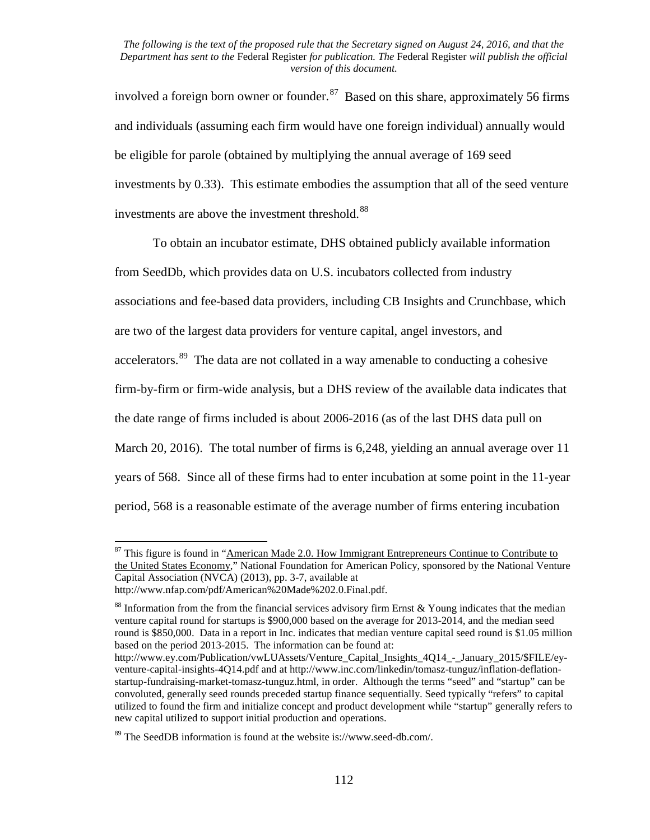involved a foreign born owner or founder. $87$  Based on this share, approximately 56 firms and individuals (assuming each firm would have one foreign individual) annually would be eligible for parole (obtained by multiplying the annual average of 169 seed investments by 0.33). This estimate embodies the assumption that all of the seed venture investments are above the investment threshold.<sup>[88](#page-111-1)</sup>

To obtain an incubator estimate, DHS obtained publicly available information from SeedDb, which provides data on U.S. incubators collected from industry associations and fee-based data providers, including CB Insights and Crunchbase, which are two of the largest data providers for venture capital, angel investors, and accelerators.<sup>[89](#page-111-2)</sup> The data are not collated in a way amenable to conducting a cohesive firm-by-firm or firm-wide analysis, but a DHS review of the available data indicates that the date range of firms included is about 2006-2016 (as of the last DHS data pull on March 20, 2016). The total number of firms is 6,248, yielding an annual average over 11 years of 568. Since all of these firms had to enter incubation at some point in the 11-year period, 568 is a reasonable estimate of the average number of firms entering incubation

<span id="page-111-0"></span> $87$  This figure is found in "American Made 2.0. How Immigrant Entrepreneurs Continue to Contribute to the United States Economy," National Foundation for American Policy, sponsored by the National Venture Capital Association (NVCA) (2013), pp. 3-7, available at

http://www.nfap.com/pdf/American%20Made%202.0.Final.pdf.

<span id="page-111-1"></span> $88$  Information from the from the financial services advisory firm Ernst & Young indicates that the median venture capital round for startups is \$900,000 based on the average for 2013-2014, and the median seed round is \$850,000. Data in a report in Inc. indicates that median venture capital seed round is \$1.05 million based on the period 2013-2015. The information can be found at:

http://www.ey.com/Publication/vwLUAssets/Venture\_Capital\_Insights\_4Q14\_-\_January\_2015/\$FILE/eyventure-capital-insights-4Q14.pdf and at http://www.inc.com/linkedin/tomasz-tunguz/inflation-deflationstartup-fundraising-market-tomasz-tunguz.html, in order. Although the terms "seed" and "startup" can be convoluted, generally seed rounds preceded startup finance sequentially. Seed typically "refers" to capital utilized to found the firm and initialize concept and product development while "startup" generally refers to new capital utilized to support initial production and operations.

<span id="page-111-2"></span><sup>89</sup> The SeedDB information is found at the website is://www.seed-db.com/.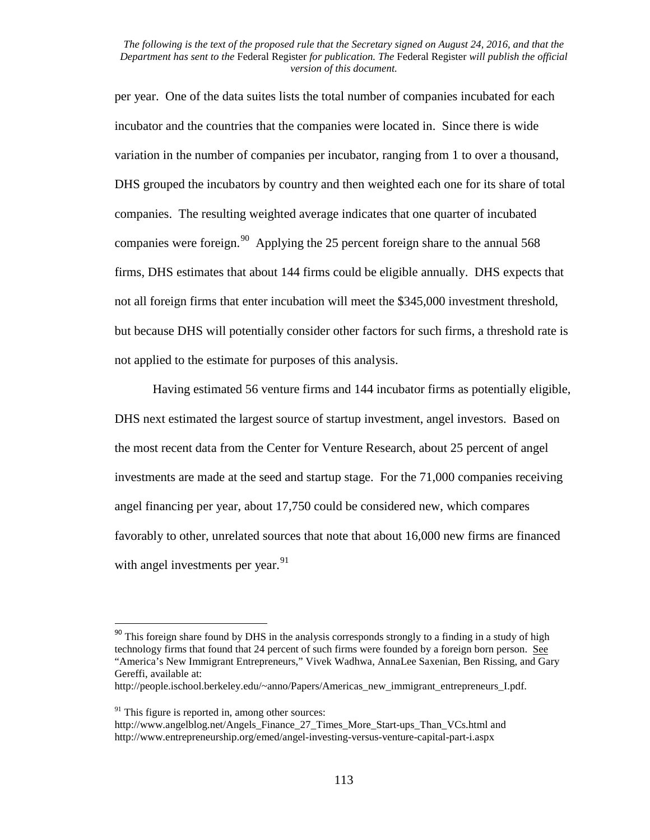per year. One of the data suites lists the total number of companies incubated for each incubator and the countries that the companies were located in. Since there is wide variation in the number of companies per incubator, ranging from 1 to over a thousand, DHS grouped the incubators by country and then weighted each one for its share of total companies. The resulting weighted average indicates that one quarter of incubated companies were foreign.<sup>[90](#page-112-0)</sup> Applying the 25 percent foreign share to the annual 568 firms, DHS estimates that about 144 firms could be eligible annually. DHS expects that not all foreign firms that enter incubation will meet the \$345,000 investment threshold, but because DHS will potentially consider other factors for such firms, a threshold rate is not applied to the estimate for purposes of this analysis.

Having estimated 56 venture firms and 144 incubator firms as potentially eligible, DHS next estimated the largest source of startup investment, angel investors. Based on the most recent data from the Center for Venture Research, about 25 percent of angel investments are made at the seed and startup stage. For the 71,000 companies receiving angel financing per year, about 17,750 could be considered new, which compares favorably to other, unrelated sources that note that about 16,000 new firms are financed with angel investments per year.<sup>[91](#page-112-1)</sup>

http://people.ischool.berkeley.edu/~anno/Papers/Americas new immigrant entrepreneurs I.pdf.

<span id="page-112-0"></span><sup>&</sup>lt;sup>90</sup> This foreign share found by DHS in the analysis corresponds strongly to a finding in a study of high technology firms that found that 24 percent of such firms were founded by a foreign born person. See "America's New Immigrant Entrepreneurs," Vivek Wadhwa, AnnaLee Saxenian, Ben Rissing, and Gary Gereffi, available at:

 $91$  This figure is reported in, among other sources:

<span id="page-112-1"></span>http://www.angelblog.net/Angels\_Finance\_27\_Times\_More\_Start-ups\_Than\_VCs.html and http://www.entrepreneurship.org/emed/angel-investing-versus-venture-capital-part-i.aspx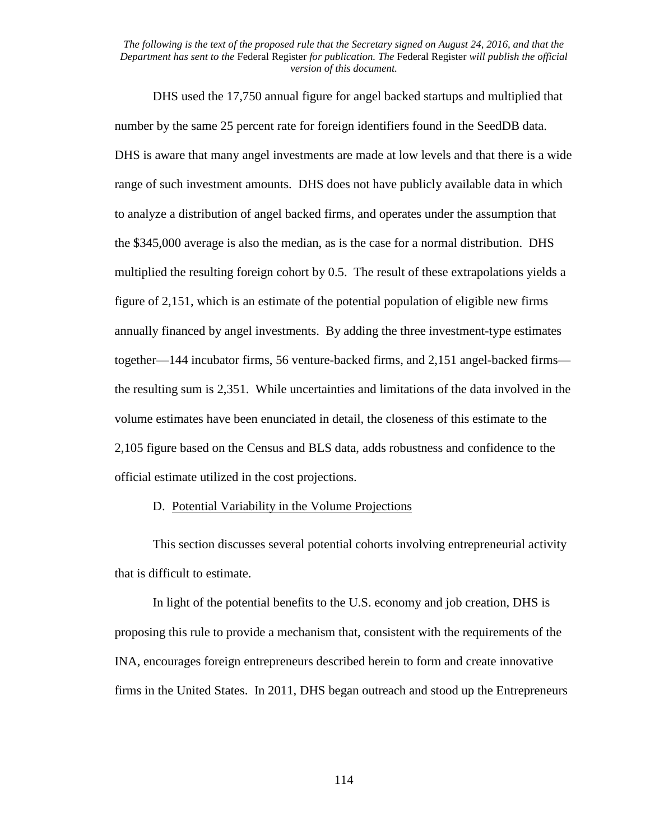DHS used the 17,750 annual figure for angel backed startups and multiplied that number by the same 25 percent rate for foreign identifiers found in the SeedDB data. DHS is aware that many angel investments are made at low levels and that there is a wide range of such investment amounts. DHS does not have publicly available data in which to analyze a distribution of angel backed firms, and operates under the assumption that the \$345,000 average is also the median, as is the case for a normal distribution. DHS multiplied the resulting foreign cohort by 0.5. The result of these extrapolations yields a figure of 2,151, which is an estimate of the potential population of eligible new firms annually financed by angel investments. By adding the three investment-type estimates together—144 incubator firms, 56 venture-backed firms, and 2,151 angel-backed firms the resulting sum is 2,351. While uncertainties and limitations of the data involved in the volume estimates have been enunciated in detail, the closeness of this estimate to the 2,105 figure based on the Census and BLS data, adds robustness and confidence to the official estimate utilized in the cost projections.

# D. Potential Variability in the Volume Projections

This section discusses several potential cohorts involving entrepreneurial activity that is difficult to estimate.

In light of the potential benefits to the U.S. economy and job creation, DHS is proposing this rule to provide a mechanism that, consistent with the requirements of the INA, encourages foreign entrepreneurs described herein to form and create innovative firms in the United States. In 2011, DHS began outreach and stood up the Entrepreneurs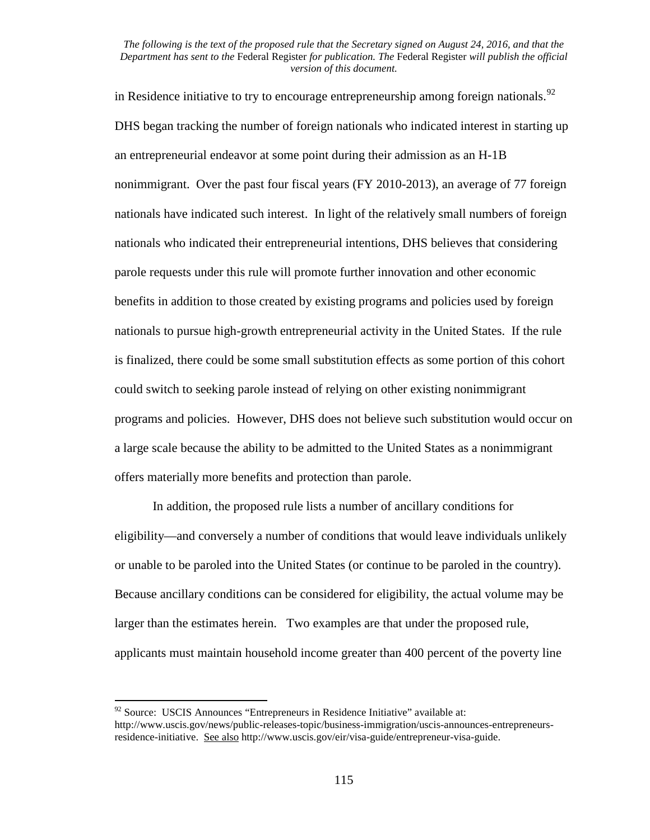in Residence initiative to try to encourage entrepreneurship among foreign nationals.<sup>[92](#page-114-0)</sup> DHS began tracking the number of foreign nationals who indicated interest in starting up an entrepreneurial endeavor at some point during their admission as an H-1B nonimmigrant. Over the past four fiscal years (FY 2010-2013), an average of 77 foreign nationals have indicated such interest. In light of the relatively small numbers of foreign nationals who indicated their entrepreneurial intentions, DHS believes that considering parole requests under this rule will promote further innovation and other economic benefits in addition to those created by existing programs and policies used by foreign nationals to pursue high-growth entrepreneurial activity in the United States. If the rule is finalized, there could be some small substitution effects as some portion of this cohort could switch to seeking parole instead of relying on other existing nonimmigrant programs and policies. However, DHS does not believe such substitution would occur on a large scale because the ability to be admitted to the United States as a nonimmigrant offers materially more benefits and protection than parole.

In addition, the proposed rule lists a number of ancillary conditions for eligibility—and conversely a number of conditions that would leave individuals unlikely or unable to be paroled into the United States (or continue to be paroled in the country). Because ancillary conditions can be considered for eligibility, the actual volume may be larger than the estimates herein. Two examples are that under the proposed rule, applicants must maintain household income greater than 400 percent of the poverty line

<span id="page-114-0"></span> $92$  Source: USCIS Announces "Entrepreneurs in Residence Initiative" available at: http://www.uscis.gov/news/public-releases-topic/business-immigration/uscis-announces-entrepreneursresidence-initiative. See also http://www.uscis.gov/eir/visa-guide/entrepreneur-visa-guide.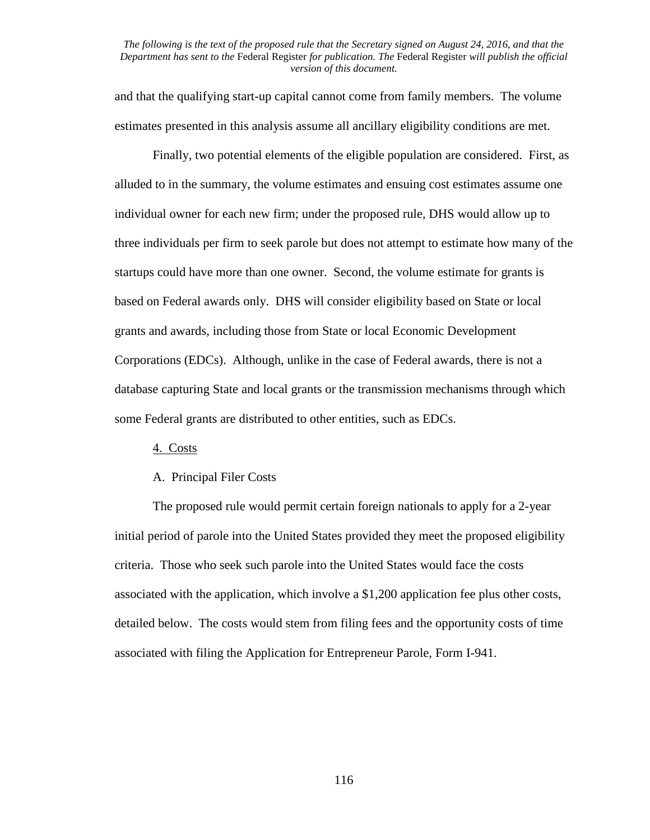and that the qualifying start-up capital cannot come from family members. The volume estimates presented in this analysis assume all ancillary eligibility conditions are met.

Finally, two potential elements of the eligible population are considered. First, as alluded to in the summary, the volume estimates and ensuing cost estimates assume one individual owner for each new firm; under the proposed rule, DHS would allow up to three individuals per firm to seek parole but does not attempt to estimate how many of the startups could have more than one owner. Second, the volume estimate for grants is based on Federal awards only. DHS will consider eligibility based on State or local grants and awards, including those from State or local Economic Development Corporations (EDCs). Although, unlike in the case of Federal awards, there is not a database capturing State and local grants or the transmission mechanisms through which some Federal grants are distributed to other entities, such as EDCs.

#### 4. Costs

# A. Principal Filer Costs

The proposed rule would permit certain foreign nationals to apply for a 2-year initial period of parole into the United States provided they meet the proposed eligibility criteria. Those who seek such parole into the United States would face the costs associated with the application, which involve a \$1,200 application fee plus other costs, detailed below. The costs would stem from filing fees and the opportunity costs of time associated with filing the Application for Entrepreneur Parole, Form I-941.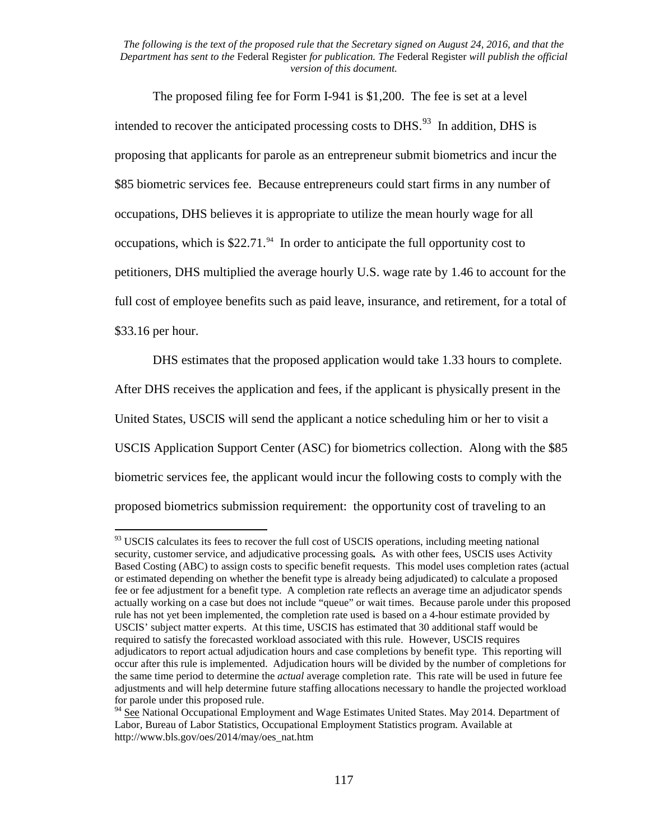The proposed filing fee for Form I-941 is \$1,200. The fee is set at a level intended to recover the anticipated processing costs to DHS.<sup>[93](#page-116-0)</sup> In addition, DHS is proposing that applicants for parole as an entrepreneur submit biometrics and incur the \$85 biometric services fee. Because entrepreneurs could start firms in any number of occupations, DHS believes it is appropriate to utilize the mean hourly wage for all occupations, which is  $$22.71<sup>94</sup>$  In order to anticipate the full opportunity cost to petitioners, DHS multiplied the average hourly U.S. wage rate by 1.46 to account for the full cost of employee benefits such as paid leave, insurance, and retirement, for a total of \$33.16 per hour.

DHS estimates that the proposed application would take 1.33 hours to complete. After DHS receives the application and fees, if the applicant is physically present in the United States, USCIS will send the applicant a notice scheduling him or her to visit a USCIS Application Support Center (ASC) for biometrics collection. Along with the \$85 biometric services fee, the applicant would incur the following costs to comply with the proposed biometrics submission requirement: the opportunity cost of traveling to an

<span id="page-116-0"></span><sup>&</sup>lt;sup>93</sup> USCIS calculates its fees to recover the full cost of USCIS operations, including meeting national security, customer service, and adjudicative processing goals*.* As with other fees, USCIS uses Activity Based Costing (ABC) to assign costs to specific benefit requests. This model uses completion rates (actual or estimated depending on whether the benefit type is already being adjudicated) to calculate a proposed fee or fee adjustment for a benefit type. A completion rate reflects an average time an adjudicator spends actually working on a case but does not include "queue" or wait times. Because parole under this proposed rule has not yet been implemented, the completion rate used is based on a 4-hour estimate provided by USCIS' subject matter experts. At this time, USCIS has estimated that 30 additional staff would be required to satisfy the forecasted workload associated with this rule. However, USCIS requires adjudicators to report actual adjudication hours and case completions by benefit type. This reporting will occur after this rule is implemented. Adjudication hours will be divided by the number of completions for the same time period to determine the *actual* average completion rate. This rate will be used in future fee adjustments and will help determine future staffing allocations necessary to handle the projected workload for parole under this proposed rule.<br><sup>94</sup> See National Occupational Employment and Wage Estimates United States. May 2014. Department of

<span id="page-116-1"></span>Labor, Bureau of Labor Statistics, Occupational Employment Statistics program. Available at http://www.bls.gov/oes/2014/may/oes\_nat.htm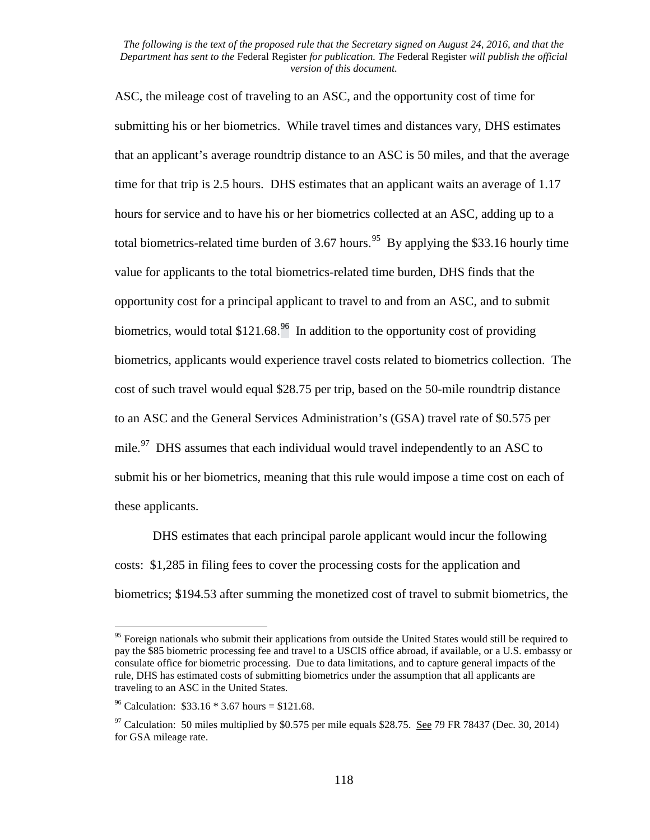ASC, the mileage cost of traveling to an ASC, and the opportunity cost of time for submitting his or her biometrics. While travel times and distances vary, DHS estimates that an applicant's average roundtrip distance to an ASC is 50 miles, and that the average time for that trip is 2.5 hours. DHS estimates that an applicant waits an average of 1.17 hours for service and to have his or her biometrics collected at an ASC, adding up to a total biometrics-related time burden of 3.67 hours.<sup>95</sup> By applying the \$33.16 hourly time value for applicants to the total biometrics-related time burden, DHS finds that the opportunity cost for a principal applicant to travel to and from an ASC, and to submit biometrics, would total \$121.68.<sup>[96](#page-117-1)</sup> In addition to the opportunity cost of providing biometrics, applicants would experience travel costs related to biometrics collection. The cost of such travel would equal \$28.75 per trip, based on the 50-mile roundtrip distance to an ASC and the General Services Administration's (GSA) travel rate of \$0.575 per mile.<sup>[97](#page-117-2)</sup> DHS assumes that each individual would travel independently to an ASC to submit his or her biometrics, meaning that this rule would impose a time cost on each of these applicants.

DHS estimates that each principal parole applicant would incur the following costs: \$1,285 in filing fees to cover the processing costs for the application and biometrics; \$194.53 after summing the monetized cost of travel to submit biometrics, the

<span id="page-117-0"></span><sup>&</sup>lt;sup>95</sup> Foreign nationals who submit their applications from outside the United States would still be required to pay the \$85 biometric processing fee and travel to a USCIS office abroad, if available, or a U.S. embassy or consulate office for biometric processing. Due to data limitations, and to capture general impacts of the rule, DHS has estimated costs of submitting biometrics under the assumption that all applicants are traveling to an ASC in the United States.

<span id="page-117-1"></span><sup>&</sup>lt;sup>96</sup> Calculation:  $$33.16 * 3.67$  hours = \$121.68.

<span id="page-117-2"></span> $97$  Calculation: 50 miles multiplied by \$0.575 per mile equals \$28.75. See 79 FR 78437 (Dec. 30, 2014) for GSA mileage rate.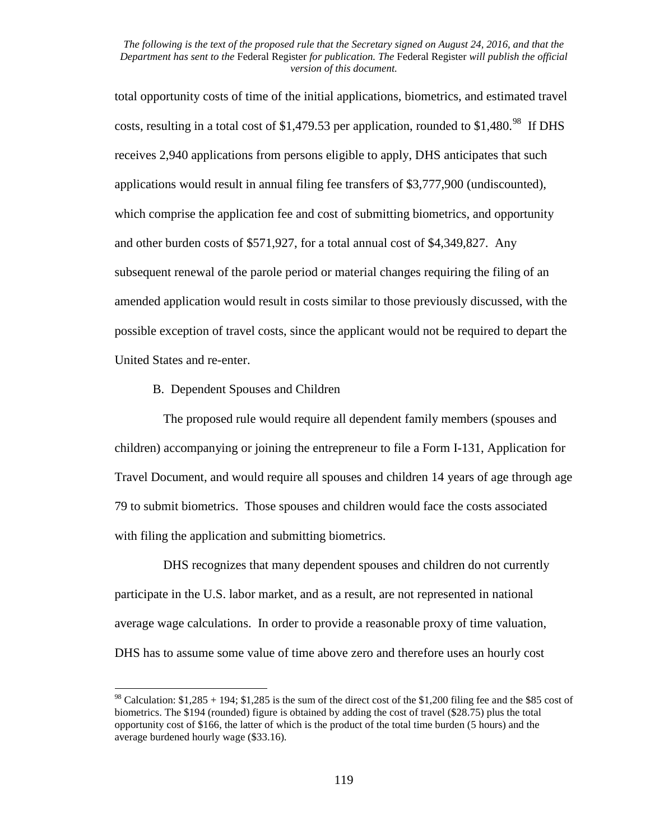total opportunity costs of time of the initial applications, biometrics, and estimated travel costs, resulting in a total cost of \$1,479.53 per application, rounded to \$1,480.<sup>[98](#page-118-0)</sup> If DHS receives 2,940 applications from persons eligible to apply, DHS anticipates that such applications would result in annual filing fee transfers of \$3,777,900 (undiscounted), which comprise the application fee and cost of submitting biometrics, and opportunity and other burden costs of \$571,927, for a total annual cost of \$4,349,827. Any subsequent renewal of the parole period or material changes requiring the filing of an amended application would result in costs similar to those previously discussed, with the possible exception of travel costs, since the applicant would not be required to depart the United States and re-enter.

B. Dependent Spouses and Children

The proposed rule would require all dependent family members (spouses and children) accompanying or joining the entrepreneur to file a Form I-131, Application for Travel Document, and would require all spouses and children 14 years of age through age 79 to submit biometrics. Those spouses and children would face the costs associated with filing the application and submitting biometrics.

DHS recognizes that many dependent spouses and children do not currently participate in the U.S. labor market, and as a result, are not represented in national average wage calculations. In order to provide a reasonable proxy of time valuation, DHS has to assume some value of time above zero and therefore uses an hourly cost

<span id="page-118-0"></span><sup>&</sup>lt;sup>98</sup> Calculation:  $$1,285 + 194$ ;  $$1,285$  is the sum of the direct cost of the  $$1,200$  filing fee and the \$85 cost of biometrics. The \$194 (rounded) figure is obtained by adding the cost of travel (\$28.75) plus the total opportunity cost of \$166, the latter of which is the product of the total time burden (5 hours) and the average burdened hourly wage (\$33.16).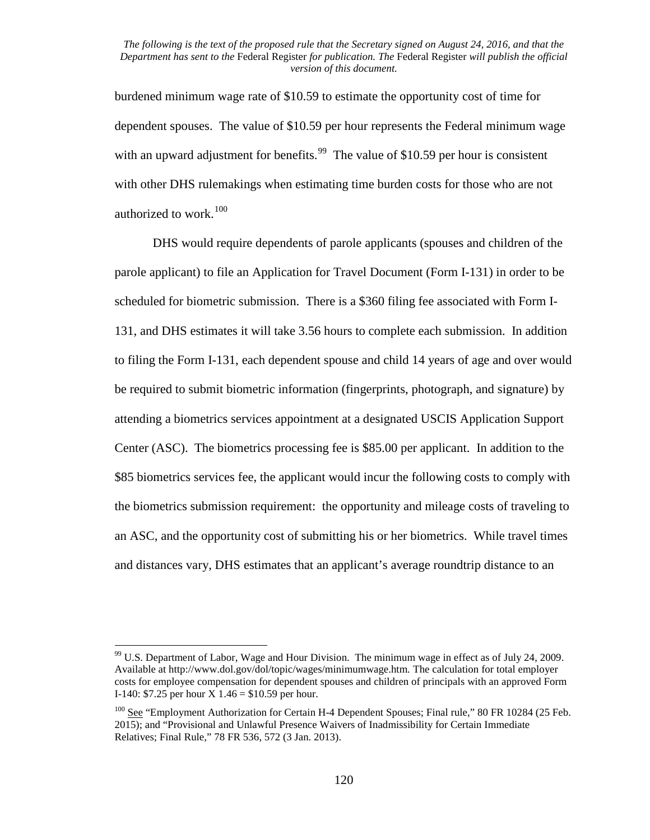burdened minimum wage rate of \$10.59 to estimate the opportunity cost of time for dependent spouses. The value of \$10.59 per hour represents the Federal minimum wage with an upward adjustment for benefits.<sup>[99](#page-119-0)</sup> The value of \$10.59 per hour is consistent with other DHS rulemakings when estimating time burden costs for those who are not authorized to work.<sup>[100](#page-119-1)</sup>

DHS would require dependents of parole applicants (spouses and children of the parole applicant) to file an Application for Travel Document (Form I-131) in order to be scheduled for biometric submission. There is a \$360 filing fee associated with Form I-131, and DHS estimates it will take 3.56 hours to complete each submission. In addition to filing the Form I-131, each dependent spouse and child 14 years of age and over would be required to submit biometric information (fingerprints, photograph, and signature) by attending a biometrics services appointment at a designated USCIS Application Support Center (ASC). The biometrics processing fee is \$85.00 per applicant. In addition to the \$85 biometrics services fee, the applicant would incur the following costs to comply with the biometrics submission requirement: the opportunity and mileage costs of traveling to an ASC, and the opportunity cost of submitting his or her biometrics. While travel times and distances vary, DHS estimates that an applicant's average roundtrip distance to an

<span id="page-119-0"></span><sup>&</sup>lt;sup>99</sup> U.S. Department of Labor, Wage and Hour Division. The minimum wage in effect as of July 24, 2009. Available at http://www.dol.gov/dol/topic/wages/minimumwage.htm*.* The calculation for total employer costs for employee compensation for dependent spouses and children of principals with an approved Form I-140: \$7.25 per hour  $X$  1.46 = \$10.59 per hour.

<span id="page-119-1"></span><sup>&</sup>lt;sup>100</sup> See "Employment Authorization for Certain H-4 Dependent Spouses; Final rule," 80 FR 10284 (25 Feb. 2015); and "Provisional and Unlawful Presence Waivers of Inadmissibility for Certain Immediate Relatives; Final Rule," 78 FR 536, 572 (3 Jan. 2013).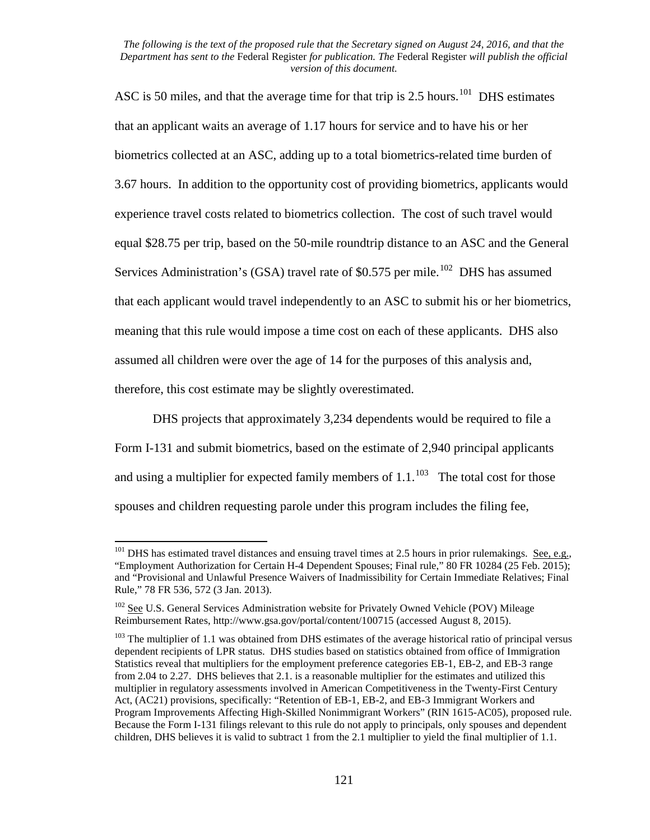ASC is 50 miles, and that the average time for that trip is 2.5 hours.<sup>101</sup> DHS estimates that an applicant waits an average of 1.17 hours for service and to have his or her biometrics collected at an ASC, adding up to a total biometrics-related time burden of 3.67 hours. In addition to the opportunity cost of providing biometrics, applicants would experience travel costs related to biometrics collection. The cost of such travel would equal \$28.75 per trip, based on the 50-mile roundtrip distance to an ASC and the General Services Administration's (GSA) travel rate of  $$0.575$  per mile.<sup>[102](#page-120-1)</sup> DHS has assumed that each applicant would travel independently to an ASC to submit his or her biometrics, meaning that this rule would impose a time cost on each of these applicants. DHS also assumed all children were over the age of 14 for the purposes of this analysis and, therefore, this cost estimate may be slightly overestimated.

DHS projects that approximately 3,234 dependents would be required to file a Form I-131 and submit biometrics, based on the estimate of 2,940 principal applicants and using a multiplier for expected family members of  $1.1$ .<sup>103</sup> The total cost for those spouses and children requesting parole under this program includes the filing fee,

<span id="page-120-0"></span> $101$  DHS has estimated travel distances and ensuing travel times at 2.5 hours in prior rulemakings. See, e.g., "Employment Authorization for Certain H-4 Dependent Spouses; Final rule," 80 FR 10284 (25 Feb. 2015); and "Provisional and Unlawful Presence Waivers of Inadmissibility for Certain Immediate Relatives; Final Rule," 78 FR 536, 572 (3 Jan. 2013).

<span id="page-120-1"></span><sup>&</sup>lt;sup>102</sup> See U.S. General Services Administration website for Privately Owned Vehicle (POV) Mileage Reimbursement Rates, http://www.gsa.gov/portal/content/100715 (accessed August 8, 2015).

<span id="page-120-2"></span><sup>&</sup>lt;sup>103</sup> The multiplier of 1.1 was obtained from DHS estimates of the average historical ratio of principal versus dependent recipients of LPR status. DHS studies based on statistics obtained from office of Immigration Statistics reveal that multipliers for the employment preference categories EB-1, EB-2, and EB-3 range from 2.04 to 2.27. DHS believes that 2.1. is a reasonable multiplier for the estimates and utilized this multiplier in regulatory assessments involved in American Competitiveness in the Twenty-First Century Act, (AC21) provisions, specifically: "Retention of EB-1, EB-2, and EB-3 Immigrant Workers and Program Improvements Affecting High-Skilled Nonimmigrant Workers" (RIN 1615-AC05), proposed rule. Because the Form I-131 filings relevant to this rule do not apply to principals, only spouses and dependent children, DHS believes it is valid to subtract 1 from the 2.1 multiplier to yield the final multiplier of 1.1.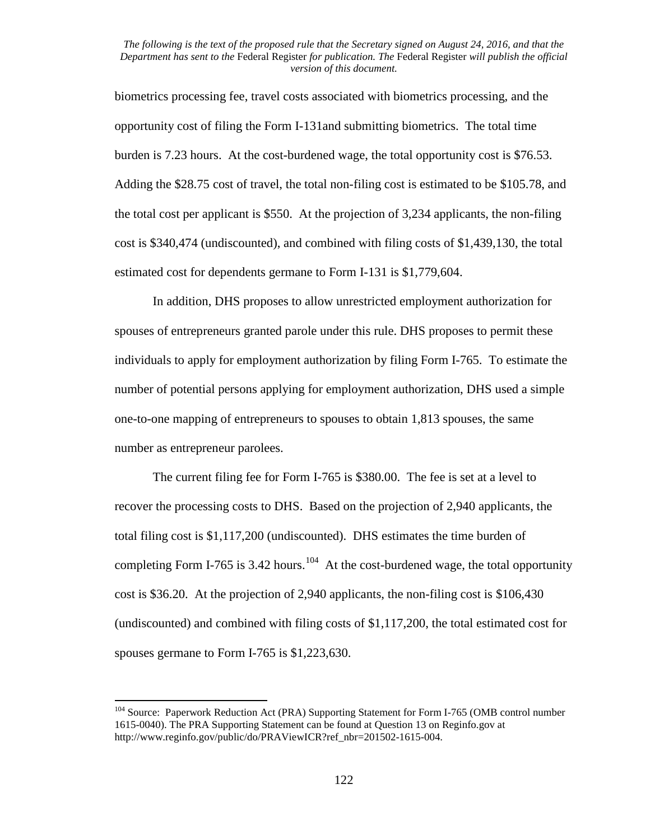biometrics processing fee, travel costs associated with biometrics processing, and the opportunity cost of filing the Form I-131and submitting biometrics. The total time burden is 7.23 hours. At the cost-burdened wage, the total opportunity cost is \$76.53. Adding the \$28.75 cost of travel, the total non-filing cost is estimated to be \$105.78, and the total cost per applicant is \$550. At the projection of 3,234 applicants, the non-filing cost is \$340,474 (undiscounted), and combined with filing costs of \$1,439,130, the total estimated cost for dependents germane to Form I-131 is \$1,779,604.

In addition, DHS proposes to allow unrestricted employment authorization for spouses of entrepreneurs granted parole under this rule. DHS proposes to permit these individuals to apply for employment authorization by filing Form I-765. To estimate the number of potential persons applying for employment authorization, DHS used a simple one-to-one mapping of entrepreneurs to spouses to obtain 1,813 spouses, the same number as entrepreneur parolees.

The current filing fee for Form I-765 is \$380.00. The fee is set at a level to recover the processing costs to DHS. Based on the projection of 2,940 applicants, the total filing cost is \$1,117,200 (undiscounted). DHS estimates the time burden of completing Form I-765 is 3.42 hours.<sup>[104](#page-121-0)</sup> At the cost-burdened wage, the total opportunity cost is \$36.20. At the projection of 2,940 applicants, the non-filing cost is \$106,430 (undiscounted) and combined with filing costs of \$1,117,200, the total estimated cost for spouses germane to Form I-765 is \$1,223,630.

<span id="page-121-0"></span><sup>&</sup>lt;sup>104</sup> Source: Paperwork Reduction Act (PRA) Supporting Statement for Form I-765 (OMB control number 1615-0040). The PRA Supporting Statement can be found at Question 13 on Reginfo.gov at http://www.reginfo.gov/public/do/PRAViewICR?ref\_nbr=201502-1615-004.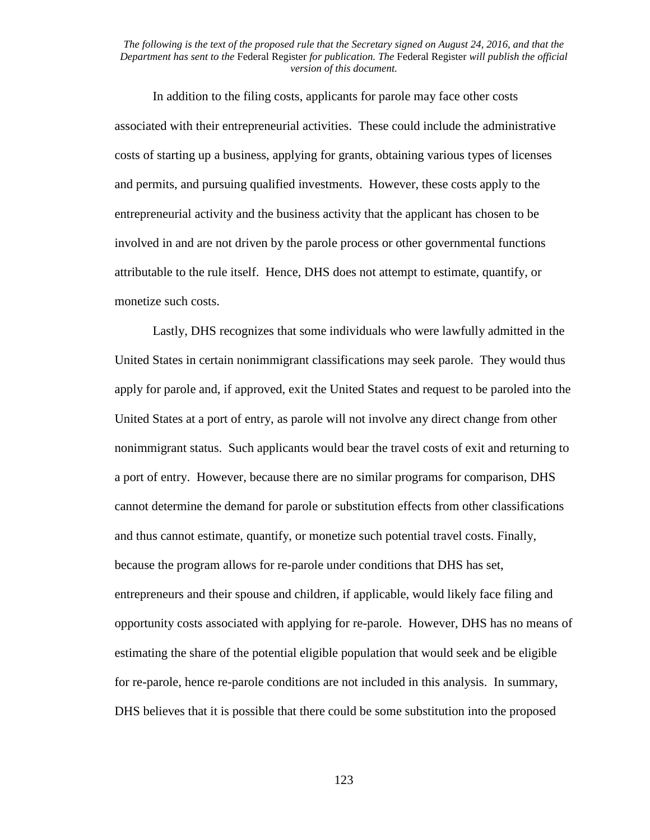In addition to the filing costs, applicants for parole may face other costs associated with their entrepreneurial activities. These could include the administrative costs of starting up a business, applying for grants, obtaining various types of licenses and permits, and pursuing qualified investments. However, these costs apply to the entrepreneurial activity and the business activity that the applicant has chosen to be involved in and are not driven by the parole process or other governmental functions attributable to the rule itself. Hence, DHS does not attempt to estimate, quantify, or monetize such costs.

Lastly, DHS recognizes that some individuals who were lawfully admitted in the United States in certain nonimmigrant classifications may seek parole. They would thus apply for parole and, if approved, exit the United States and request to be paroled into the United States at a port of entry, as parole will not involve any direct change from other nonimmigrant status. Such applicants would bear the travel costs of exit and returning to a port of entry. However, because there are no similar programs for comparison, DHS cannot determine the demand for parole or substitution effects from other classifications and thus cannot estimate, quantify, or monetize such potential travel costs. Finally, because the program allows for re-parole under conditions that DHS has set, entrepreneurs and their spouse and children, if applicable, would likely face filing and opportunity costs associated with applying for re-parole. However, DHS has no means of estimating the share of the potential eligible population that would seek and be eligible for re-parole, hence re-parole conditions are not included in this analysis. In summary, DHS believes that it is possible that there could be some substitution into the proposed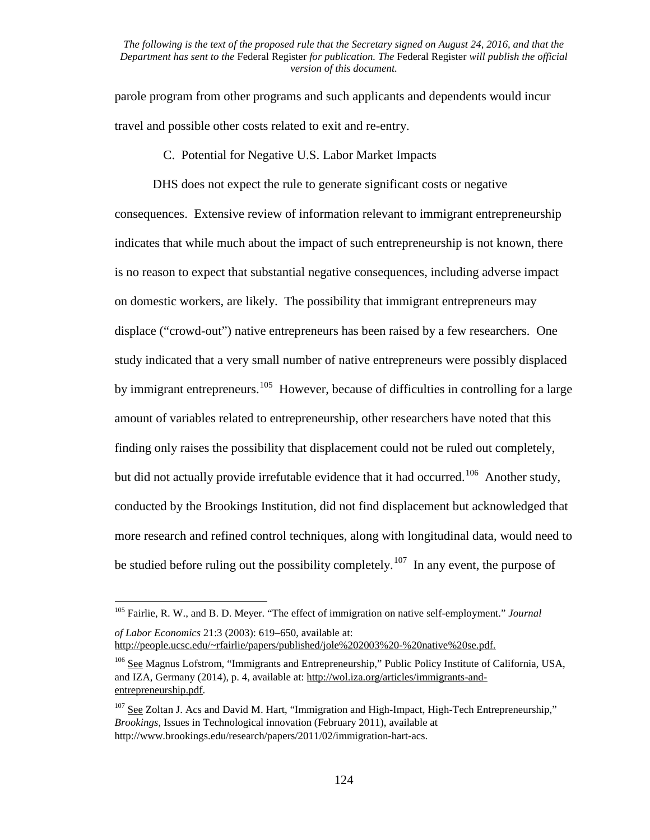parole program from other programs and such applicants and dependents would incur travel and possible other costs related to exit and re-entry.

C. Potential for Negative U.S. Labor Market Impacts

DHS does not expect the rule to generate significant costs or negative consequences. Extensive review of information relevant to immigrant entrepreneurship indicates that while much about the impact of such entrepreneurship is not known, there is no reason to expect that substantial negative consequences, including adverse impact on domestic workers, are likely. The possibility that immigrant entrepreneurs may displace ("crowd-out") native entrepreneurs has been raised by a few researchers. One study indicated that a very small number of native entrepreneurs were possibly displaced by immigrant entrepreneurs.<sup>[105](#page-123-0)</sup> However, because of difficulties in controlling for a large amount of variables related to entrepreneurship, other researchers have noted that this finding only raises the possibility that displacement could not be ruled out completely, but did not actually provide irrefutable evidence that it had occurred.<sup>106</sup> Another study, conducted by the Brookings Institution, did not find displacement but acknowledged that more research and refined control techniques, along with longitudinal data, would need to be studied before ruling out the possibility completely.<sup>107</sup> In any event, the purpose of

<span id="page-123-0"></span><sup>105</sup> Fairlie, R. W., and B. D. Meyer. "The effect of immigration on native self-employment." *Journal of Labor Economics* 21:3 (2003): 619–650, available at:

http://people.ucsc.edu/~rfairlie/papers/published/jole%202003%20-%20native%20se.pdf.

<span id="page-123-1"></span><sup>106</sup> See Magnus Lofstrom, "Immigrants and Entrepreneurship," Public Policy Institute of California, USA, and IZA, Germany (2014), p. 4, available at: http://wol.iza.org/articles/immigrants-andentrepreneurship.pdf.

<span id="page-123-2"></span><sup>&</sup>lt;sup>107</sup> See Zoltan J. Acs and David M. Hart, "Immigration and High-Impact, High-Tech Entrepreneurship," *Brookings*, Issues in Technological innovation (February 2011), available at http://www.brookings.edu/research/papers/2011/02/immigration-hart-acs.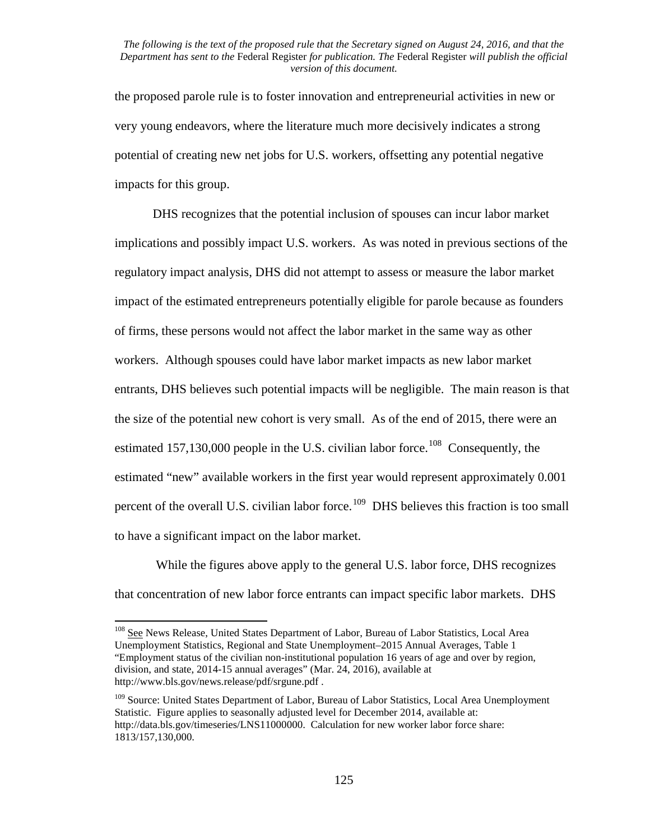the proposed parole rule is to foster innovation and entrepreneurial activities in new or very young endeavors, where the literature much more decisively indicates a strong potential of creating new net jobs for U.S. workers, offsetting any potential negative impacts for this group.

DHS recognizes that the potential inclusion of spouses can incur labor market implications and possibly impact U.S. workers. As was noted in previous sections of the regulatory impact analysis, DHS did not attempt to assess or measure the labor market impact of the estimated entrepreneurs potentially eligible for parole because as founders of firms, these persons would not affect the labor market in the same way as other workers. Although spouses could have labor market impacts as new labor market entrants, DHS believes such potential impacts will be negligible. The main reason is that the size of the potential new cohort is very small. As of the end of 2015, there were an estimated 157,130,000 people in the U.S. civilian labor force.<sup>[108](#page-124-0)</sup> Consequently, the estimated "new" available workers in the first year would represent approximately 0.001 percent of the overall U.S. civilian labor force.<sup>109</sup> DHS believes this fraction is too small to have a significant impact on the labor market.

While the figures above apply to the general U.S. labor force, DHS recognizes that concentration of new labor force entrants can impact specific labor markets. DHS

<span id="page-124-0"></span><sup>&</sup>lt;sup>108</sup> See News Release, United States Department of Labor, Bureau of Labor Statistics, Local Area Unemployment Statistics, Regional and State Unemployment–2015 Annual Averages, Table 1 "Employment status of the civilian non-institutional population 16 years of age and over by region, division, and state, 2014-15 annual averages" (Mar. 24, 2016), available at http://www.bls.gov/news.release/pdf/srgune.pdf .

<span id="page-124-1"></span><sup>&</sup>lt;sup>109</sup> Source: United States Department of Labor, Bureau of Labor Statistics, Local Area Unemployment Statistic. Figure applies to seasonally adjusted level for December 2014, available at: http://data.bls.gov/timeseries/LNS11000000. Calculation for new worker labor force share: 1813/157,130,000.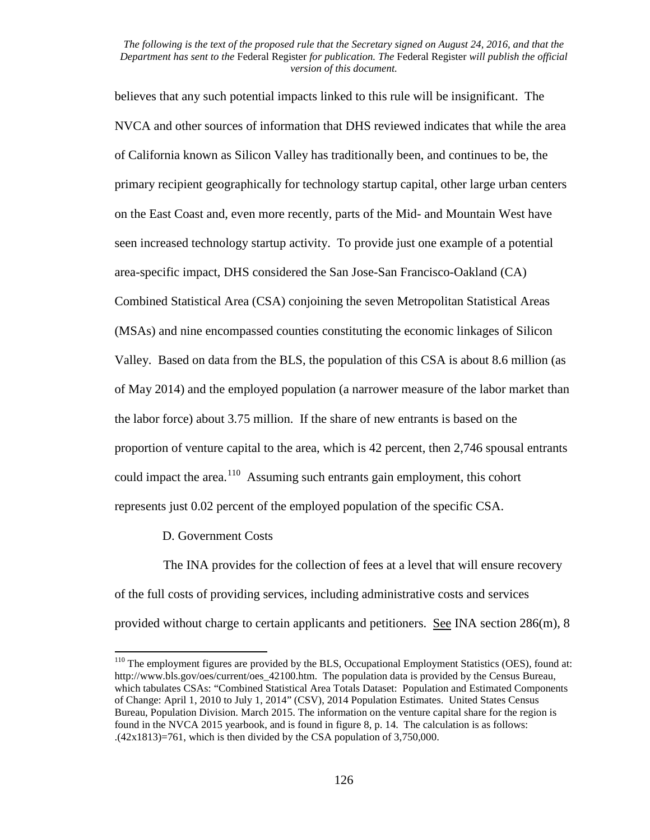believes that any such potential impacts linked to this rule will be insignificant. The NVCA and other sources of information that DHS reviewed indicates that while the area of California known as Silicon Valley has traditionally been, and continues to be, the primary recipient geographically for technology startup capital, other large urban centers on the East Coast and, even more recently, parts of the Mid- and Mountain West have seen increased technology startup activity. To provide just one example of a potential area-specific impact, DHS considered the San Jose-San Francisco-Oakland (CA) Combined Statistical Area (CSA) conjoining the seven Metropolitan Statistical Areas (MSAs) and nine encompassed counties constituting the economic linkages of Silicon Valley. Based on data from the BLS, the population of this CSA is about 8.6 million (as of May 2014) and the employed population (a narrower measure of the labor market than the labor force) about 3.75 million. If the share of new entrants is based on the proportion of venture capital to the area, which is 42 percent, then 2,746 spousal entrants could impact the area.<sup>[110](#page-125-0)</sup> Assuming such entrants gain employment, this cohort represents just 0.02 percent of the employed population of the specific CSA.

D. Government Costs

The INA provides for the collection of fees at a level that will ensure recovery of the full costs of providing services, including administrative costs and services provided without charge to certain applicants and petitioners. See INA section 286(m), 8

<span id="page-125-0"></span><sup>&</sup>lt;sup>110</sup> The employment figures are provided by the BLS, Occupational Employment Statistics (OES), found at: http://www.bls.gov/oes/current/oes\_42100.htm. The population data is provided by the Census Bureau, which tabulates CSAs: "Combined Statistical Area Totals Dataset: Population and Estimated Components of Change: April 1, 2010 to July 1, 2014" (CSV), 2014 Population Estimates. United States Census Bureau, Population Division. March 2015. The information on the venture capital share for the region is found in the NVCA 2015 yearbook, and is found in figure 8, p. 14. The calculation is as follows:  $(42x1813)=761$ , which is then divided by the CSA population of 3,750,000.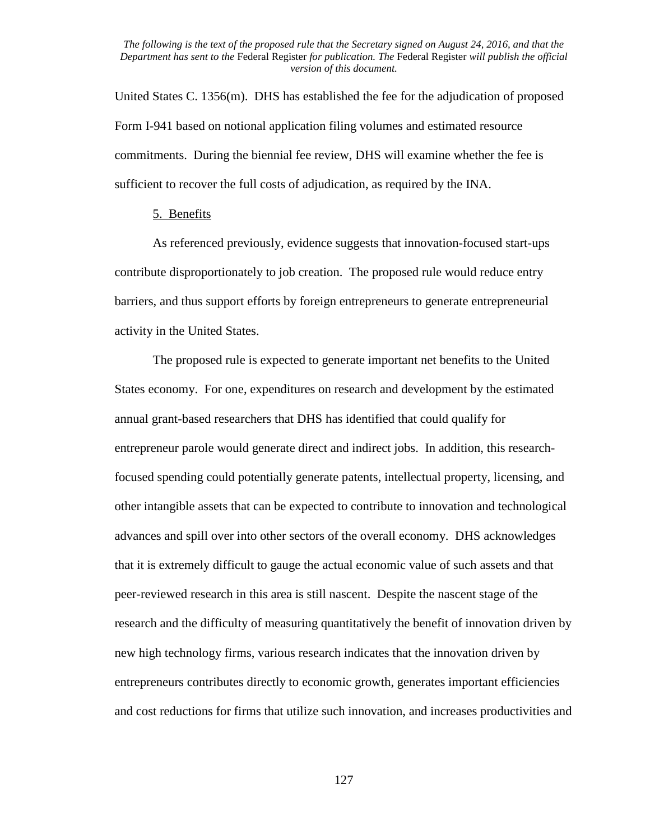United States C. 1356(m). DHS has established the fee for the adjudication of proposed Form I-941 based on notional application filing volumes and estimated resource commitments. During the biennial fee review, DHS will examine whether the fee is sufficient to recover the full costs of adjudication, as required by the INA.

# 5. Benefits

As referenced previously, evidence suggests that innovation-focused start-ups contribute disproportionately to job creation. The proposed rule would reduce entry barriers, and thus support efforts by foreign entrepreneurs to generate entrepreneurial activity in the United States.

The proposed rule is expected to generate important net benefits to the United States economy. For one, expenditures on research and development by the estimated annual grant-based researchers that DHS has identified that could qualify for entrepreneur parole would generate direct and indirect jobs. In addition, this researchfocused spending could potentially generate patents, intellectual property, licensing, and other intangible assets that can be expected to contribute to innovation and technological advances and spill over into other sectors of the overall economy. DHS acknowledges that it is extremely difficult to gauge the actual economic value of such assets and that peer-reviewed research in this area is still nascent. Despite the nascent stage of the research and the difficulty of measuring quantitatively the benefit of innovation driven by new high technology firms, various research indicates that the innovation driven by entrepreneurs contributes directly to economic growth, generates important efficiencies and cost reductions for firms that utilize such innovation, and increases productivities and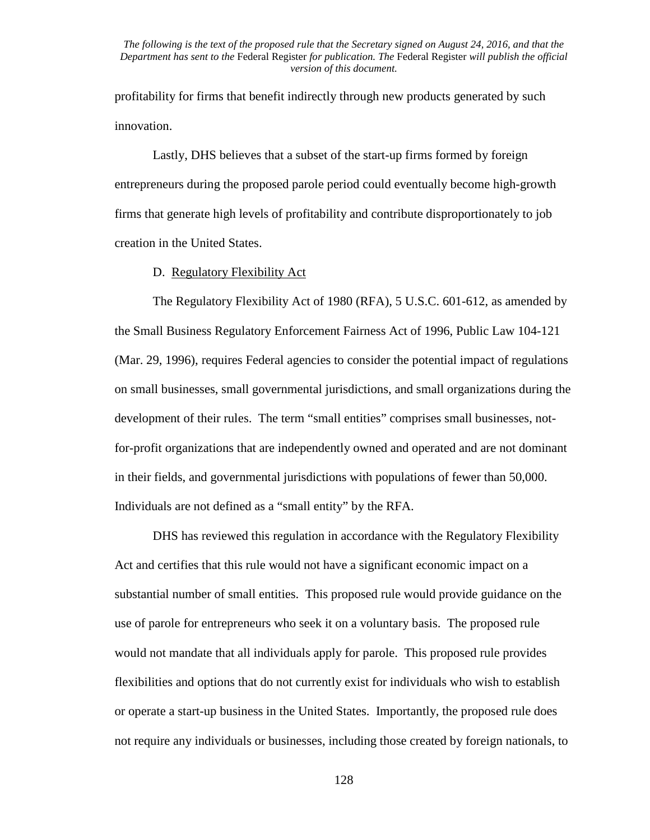profitability for firms that benefit indirectly through new products generated by such innovation.

Lastly, DHS believes that a subset of the start-up firms formed by foreign entrepreneurs during the proposed parole period could eventually become high-growth firms that generate high levels of profitability and contribute disproportionately to job creation in the United States.

### D. Regulatory Flexibility Act

The Regulatory Flexibility Act of 1980 (RFA), 5 U.S.C. 601-612, as amended by the Small Business Regulatory Enforcement Fairness Act of 1996, Public Law 104-121 (Mar. 29, 1996), requires Federal agencies to consider the potential impact of regulations on small businesses, small governmental jurisdictions, and small organizations during the development of their rules. The term "small entities" comprises small businesses, notfor-profit organizations that are independently owned and operated and are not dominant in their fields, and governmental jurisdictions with populations of fewer than 50,000. Individuals are not defined as a "small entity" by the RFA.

DHS has reviewed this regulation in accordance with the Regulatory Flexibility Act and certifies that this rule would not have a significant economic impact on a substantial number of small entities. This proposed rule would provide guidance on the use of parole for entrepreneurs who seek it on a voluntary basis. The proposed rule would not mandate that all individuals apply for parole. This proposed rule provides flexibilities and options that do not currently exist for individuals who wish to establish or operate a start-up business in the United States. Importantly, the proposed rule does not require any individuals or businesses, including those created by foreign nationals, to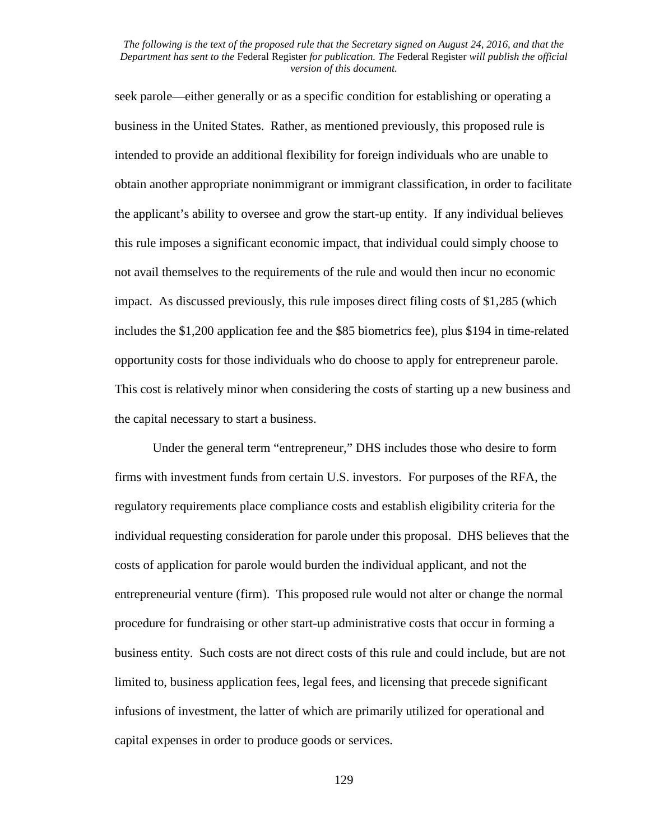seek parole—either generally or as a specific condition for establishing or operating a business in the United States. Rather, as mentioned previously, this proposed rule is intended to provide an additional flexibility for foreign individuals who are unable to obtain another appropriate nonimmigrant or immigrant classification, in order to facilitate the applicant's ability to oversee and grow the start-up entity. If any individual believes this rule imposes a significant economic impact, that individual could simply choose to not avail themselves to the requirements of the rule and would then incur no economic impact. As discussed previously, this rule imposes direct filing costs of \$1,285 (which includes the \$1,200 application fee and the \$85 biometrics fee), plus \$194 in time-related opportunity costs for those individuals who do choose to apply for entrepreneur parole. This cost is relatively minor when considering the costs of starting up a new business and the capital necessary to start a business.

Under the general term "entrepreneur," DHS includes those who desire to form firms with investment funds from certain U.S. investors. For purposes of the RFA, the regulatory requirements place compliance costs and establish eligibility criteria for the individual requesting consideration for parole under this proposal. DHS believes that the costs of application for parole would burden the individual applicant, and not the entrepreneurial venture (firm). This proposed rule would not alter or change the normal procedure for fundraising or other start-up administrative costs that occur in forming a business entity. Such costs are not direct costs of this rule and could include, but are not limited to, business application fees, legal fees, and licensing that precede significant infusions of investment, the latter of which are primarily utilized for operational and capital expenses in order to produce goods or services.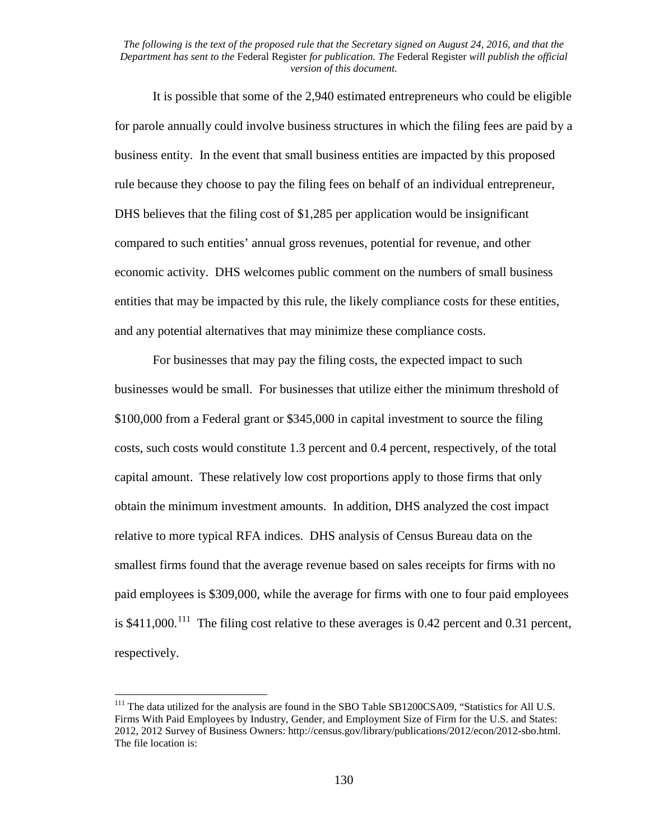It is possible that some of the 2,940 estimated entrepreneurs who could be eligible for parole annually could involve business structures in which the filing fees are paid by a business entity. In the event that small business entities are impacted by this proposed rule because they choose to pay the filing fees on behalf of an individual entrepreneur, DHS believes that the filing cost of \$1,285 per application would be insignificant compared to such entities' annual gross revenues, potential for revenue, and other economic activity. DHS welcomes public comment on the numbers of small business entities that may be impacted by this rule, the likely compliance costs for these entities, and any potential alternatives that may minimize these compliance costs.

For businesses that may pay the filing costs, the expected impact to such businesses would be small. For businesses that utilize either the minimum threshold of \$100,000 from a Federal grant or \$345,000 in capital investment to source the filing costs, such costs would constitute 1.3 percent and 0.4 percent, respectively, of the total capital amount. These relatively low cost proportions apply to those firms that only obtain the minimum investment amounts. In addition, DHS analyzed the cost impact relative to more typical RFA indices. DHS analysis of Census Bureau data on the smallest firms found that the average revenue based on sales receipts for firms with no paid employees is \$309,000, while the average for firms with one to four paid employees is  $$411,000$ .<sup>[111](#page-129-0)</sup> The filing cost relative to these averages is 0.42 percent and 0.31 percent, respectively.

<span id="page-129-0"></span><sup>&</sup>lt;sup>111</sup> The data utilized for the analysis are found in the SBO Table SB1200CSA09, "Statistics for All U.S. Firms With Paid Employees by Industry, Gender, and Employment Size of Firm for the U.S. and States: 2012, 2012 Survey of Business Owners: http://census.gov/library/publications/2012/econ/2012-sbo.html. The file location is: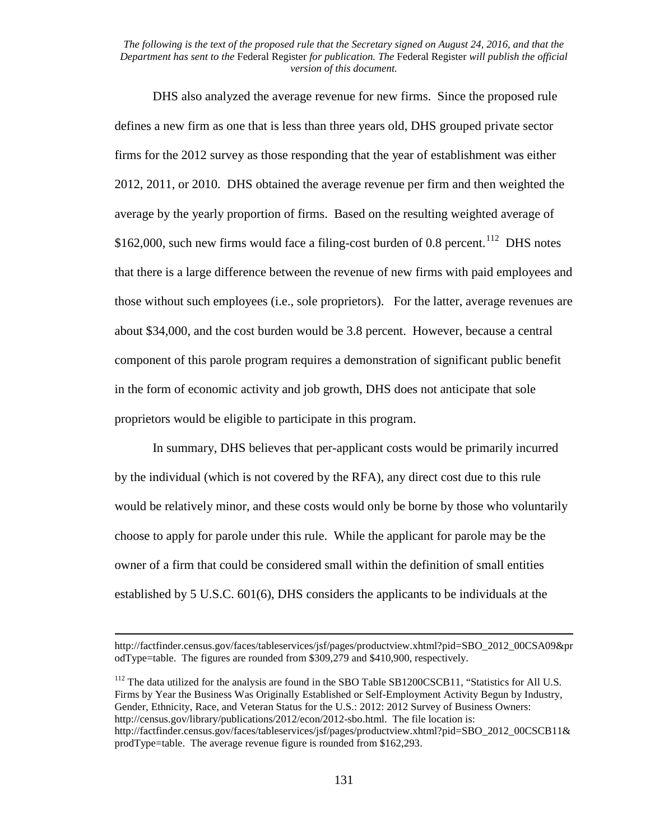DHS also analyzed the average revenue for new firms. Since the proposed rule defines a new firm as one that is less than three years old, DHS grouped private sector firms for the 2012 survey as those responding that the year of establishment was either 2012, 2011, or 2010. DHS obtained the average revenue per firm and then weighted the average by the yearly proportion of firms. Based on the resulting weighted average of \$162,000, such new firms would face a filing-cost burden of 0.8 percent.<sup>[112](#page-130-0)</sup> DHS notes that there is a large difference between the revenue of new firms with paid employees and those without such employees (i.e., sole proprietors). For the latter, average revenues are about \$34,000, and the cost burden would be 3.8 percent. However, because a central component of this parole program requires a demonstration of significant public benefit in the form of economic activity and job growth, DHS does not anticipate that sole proprietors would be eligible to participate in this program.

In summary, DHS believes that per-applicant costs would be primarily incurred by the individual (which is not covered by the RFA), any direct cost due to this rule would be relatively minor, and these costs would only be borne by those who voluntarily choose to apply for parole under this rule. While the applicant for parole may be the owner of a firm that could be considered small within the definition of small entities established by 5 U.S.C. 601(6), DHS considers the applicants to be individuals at the

l

http://factfinder.census.gov/faces/tableservices/jsf/pages/productview.xhtml?pid=SBO\_2012\_00CSA09&pr odType=table. The figures are rounded from \$309,279 and \$410,900, respectively.

<span id="page-130-0"></span><sup>&</sup>lt;sup>112</sup> The data utilized for the analysis are found in the SBO Table SB1200CSCB11, "Statistics for All U.S. Firms by Year the Business Was Originally Established or Self-Employment Activity Begun by Industry, Gender, Ethnicity, Race, and Veteran Status for the U.S.: 2012: 2012 Survey of Business Owners: http://census.gov/library/publications/2012/econ/2012-sbo.html. The file location is: http://factfinder.census.gov/faces/tableservices/jsf/pages/productview.xhtml?pid=SBO\_2012\_00CSCB11& prodType=table. The average revenue figure is rounded from \$162,293.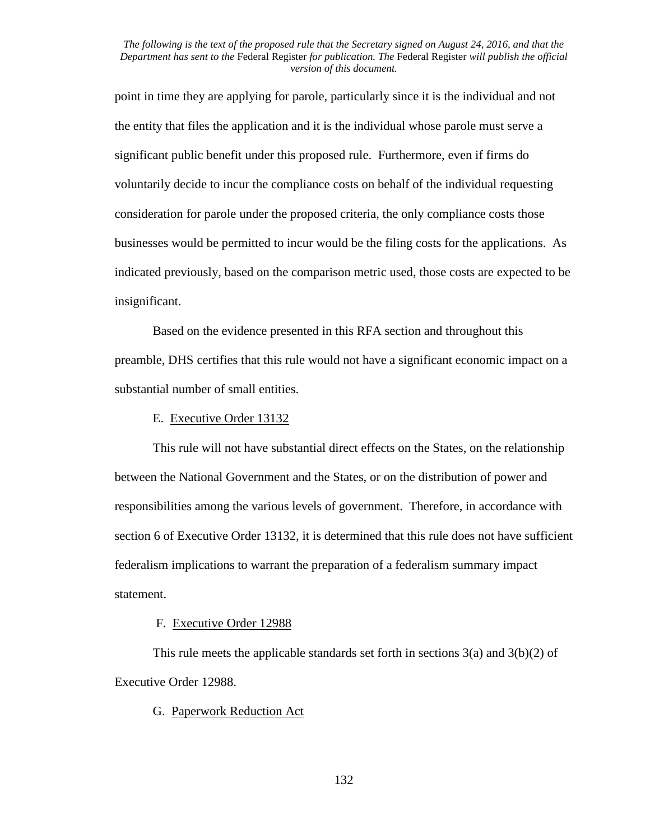point in time they are applying for parole, particularly since it is the individual and not the entity that files the application and it is the individual whose parole must serve a significant public benefit under this proposed rule. Furthermore, even if firms do voluntarily decide to incur the compliance costs on behalf of the individual requesting consideration for parole under the proposed criteria, the only compliance costs those businesses would be permitted to incur would be the filing costs for the applications. As indicated previously, based on the comparison metric used, those costs are expected to be insignificant.

Based on the evidence presented in this RFA section and throughout this preamble, DHS certifies that this rule would not have a significant economic impact on a substantial number of small entities.

# E. Executive Order 13132

This rule will not have substantial direct effects on the States, on the relationship between the National Government and the States, or on the distribution of power and responsibilities among the various levels of government. Therefore, in accordance with section 6 of Executive Order 13132, it is determined that this rule does not have sufficient federalism implications to warrant the preparation of a federalism summary impact statement.

# F. Executive Order 12988

This rule meets the applicable standards set forth in sections  $3(a)$  and  $3(b)(2)$  of Executive Order 12988.

# G. Paperwork Reduction Act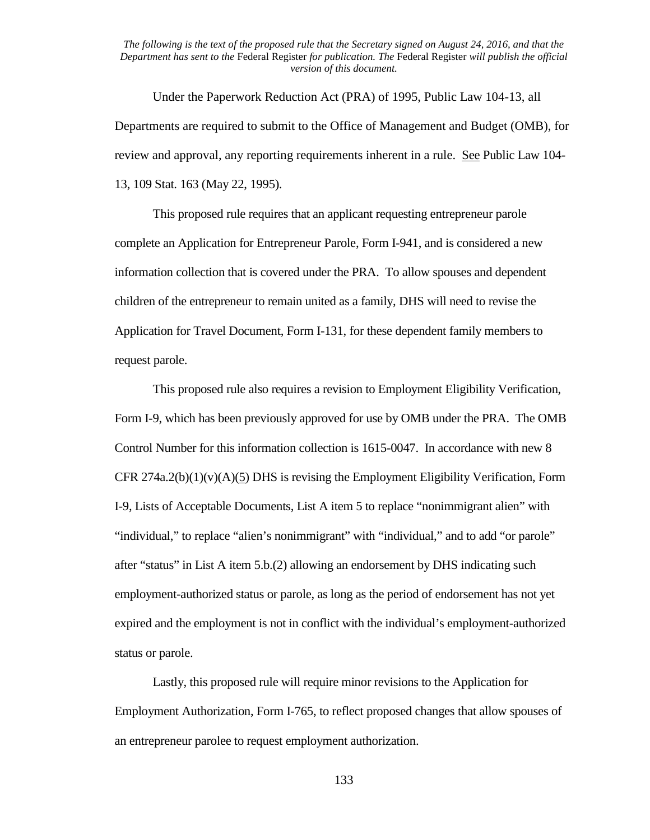Under the Paperwork Reduction Act (PRA) of 1995, Public Law 104-13, all Departments are required to submit to the Office of Management and Budget (OMB), for review and approval, any reporting requirements inherent in a rule. See Public Law 104- 13, 109 Stat. 163 (May 22, 1995).

This proposed rule requires that an applicant requesting entrepreneur parole complete an Application for Entrepreneur Parole, Form I-941, and is considered a new information collection that is covered under the PRA. To allow spouses and dependent children of the entrepreneur to remain united as a family, DHS will need to revise the Application for Travel Document, Form I-131, for these dependent family members to request parole.

This proposed rule also requires a revision to Employment Eligibility Verification, Form I-9, which has been previously approved for use by OMB under the PRA. The OMB Control Number for this information collection is 1615-0047. In accordance with new 8 CFR 274a.2(b)(1)(v)(A)(5) DHS is revising the Employment Eligibility Verification, Form I-9, Lists of Acceptable Documents, List A item 5 to replace "nonimmigrant alien" with "individual," to replace "alien's nonimmigrant" with "individual," and to add "or parole" after "status" in List A item 5.b.(2) allowing an endorsement by DHS indicating such employment-authorized status or parole, as long as the period of endorsement has not yet expired and the employment is not in conflict with the individual's employment-authorized status or parole.

Lastly, this proposed rule will require minor revisions to the Application for Employment Authorization, Form I-765, to reflect proposed changes that allow spouses of an entrepreneur parolee to request employment authorization.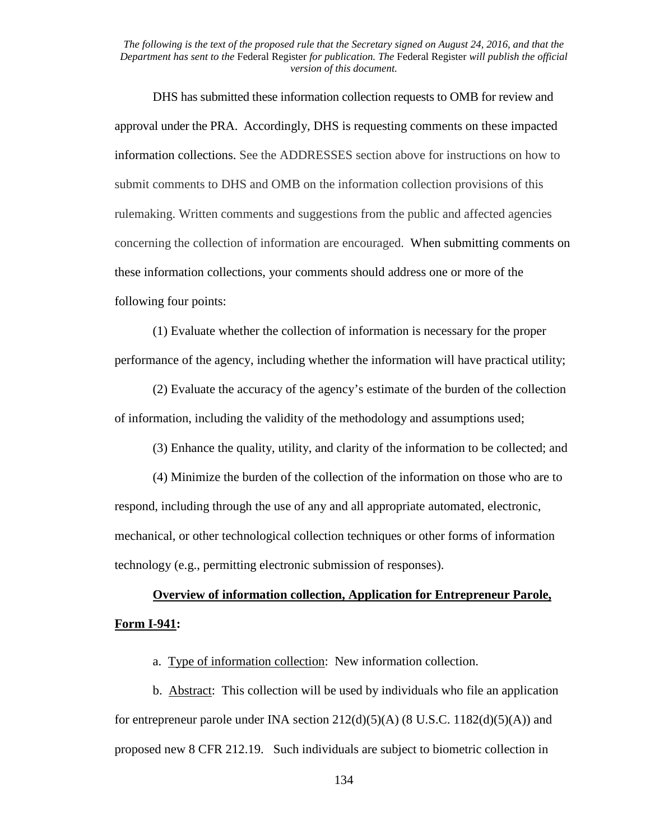DHS has submitted these information collection requests to OMB for review and approval under the PRA. Accordingly, DHS is requesting comments on these impacted information collections. See the ADDRESSES section above for instructions on how to submit comments to DHS and OMB on the information collection provisions of this rulemaking. Written comments and suggestions from the public and affected agencies concerning the collection of information are encouraged. When submitting comments on these information collections, your comments should address one or more of the following four points:

 (1) Evaluate whether the collection of information is necessary for the proper performance of the agency, including whether the information will have practical utility;

 (2) Evaluate the accuracy of the agency's estimate of the burden of the collection of information, including the validity of the methodology and assumptions used;

(3) Enhance the quality, utility, and clarity of the information to be collected; and

 (4) Minimize the burden of the collection of the information on those who are to respond, including through the use of any and all appropriate automated, electronic, mechanical, or other technological collection techniques or other forms of information technology (e.g., permitting electronic submission of responses).

# **Overview of information collection, Application for Entrepreneur Parole, Form I-941:**

a. Type of information collection: New information collection.

b. Abstract: This collection will be used by individuals who file an application for entrepreneur parole under INA section  $212(d)(5)(A)$  (8 U.S.C. 1182(d)(5)(A)) and proposed new 8 CFR 212.19. Such individuals are subject to biometric collection in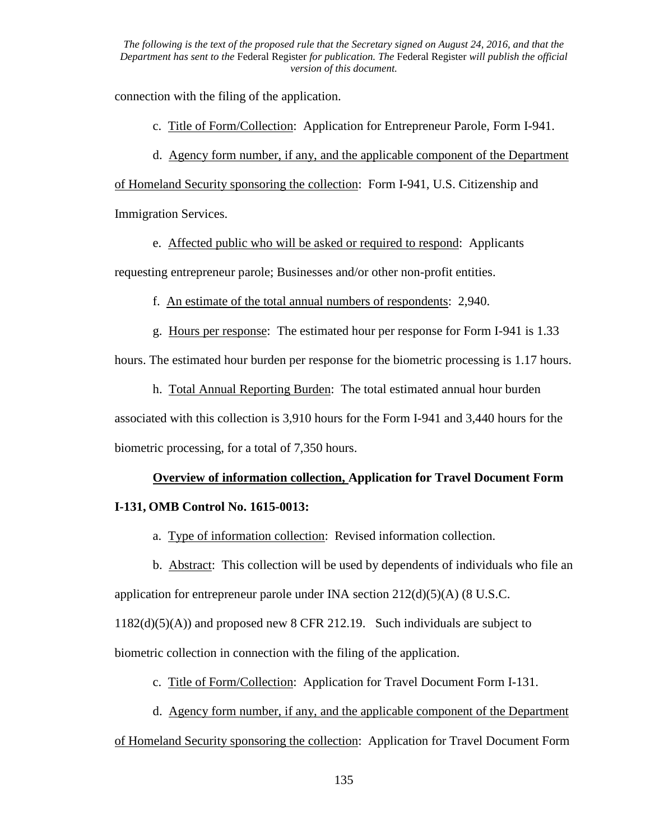connection with the filing of the application.

c. Title of Form/Collection: Application for Entrepreneur Parole, Form I-941.

d. Agency form number, if any, and the applicable component of the Department

of Homeland Security sponsoring the collection: Form I-941, U.S. Citizenship and Immigration Services.

e. Affected public who will be asked or required to respond: Applicants

requesting entrepreneur parole; Businesses and/or other non-profit entities.

f. An estimate of the total annual numbers of respondents: 2,940.

g. Hours per response: The estimated hour per response for Form I-941 is 1.33

hours. The estimated hour burden per response for the biometric processing is 1.17 hours.

h. Total Annual Reporting Burden: The total estimated annual hour burden

associated with this collection is 3,910 hours for the Form I-941 and 3,440 hours for the biometric processing, for a total of 7,350 hours.

# **Overview of information collection, Application for Travel Document Form**

# **I-131, OMB Control No. 1615-0013:**

a. Type of information collection: Revised information collection.

b. Abstract: This collection will be used by dependents of individuals who file an application for entrepreneur parole under INA section  $212(d)(5)(A)$  (8 U.S.C.

1182(d)(5)(A)) and proposed new 8 CFR 212.19. Such individuals are subject to

biometric collection in connection with the filing of the application.

c. Title of Form/Collection: Application for Travel Document Form I-131.

d. Agency form number, if any, and the applicable component of the Department

of Homeland Security sponsoring the collection: Application for Travel Document Form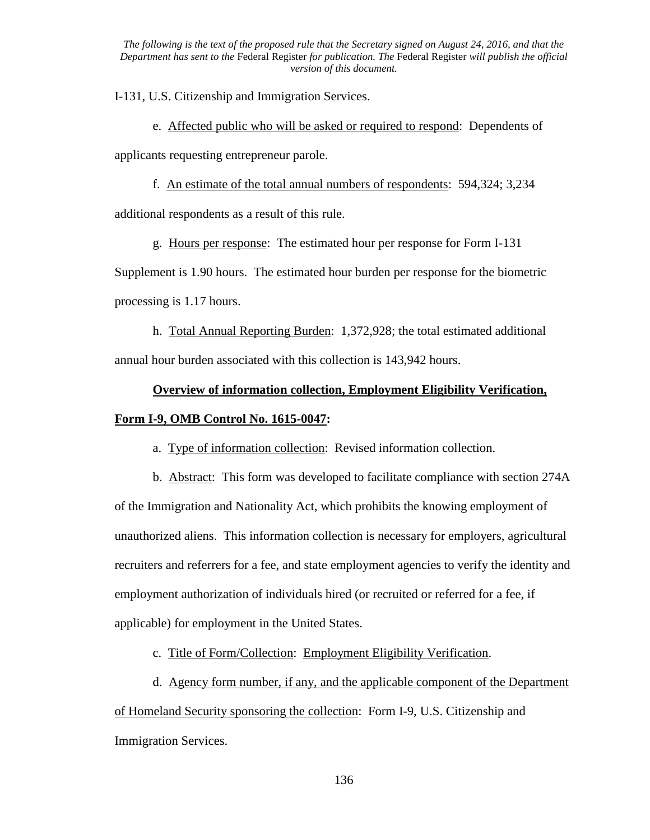I-131, U.S. Citizenship and Immigration Services.

e. Affected public who will be asked or required to respond: Dependents of applicants requesting entrepreneur parole.

f. An estimate of the total annual numbers of respondents: 594,324; 3,234 additional respondents as a result of this rule.

g. Hours per response: The estimated hour per response for Form I-131

Supplement is 1.90 hours. The estimated hour burden per response for the biometric processing is 1.17 hours.

h. Total Annual Reporting Burden: 1,372,928; the total estimated additional annual hour burden associated with this collection is 143,942 hours.

# **Overview of information collection, Employment Eligibility Verification,**

# **Form I-9, OMB Control No. 1615-0047:**

a. Type of information collection: Revised information collection.

b. Abstract: This form was developed to facilitate compliance with section 274A of the Immigration and Nationality Act, which prohibits the knowing employment of unauthorized aliens. This information collection is necessary for employers, agricultural recruiters and referrers for a fee, and state employment agencies to verify the identity and employment authorization of individuals hired (or recruited or referred for a fee, if applicable) for employment in the United States.

c. Title of Form/Collection: Employment Eligibility Verification.

d. Agency form number, if any, and the applicable component of the Department

of Homeland Security sponsoring the collection: Form I-9, U.S. Citizenship and Immigration Services.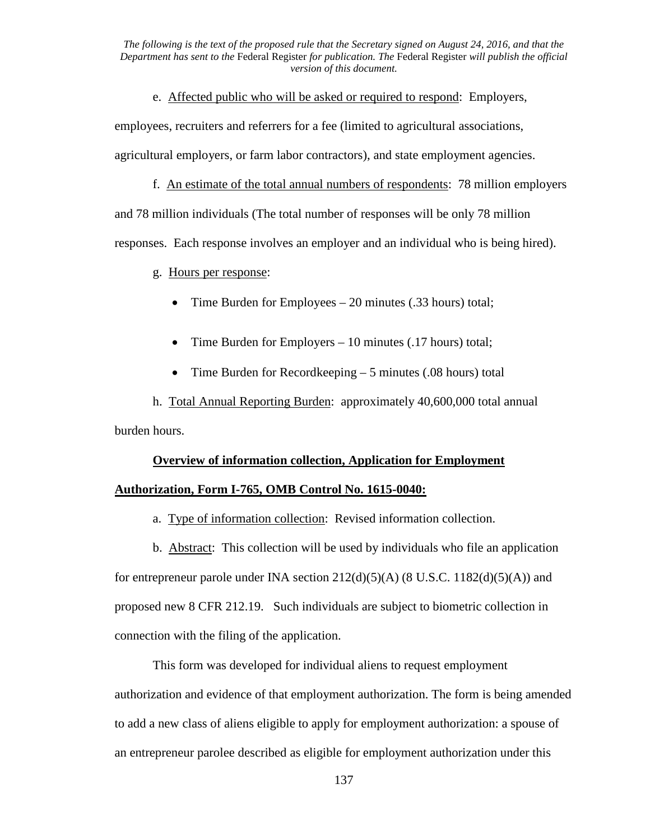e. Affected public who will be asked or required to respond: Employers,

employees, recruiters and referrers for a fee (limited to agricultural associations, agricultural employers, or farm labor contractors), and state employment agencies.

f. An estimate of the total annual numbers of respondents: 78 million employers and 78 million individuals (The total number of responses will be only 78 million responses. Each response involves an employer and an individual who is being hired).

g. Hours per response:

- Time Burden for Employees 20 minutes (.33 hours) total;
- Time Burden for Employers 10 minutes (.17 hours) total;
- Time Burden for Recordkeeping 5 minutes (.08 hours) total

h. Total Annual Reporting Burden: approximately 40,600,000 total annual burden hours.

# **Overview of information collection, Application for Employment**

# **Authorization, Form I-765, OMB Control No. 1615-0040:**

a. Type of information collection: Revised information collection.

b. Abstract: This collection will be used by individuals who file an application for entrepreneur parole under INA section  $212(d)(5)(A)$  (8 U.S.C. 1182 $(d)(5)(A)$ ) and proposed new 8 CFR 212.19. Such individuals are subject to biometric collection in connection with the filing of the application.

This form was developed for individual aliens to request employment authorization and evidence of that employment authorization. The form is being amended to add a new class of aliens eligible to apply for employment authorization: a spouse of an entrepreneur parolee described as eligible for employment authorization under this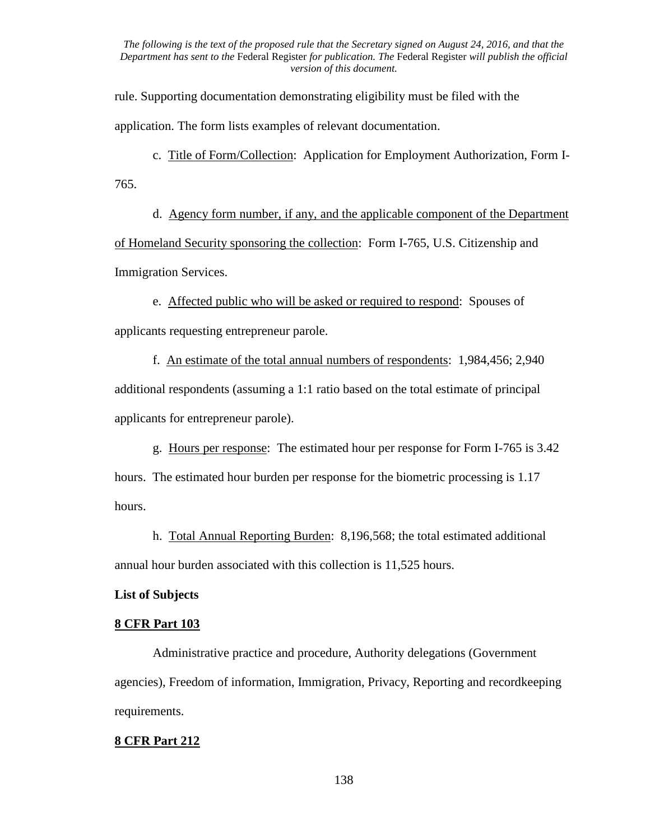rule. Supporting documentation demonstrating eligibility must be filed with the application. The form lists examples of relevant documentation.

c. Title of Form/Collection: Application for Employment Authorization, Form I-765.

d. Agency form number, if any, and the applicable component of the Department of Homeland Security sponsoring the collection: Form I-765, U.S. Citizenship and Immigration Services.

e. Affected public who will be asked or required to respond: Spouses of applicants requesting entrepreneur parole.

f. An estimate of the total annual numbers of respondents: 1,984,456; 2,940 additional respondents (assuming a 1:1 ratio based on the total estimate of principal applicants for entrepreneur parole).

g. Hours per response: The estimated hour per response for Form I-765 is 3.42 hours. The estimated hour burden per response for the biometric processing is 1.17 hours.

h. Total Annual Reporting Burden: 8,196,568; the total estimated additional annual hour burden associated with this collection is 11,525 hours.

# **List of Subjects**

### **8 CFR Part 103**

Administrative practice and procedure, Authority delegations (Government agencies), Freedom of information, Immigration, Privacy, Reporting and recordkeeping requirements.

# **8 CFR Part 212**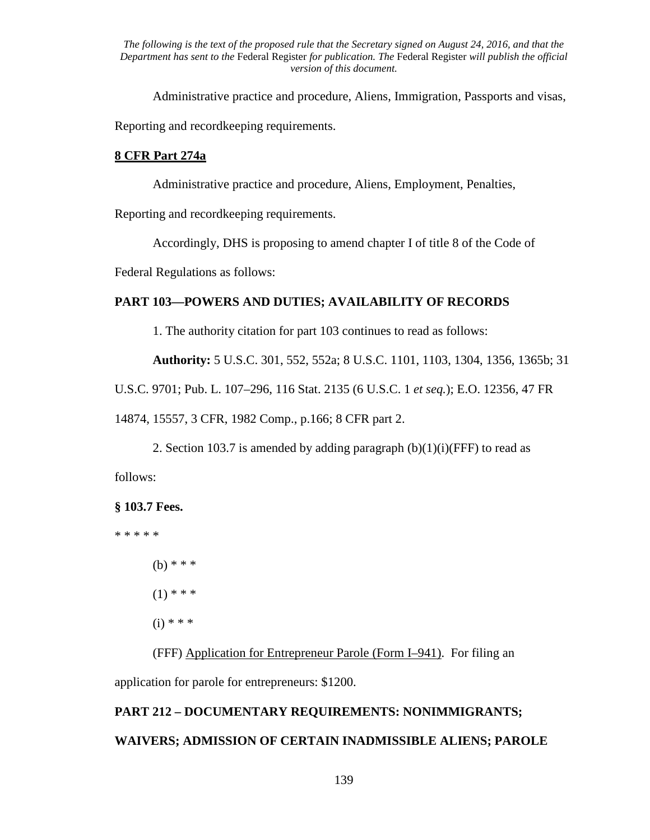Administrative practice and procedure, Aliens, Immigration, Passports and visas,

Reporting and recordkeeping requirements.

# **8 CFR Part 274a**

Administrative practice and procedure, Aliens, Employment, Penalties,

Reporting and recordkeeping requirements.

Accordingly, DHS is proposing to amend chapter I of title 8 of the Code of

Federal Regulations as follows:

# **PART 103—POWERS AND DUTIES; AVAILABILITY OF RECORDS**

1. The authority citation for part 103 continues to read as follows:

**Authority:** 5 U.S.C. 301, 552, 552a; 8 U.S.C. 1101, 1103, 1304, 1356, 1365b; 31

U.S.C. 9701; Pub. L. 107–296, 116 Stat. 2135 (6 U.S.C. 1 *et seq.*); E.O. 12356, 47 FR

14874, 15557, 3 CFR, 1982 Comp., p.166; 8 CFR part 2.

2. Section 103.7 is amended by adding paragraph  $(b)(1)(i)$ (FFF) to read as

follows:

# **§ 103.7 Fees.**

\* \* \* \* \*

 $(b)$  \* \* \*  $(1)$  \* \* \*  $(i) * * *$ 

(FFF) Application for Entrepreneur Parole (Form I–941). For filing an application for parole for entrepreneurs: \$1200.

# **PART 212 – DOCUMENTARY REQUIREMENTS: NONIMMIGRANTS; WAIVERS; ADMISSION OF CERTAIN INADMISSIBLE ALIENS; PAROLE**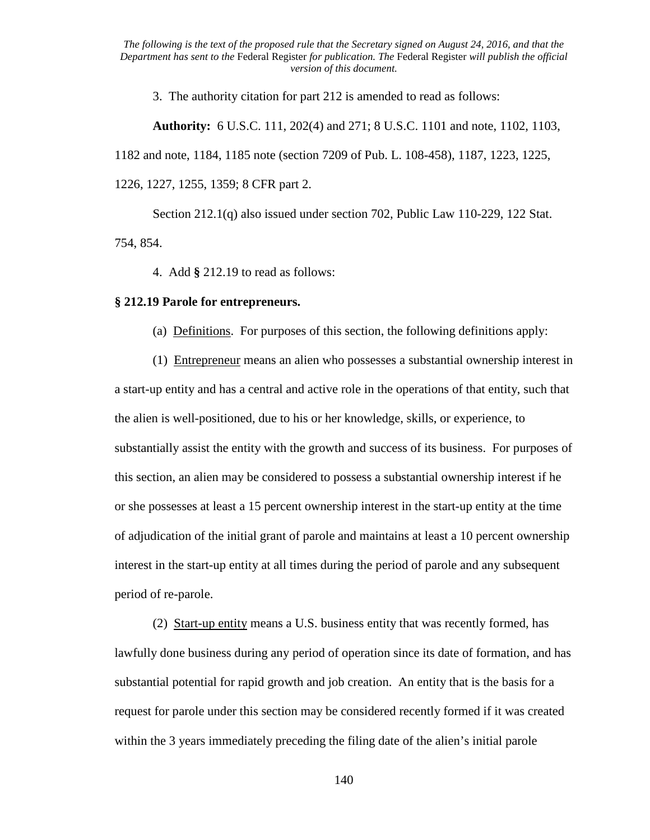3. The authority citation for part 212 is amended to read as follows:

**Authority:** 6 U.S.C. 111, 202(4) and 271; 8 U.S.C. 1101 and note, 1102, 1103, 1182 and note, 1184, 1185 note (section 7209 of Pub. L. 108-458), 1187, 1223, 1225, 1226, 1227, 1255, 1359; 8 CFR part 2.

Section 212.1(q) also issued under section 702, Public Law 110-229, 122 Stat. 754, 854.

4. Add **§** 212.19 to read as follows:

## **§ 212.19 Parole for entrepreneurs.**

(a) Definitions. For purposes of this section, the following definitions apply:

(1) Entrepreneur means an alien who possesses a substantial ownership interest in a start-up entity and has a central and active role in the operations of that entity, such that the alien is well-positioned, due to his or her knowledge, skills, or experience, to substantially assist the entity with the growth and success of its business. For purposes of this section, an alien may be considered to possess a substantial ownership interest if he or she possesses at least a 15 percent ownership interest in the start-up entity at the time of adjudication of the initial grant of parole and maintains at least a 10 percent ownership interest in the start-up entity at all times during the period of parole and any subsequent period of re-parole.

 (2) Start-up entity means a U.S. business entity that was recently formed, has lawfully done business during any period of operation since its date of formation, and has substantial potential for rapid growth and job creation. An entity that is the basis for a request for parole under this section may be considered recently formed if it was created within the 3 years immediately preceding the filing date of the alien's initial parole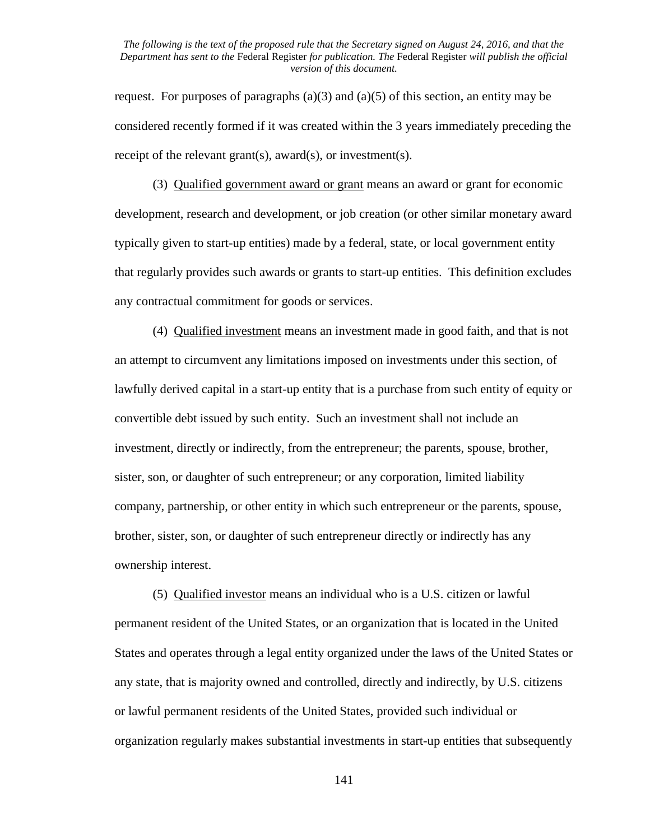request. For purposes of paragraphs  $(a)(3)$  and  $(a)(5)$  of this section, an entity may be considered recently formed if it was created within the 3 years immediately preceding the receipt of the relevant grant(s), award(s), or investment(s).

(3) Qualified government award or grant means an award or grant for economic development, research and development, or job creation (or other similar monetary award typically given to start-up entities) made by a federal, state, or local government entity that regularly provides such awards or grants to start-up entities. This definition excludes any contractual commitment for goods or services.

(4) Qualified investment means an investment made in good faith, and that is not an attempt to circumvent any limitations imposed on investments under this section, of lawfully derived capital in a start-up entity that is a purchase from such entity of equity or convertible debt issued by such entity. Such an investment shall not include an investment, directly or indirectly, from the entrepreneur; the parents, spouse, brother, sister, son, or daughter of such entrepreneur; or any corporation, limited liability company, partnership, or other entity in which such entrepreneur or the parents, spouse, brother, sister, son, or daughter of such entrepreneur directly or indirectly has any ownership interest.

 (5) Qualified investor means an individual who is a U.S. citizen or lawful permanent resident of the United States, or an organization that is located in the United States and operates through a legal entity organized under the laws of the United States or any state, that is majority owned and controlled, directly and indirectly, by U.S. citizens or lawful permanent residents of the United States, provided such individual or organization regularly makes substantial investments in start-up entities that subsequently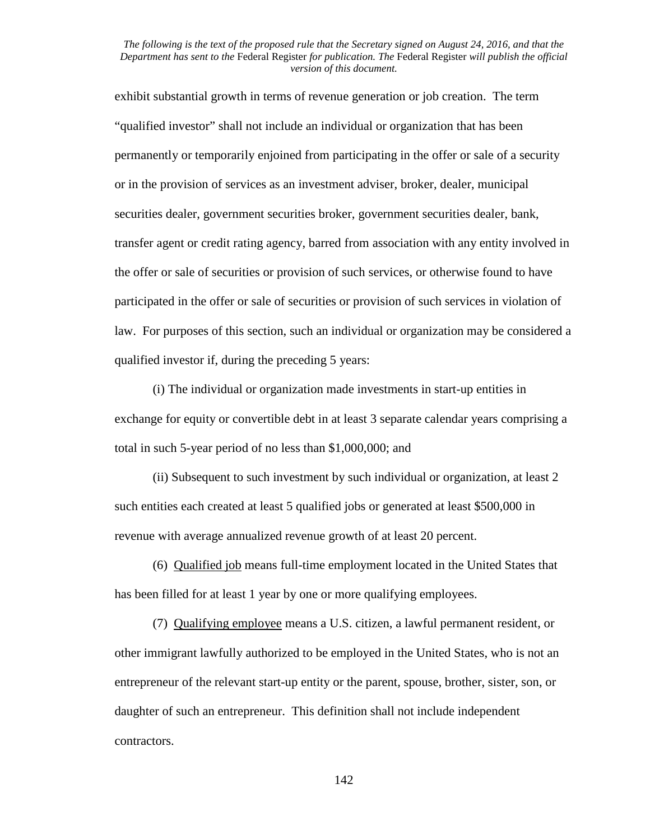exhibit substantial growth in terms of revenue generation or job creation. The term "qualified investor" shall not include an individual or organization that has been permanently or temporarily enjoined from participating in the offer or sale of a security or in the provision of services as an investment adviser, broker, dealer, municipal securities dealer, government securities broker, government securities dealer, bank, transfer agent or credit rating agency, barred from association with any entity involved in the offer or sale of securities or provision of such services, or otherwise found to have participated in the offer or sale of securities or provision of such services in violation of law. For purposes of this section, such an individual or organization may be considered a qualified investor if, during the preceding 5 years:

(i) The individual or organization made investments in start-up entities in exchange for equity or convertible debt in at least 3 separate calendar years comprising a total in such 5-year period of no less than \$1,000,000; and

(ii) Subsequent to such investment by such individual or organization, at least 2 such entities each created at least 5 qualified jobs or generated at least \$500,000 in revenue with average annualized revenue growth of at least 20 percent.

(6) Qualified job means full-time employment located in the United States that has been filled for at least 1 year by one or more qualifying employees.

(7) Qualifying employee means a U.S. citizen, a lawful permanent resident, or other immigrant lawfully authorized to be employed in the United States, who is not an entrepreneur of the relevant start-up entity or the parent, spouse, brother, sister, son, or daughter of such an entrepreneur. This definition shall not include independent contractors.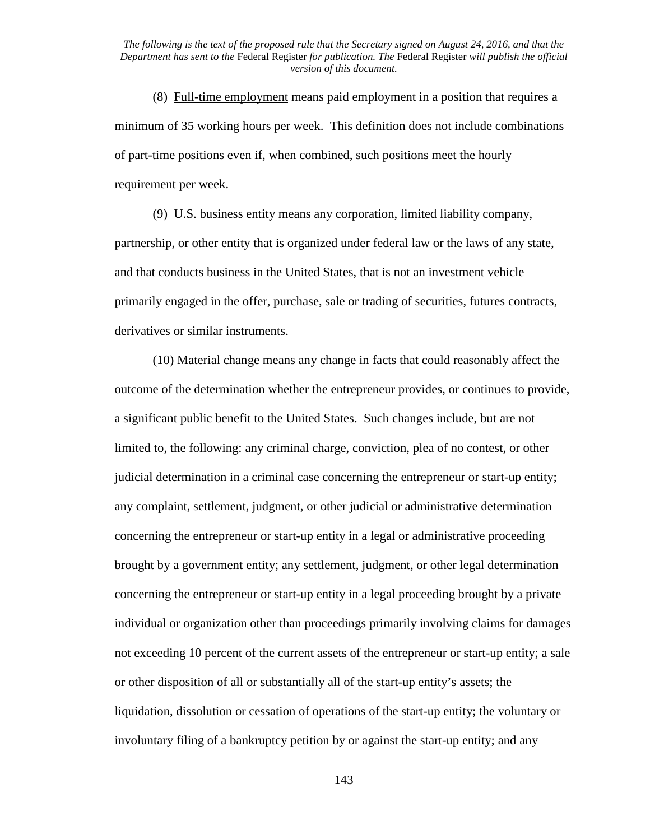(8) Full-time employment means paid employment in a position that requires a minimum of 35 working hours per week. This definition does not include combinations of part-time positions even if, when combined, such positions meet the hourly requirement per week.

(9) U.S. business entity means any corporation, limited liability company, partnership, or other entity that is organized under federal law or the laws of any state, and that conducts business in the United States, that is not an investment vehicle primarily engaged in the offer, purchase, sale or trading of securities, futures contracts, derivatives or similar instruments.

(10) Material change means any change in facts that could reasonably affect the outcome of the determination whether the entrepreneur provides, or continues to provide, a significant public benefit to the United States. Such changes include, but are not limited to, the following: any criminal charge, conviction, plea of no contest, or other judicial determination in a criminal case concerning the entrepreneur or start-up entity; any complaint, settlement, judgment, or other judicial or administrative determination concerning the entrepreneur or start-up entity in a legal or administrative proceeding brought by a government entity; any settlement, judgment, or other legal determination concerning the entrepreneur or start-up entity in a legal proceeding brought by a private individual or organization other than proceedings primarily involving claims for damages not exceeding 10 percent of the current assets of the entrepreneur or start-up entity; a sale or other disposition of all or substantially all of the start-up entity's assets; the liquidation, dissolution or cessation of operations of the start-up entity; the voluntary or involuntary filing of a bankruptcy petition by or against the start-up entity; and any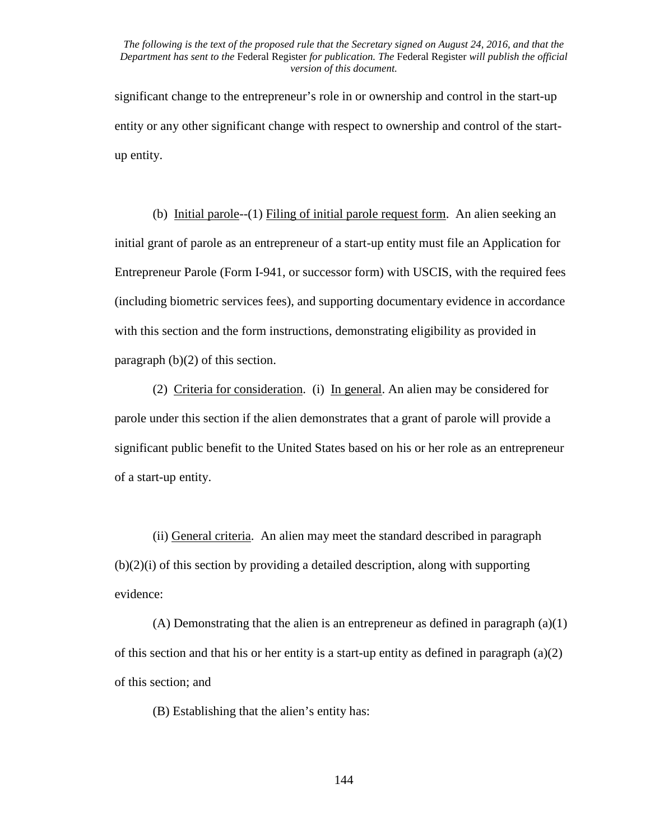significant change to the entrepreneur's role in or ownership and control in the start-up entity or any other significant change with respect to ownership and control of the startup entity.

(b) Initial parole--(1) Filing of initial parole request form. An alien seeking an initial grant of parole as an entrepreneur of a start-up entity must file an Application for Entrepreneur Parole (Form I-941, or successor form) with USCIS, with the required fees (including biometric services fees), and supporting documentary evidence in accordance with this section and the form instructions, demonstrating eligibility as provided in paragraph (b)(2) of this section.

(2) Criteria for consideration. (i) In general. An alien may be considered for parole under this section if the alien demonstrates that a grant of parole will provide a significant public benefit to the United States based on his or her role as an entrepreneur of a start-up entity.

(ii) General criteria. An alien may meet the standard described in paragraph (b)(2)(i) of this section by providing a detailed description, along with supporting evidence:

(A) Demonstrating that the alien is an entrepreneur as defined in paragraph (a)(1) of this section and that his or her entity is a start-up entity as defined in paragraph (a)(2) of this section; and

(B) Establishing that the alien's entity has: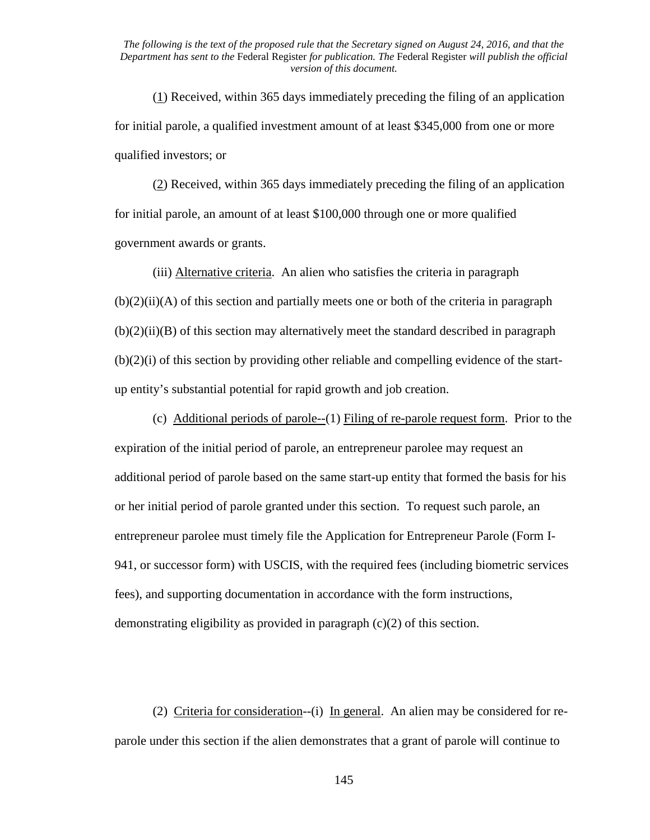(1) Received, within 365 days immediately preceding the filing of an application for initial parole, a qualified investment amount of at least \$345,000 from one or more qualified investors; or

(2) Received, within 365 days immediately preceding the filing of an application for initial parole, an amount of at least \$100,000 through one or more qualified government awards or grants.

(iii) Alternative criteria. An alien who satisfies the criteria in paragraph  $(b)(2)(ii)(A)$  of this section and partially meets one or both of the criteria in paragraph  $(b)(2)(ii)(B)$  of this section may alternatively meet the standard described in paragraph (b)(2)(i) of this section by providing other reliable and compelling evidence of the startup entity's substantial potential for rapid growth and job creation.

(c) Additional periods of parole--(1) Filing of re-parole request form. Prior to the expiration of the initial period of parole, an entrepreneur parolee may request an additional period of parole based on the same start-up entity that formed the basis for his or her initial period of parole granted under this section. To request such parole, an entrepreneur parolee must timely file the Application for Entrepreneur Parole (Form I-941, or successor form) with USCIS, with the required fees (including biometric services fees), and supporting documentation in accordance with the form instructions, demonstrating eligibility as provided in paragraph (c)(2) of this section.

(2) Criteria for consideration--(i) In general. An alien may be considered for reparole under this section if the alien demonstrates that a grant of parole will continue to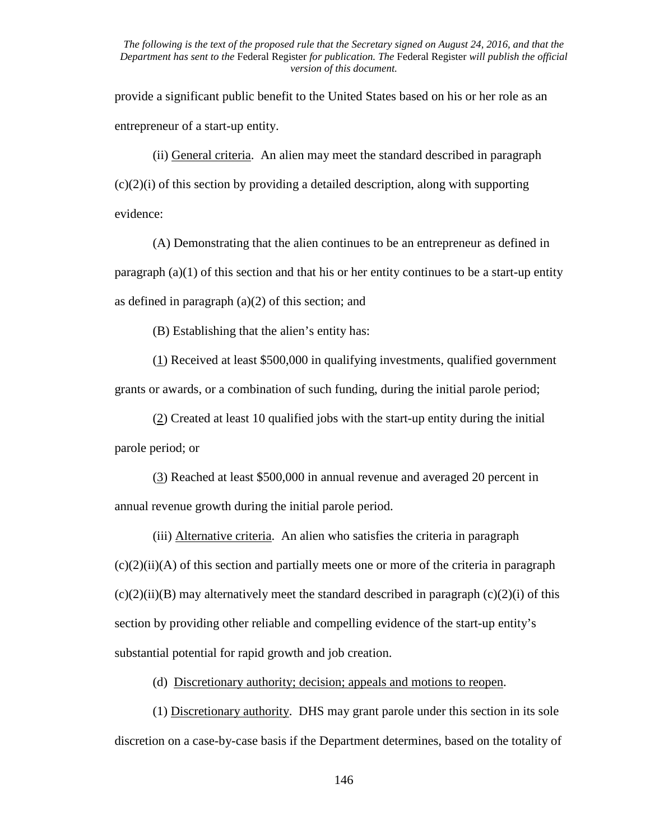provide a significant public benefit to the United States based on his or her role as an entrepreneur of a start-up entity.

(ii) General criteria. An alien may meet the standard described in paragraph  $(c)(2)(i)$  of this section by providing a detailed description, along with supporting evidence:

(A) Demonstrating that the alien continues to be an entrepreneur as defined in paragraph  $(a)(1)$  of this section and that his or her entity continues to be a start-up entity as defined in paragraph  $(a)(2)$  of this section; and

(B) Establishing that the alien's entity has:

(1) Received at least \$500,000 in qualifying investments, qualified government grants or awards, or a combination of such funding, during the initial parole period;

(2) Created at least 10 qualified jobs with the start-up entity during the initial parole period; or

(3) Reached at least \$500,000 in annual revenue and averaged 20 percent in annual revenue growth during the initial parole period.

(iii) Alternative criteria. An alien who satisfies the criteria in paragraph  $(c)(2)(ii)(A)$  of this section and partially meets one or more of the criteria in paragraph  $(c)(2)(ii)(B)$  may alternatively meet the standard described in paragraph  $(c)(2)(i)$  of this section by providing other reliable and compelling evidence of the start-up entity's substantial potential for rapid growth and job creation.

(d) Discretionary authority; decision; appeals and motions to reopen.

(1) Discretionary authority. DHS may grant parole under this section in its sole discretion on a case-by-case basis if the Department determines, based on the totality of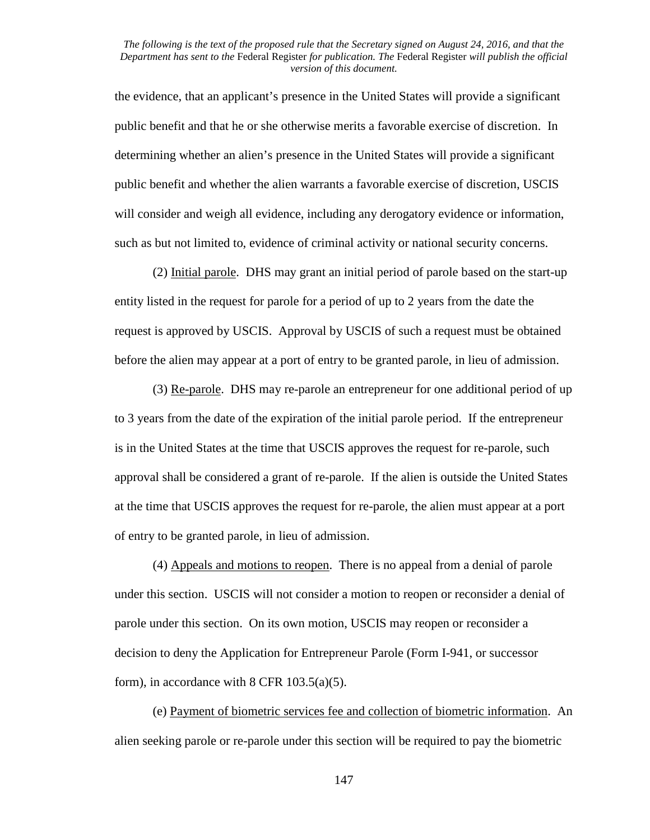the evidence, that an applicant's presence in the United States will provide a significant public benefit and that he or she otherwise merits a favorable exercise of discretion. In determining whether an alien's presence in the United States will provide a significant public benefit and whether the alien warrants a favorable exercise of discretion, USCIS will consider and weigh all evidence, including any derogatory evidence or information, such as but not limited to, evidence of criminal activity or national security concerns.

(2) Initial parole. DHS may grant an initial period of parole based on the start-up entity listed in the request for parole for a period of up to 2 years from the date the request is approved by USCIS. Approval by USCIS of such a request must be obtained before the alien may appear at a port of entry to be granted parole, in lieu of admission.

(3) Re-parole. DHS may re-parole an entrepreneur for one additional period of up to 3 years from the date of the expiration of the initial parole period. If the entrepreneur is in the United States at the time that USCIS approves the request for re-parole, such approval shall be considered a grant of re-parole. If the alien is outside the United States at the time that USCIS approves the request for re-parole, the alien must appear at a port of entry to be granted parole, in lieu of admission.

(4) Appeals and motions to reopen. There is no appeal from a denial of parole under this section. USCIS will not consider a motion to reopen or reconsider a denial of parole under this section. On its own motion, USCIS may reopen or reconsider a decision to deny the Application for Entrepreneur Parole (Form I-941, or successor form), in accordance with  $8$  CFR 103.5(a)(5).

(e) Payment of biometric services fee and collection of biometric information. An alien seeking parole or re-parole under this section will be required to pay the biometric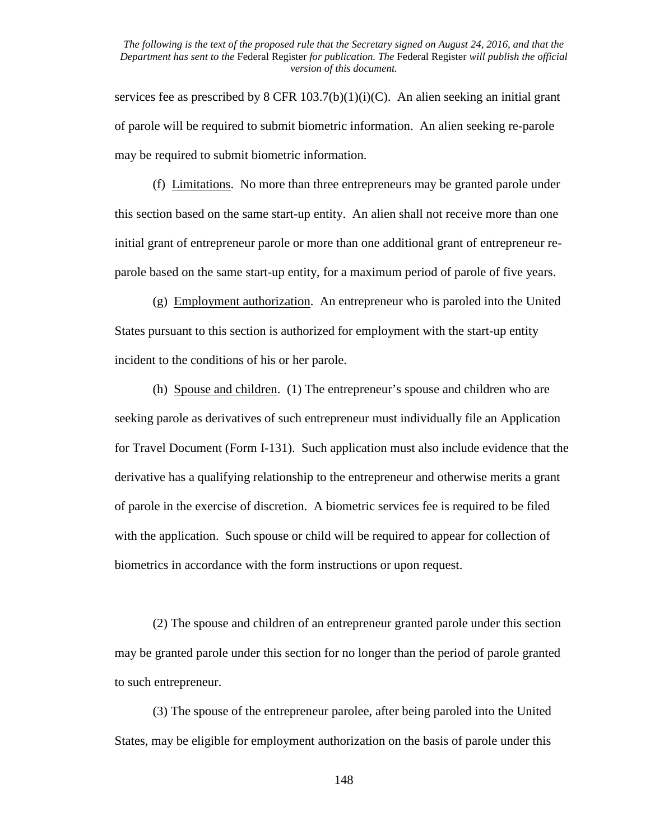services fee as prescribed by 8 CFR  $103.7(b)(1)(i)(C)$ . An alien seeking an initial grant of parole will be required to submit biometric information. An alien seeking re-parole may be required to submit biometric information.

(f) Limitations. No more than three entrepreneurs may be granted parole under this section based on the same start-up entity. An alien shall not receive more than one initial grant of entrepreneur parole or more than one additional grant of entrepreneur reparole based on the same start-up entity, for a maximum period of parole of five years.

(g) Employment authorization. An entrepreneur who is paroled into the United States pursuant to this section is authorized for employment with the start-up entity incident to the conditions of his or her parole.

(h) Spouse and children. (1) The entrepreneur's spouse and children who are seeking parole as derivatives of such entrepreneur must individually file an Application for Travel Document (Form I-131). Such application must also include evidence that the derivative has a qualifying relationship to the entrepreneur and otherwise merits a grant of parole in the exercise of discretion. A biometric services fee is required to be filed with the application. Such spouse or child will be required to appear for collection of biometrics in accordance with the form instructions or upon request.

(2) The spouse and children of an entrepreneur granted parole under this section may be granted parole under this section for no longer than the period of parole granted to such entrepreneur.

(3) The spouse of the entrepreneur parolee, after being paroled into the United States, may be eligible for employment authorization on the basis of parole under this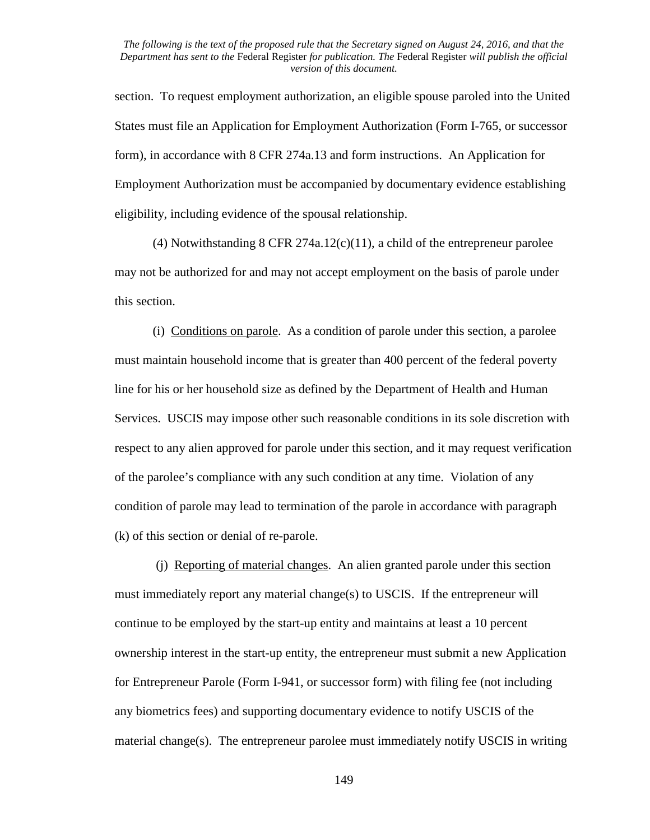section. To request employment authorization, an eligible spouse paroled into the United States must file an Application for Employment Authorization (Form I-765, or successor form), in accordance with 8 CFR 274a.13 and form instructions. An Application for Employment Authorization must be accompanied by documentary evidence establishing eligibility, including evidence of the spousal relationship.

(4) Notwithstanding 8 CFR 274a.12(c)(11), a child of the entrepreneur parolee may not be authorized for and may not accept employment on the basis of parole under this section.

(i) Conditions on parole. As a condition of parole under this section, a parolee must maintain household income that is greater than 400 percent of the federal poverty line for his or her household size as defined by the Department of Health and Human Services. USCIS may impose other such reasonable conditions in its sole discretion with respect to any alien approved for parole under this section, and it may request verification of the parolee's compliance with any such condition at any time. Violation of any condition of parole may lead to termination of the parole in accordance with paragraph (k) of this section or denial of re-parole.

(j) Reporting of material changes. An alien granted parole under this section must immediately report any material change(s) to USCIS. If the entrepreneur will continue to be employed by the start-up entity and maintains at least a 10 percent ownership interest in the start-up entity, the entrepreneur must submit a new Application for Entrepreneur Parole (Form I-941, or successor form) with filing fee (not including any biometrics fees) and supporting documentary evidence to notify USCIS of the material change(s). The entrepreneur parolee must immediately notify USCIS in writing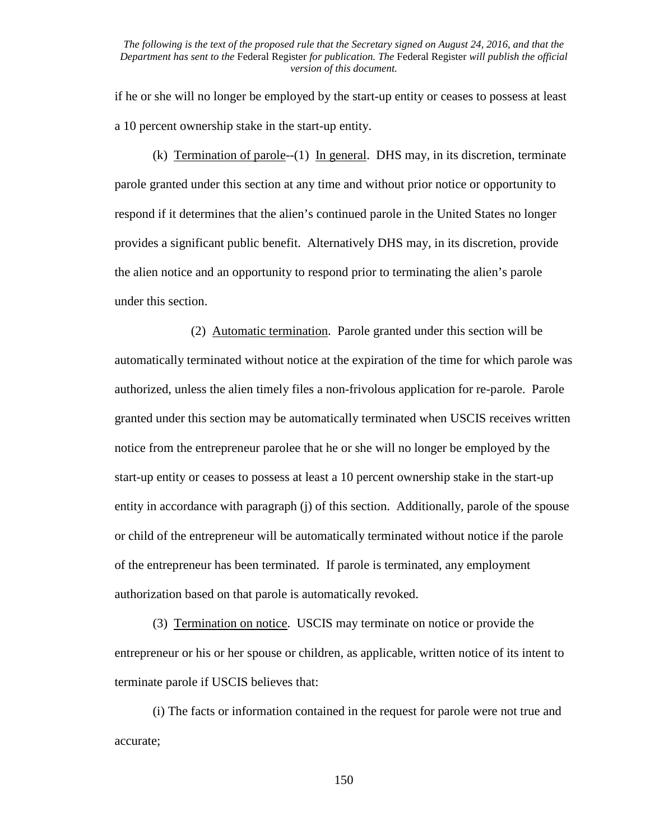if he or she will no longer be employed by the start-up entity or ceases to possess at least a 10 percent ownership stake in the start-up entity.

(k) Termination of parole--(1) In general. DHS may, in its discretion, terminate parole granted under this section at any time and without prior notice or opportunity to respond if it determines that the alien's continued parole in the United States no longer provides a significant public benefit. Alternatively DHS may, in its discretion, provide the alien notice and an opportunity to respond prior to terminating the alien's parole under this section.

 (2) Automatic termination. Parole granted under this section will be automatically terminated without notice at the expiration of the time for which parole was authorized, unless the alien timely files a non-frivolous application for re-parole. Parole granted under this section may be automatically terminated when USCIS receives written notice from the entrepreneur parolee that he or she will no longer be employed by the start-up entity or ceases to possess at least a 10 percent ownership stake in the start-up entity in accordance with paragraph (j) of this section. Additionally, parole of the spouse or child of the entrepreneur will be automatically terminated without notice if the parole of the entrepreneur has been terminated. If parole is terminated, any employment authorization based on that parole is automatically revoked.

(3) Termination on notice. USCIS may terminate on notice or provide the entrepreneur or his or her spouse or children, as applicable, written notice of its intent to terminate parole if USCIS believes that:

(i) The facts or information contained in the request for parole were not true and accurate;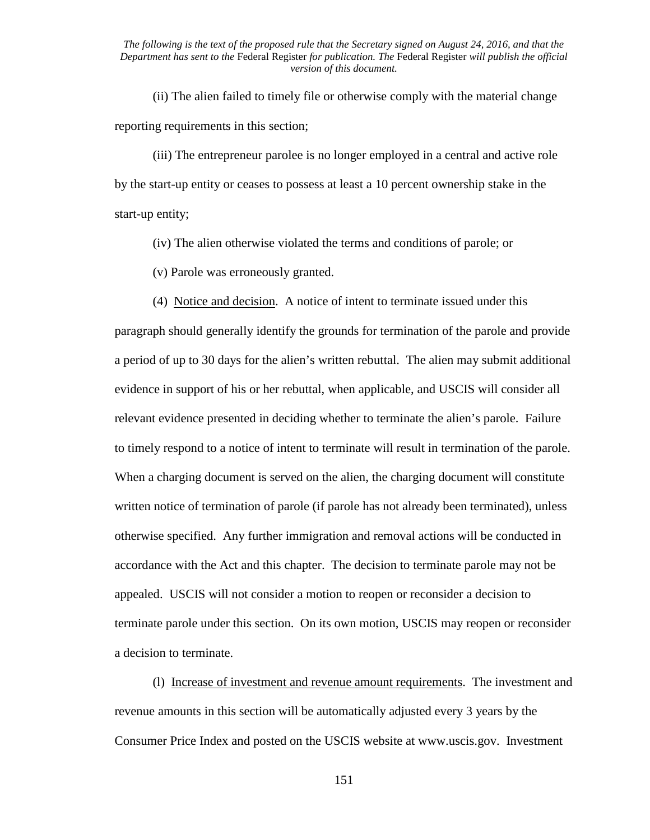(ii) The alien failed to timely file or otherwise comply with the material change reporting requirements in this section;

(iii) The entrepreneur parolee is no longer employed in a central and active role by the start-up entity or ceases to possess at least a 10 percent ownership stake in the start-up entity;

(iv) The alien otherwise violated the terms and conditions of parole; or

(v) Parole was erroneously granted.

 (4) Notice and decision. A notice of intent to terminate issued under this paragraph should generally identify the grounds for termination of the parole and provide a period of up to 30 days for the alien's written rebuttal. The alien may submit additional evidence in support of his or her rebuttal, when applicable, and USCIS will consider all relevant evidence presented in deciding whether to terminate the alien's parole. Failure to timely respond to a notice of intent to terminate will result in termination of the parole. When a charging document is served on the alien, the charging document will constitute written notice of termination of parole (if parole has not already been terminated), unless otherwise specified. Any further immigration and removal actions will be conducted in accordance with the Act and this chapter. The decision to terminate parole may not be appealed. USCIS will not consider a motion to reopen or reconsider a decision to terminate parole under this section. On its own motion, USCIS may reopen or reconsider a decision to terminate.

(l) Increase of investment and revenue amount requirements. The investment and revenue amounts in this section will be automatically adjusted every 3 years by the Consumer Price Index and posted on the USCIS website at www.uscis.gov. Investment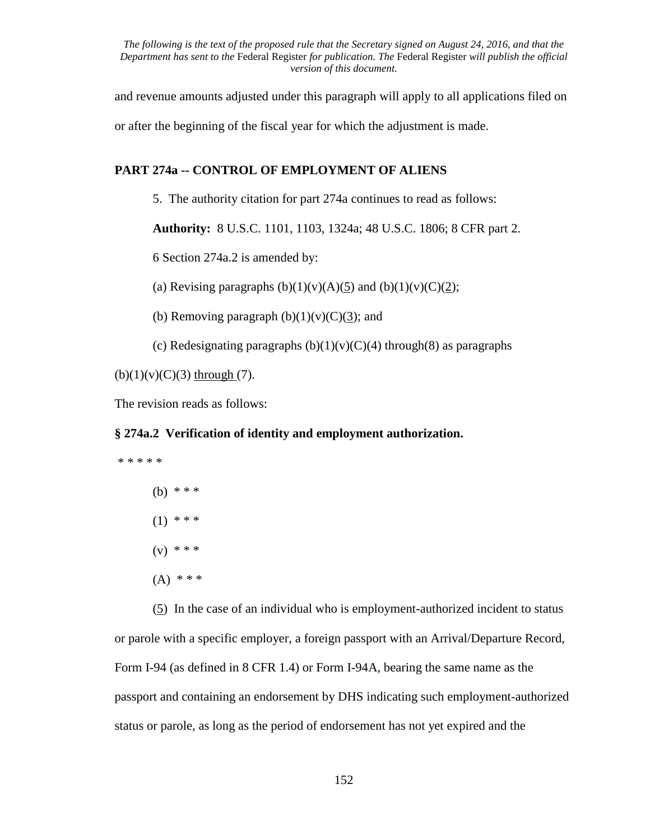and revenue amounts adjusted under this paragraph will apply to all applications filed on

or after the beginning of the fiscal year for which the adjustment is made.

# **PART 274a -- CONTROL OF EMPLOYMENT OF ALIENS**

5. The authority citation for part 274a continues to read as follows:

**Authority:** 8 U.S.C. 1101, 1103, 1324a; 48 U.S.C. 1806; 8 CFR part 2.

6 Section 274a.2 is amended by:

(a) Revising paragraphs  $(b)(1)(v)(A)(5)$  and  $(b)(1)(v)(C)(2)$ ;

(b) Removing paragraph  $(b)(1)(v)(C)(3)$ ; and

(c) Redesignating paragraphs  $(b)(1)(v)(C)(4)$  through(8) as paragraphs

 $(b)(1)(v)(C)(3)$  through (7).

The revision reads as follows:

## **§ 274a.2 Verification of identity and employment authorization.**

\* \* \* \* \* (b) \* \* \*  $(1)$  \* \* \*  $(v)$  \* \* \*  $(A)$  \* \* \*

(5) In the case of an individual who is employment-authorized incident to status or parole with a specific employer, a foreign passport with an Arrival/Departure Record, Form I-94 (as defined in 8 CFR 1.4) or Form I-94A, bearing the same name as the passport and containing an endorsement by DHS indicating such employment-authorized status or parole, as long as the period of endorsement has not yet expired and the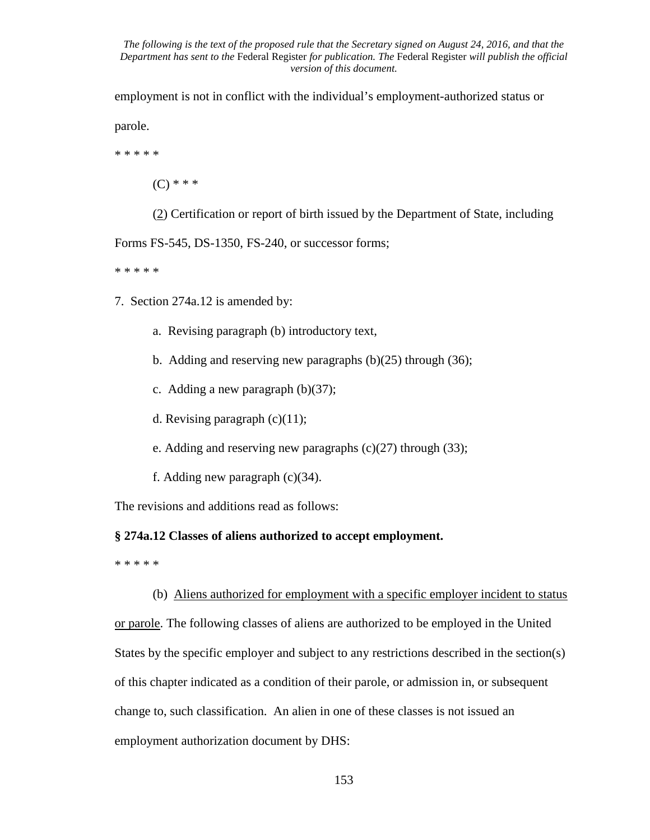employment is not in conflict with the individual's employment-authorized status or

parole.

\* \* \* \* \*

 $(C)$  \* \* \*

(2) Certification or report of birth issued by the Department of State, including

Forms FS-545, DS-1350, FS-240, or successor forms;

\* \* \* \* \*

- 7. Section 274a.12 is amended by:
	- a. Revising paragraph (b) introductory text,
	- b. Adding and reserving new paragraphs (b)(25) through (36);
	- c. Adding a new paragraph (b)(37);
	- d. Revising paragraph  $(c)(11)$ ;
	- e. Adding and reserving new paragraphs  $(c)(27)$  through  $(33)$ ;
	- f. Adding new paragraph (c)(34).

The revisions and additions read as follows:

## **§ 274a.12 Classes of aliens authorized to accept employment.**

\* \* \* \* \*

(b)Aliens authorized for employment with a specific employer incident to status or parole. The following classes of aliens are authorized to be employed in the United States by the specific employer and subject to any restrictions described in the section(s) of this chapter indicated as a condition of their parole, or admission in, or subsequent change to, such classification. An alien in one of these classes is not issued an employment authorization document by DHS: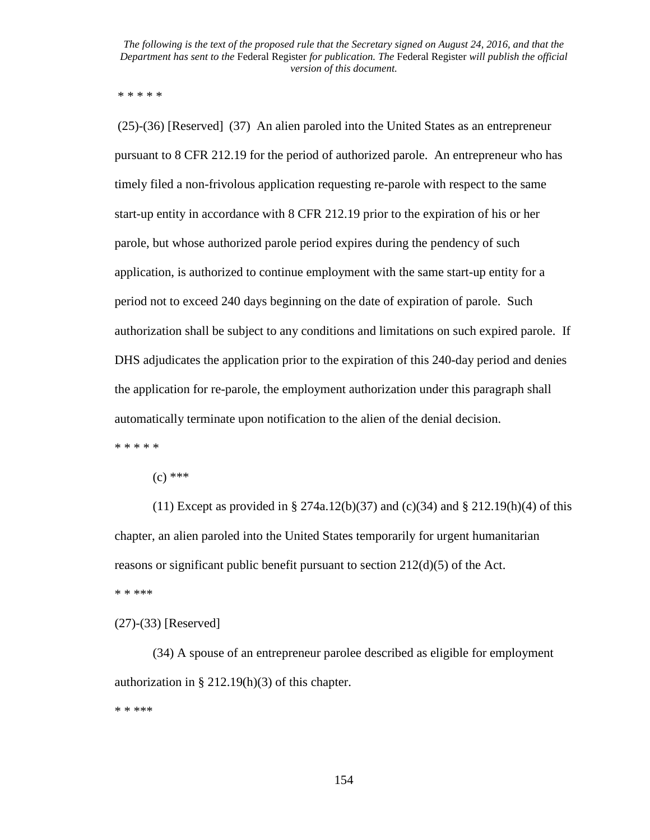\* \* \* \* \*

(25)-(36) [Reserved] (37) An alien paroled into the United States as an entrepreneur pursuant to 8 CFR 212.19 for the period of authorized parole. An entrepreneur who has timely filed a non-frivolous application requesting re-parole with respect to the same start-up entity in accordance with 8 CFR 212.19 prior to the expiration of his or her parole, but whose authorized parole period expires during the pendency of such application, is authorized to continue employment with the same start-up entity for a period not to exceed 240 days beginning on the date of expiration of parole. Such authorization shall be subject to any conditions and limitations on such expired parole. If DHS adjudicates the application prior to the expiration of this 240-day period and denies the application for re-parole, the employment authorization under this paragraph shall automatically terminate upon notification to the alien of the denial decision. \* \* \* \* \*

 $(c)$  \*\*\*

(11) Except as provided in § 274a.12(b)(37) and (c)(34) and § 212.19(h)(4) of this chapter, an alien paroled into the United States temporarily for urgent humanitarian reasons or significant public benefit pursuant to section 212(d)(5) of the Act. \* \* \*\*\*

(27)-(33) [Reserved]

(34) A spouse of an entrepreneur parolee described as eligible for employment authorization in  $\S 212.19(h)(3)$  of this chapter.

\* \* \*\*\*